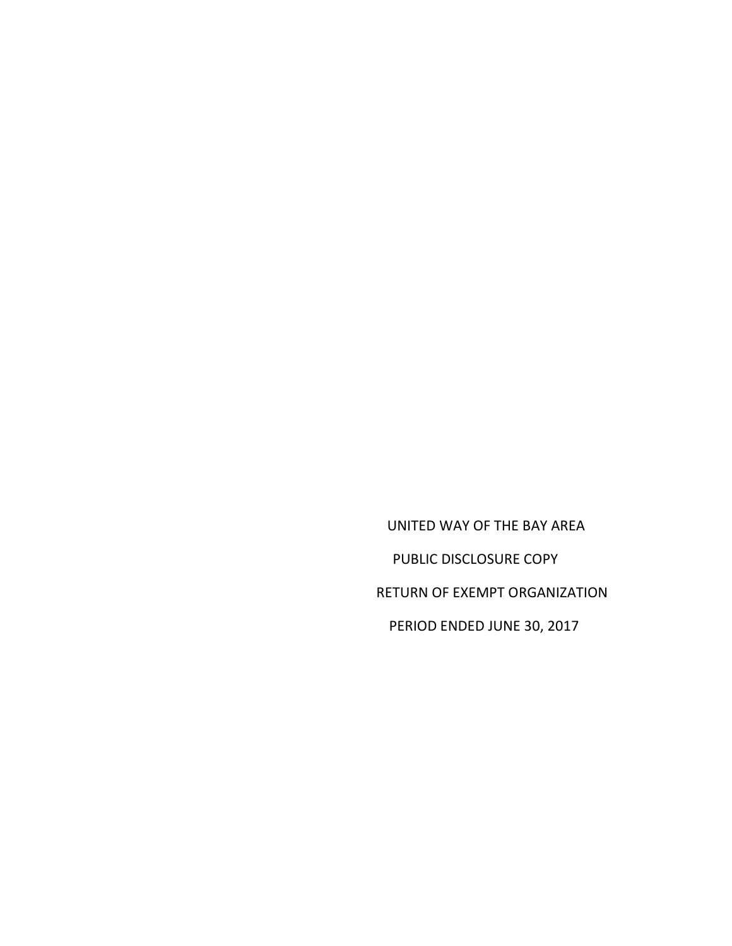UNITED WAY OF THE BAY AREA PUBLIC DISCLOSURE COPY RETURN OF EXEMPT ORGANIZATION PERIOD ENDED JUNE 30, 2017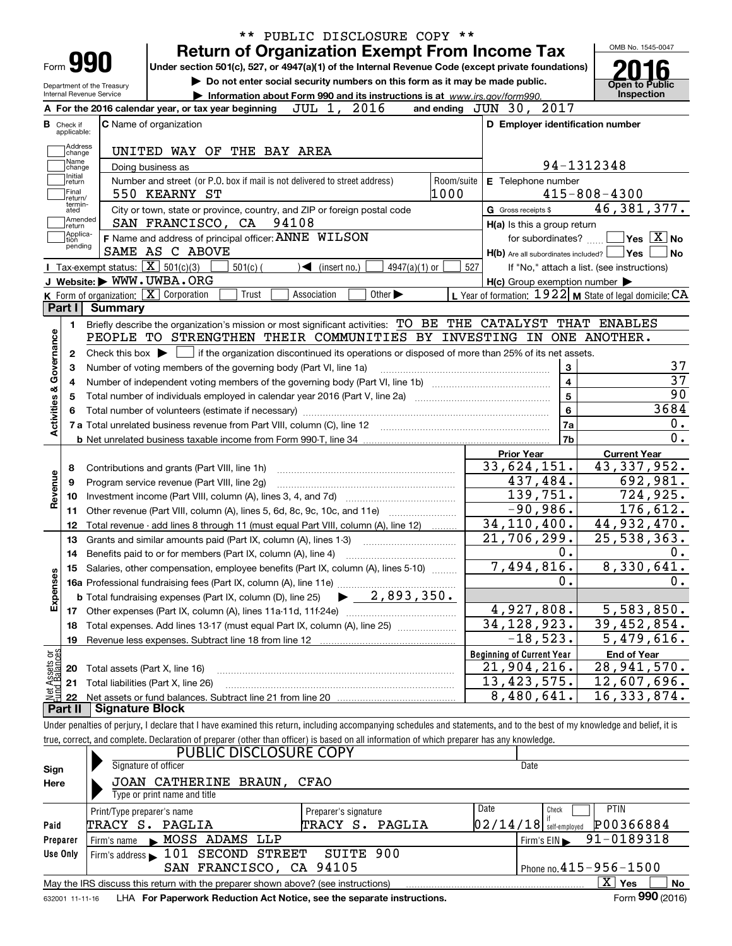|                            |                                  |                        |                                                                                                                                                                            | PUBLIC DISCLOSURE COPY **                                                  |                       |            |                                                           |                                            |
|----------------------------|----------------------------------|------------------------|----------------------------------------------------------------------------------------------------------------------------------------------------------------------------|----------------------------------------------------------------------------|-----------------------|------------|-----------------------------------------------------------|--------------------------------------------|
|                            |                                  |                        | <b>Return of Organization Exempt From Income Tax</b>                                                                                                                       |                                                                            |                       |            |                                                           | OMB No. 1545-0047                          |
| Form <b>990</b>            |                                  |                        | Under section 501(c), 527, or 4947(a)(1) of the Internal Revenue Code (except private foundations)                                                                         |                                                                            |                       |            |                                                           |                                            |
| Department of the Treasury |                                  |                        | Do not enter social security numbers on this form as it may be made public.                                                                                                |                                                                            | <b>Open to Public</b> |            |                                                           |                                            |
|                            | Internal Revenue Service         |                        |                                                                                                                                                                            | Information about Form 990 and its instructions is at www.irs.gov/form990. |                       |            |                                                           | <b>Inspection</b>                          |
|                            |                                  |                        | A For the 2016 calendar year, or tax year beginning                                                                                                                        | JUL 1, 2016                                                                |                       |            | 2017<br>and ending $JUN$ $30$ ,                           |                                            |
|                            | <b>B</b> Check if<br>applicable: |                        | <b>C</b> Name of organization                                                                                                                                              |                                                                            |                       |            | D Employer identification number                          |                                            |
|                            | Address<br> change               |                        | UNITED WAY OF THE BAY AREA                                                                                                                                                 |                                                                            |                       |            |                                                           |                                            |
|                            | Name                             |                        |                                                                                                                                                                            |                                                                            |                       |            | 94-1312348                                                |                                            |
|                            | change<br>Initial                |                        | Doing business as<br>Number and street (or P.O. box if mail is not delivered to street address)                                                                            |                                                                            |                       | Room/suite | E Telephone number                                        |                                            |
|                            | return<br> Final                 |                        | 550 KEARNY ST                                                                                                                                                              |                                                                            | 1000                  |            |                                                           | $415 - 808 - 4300$                         |
|                            | return/<br>termin-<br>ated       |                        | City or town, state or province, country, and ZIP or foreign postal code                                                                                                   |                                                                            |                       |            | G Gross receipts \$                                       | 46, 381, 377.                              |
|                            | Amended<br> return               |                        | SAN FRANCISCO, CA 94108                                                                                                                                                    |                                                                            |                       |            | $H(a)$ is this a group return                             |                                            |
|                            | Applica-<br>tion                 |                        | F Name and address of principal officer: ANNE WILSON                                                                                                                       |                                                                            |                       |            | for subordinates?                                         | $\sqrt{}$ Yes $\sqrt{X}$ No                |
|                            | pending                          |                        | SAME AS C ABOVE                                                                                                                                                            |                                                                            |                       |            | $H(b)$ Are all subordinates included? $\Box$ Yes          | No                                         |
|                            |                                  |                        | Tax-exempt status: $\boxed{\mathbf{X}}$ 501(c)(3)<br>$501(c)$ (                                                                                                            | $\blacktriangleleft$ (insert no.)                                          | $4947(a)(1)$ or       | 527        |                                                           | If "No," attach a list. (see instructions) |
|                            |                                  |                        | J Website: WWW.UWBA.ORG                                                                                                                                                    |                                                                            |                       |            | $H(c)$ Group exemption number $\blacktriangleright$       |                                            |
|                            |                                  |                        | K Form of organization: X Corporation<br>Trust                                                                                                                             | Other $\blacktriangleright$<br>Association                                 |                       |            | L Year of formation: $1922$ M State of legal domicile: CA |                                            |
|                            | Part I                           | Summary                |                                                                                                                                                                            |                                                                            |                       |            |                                                           |                                            |
|                            | 1.                               |                        | Briefly describe the organization's mission or most significant activities: TO BE THE CATALYST THAT ENABLES                                                                |                                                                            |                       |            |                                                           |                                            |
|                            |                                  |                        | PEOPLE TO STRENGTHEN THEIR COMMUNITIES BY INVESTING IN ONE ANOTHER.                                                                                                        |                                                                            |                       |            |                                                           |                                            |
|                            | 2                                |                        | Check this box $\blacktriangleright \Box$ if the organization discontinued its operations or disposed of more than 25% of its net assets.                                  |                                                                            |                       |            |                                                           |                                            |
| Activities & Governance    | З                                |                        | Number of voting members of the governing body (Part VI, line 1a)                                                                                                          |                                                                            |                       |            | 3                                                         | 37<br>$\overline{37}$                      |
|                            | 4                                |                        |                                                                                                                                                                            |                                                                            |                       |            | $\overline{\mathbf{4}}$                                   | $\overline{90}$                            |
|                            | 5                                |                        |                                                                                                                                                                            |                                                                            |                       |            | 5                                                         | 3684                                       |
|                            |                                  |                        |                                                                                                                                                                            |                                                                            |                       |            | 6                                                         | $0$ .                                      |
|                            |                                  |                        |                                                                                                                                                                            |                                                                            |                       |            | 7a<br>7b                                                  | 0.                                         |
|                            |                                  |                        |                                                                                                                                                                            |                                                                            |                       |            | <b>Prior Year</b>                                         | <b>Current Year</b>                        |
|                            | 8                                |                        | Contributions and grants (Part VIII, line 1h)                                                                                                                              |                                                                            |                       |            | 33,624,151.                                               | 43, 337, 952.                              |
|                            | 9                                |                        | Program service revenue (Part VIII, line 2g)                                                                                                                               |                                                                            |                       |            | 437,484.                                                  | 692,981.                                   |
| Revenue                    | 10                               |                        |                                                                                                                                                                            |                                                                            |                       |            | 139,751.                                                  | 724,925.                                   |
|                            | 11                               |                        | Other revenue (Part VIII, column (A), lines 5, 6d, 8c, 9c, 10c, and 11e)                                                                                                   |                                                                            |                       |            | $-90,986.$                                                | 176,612.                                   |
|                            | 12                               |                        | Total revenue - add lines 8 through 11 (must equal Part VIII, column (A), line 12)                                                                                         |                                                                            |                       |            | 34, 110, 400.                                             | 44,932,470.                                |
|                            | 13                               |                        | Grants and similar amounts paid (Part IX, column (A), lines 1-3)                                                                                                           |                                                                            |                       |            | 21,706,299.                                               | $\overline{25}$ , 538, 363.                |
|                            | 14                               |                        |                                                                                                                                                                            |                                                                            |                       |            | $0$ .                                                     | 0.                                         |
|                            |                                  |                        | 15 Salaries, other compensation, employee benefits (Part IX, column (A), lines 5-10)                                                                                       |                                                                            |                       |            | 7,494,816.                                                | 8,330,641.                                 |
| Expenses                   |                                  |                        |                                                                                                                                                                            |                                                                            |                       |            | 0.                                                        | $0$ .                                      |
|                            |                                  |                        | <b>b</b> Total fundraising expenses (Part IX, column (D), line 25)                                                                                                         |                                                                            | 2,893,350.            |            |                                                           |                                            |
|                            | 17                               |                        |                                                                                                                                                                            |                                                                            |                       |            | 4,927,808.                                                | 5,583,850.                                 |
|                            | 18                               |                        | Total expenses. Add lines 13-17 (must equal Part IX, column (A), line 25) [                                                                                                |                                                                            |                       |            | 34, 128, 923.                                             | 39,452,854.                                |
|                            | 19                               |                        | Revenue less expenses. Subtract line 18 from line 12                                                                                                                       |                                                                            |                       |            | $-18,523.$                                                | $\overline{5}$ , 479, 616.                 |
|                            |                                  |                        |                                                                                                                                                                            |                                                                            |                       |            | <b>Beginning of Current Year</b><br>21,904,216.           | <b>End of Year</b><br>28,941,570.          |
| t Assets or<br>d Balances  | 20                               |                        | Total assets (Part X, line 16)                                                                                                                                             |                                                                            |                       |            | $\overline{13}$ , 423, 575.                               | 12,607,696.                                |
| 혍                          | 21                               |                        | Total liabilities (Part X, line 26)                                                                                                                                        |                                                                            |                       |            | 8,480,641.                                                | 16, 333, 874.                              |
|                            | 22<br>Part II                    | <b>Signature Block</b> |                                                                                                                                                                            |                                                                            |                       |            |                                                           |                                            |
|                            |                                  |                        | Under penalties of perjury, I declare that I have examined this return, including accompanying schedules and statements, and to the best of my knowledge and belief, it is |                                                                            |                       |            |                                                           |                                            |
|                            |                                  |                        | true, correct, and complete. Declaration of preparer (other than officer) is based on all information of which preparer has any knowledge.                                 |                                                                            |                       |            |                                                           |                                            |
|                            |                                  |                        | PUBLIC DISCLOSURE COPY                                                                                                                                                     |                                                                            |                       |            |                                                           |                                            |
| Sign                       |                                  |                        | Signature of officer                                                                                                                                                       |                                                                            |                       |            | Date                                                      |                                            |
| Here                       |                                  |                        | JOAN CATHERINE BRAUN,                                                                                                                                                      | CFAO                                                                       |                       |            |                                                           |                                            |
|                            |                                  |                        | Type or print name and title                                                                                                                                               |                                                                            |                       |            |                                                           |                                            |
|                            |                                  |                        | Print/Type preparer's name                                                                                                                                                 | Preparer's signature                                                       |                       |            | Date<br>Check                                             | <b>PTIN</b>                                |
| Paid                       |                                  |                        | TRACY S. PAGLIA                                                                                                                                                            | TRACY S. PAGLIA                                                            |                       |            | $02/14/18$ self-employed                                  | P00366884                                  |
| Preparer                   |                                  | Firm's name            | $\blacktriangleright$ MOSS ADAMS<br>LLP                                                                                                                                    |                                                                            |                       |            | Firm's EIN                                                | 91-0189318                                 |
| Use Only                   |                                  |                        | Firm's address $\blacktriangleright$ 101 SECOND<br><b>STREET</b>                                                                                                           | 900<br>SUITE                                                               |                       |            |                                                           |                                            |

SAN FRANCISCO, CA 94105

Phone no. 415-956-1500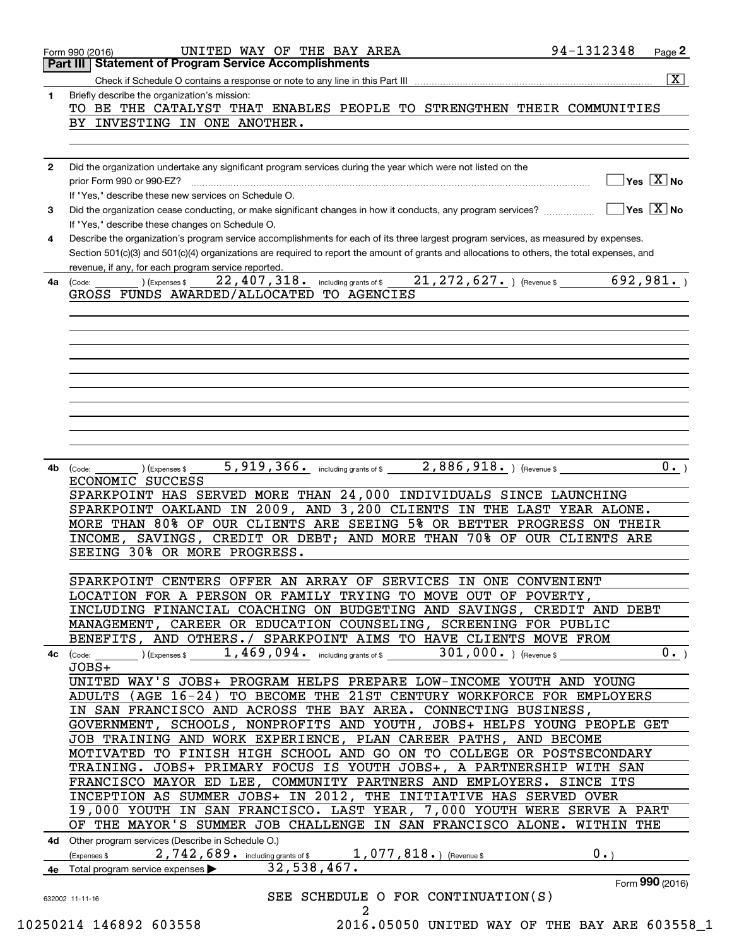|              | Part III   Statement of Program Service Accomplishments                                                                                                                                                                                 |
|--------------|-----------------------------------------------------------------------------------------------------------------------------------------------------------------------------------------------------------------------------------------|
|              | $\overline{\mathbf{X}}$                                                                                                                                                                                                                 |
| 1            | Briefly describe the organization's mission:                                                                                                                                                                                            |
|              | TO BE THE CATALYST THAT ENABLES PEOPLE TO STRENGTHEN THEIR COMMUNITIES                                                                                                                                                                  |
|              | BY INVESTING IN ONE ANOTHER.                                                                                                                                                                                                            |
|              |                                                                                                                                                                                                                                         |
| $\mathbf{2}$ | Did the organization undertake any significant program services during the year which were not listed on the                                                                                                                            |
|              | $\overline{\mathsf{Yes} \mathbb{X}}$ No<br>prior Form 990 or 990-EZ?                                                                                                                                                                    |
| 3            | If "Yes," describe these new services on Schedule O.<br>$\overline{\mathsf{Yes} \mathrel{\hspace{0.5pt}\mathsf{X}}}$ No<br>Did the organization cease conducting, or make significant changes in how it conducts, any program services? |
|              | If "Yes," describe these changes on Schedule O.                                                                                                                                                                                         |
| 4            | Describe the organization's program service accomplishments for each of its three largest program services, as measured by expenses.                                                                                                    |
|              | Section 501(c)(3) and 501(c)(4) organizations are required to report the amount of grants and allocations to others, the total expenses, and                                                                                            |
|              | revenue, if any, for each program service reported.                                                                                                                                                                                     |
| 4a           | $21, 272, 627.$ ) (Revenue \$<br>692,981.<br>$22$ , $407$ , $318$ or including grants of \$<br>(Expenses \$<br>(Code:                                                                                                                   |
|              | GROSS FUNDS AWARDED/ALLOCATED TO AGENCIES                                                                                                                                                                                               |
|              |                                                                                                                                                                                                                                         |
|              |                                                                                                                                                                                                                                         |
|              |                                                                                                                                                                                                                                         |
|              |                                                                                                                                                                                                                                         |
|              |                                                                                                                                                                                                                                         |
|              |                                                                                                                                                                                                                                         |
|              |                                                                                                                                                                                                                                         |
|              |                                                                                                                                                                                                                                         |
|              |                                                                                                                                                                                                                                         |
| 4b           | 5,919,366. including grants of \$<br>$2,886,918.$ ) (Revenue \$<br>0.<br>) (Expenses \$<br>(Code:                                                                                                                                       |
|              | ECONOMIC SUCCESS                                                                                                                                                                                                                        |
|              | SPARKPOINT HAS SERVED MORE THAN 24,000 INDIVIDUALS SINCE LAUNCHING                                                                                                                                                                      |
|              |                                                                                                                                                                                                                                         |
|              |                                                                                                                                                                                                                                         |
|              | SPARKPOINT OAKLAND IN 2009, AND 3,200 CLIENTS IN THE LAST YEAR ALONE.                                                                                                                                                                   |
|              | MORE THAN 80% OF OUR CLIENTS ARE SEEING 5% OR BETTER PROGRESS ON THEIR                                                                                                                                                                  |
|              | INCOME, SAVINGS, CREDIT OR DEBT; AND MORE THAN 70% OF OUR CLIENTS ARE                                                                                                                                                                   |
|              | SEEING 30% OR MORE PROGRESS.                                                                                                                                                                                                            |
|              | SPARKPOINT CENTERS OFFER AN ARRAY OF SERVICES IN ONE CONVENIENT                                                                                                                                                                         |
|              | LOCATION FOR A PERSON OR FAMILY TRYING TO MOVE OUT OF POVERTY,                                                                                                                                                                          |
|              | INCLUDING FINANCIAL COACHING ON BUDGETING AND SAVINGS, CREDIT AND DEBT                                                                                                                                                                  |
|              | MANAGEMENT, CAREER OR EDUCATION COUNSELING, SCREENING FOR PUBLIC                                                                                                                                                                        |
|              | BENEFITS, AND OTHERS./ SPARKPOINT AIMS TO HAVE CLIENTS MOVE FROM                                                                                                                                                                        |
|              | $\overline{0}$ .<br>) (Expenses \$ $1$ , $469$ , $094$ or including grants of \$ $301$ , $000$ or ) (Revenue \$<br>4c (Code:                                                                                                            |
|              | $JOBS+$                                                                                                                                                                                                                                 |
|              | UNITED WAY'S JOBS+ PROGRAM HELPS PREPARE LOW-INCOME YOUTH AND YOUNG                                                                                                                                                                     |
|              | ADULTS (AGE 16-24) TO BECOME THE 21ST CENTURY WORKFORCE FOR EMPLOYERS                                                                                                                                                                   |
|              | IN SAN FRANCISCO AND ACROSS THE BAY AREA. CONNECTING BUSINESS,                                                                                                                                                                          |
|              | GOVERNMENT, SCHOOLS, NONPROFITS AND YOUTH, JOBS+ HELPS YOUNG PEOPLE GET                                                                                                                                                                 |
|              | JOB TRAINING AND WORK EXPERIENCE, PLAN CAREER PATHS, AND BECOME                                                                                                                                                                         |
|              | MOTIVATED TO FINISH HIGH SCHOOL AND GO ON TO COLLEGE OR POSTSECONDARY                                                                                                                                                                   |
|              | TRAINING. JOBS+ PRIMARY FOCUS IS YOUTH JOBS+, A PARTNERSHIP WITH SAN                                                                                                                                                                    |
|              | FRANCISCO MAYOR ED LEE, COMMUNITY PARTNERS AND EMPLOYERS. SINCE ITS                                                                                                                                                                     |
|              | INCEPTION AS SUMMER JOBS+ IN 2012, THE INITIATIVE HAS SERVED OVER                                                                                                                                                                       |
|              | 19,000 YOUTH IN SAN FRANCISCO. LAST YEAR, 7,000 YOUTH WERE SERVE A PART                                                                                                                                                                 |
|              | OF THE MAYOR'S SUMMER JOB CHALLENGE IN SAN FRANCISCO ALONE. WITHIN THE                                                                                                                                                                  |
|              | 4d Other program services (Describe in Schedule O.)                                                                                                                                                                                     |
|              | 0.<br>2,742,689. including grants of \$1,077,818.) (Revenue \$<br>(Expenses \$                                                                                                                                                          |
|              | 32,538,467.<br>4e Total program service expenses<br>Form 990 (2016)                                                                                                                                                                     |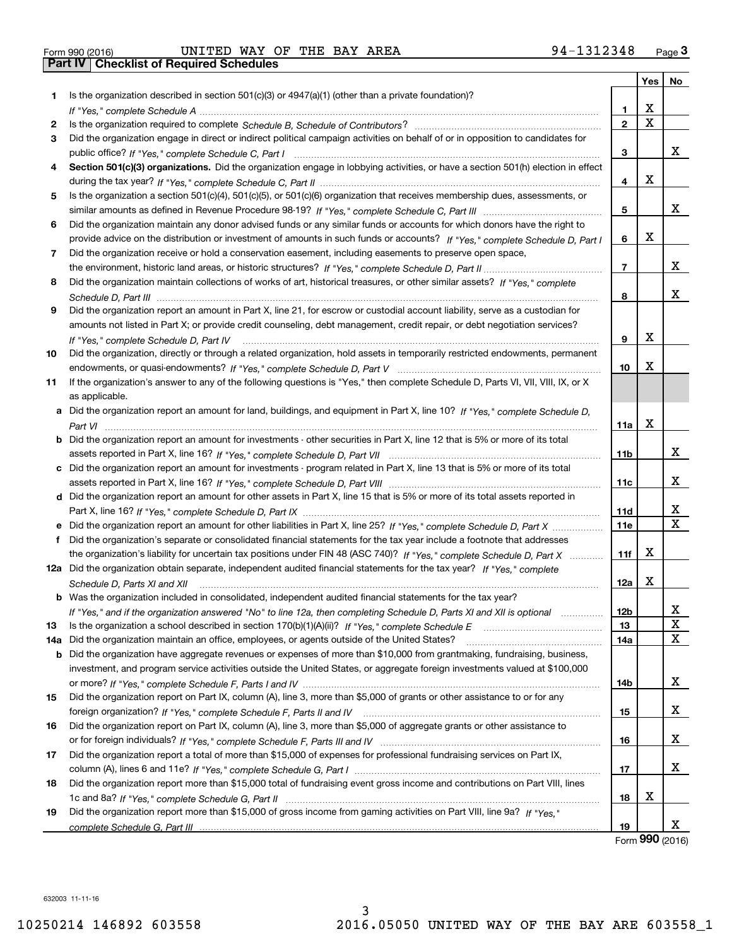| Form 990 (2016) |  |  |
|-----------------|--|--|

|     |                                                                                                                                      |            | <b>Yes</b>              | No                           |
|-----|--------------------------------------------------------------------------------------------------------------------------------------|------------|-------------------------|------------------------------|
| 1   | Is the organization described in section $501(c)(3)$ or $4947(a)(1)$ (other than a private foundation)?                              |            |                         |                              |
|     |                                                                                                                                      | 1          | х                       |                              |
| 2   |                                                                                                                                      | 2          | $\overline{\mathbf{x}}$ |                              |
| 3   | Did the organization engage in direct or indirect political campaign activities on behalf of or in opposition to candidates for      |            |                         |                              |
|     |                                                                                                                                      | З          |                         | X                            |
| 4   | Section 501(c)(3) organizations. Did the organization engage in lobbying activities, or have a section 501(h) election in effect     |            |                         |                              |
|     |                                                                                                                                      | 4          | X                       |                              |
| 5   | Is the organization a section 501(c)(4), 501(c)(5), or 501(c)(6) organization that receives membership dues, assessments, or         |            |                         |                              |
|     |                                                                                                                                      | 5          |                         | x                            |
| 6   | Did the organization maintain any donor advised funds or any similar funds or accounts for which donors have the right to            |            |                         |                              |
|     | provide advice on the distribution or investment of amounts in such funds or accounts? If "Yes," complete Schedule D, Part I         | 6          | х                       |                              |
| 7   | Did the organization receive or hold a conservation easement, including easements to preserve open space,                            |            |                         |                              |
|     |                                                                                                                                      | 7          |                         | x                            |
| 8   | Did the organization maintain collections of works of art, historical treasures, or other similar assets? If "Yes," complete         |            |                         |                              |
|     |                                                                                                                                      | 8          |                         | х                            |
| 9   | Did the organization report an amount in Part X, line 21, for escrow or custodial account liability, serve as a custodian for        |            |                         |                              |
|     | amounts not listed in Part X; or provide credit counseling, debt management, credit repair, or debt negotiation services?            |            |                         |                              |
|     | If "Yes," complete Schedule D, Part IV                                                                                               | 9          | X                       |                              |
| 10  | Did the organization, directly or through a related organization, hold assets in temporarily restricted endowments, permanent        |            |                         |                              |
|     |                                                                                                                                      | 10         | х                       |                              |
| 11  | If the organization's answer to any of the following questions is "Yes," then complete Schedule D, Parts VI, VIII, VIII, IX, or X    |            |                         |                              |
|     | as applicable.                                                                                                                       |            |                         |                              |
|     | a Did the organization report an amount for land, buildings, and equipment in Part X, line 10? If "Yes," complete Schedule D,        |            |                         |                              |
|     |                                                                                                                                      | 11a        | X                       |                              |
|     | <b>b</b> Did the organization report an amount for investments - other securities in Part X, line 12 that is 5% or more of its total |            |                         |                              |
|     |                                                                                                                                      | 11b        |                         | X                            |
|     | c Did the organization report an amount for investments - program related in Part X, line 13 that is 5% or more of its total         |            |                         |                              |
|     |                                                                                                                                      | 11c        |                         | х                            |
|     | d Did the organization report an amount for other assets in Part X, line 15 that is 5% or more of its total assets reported in       |            |                         |                              |
|     |                                                                                                                                      | 11d        |                         | х<br>$\overline{\mathbf{x}}$ |
|     |                                                                                                                                      | <b>11e</b> |                         |                              |
| f   | Did the organization's separate or consolidated financial statements for the tax year include a footnote that addresses              |            | x                       |                              |
|     | the organization's liability for uncertain tax positions under FIN 48 (ASC 740)? If "Yes," complete Schedule D, Part X               | 11f        |                         |                              |
|     | 12a Did the organization obtain separate, independent audited financial statements for the tax year? If "Yes," complete              | 12a        | х                       |                              |
|     | Schedule D, Parts XI and XII                                                                                                         |            |                         |                              |
|     | <b>b</b> Was the organization included in consolidated, independent audited financial statements for the tax year?                   | 12b        |                         | Y,                           |
| 13  | If "Yes," and if the organization answered "No" to line 12a, then completing Schedule D, Parts XI and XII is optional                | 13         |                         | X                            |
| 14a | Did the organization maintain an office, employees, or agents outside of the United States?                                          | 14a        |                         | $\mathbf X$                  |
|     | b Did the organization have aggregate revenues or expenses of more than \$10,000 from grantmaking, fundraising, business,            |            |                         |                              |
|     | investment, and program service activities outside the United States, or aggregate foreign investments valued at \$100,000           |            |                         |                              |
|     |                                                                                                                                      | 14b        |                         | x                            |
| 15  | Did the organization report on Part IX, column (A), line 3, more than \$5,000 of grants or other assistance to or for any            |            |                         |                              |
|     |                                                                                                                                      | 15         |                         | x                            |
| 16  | Did the organization report on Part IX, column (A), line 3, more than \$5,000 of aggregate grants or other assistance to             |            |                         |                              |
|     |                                                                                                                                      | 16         |                         | x                            |
| 17  | Did the organization report a total of more than \$15,000 of expenses for professional fundraising services on Part IX,              |            |                         |                              |
|     |                                                                                                                                      | 17         |                         | x                            |
| 18  | Did the organization report more than \$15,000 total of fundraising event gross income and contributions on Part VIII, lines         |            |                         |                              |
|     |                                                                                                                                      | 18         | х                       |                              |
| 19  | Did the organization report more than \$15,000 of gross income from gaming activities on Part VIII, line 9a? If "Yes."               |            |                         |                              |
|     |                                                                                                                                      | 19         |                         | x                            |

Form (2016) **990**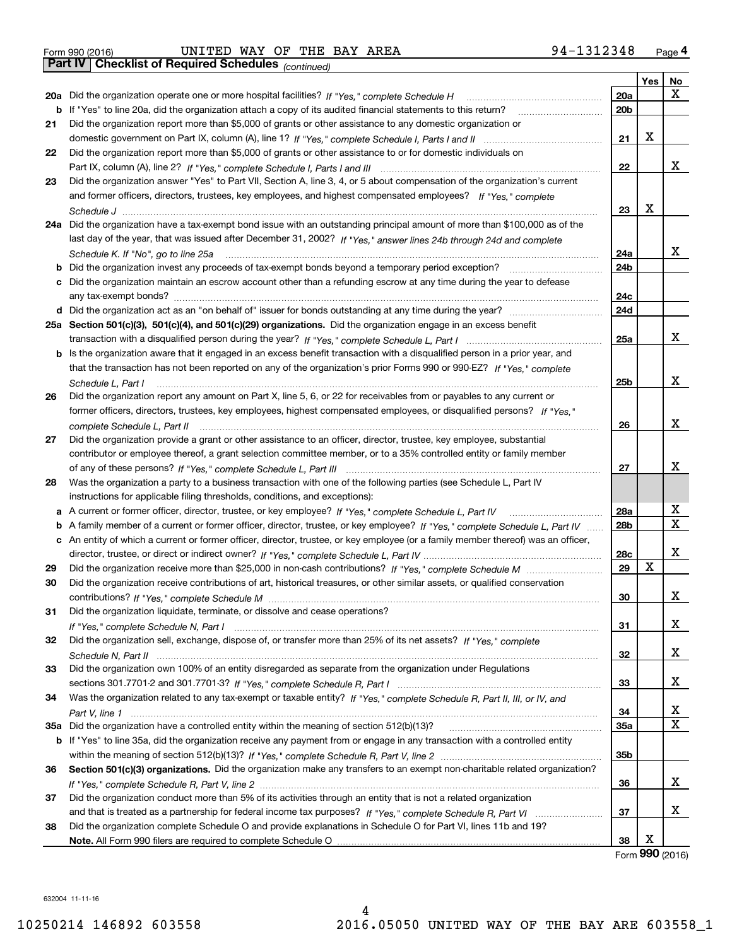|  | Form 990 (2016) |
|--|-----------------|

Form 990 (2016) Page **4Part IV Checklist of Required Schedules** UNITED WAY OF THE BAY AREA 94-1312348

*(continued)*

|    |                                                                                                                                     |                 | Yes | No          |
|----|-------------------------------------------------------------------------------------------------------------------------------------|-----------------|-----|-------------|
|    | 20a Did the organization operate one or more hospital facilities? If "Yes," complete Schedule H                                     | <b>20a</b>      |     | Х           |
|    | <b>b</b> If "Yes" to line 20a, did the organization attach a copy of its audited financial statements to this return?               | 20 <sub>b</sub> |     |             |
| 21 | Did the organization report more than \$5,000 of grants or other assistance to any domestic organization or                         |                 |     |             |
|    |                                                                                                                                     | 21              | X   |             |
| 22 | Did the organization report more than \$5,000 of grants or other assistance to or for domestic individuals on                       |                 |     |             |
|    |                                                                                                                                     | 22              |     | х           |
| 23 | Did the organization answer "Yes" to Part VII, Section A, line 3, 4, or 5 about compensation of the organization's current          |                 |     |             |
|    | and former officers, directors, trustees, key employees, and highest compensated employees? If "Yes," complete                      |                 |     |             |
|    |                                                                                                                                     | 23              | x   |             |
|    | 24a Did the organization have a tax-exempt bond issue with an outstanding principal amount of more than \$100,000 as of the         |                 |     |             |
|    | last day of the year, that was issued after December 31, 2002? If "Yes," answer lines 24b through 24d and complete                  |                 |     |             |
|    | Schedule K. If "No", go to line 25a                                                                                                 | 24a             |     | х           |
|    | Did the organization invest any proceeds of tax-exempt bonds beyond a temporary period exception?                                   | 24b             |     |             |
|    | Did the organization maintain an escrow account other than a refunding escrow at any time during the year to defease                |                 |     |             |
|    |                                                                                                                                     | 24c             |     |             |
|    |                                                                                                                                     | 24d             |     |             |
|    | 25a Section 501(c)(3), 501(c)(4), and 501(c)(29) organizations. Did the organization engage in an excess benefit                    |                 |     |             |
|    |                                                                                                                                     | 25a             |     | х           |
|    | <b>b</b> Is the organization aware that it engaged in an excess benefit transaction with a disqualified person in a prior year, and |                 |     |             |
|    | that the transaction has not been reported on any of the organization's prior Forms 990 or 990-EZ? If "Yes," complete               |                 |     |             |
|    | Schedule L, Part I                                                                                                                  | 25b             |     | х           |
| 26 | Did the organization report any amount on Part X, line 5, 6, or 22 for receivables from or payables to any current or               |                 |     |             |
|    | former officers, directors, trustees, key employees, highest compensated employees, or disqualified persons? If "Yes."              |                 |     |             |
|    |                                                                                                                                     | 26              |     | х           |
| 27 | Did the organization provide a grant or other assistance to an officer, director, trustee, key employee, substantial                |                 |     |             |
|    | contributor or employee thereof, a grant selection committee member, or to a 35% controlled entity or family member                 |                 |     |             |
|    |                                                                                                                                     | 27              |     | х           |
| 28 | Was the organization a party to a business transaction with one of the following parties (see Schedule L, Part IV                   |                 |     |             |
|    | instructions for applicable filing thresholds, conditions, and exceptions):                                                         |                 |     |             |
| а  |                                                                                                                                     | 28a             |     | х           |
| b  | A family member of a current or former officer, director, trustee, or key employee? If "Yes," complete Schedule L, Part IV          | 28b             |     | $\mathbf X$ |
|    | c An entity of which a current or former officer, director, trustee, or key employee (or a family member thereof) was an officer,   |                 |     |             |
|    |                                                                                                                                     | 28c             |     | x           |
| 29 |                                                                                                                                     | 29              | X   |             |
| 30 | Did the organization receive contributions of art, historical treasures, or other similar assets, or qualified conservation         |                 |     |             |
|    |                                                                                                                                     | 30              |     | x           |
| 31 | Did the organization liquidate, terminate, or dissolve and cease operations?                                                        |                 |     |             |
|    |                                                                                                                                     | 31              |     | х           |
| 32 | Did the organization sell, exchange, dispose of, or transfer more than 25% of its net assets? If "Yes," complete                    |                 |     |             |
|    |                                                                                                                                     | 32              |     | х           |
| 33 | Did the organization own 100% of an entity disregarded as separate from the organization under Regulations                          |                 |     |             |
|    |                                                                                                                                     | 33              |     | x           |
| 34 | Was the organization related to any tax-exempt or taxable entity? If "Yes," complete Schedule R, Part II, III, or IV, and           |                 |     |             |
|    |                                                                                                                                     | 34              |     | х           |
|    | 35a Did the organization have a controlled entity within the meaning of section 512(b)(13)?                                         | 35a             |     | X           |
|    | b If "Yes" to line 35a, did the organization receive any payment from or engage in any transaction with a controlled entity         |                 |     |             |
|    |                                                                                                                                     | 35 <sub>b</sub> |     |             |
| 36 | Section 501(c)(3) organizations. Did the organization make any transfers to an exempt non-charitable related organization?          |                 |     |             |
|    |                                                                                                                                     | 36              |     | x           |
| 37 | Did the organization conduct more than 5% of its activities through an entity that is not a related organization                    |                 |     |             |
|    |                                                                                                                                     | 37              |     | x           |
| 38 | Did the organization complete Schedule O and provide explanations in Schedule O for Part VI, lines 11b and 19?                      |                 |     |             |
|    |                                                                                                                                     | 38              | х   |             |

Form (2016) **990**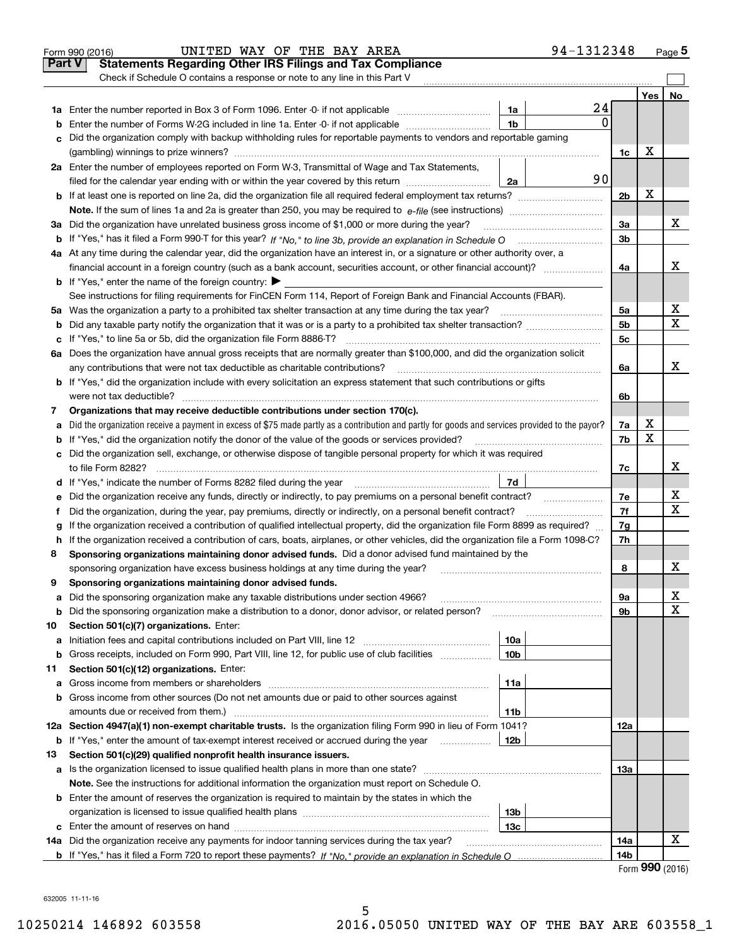|               | 94-1312348<br>UNITED WAY OF THE BAY AREA<br>Form 990 (2016)                                                                                                            |                |                   | Page $5$ |  |  |  |
|---------------|------------------------------------------------------------------------------------------------------------------------------------------------------------------------|----------------|-------------------|----------|--|--|--|
| <b>Part V</b> | <b>Statements Regarding Other IRS Filings and Tax Compliance</b>                                                                                                       |                |                   |          |  |  |  |
|               | Check if Schedule O contains a response or note to any line in this Part V                                                                                             |                |                   |          |  |  |  |
|               |                                                                                                                                                                        |                | Yes               | No       |  |  |  |
|               | 24<br>1a                                                                                                                                                               |                |                   |          |  |  |  |
| b             | $\mathbf{0}$<br>1 <sub>b</sub><br>Enter the number of Forms W-2G included in line 1a. Enter -0- if not applicable                                                      |                |                   |          |  |  |  |
| c             | Did the organization comply with backup withholding rules for reportable payments to vendors and reportable gaming                                                     |                |                   |          |  |  |  |
|               |                                                                                                                                                                        | 1c             | х                 |          |  |  |  |
|               | 2a Enter the number of employees reported on Form W-3, Transmittal of Wage and Tax Statements,                                                                         |                |                   |          |  |  |  |
|               | 90<br>filed for the calendar year ending with or within the year covered by this return<br>2a                                                                          |                | х                 |          |  |  |  |
|               |                                                                                                                                                                        |                |                   |          |  |  |  |
|               |                                                                                                                                                                        |                |                   |          |  |  |  |
|               | 3a Did the organization have unrelated business gross income of \$1,000 or more during the year?                                                                       | За             |                   | х        |  |  |  |
|               |                                                                                                                                                                        | 3b             |                   |          |  |  |  |
|               | 4a At any time during the calendar year, did the organization have an interest in, or a signature or other authority over, a                                           |                |                   |          |  |  |  |
|               | financial account in a foreign country (such as a bank account, securities account, or other financial account)?                                                       | 4a             |                   | x        |  |  |  |
|               | <b>b</b> If "Yes," enter the name of the foreign country: $\blacktriangleright$                                                                                        |                |                   |          |  |  |  |
|               | See instructions for filing requirements for FinCEN Form 114, Report of Foreign Bank and Financial Accounts (FBAR).                                                    |                |                   |          |  |  |  |
|               |                                                                                                                                                                        | 5a             |                   | х        |  |  |  |
| b             |                                                                                                                                                                        | 5 <sub>b</sub> |                   | х        |  |  |  |
| c             |                                                                                                                                                                        | 5c             |                   |          |  |  |  |
|               | 6a Does the organization have annual gross receipts that are normally greater than \$100,000, and did the organization solicit                                         |                |                   |          |  |  |  |
|               | any contributions that were not tax deductible as charitable contributions?                                                                                            | 6a             |                   | x        |  |  |  |
|               | <b>b</b> If "Yes," did the organization include with every solicitation an express statement that such contributions or gifts                                          |                |                   |          |  |  |  |
|               | were not tax deductible?                                                                                                                                               | 6b             |                   |          |  |  |  |
| 7             | Organizations that may receive deductible contributions under section 170(c).                                                                                          | 7a             | х                 |          |  |  |  |
|               | Did the organization receive a payment in excess of \$75 made partly as a contribution and partly for goods and services provided to the payor?<br>a                   |                |                   |          |  |  |  |
|               | <b>b</b> If "Yes," did the organization notify the donor of the value of the goods or services provided?                                                               |                |                   |          |  |  |  |
|               | c Did the organization sell, exchange, or otherwise dispose of tangible personal property for which it was required                                                    |                |                   |          |  |  |  |
|               |                                                                                                                                                                        |                |                   |          |  |  |  |
|               | 7d                                                                                                                                                                     |                |                   |          |  |  |  |
| е             | Did the organization receive any funds, directly or indirectly, to pay premiums on a personal benefit contract?                                                        | 7e             |                   | х        |  |  |  |
| f             | Did the organization, during the year, pay premiums, directly or indirectly, on a personal benefit contract?                                                           | 7f             |                   | X        |  |  |  |
| g             | If the organization received a contribution of qualified intellectual property, did the organization file Form 8899 as required?                                       | 7g             |                   |          |  |  |  |
| h.            | If the organization received a contribution of cars, boats, airplanes, or other vehicles, did the organization file a Form 1098-C?                                     | 7h             |                   |          |  |  |  |
| 8             | Sponsoring organizations maintaining donor advised funds. Did a donor advised fund maintained by the                                                                   |                |                   |          |  |  |  |
|               | sponsoring organization have excess business holdings at any time during the year?                                                                                     | 8              |                   | X        |  |  |  |
|               | Sponsoring organizations maintaining donor advised funds.                                                                                                              |                |                   |          |  |  |  |
| a             | Did the sponsoring organization make any taxable distributions under section 4966?                                                                                     | 9a             |                   | x        |  |  |  |
| b             | Did the sponsoring organization make a distribution to a donor, donor advisor, or related person?                                                                      | 9b             |                   | X        |  |  |  |
| 10            | Section 501(c)(7) organizations. Enter:                                                                                                                                |                |                   |          |  |  |  |
| а             | 10a<br>Initiation fees and capital contributions included on Part VIII, line 12 <i>manuarrouus</i> manuations and capital contributions included on Part VIII, line 12 |                |                   |          |  |  |  |
| b             | 10 <sub>b</sub><br>Gross receipts, included on Form 990, Part VIII, line 12, for public use of club facilities                                                         |                |                   |          |  |  |  |
| 11            | Section 501(c)(12) organizations. Enter:                                                                                                                               |                |                   |          |  |  |  |
| a             | 11a<br>Gross income from members or shareholders                                                                                                                       |                |                   |          |  |  |  |
| b             | Gross income from other sources (Do not net amounts due or paid to other sources against                                                                               |                |                   |          |  |  |  |
|               | amounts due or received from them.)<br>11b                                                                                                                             |                |                   |          |  |  |  |
|               | 12a Section 4947(a)(1) non-exempt charitable trusts. Is the organization filing Form 990 in lieu of Form 1041?                                                         | 12a            |                   |          |  |  |  |
| b             | If "Yes," enter the amount of tax-exempt interest received or accrued during the year <i>manuming</i><br>12b                                                           |                |                   |          |  |  |  |
| 13            | Section 501(c)(29) qualified nonprofit health insurance issuers.                                                                                                       |                |                   |          |  |  |  |
| a             | Is the organization licensed to issue qualified health plans in more than one state?                                                                                   | 13а            |                   |          |  |  |  |
|               | Note. See the instructions for additional information the organization must report on Schedule O.                                                                      |                |                   |          |  |  |  |
|               | <b>b</b> Enter the amount of reserves the organization is required to maintain by the states in which the                                                              |                |                   |          |  |  |  |
|               | 13b                                                                                                                                                                    |                |                   |          |  |  |  |
|               | 13с                                                                                                                                                                    |                |                   |          |  |  |  |
|               | 14a Did the organization receive any payments for indoor tanning services during the tax year?                                                                         | 14a            |                   | x        |  |  |  |
|               |                                                                                                                                                                        | 14b            |                   |          |  |  |  |
|               |                                                                                                                                                                        |                | $\Omega$ $\Omega$ |          |  |  |  |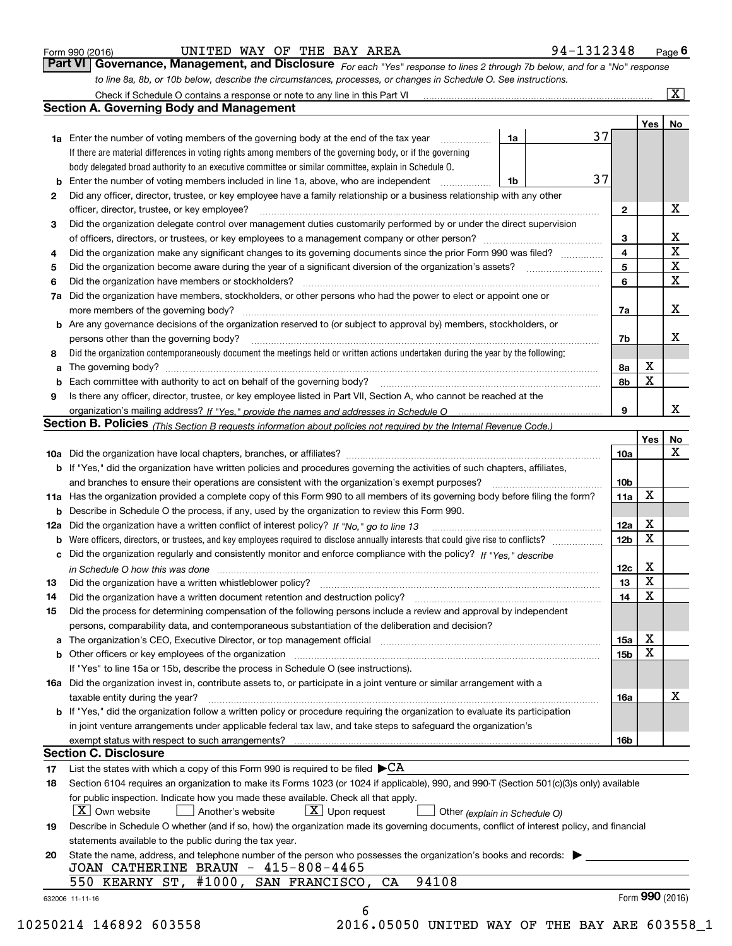| Form 990 (2016) |  |  |
|-----------------|--|--|
|                 |  |  |

UNITED WAY OF THE BAY AREA 94-1312348

*For each "Yes" response to lines 2 through 7b below, and for a "No" response to line 8a, 8b, or 10b below, describe the circumstances, processes, or changes in Schedule O. See instructions.* Form 990 (2016) **CONCIPTED WAY OF THE BAY AREA** 94-1312348 Page 6<br>**Part VI Governance, Management, and Disclosure** For each "Yes" response to lines 2 through 7b below, and for a "No" response

|    |                                                                                                                                                                            |    |    |                 | Yes         | No                      |  |  |
|----|----------------------------------------------------------------------------------------------------------------------------------------------------------------------------|----|----|-----------------|-------------|-------------------------|--|--|
|    | <b>1a</b> Enter the number of voting members of the governing body at the end of the tax year <i>manumum</i>                                                               | 1a | 37 |                 |             |                         |  |  |
|    | If there are material differences in voting rights among members of the governing body, or if the governing                                                                |    |    |                 |             |                         |  |  |
|    | body delegated broad authority to an executive committee or similar committee, explain in Schedule O.                                                                      |    |    |                 |             |                         |  |  |
|    | <b>b</b> Enter the number of voting members included in line 1a, above, who are independent <i>manumum</i>                                                                 | 1b | 37 |                 |             |                         |  |  |
| 2  | Did any officer, director, trustee, or key employee have a family relationship or a business relationship with any other                                                   |    |    |                 |             |                         |  |  |
|    | officer, director, trustee, or key employee?                                                                                                                               |    |    | $\mathbf{2}$    |             | X                       |  |  |
| 3  | Did the organization delegate control over management duties customarily performed by or under the direct supervision                                                      |    |    |                 |             |                         |  |  |
|    |                                                                                                                                                                            |    |    | 3               |             | X                       |  |  |
| 4  | Did the organization make any significant changes to its governing documents since the prior Form 990 was filed?                                                           |    |    | 4               |             | $\overline{\mathbf{x}}$ |  |  |
| 5  |                                                                                                                                                                            |    |    | 5               |             | $\mathbf X$             |  |  |
| 6  |                                                                                                                                                                            |    |    | 6               |             | $\mathbf X$             |  |  |
|    | 7a Did the organization have members, stockholders, or other persons who had the power to elect or appoint one or                                                          |    |    |                 |             |                         |  |  |
|    |                                                                                                                                                                            |    |    | 7a              |             | X                       |  |  |
|    | <b>b</b> Are any governance decisions of the organization reserved to (or subject to approval by) members, stockholders, or                                                |    |    |                 |             |                         |  |  |
|    | persons other than the governing body?                                                                                                                                     |    |    | 7b              |             | X                       |  |  |
| 8  | Did the organization contemporaneously document the meetings held or written actions undertaken during the year by the following:                                          |    |    |                 |             |                         |  |  |
| a  |                                                                                                                                                                            |    |    | 8a              | X           |                         |  |  |
|    |                                                                                                                                                                            |    |    | 8b              | X           |                         |  |  |
| 9  | Is there any officer, director, trustee, or key employee listed in Part VII, Section A, who cannot be reached at the                                                       |    |    |                 |             |                         |  |  |
|    |                                                                                                                                                                            |    |    | 9               |             | x                       |  |  |
|    | Section B. Policies (This Section B requests information about policies not required by the Internal Revenue Code.)                                                        |    |    |                 |             |                         |  |  |
|    |                                                                                                                                                                            |    |    |                 | Yes∣        | No                      |  |  |
|    |                                                                                                                                                                            |    |    | 10a             |             | X                       |  |  |
|    | <b>b</b> If "Yes," did the organization have written policies and procedures governing the activities of such chapters, affiliates,                                        |    |    |                 |             |                         |  |  |
|    |                                                                                                                                                                            |    |    | 10 <sub>b</sub> |             |                         |  |  |
|    | 11a Has the organization provided a complete copy of this Form 990 to all members of its governing body before filing the form?                                            |    |    | 11a             | $\mathbf X$ |                         |  |  |
|    | <b>b</b> Describe in Schedule O the process, if any, used by the organization to review this Form 990.                                                                     |    |    |                 |             |                         |  |  |
|    |                                                                                                                                                                            |    |    | 12a             | X           |                         |  |  |
| b  |                                                                                                                                                                            |    |    | 12b             | X           |                         |  |  |
|    | c Did the organization regularly and consistently monitor and enforce compliance with the policy? If "Yes," describe                                                       |    |    |                 |             |                         |  |  |
|    | in Schedule O how this was done measured and contained a state of the state of the state of the state of the s                                                             |    |    | 12c             | X           |                         |  |  |
| 13 |                                                                                                                                                                            |    |    | 13              | X           |                         |  |  |
| 14 | Did the organization have a written document retention and destruction policy? manufactured and the organization have a written document retention and destruction policy? |    |    | 14              | $\mathbf X$ |                         |  |  |
| 15 | Did the process for determining compensation of the following persons include a review and approval by independent                                                         |    |    |                 |             |                         |  |  |
|    | persons, comparability data, and contemporaneous substantiation of the deliberation and decision?                                                                          |    |    |                 |             |                         |  |  |
|    |                                                                                                                                                                            |    |    | 15a             | X           |                         |  |  |
|    |                                                                                                                                                                            |    |    | 15b             | $\mathbf X$ |                         |  |  |
|    | If "Yes" to line 15a or 15b, describe the process in Schedule O (see instructions).                                                                                        |    |    |                 |             |                         |  |  |
|    | 16a Did the organization invest in, contribute assets to, or participate in a joint venture or similar arrangement with a                                                  |    |    |                 |             |                         |  |  |
|    | taxable entity during the year?                                                                                                                                            |    |    | 16a             |             | X                       |  |  |
|    | b If "Yes," did the organization follow a written policy or procedure requiring the organization to evaluate its participation                                             |    |    |                 |             |                         |  |  |
|    | in joint venture arrangements under applicable federal tax law, and take steps to safeguard the organization's                                                             |    |    |                 |             |                         |  |  |
|    |                                                                                                                                                                            |    |    |                 |             |                         |  |  |
|    | <b>Section C. Disclosure</b>                                                                                                                                               |    |    | 16b             |             |                         |  |  |
|    | List the states with which a copy of this Form 990 is required to be filed $\blacktriangleright$ CA                                                                        |    |    |                 |             |                         |  |  |
| 17 |                                                                                                                                                                            |    |    |                 |             |                         |  |  |
| 18 | Section 6104 requires an organization to make its Forms 1023 (or 1024 if applicable), 990, and 990-T (Section 501(c)(3)s only) available                                   |    |    |                 |             |                         |  |  |
|    | for public inspection. Indicate how you made these available. Check all that apply.<br>$X$ Upon request                                                                    |    |    |                 |             |                         |  |  |
|    | $\lfloor X \rfloor$ Own website<br>Another's website<br>Other (explain in Schedule O)                                                                                      |    |    |                 |             |                         |  |  |
| 19 | Describe in Schedule O whether (and if so, how) the organization made its governing documents, conflict of interest policy, and financial                                  |    |    |                 |             |                         |  |  |
|    | statements available to the public during the tax year.                                                                                                                    |    |    |                 |             |                         |  |  |
| 20 | State the name, address, and telephone number of the person who possesses the organization's books and records:                                                            |    |    |                 |             |                         |  |  |
|    | JOAN CATHERINE BRAUN - 415-808-4465<br>94108<br>550 KEARNY ST, #1000, SAN FRANCISCO, CA                                                                                    |    |    |                 |             |                         |  |  |
|    |                                                                                                                                                                            |    |    |                 |             |                         |  |  |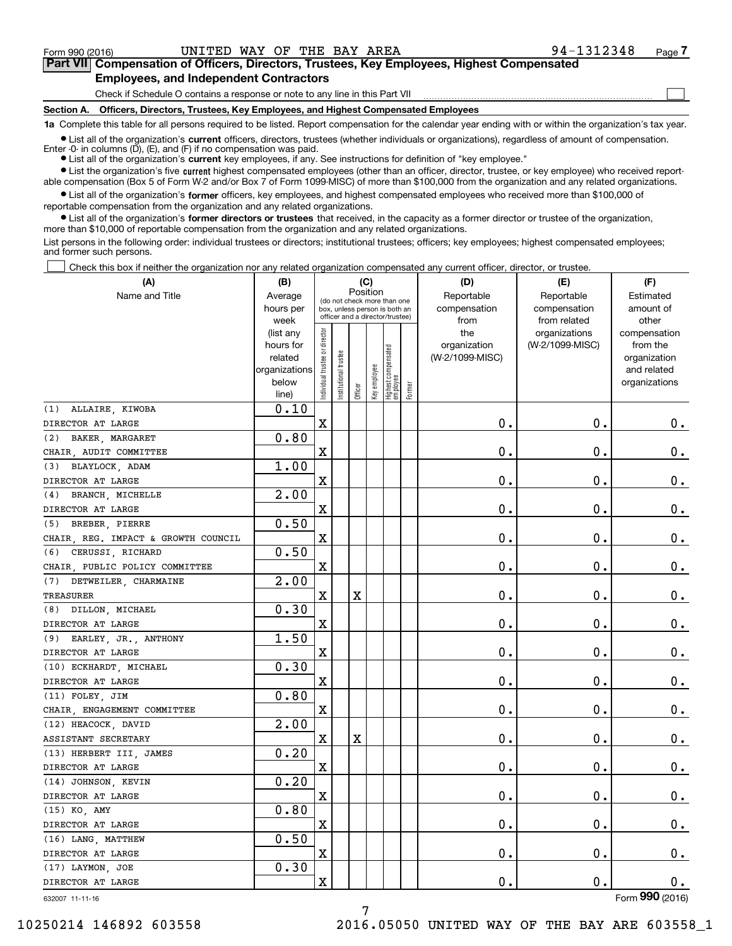$\mathcal{L}^{\text{max}}$ 

# **7Part VII Compensation of Officers, Directors, Trustees, Key Employees, Highest Compensated Employees, and Independent Contractors**

Check if Schedule O contains a response or note to any line in this Part VII

**Section A. Officers, Directors, Trustees, Key Employees, and Highest Compensated Employees**

**1a**  Complete this table for all persons required to be listed. Report compensation for the calendar year ending with or within the organization's tax year.

**•** List all of the organization's current officers, directors, trustees (whether individuals or organizations), regardless of amount of compensation.

● List all of the organization's **current** key employees, if any. See instructions for definition of "key employee." Enter -0- in columns  $(D)$ ,  $(E)$ , and  $(F)$  if no compensation was paid.

**•** List the organization's five current highest compensated employees (other than an officer, director, trustee, or key employee) who received reportable compensation (Box 5 of Form W-2 and/or Box 7 of Form 1099-MISC) of more than \$100,000 from the organization and any related organizations.

 $\bullet$  List all of the organization's **former** officers, key employees, and highest compensated employees who received more than \$100,000 of reportable compensation from the organization and any related organizations.

**•** List all of the organization's former directors or trustees that received, in the capacity as a former director or trustee of the organization, more than \$10,000 of reportable compensation from the organization and any related organizations.

List persons in the following order: individual trustees or directors; institutional trustees; officers; key employees; highest compensated employees; and former such persons.

Check this box if neither the organization nor any related organization compensated any current officer, director, or trustee.  $\mathcal{L}^{\text{max}}$ 

| (A)                                 | (B)                      |                                |                                 | (C)      |              |                                  |        | (D)             | (E)             | (F)                         |
|-------------------------------------|--------------------------|--------------------------------|---------------------------------|----------|--------------|----------------------------------|--------|-----------------|-----------------|-----------------------------|
| Name and Title                      | Average                  |                                | (do not check more than one     | Position |              |                                  |        | Reportable      | Reportable      | Estimated                   |
|                                     | hours per                |                                | box, unless person is both an   |          |              |                                  |        | compensation    | compensation    | amount of                   |
|                                     | week                     |                                | officer and a director/trustee) |          |              |                                  |        | from            | from related    | other                       |
|                                     | (list any                |                                |                                 |          |              |                                  |        | the             | organizations   | compensation                |
|                                     | hours for                |                                |                                 |          |              |                                  |        | organization    | (W-2/1099-MISC) | from the                    |
|                                     | related<br>organizations |                                |                                 |          |              |                                  |        | (W-2/1099-MISC) |                 | organization<br>and related |
|                                     | below                    |                                |                                 |          |              |                                  |        |                 |                 | organizations               |
|                                     | line)                    | Individual trustee or director | Institutional trustee           | Officer  | Key employee | Highest compensated<br> employee | Former |                 |                 |                             |
| (1) ALLAIRE, KIWOBA                 | 0.10                     |                                |                                 |          |              |                                  |        |                 |                 |                             |
| DIRECTOR AT LARGE                   |                          | X                              |                                 |          |              |                                  |        | 0.              | $\mathbf 0$ .   | 0.                          |
| (2) BAKER, MARGARET                 | 0.80                     |                                |                                 |          |              |                                  |        |                 |                 |                             |
| CHAIR, AUDIT COMMITTEE              |                          | X                              |                                 |          |              |                                  |        | 0.              | $\mathbf 0$ .   | $0_{.}$                     |
| (3) BLAYLOCK, ADAM                  | 1.00                     |                                |                                 |          |              |                                  |        |                 |                 |                             |
| DIRECTOR AT LARGE                   |                          | $\mathbf X$                    |                                 |          |              |                                  |        | 0.              | $\mathbf 0$ .   | $0_{.}$                     |
| (4) BRANCH, MICHELLE                | 2.00                     |                                |                                 |          |              |                                  |        |                 |                 |                             |
| DIRECTOR AT LARGE                   |                          | $\mathbf X$                    |                                 |          |              |                                  |        | 0.              | $\mathbf 0$ .   | $0_{.}$                     |
| (5) BREBER, PIERRE                  | 0.50                     |                                |                                 |          |              |                                  |        |                 |                 |                             |
| CHAIR, REG. IMPACT & GROWTH COUNCIL |                          | $\mathbf X$                    |                                 |          |              |                                  |        | 0.              | $\mathbf 0$ .   | $0_{.}$                     |
| (6) CERUSSI, RICHARD                | 0.50                     |                                |                                 |          |              |                                  |        |                 |                 |                             |
| CHAIR, PUBLIC POLICY COMMITTEE      |                          | X                              |                                 |          |              |                                  |        | 0.              | $\mathbf 0$ .   | $0_{.}$                     |
| (7) DETWEILER, CHARMAINE            | 2.00                     |                                |                                 |          |              |                                  |        |                 |                 |                             |
| TREASURER                           |                          | $\mathbf X$                    |                                 | X        |              |                                  |        | 0.              | $\mathbf 0$ .   | $0_{.}$                     |
| (8) DILLON, MICHAEL                 | 0.30                     |                                |                                 |          |              |                                  |        |                 |                 |                             |
| DIRECTOR AT LARGE                   |                          | X                              |                                 |          |              |                                  |        | 0.              | $\mathbf 0$ .   | $\mathbf 0$ .               |
| (9) EARLEY, JR., ANTHONY            | 1.50                     |                                |                                 |          |              |                                  |        |                 |                 |                             |
| DIRECTOR AT LARGE                   |                          | $\mathbf X$                    |                                 |          |              |                                  |        | 0.              | $\mathbf 0$ .   | $\mathbf 0$ .               |
| (10) ECKHARDT, MICHAEL              | 0.30                     |                                |                                 |          |              |                                  |        |                 |                 |                             |
| DIRECTOR AT LARGE                   |                          | X                              |                                 |          |              |                                  |        | 0.              | $\mathbf 0$ .   | $\mathbf 0$ .               |
| (11) FOLEY, JIM                     | 0.80                     |                                |                                 |          |              |                                  |        |                 |                 |                             |
| CHAIR, ENGAGEMENT COMMITTEE         |                          | X                              |                                 |          |              |                                  |        | 0.              | $\mathbf 0$ .   | $\mathbf 0$ .               |
| (12) HEACOCK, DAVID                 | 2.00                     |                                |                                 |          |              |                                  |        |                 |                 |                             |
| ASSISTANT SECRETARY                 |                          | $\mathbf X$                    |                                 | X        |              |                                  |        | 0.              | $\mathbf 0$ .   | 0.                          |
| (13) HERBERT III, JAMES             | 0.20                     |                                |                                 |          |              |                                  |        |                 |                 |                             |
| DIRECTOR AT LARGE                   |                          | X                              |                                 |          |              |                                  |        | 0.              | $\mathbf 0$ .   | 0.                          |
| (14) JOHNSON, KEVIN                 | 0.20                     |                                |                                 |          |              |                                  |        |                 |                 |                             |
| DIRECTOR AT LARGE                   |                          | X                              |                                 |          |              |                                  |        | 0.              | 0.              | 0.                          |
| (15) KO, AMY                        | 0.80                     |                                |                                 |          |              |                                  |        |                 |                 |                             |
| DIRECTOR AT LARGE                   |                          | X                              |                                 |          |              |                                  |        | $\mathbf 0$ .   | $\mathbf 0$ .   | 0.                          |
| (16) LANG, MATTHEW                  | 0.50                     |                                |                                 |          |              |                                  |        |                 |                 |                             |
| DIRECTOR AT LARGE                   |                          | x                              |                                 |          |              |                                  |        | $\mathbf 0$ .   | $\mathbf 0$ .   | 0.                          |
| (17) LAYMON, JOE                    | 0.30                     |                                |                                 |          |              |                                  |        |                 |                 |                             |
| DIRECTOR AT LARGE                   |                          | x                              |                                 |          |              |                                  |        | $\mathbf 0$ .   | $\mathbf 0$ .   | 0.                          |
| 632007 11-11-16                     |                          |                                |                                 |          |              |                                  |        |                 |                 | Form 990 (2016)             |

632007 11-11-16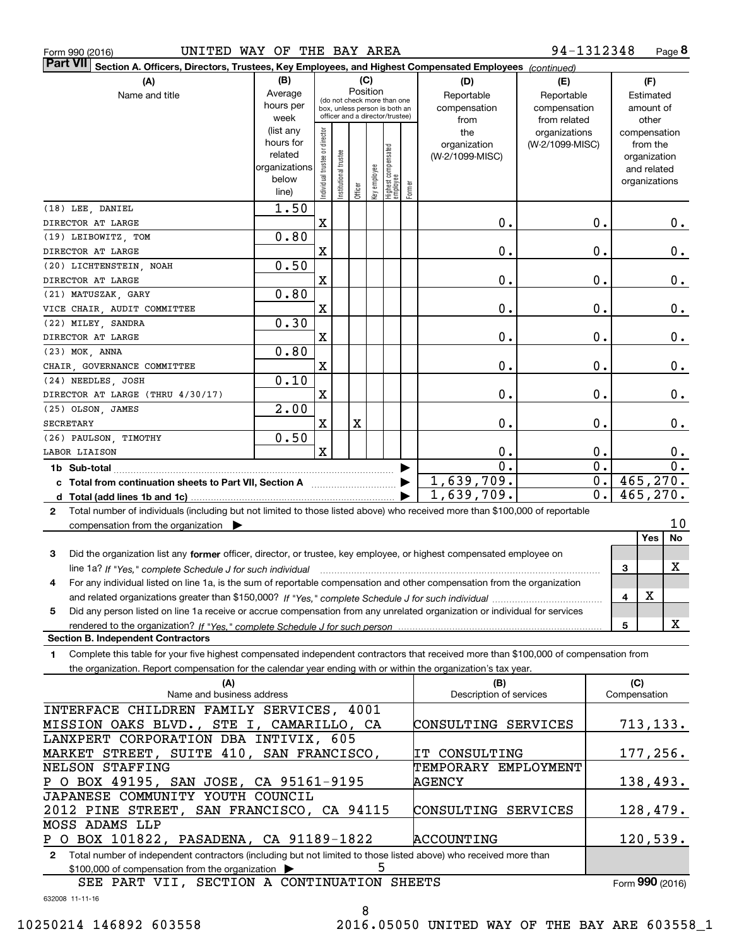|  | Form 990 (2016) |
|--|-----------------|
|  |                 |

## Form 990 (2016) UNITED WAY OF THE BAY AREA 94-1312348 Page

**8** 94-1312348

| Part VII Section A. Officers, Directors, Trustees, Key Employees, and Highest Compensated Employees (continued)                              |                      |                                |                                                              |         |          |                                                 |        |                         |                  |                  |                              |
|----------------------------------------------------------------------------------------------------------------------------------------------|----------------------|--------------------------------|--------------------------------------------------------------|---------|----------|-------------------------------------------------|--------|-------------------------|------------------|------------------|------------------------------|
| (A)                                                                                                                                          | (B)                  |                                |                                                              |         | (C)      |                                                 |        | (D)                     | (E)              |                  | (F)                          |
| Name and title                                                                                                                               | Average              |                                |                                                              |         | Position |                                                 |        | Reportable              | Reportable       |                  | Estimated                    |
|                                                                                                                                              | hours per            |                                | (do not check more than one<br>box, unless person is both an |         |          |                                                 |        | compensation            | compensation     |                  | amount of                    |
|                                                                                                                                              | week                 |                                | officer and a director/trustee)                              |         |          |                                                 |        | from                    | from related     |                  | other                        |
|                                                                                                                                              | (list any            |                                |                                                              |         |          |                                                 |        | the                     | organizations    |                  | compensation                 |
|                                                                                                                                              | hours for<br>related |                                |                                                              |         |          |                                                 |        | organization            | (W-2/1099-MISC)  |                  | from the                     |
|                                                                                                                                              | organizations        |                                |                                                              |         |          |                                                 |        | (W-2/1099-MISC)         |                  |                  | organization                 |
|                                                                                                                                              | below                |                                |                                                              |         |          |                                                 |        |                         |                  |                  | and related<br>organizations |
|                                                                                                                                              | line)                | Individual trustee or director | Institutional trustee                                        | Officer |          | key employee<br>Highest compensated<br>employee | Former |                         |                  |                  |                              |
| (18) LEE, DANIEL                                                                                                                             | 1.50                 |                                |                                                              |         |          |                                                 |        |                         |                  |                  |                              |
| DIRECTOR AT LARGE                                                                                                                            |                      | $\mathbf X$                    |                                                              |         |          |                                                 |        | 0.                      |                  | 0.               | 0.                           |
| (19) LEIBOWITZ, TOM                                                                                                                          | 0.80                 |                                |                                                              |         |          |                                                 |        |                         |                  |                  |                              |
| DIRECTOR AT LARGE                                                                                                                            |                      | X                              |                                                              |         |          |                                                 |        | 0.                      |                  | 0.               | 0.                           |
| (20) LICHTENSTEIN, NOAH                                                                                                                      | 0.50                 |                                |                                                              |         |          |                                                 |        |                         |                  |                  |                              |
| DIRECTOR AT LARGE                                                                                                                            |                      | $\mathbf X$                    |                                                              |         |          |                                                 |        | 0.                      |                  | 0.               | 0.                           |
| (21) MATUSZAK, GARY                                                                                                                          | 0.80                 |                                |                                                              |         |          |                                                 |        |                         |                  |                  |                              |
| VICE CHAIR, AUDIT COMMITTEE                                                                                                                  |                      | $\mathbf X$                    |                                                              |         |          |                                                 |        | 0.                      |                  | 0.               | 0.                           |
| (22) MILEY, SANDRA                                                                                                                           | 0.30                 |                                |                                                              |         |          |                                                 |        |                         |                  |                  |                              |
| DIRECTOR AT LARGE                                                                                                                            |                      | X                              |                                                              |         |          |                                                 |        | 0.                      |                  | 0.               | 0.                           |
| (23) MOK, ANNA                                                                                                                               | 0.80                 |                                |                                                              |         |          |                                                 |        |                         |                  |                  |                              |
| CHAIR, GOVERNANCE COMMITTEE                                                                                                                  |                      | X                              |                                                              |         |          |                                                 |        | 0.                      |                  | 0.               | 0.                           |
| (24) NEEDLES, JOSH                                                                                                                           | 0.10                 |                                |                                                              |         |          |                                                 |        |                         |                  |                  |                              |
| DIRECTOR AT LARGE (THRU 4/30/17)                                                                                                             |                      | $\mathbf X$                    |                                                              |         |          |                                                 |        | 0.                      |                  | 0.               | 0.                           |
| (25) OLSON, JAMES                                                                                                                            | 2.00                 |                                |                                                              |         |          |                                                 |        |                         |                  |                  |                              |
| SECRETARY                                                                                                                                    |                      | $\mathbf X$                    |                                                              | X       |          |                                                 |        | 0.                      |                  | 0.               | 0.                           |
| (26) PAULSON, TIMOTHY                                                                                                                        | 0.50                 |                                |                                                              |         |          |                                                 |        |                         |                  |                  |                              |
| LABOR LIAISON                                                                                                                                |                      | $\mathbf x$                    |                                                              |         |          |                                                 |        | 0.                      |                  | 0.               | $0$ .                        |
| $\overline{0}$ .<br>1b Sub-total                                                                                                             |                      |                                |                                                              |         |          |                                                 |        | $\overline{0}$ .        | $\overline{0}$ . |                  |                              |
| c Total from continuation sheets to Part VII, Section A manuscription.                                                                       |                      |                                |                                                              |         |          |                                                 |        | 1,639,709.              |                  | $\overline{0}$ . | 465, 270.                    |
|                                                                                                                                              |                      |                                |                                                              |         |          |                                                 |        | 1,639,709.              |                  | $\overline{0}$ . | 465, 270.                    |
| Total number of individuals (including but not limited to those listed above) who received more than \$100,000 of reportable<br>$\mathbf{2}$ |                      |                                |                                                              |         |          |                                                 |        |                         |                  |                  |                              |
| compensation from the organization $\blacktriangleright$                                                                                     |                      |                                |                                                              |         |          |                                                 |        |                         |                  |                  | 10                           |
|                                                                                                                                              |                      |                                |                                                              |         |          |                                                 |        |                         |                  |                  | Yes<br>No                    |
| Did the organization list any former officer, director, or trustee, key employee, or highest compensated employee on<br>3                    |                      |                                |                                                              |         |          |                                                 |        |                         |                  |                  |                              |
|                                                                                                                                              |                      |                                |                                                              |         |          |                                                 |        |                         |                  |                  | X<br>3                       |
| For any individual listed on line 1a, is the sum of reportable compensation and other compensation from the organization<br>4                |                      |                                |                                                              |         |          |                                                 |        |                         |                  |                  | X                            |
|                                                                                                                                              |                      |                                |                                                              |         |          |                                                 |        |                         |                  |                  | 4                            |
| Did any person listed on line 1a receive or accrue compensation from any unrelated organization or individual for services<br>5              |                      |                                |                                                              |         |          |                                                 |        |                         |                  |                  | x                            |
| <b>Section B. Independent Contractors</b>                                                                                                    |                      |                                |                                                              |         |          |                                                 |        |                         |                  |                  | 5                            |
| Complete this table for your five highest compensated independent contractors that received more than \$100,000 of compensation from<br>1    |                      |                                |                                                              |         |          |                                                 |        |                         |                  |                  |                              |
| the organization. Report compensation for the calendar year ending with or within the organization's tax year.                               |                      |                                |                                                              |         |          |                                                 |        |                         |                  |                  |                              |
| (A)                                                                                                                                          |                      |                                |                                                              |         |          |                                                 |        | (B)                     |                  |                  | (C)                          |
| Name and business address                                                                                                                    |                      |                                |                                                              |         |          |                                                 |        | Description of services |                  |                  | Compensation                 |
| INTERFACE CHILDREN FAMILY SERVICES, 4001                                                                                                     |                      |                                |                                                              |         |          |                                                 |        |                         |                  |                  |                              |
| MISSION OAKS BLVD., STE I, CAMARILLO, CA                                                                                                     |                      |                                |                                                              |         |          |                                                 |        | CONSULTING SERVICES     |                  |                  | 713, 133.                    |
| LANXPERT CORPORATION DBA INTIVIX, 605                                                                                                        |                      |                                |                                                              |         |          |                                                 |        |                         |                  |                  |                              |
| MARKET STREET, SUITE 410, SAN FRANCISCO,                                                                                                     |                      |                                |                                                              |         |          |                                                 |        | IT CONSULTING           |                  |                  | 177,256.                     |
| NELSON STAFFING                                                                                                                              |                      |                                |                                                              |         |          |                                                 |        | TEMPORARY EMPLOYMENT    |                  |                  |                              |
| P O BOX 49195, SAN JOSE, CA 95161-9195                                                                                                       |                      |                                |                                                              |         |          |                                                 |        | <b>AGENCY</b>           |                  |                  | 138,493.                     |
| JAPANESE COMMUNITY YOUTH COUNCIL                                                                                                             |                      |                                |                                                              |         |          |                                                 |        |                         |                  |                  |                              |
| 2012 PINE STREET, SAN FRANCISCO, CA 94115                                                                                                    |                      |                                |                                                              |         |          |                                                 |        | CONSULTING SERVICES     |                  |                  | 128,479.                     |
| MOSS ADAMS LLP                                                                                                                               |                      |                                |                                                              |         |          |                                                 |        |                         |                  |                  |                              |
| P O BOX 101822, PASADENA, CA 91189-1822                                                                                                      |                      |                                |                                                              |         |          |                                                 |        | ACCOUNTING              |                  |                  | 120,539.                     |
| Total number of independent contractors (including but not limited to those listed above) who received more than<br>$\mathbf{2}$             |                      |                                |                                                              |         |          |                                                 |        |                         |                  |                  |                              |
| \$100,000 of compensation from the organization                                                                                              |                      |                                |                                                              |         |          | 5                                               |        |                         |                  |                  |                              |

632008 11-11-16 SEE PART VII, SECTION A CONTINUATION SHEETS

8

Form (2016) **990**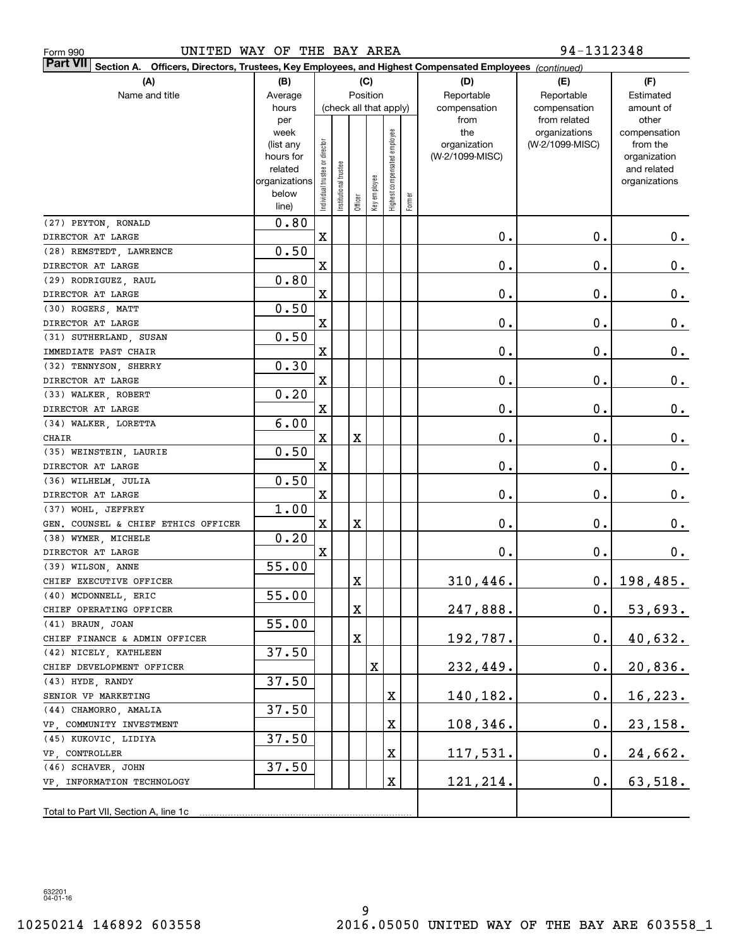| 94-1312348<br>UNITED WAY OF THE BAY AREA<br>Form 990                                                                      |               |                                |                       |          |              |                        |        |                  |                               |                       |  |
|---------------------------------------------------------------------------------------------------------------------------|---------------|--------------------------------|-----------------------|----------|--------------|------------------------|--------|------------------|-------------------------------|-----------------------|--|
| <b>Part VII</b><br>Section A. Officers, Directors, Trustees, Key Employees, and Highest Compensated Employees (continued) |               |                                |                       |          |              |                        |        |                  |                               |                       |  |
| (A)                                                                                                                       | (B)           |                                |                       | (C)      |              |                        |        | (D)              | (E)                           | (F)                   |  |
| Name and title                                                                                                            | Average       |                                |                       | Position |              |                        |        | Reportable       | Reportable                    | Estimated             |  |
|                                                                                                                           | hours         |                                |                       |          |              | (check all that apply) |        | compensation     | compensation                  | amount of             |  |
|                                                                                                                           | per<br>week   |                                |                       |          |              |                        |        | from<br>the      | from related<br>organizations | other<br>compensation |  |
|                                                                                                                           | (list any     |                                |                       |          |              | employee               |        | organization     | (W-2/1099-MISC)               | from the              |  |
|                                                                                                                           | hours for     |                                |                       |          |              |                        |        | (W-2/1099-MISC)  |                               | organization          |  |
|                                                                                                                           | related       |                                |                       |          |              |                        |        |                  |                               | and related           |  |
|                                                                                                                           | organizations |                                |                       |          |              |                        |        |                  |                               | organizations         |  |
|                                                                                                                           | below         | Individual trustee or director | Institutional trustee | Officer  | Key employee | Highest compensated    | Former |                  |                               |                       |  |
|                                                                                                                           | line)<br>0.80 |                                |                       |          |              |                        |        |                  |                               |                       |  |
| (27) PEYTON, RONALD<br>DIRECTOR AT LARGE                                                                                  |               | X                              |                       |          |              |                        |        | 0.               | 0.                            | $0$ .                 |  |
| (28) REMSTEDT, LAWRENCE                                                                                                   | 0.50          |                                |                       |          |              |                        |        |                  |                               |                       |  |
| DIRECTOR AT LARGE                                                                                                         |               | X                              |                       |          |              |                        |        | 0.               | 0.                            | $\mathbf 0$ .         |  |
| (29) RODRIGUEZ, RAUL                                                                                                      | 0.80          |                                |                       |          |              |                        |        |                  |                               |                       |  |
| DIRECTOR AT LARGE                                                                                                         |               | X                              |                       |          |              |                        |        | 0.               | 0.                            | 0.                    |  |
| (30) ROGERS, MATT                                                                                                         | 0.50          |                                |                       |          |              |                        |        |                  |                               |                       |  |
| DIRECTOR AT LARGE                                                                                                         |               | X                              |                       |          |              |                        |        | 0.               | 0.                            | 0.                    |  |
| (31) SUTHERLAND, SUSAN                                                                                                    | 0.50          |                                |                       |          |              |                        |        |                  |                               |                       |  |
| IMMEDIATE PAST CHAIR                                                                                                      |               | X                              |                       |          |              |                        |        | 0.               | 0.                            | 0.                    |  |
| (32) TENNYSON SHERRY                                                                                                      | 0.30          |                                |                       |          |              |                        |        |                  |                               |                       |  |
| DIRECTOR AT LARGE                                                                                                         |               | X                              |                       |          |              |                        |        | 0.               | 0.                            | 0.                    |  |
| (33) WALKER, ROBERT                                                                                                       | 0.20          |                                |                       |          |              |                        |        |                  |                               |                       |  |
| DIRECTOR AT LARGE                                                                                                         |               | X                              |                       |          |              |                        |        | 0.               | 0.                            | 0.                    |  |
| (34) WALKER, LORETTA                                                                                                      | 6.00          |                                |                       |          |              |                        |        |                  |                               |                       |  |
| CHAIR                                                                                                                     |               | X                              |                       | X        |              |                        |        | 0.               | 0.                            | 0.                    |  |
| (35) WEINSTEIN, LAURIE                                                                                                    | 0.50          |                                |                       |          |              |                        |        |                  |                               |                       |  |
| DIRECTOR AT LARGE                                                                                                         |               | X                              |                       |          |              |                        |        | 0.               | 0.                            | 0.                    |  |
| (36) WILHELM, JULIA                                                                                                       | 0.50          |                                |                       |          |              |                        |        |                  |                               |                       |  |
| DIRECTOR AT LARGE                                                                                                         |               | X                              |                       |          |              |                        |        | 0.               | 0.                            | 0.                    |  |
| (37) WOHL, JEFFREY                                                                                                        | 1.00          |                                |                       |          |              |                        |        |                  |                               |                       |  |
| GEN. COUNSEL & CHIEF ETHICS OFFICER                                                                                       |               | X                              |                       | X        |              |                        |        | 0.               | 0.                            | 0.                    |  |
| (38) WYMER, MICHELE                                                                                                       | 0.20          |                                |                       |          |              |                        |        |                  |                               |                       |  |
| DIRECTOR AT LARGE                                                                                                         |               | X                              |                       |          |              |                        |        | 0.               | 0.                            | 0.                    |  |
| (39) WILSON, ANNE                                                                                                         | 55.00         |                                |                       |          |              |                        |        |                  |                               |                       |  |
| CHIEF EXECUTIVE OFFICER                                                                                                   | 55.00         |                                |                       | X.       |              |                        |        | 310,446.         | $\mathbf 0$ .                 | 198,485.              |  |
| (40) MCDONNELL, ERIC<br>CHIEF OPERATING OFFICER                                                                           |               |                                |                       | X        |              |                        |        |                  | $\mathbf 0$ .                 |                       |  |
| (41) BRAUN, JOAN                                                                                                          | 55.00         |                                |                       |          |              |                        |        | 247,888.         |                               | 53,693.               |  |
| CHIEF FINANCE & ADMIN OFFICER                                                                                             |               |                                |                       | X        |              |                        |        | 192,787.         | 0.                            | 40,632.               |  |
| (42) NICELY, KATHLEEN                                                                                                     | 37.50         |                                |                       |          |              |                        |        |                  |                               |                       |  |
| CHIEF DEVELOPMENT OFFICER                                                                                                 |               |                                |                       |          | X            |                        |        | 232,449.         | 0.                            | 20,836.               |  |
| (43) HYDE, RANDY                                                                                                          | 37.50         |                                |                       |          |              |                        |        |                  |                               |                       |  |
| SENIOR VP MARKETING                                                                                                       |               |                                |                       |          |              | X                      |        | 140,182.         | 0.                            | <u>16,223.</u>        |  |
| (44) CHAMORRO, AMALIA                                                                                                     | 37.50         |                                |                       |          |              |                        |        |                  |                               |                       |  |
| VP, COMMUNITY INVESTMENT                                                                                                  |               |                                |                       |          |              | X                      |        | 108,346.         | 0.                            | <u>23,158.</u>        |  |
| (45) KUKOVIC, LIDIYA                                                                                                      | 37.50         |                                |                       |          |              |                        |        |                  |                               |                       |  |
| VP, CONTROLLER                                                                                                            |               |                                |                       |          |              | X                      |        | <u> 117,531.</u> | 0.                            | 24,662.               |  |
| (46) SCHAVER, JOHN                                                                                                        | 37.50         |                                |                       |          |              |                        |        |                  |                               |                       |  |
| VP, INFORMATION TECHNOLOGY                                                                                                |               |                                |                       |          |              | X                      |        | 121, 214.        | 0.                            | 63,518.               |  |
|                                                                                                                           |               |                                |                       |          |              |                        |        |                  |                               |                       |  |
| Total to Part VII, Section A, line 1c                                                                                     |               |                                |                       |          |              |                        |        |                  |                               |                       |  |

9

632201 04-01-16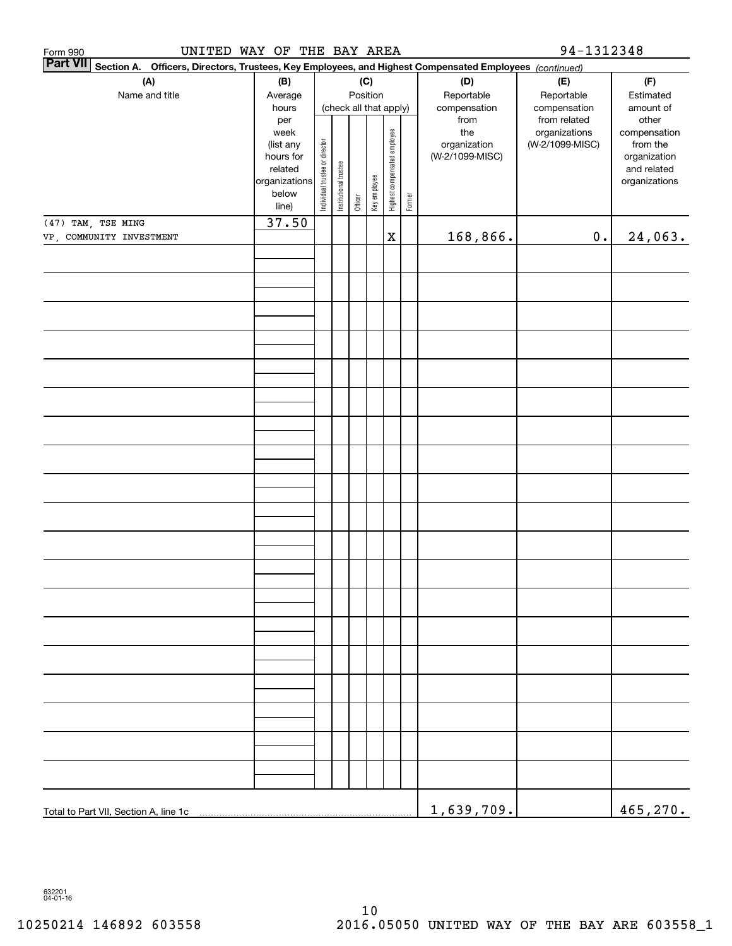| Form 990<br><b>Part VII</b>                                                                            | UNITED WAY OF THE BAY AREA |                        |                                |                       |         |              |                              |        |                                 | 94-1312348      |                          |
|--------------------------------------------------------------------------------------------------------|----------------------------|------------------------|--------------------------------|-----------------------|---------|--------------|------------------------------|--------|---------------------------------|-----------------|--------------------------|
| Section A. Officers, Directors, Trustees, Key Employees, and Highest Compensated Employees (continued) |                            |                        |                                |                       |         |              |                              |        |                                 |                 |                          |
|                                                                                                        | (A)                        | (B)                    |                                |                       |         | (C)          |                              |        | (D)                             | (E)             | (F)                      |
|                                                                                                        | Name and title             | Average                |                                |                       |         | Position     |                              |        | Reportable                      | Reportable      | Estimated                |
|                                                                                                        |                            | hours                  |                                |                       |         |              | (check all that apply)       |        | compensation                    | compensation    | amount of                |
|                                                                                                        |                            | per                    |                                |                       |         |              |                              |        | from                            | from related    | other                    |
|                                                                                                        |                            | week                   |                                |                       |         |              |                              |        | the                             | organizations   | compensation             |
|                                                                                                        |                            | (list any<br>hours for |                                |                       |         |              |                              |        | organization<br>(W-2/1099-MISC) | (W-2/1099-MISC) | from the<br>organization |
|                                                                                                        |                            | related                |                                |                       |         |              |                              |        |                                 |                 | and related              |
|                                                                                                        |                            | organizations          | Individual trustee or director | Institutional trustee |         |              | Highest compensated employee |        |                                 |                 | organizations            |
|                                                                                                        |                            | below                  |                                |                       |         | Key employee |                              |        |                                 |                 |                          |
|                                                                                                        |                            | line)                  |                                |                       | Officer |              |                              | Former |                                 |                 |                          |
|                                                                                                        | (47) TAM, TSE MING         | 37.50                  |                                |                       |         |              |                              |        |                                 |                 |                          |
|                                                                                                        | VP, COMMUNITY INVESTMENT   |                        |                                |                       |         |              | $\mathbf X$                  |        | 168,866.                        | $\mathbf 0$ .   | 24,063.                  |
|                                                                                                        |                            |                        |                                |                       |         |              |                              |        |                                 |                 |                          |
|                                                                                                        |                            |                        |                                |                       |         |              |                              |        |                                 |                 |                          |
|                                                                                                        |                            |                        |                                |                       |         |              |                              |        |                                 |                 |                          |
|                                                                                                        |                            |                        |                                |                       |         |              |                              |        |                                 |                 |                          |
|                                                                                                        |                            |                        |                                |                       |         |              |                              |        |                                 |                 |                          |
|                                                                                                        |                            |                        |                                |                       |         |              |                              |        |                                 |                 |                          |
|                                                                                                        |                            |                        |                                |                       |         |              |                              |        |                                 |                 |                          |
|                                                                                                        |                            |                        |                                |                       |         |              |                              |        |                                 |                 |                          |
|                                                                                                        |                            |                        |                                |                       |         |              |                              |        |                                 |                 |                          |
|                                                                                                        |                            |                        |                                |                       |         |              |                              |        |                                 |                 |                          |
|                                                                                                        |                            |                        |                                |                       |         |              |                              |        |                                 |                 |                          |
|                                                                                                        |                            |                        |                                |                       |         |              |                              |        |                                 |                 |                          |
|                                                                                                        |                            |                        |                                |                       |         |              |                              |        |                                 |                 |                          |
|                                                                                                        |                            |                        |                                |                       |         |              |                              |        |                                 |                 |                          |
|                                                                                                        |                            |                        |                                |                       |         |              |                              |        |                                 |                 |                          |
|                                                                                                        |                            |                        |                                |                       |         |              |                              |        |                                 |                 |                          |
|                                                                                                        |                            |                        |                                |                       |         |              |                              |        |                                 |                 |                          |
|                                                                                                        |                            |                        |                                |                       |         |              |                              |        |                                 |                 |                          |
|                                                                                                        |                            |                        |                                |                       |         |              |                              |        |                                 |                 |                          |
|                                                                                                        |                            |                        |                                |                       |         |              |                              |        |                                 |                 |                          |
|                                                                                                        |                            |                        |                                |                       |         |              |                              |        |                                 |                 |                          |
|                                                                                                        |                            |                        |                                |                       |         |              |                              |        |                                 |                 |                          |
|                                                                                                        |                            |                        |                                |                       |         |              |                              |        |                                 |                 |                          |
|                                                                                                        |                            |                        |                                |                       |         |              |                              |        |                                 |                 |                          |
|                                                                                                        |                            |                        |                                |                       |         |              |                              |        |                                 |                 |                          |
|                                                                                                        |                            |                        |                                |                       |         |              |                              |        |                                 |                 |                          |
|                                                                                                        |                            |                        |                                |                       |         |              |                              |        |                                 |                 |                          |
|                                                                                                        |                            |                        |                                |                       |         |              |                              |        |                                 |                 |                          |
|                                                                                                        |                            |                        |                                |                       |         |              |                              |        |                                 |                 |                          |
|                                                                                                        |                            |                        |                                |                       |         |              |                              |        |                                 |                 |                          |
|                                                                                                        |                            |                        |                                |                       |         |              |                              |        |                                 |                 |                          |
|                                                                                                        |                            |                        |                                |                       |         |              |                              |        |                                 |                 |                          |
|                                                                                                        |                            |                        |                                |                       |         |              |                              |        |                                 |                 |                          |
|                                                                                                        |                            |                        |                                |                       |         |              |                              |        |                                 |                 |                          |
|                                                                                                        |                            |                        |                                |                       |         |              |                              |        |                                 |                 |                          |
|                                                                                                        |                            |                        |                                |                       |         |              |                              |        |                                 |                 |                          |
|                                                                                                        |                            |                        |                                |                       |         |              |                              |        |                                 |                 |                          |
|                                                                                                        |                            |                        |                                |                       |         |              |                              |        | 1,639,709.                      |                 | 465,270.                 |
|                                                                                                        |                            |                        |                                |                       |         |              |                              |        |                                 |                 |                          |

632201 04-01-16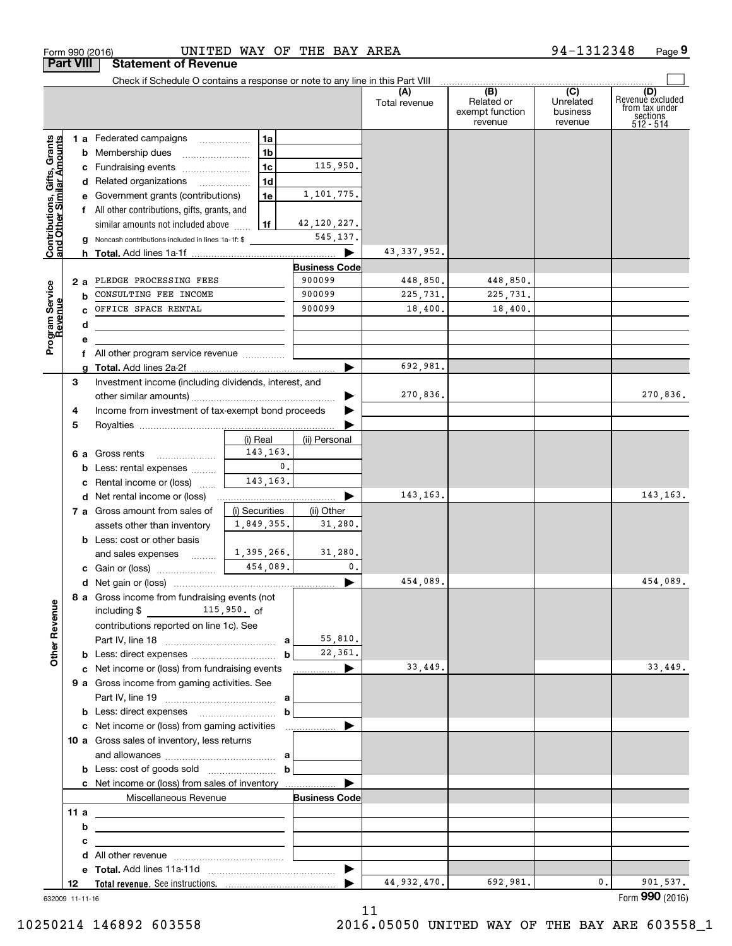| <b>Part VIII</b>                                          |      | <b>Statement of Revenue</b>                                                   |                        |                      |                      |                                                              |                                                    |                                                                    |
|-----------------------------------------------------------|------|-------------------------------------------------------------------------------|------------------------|----------------------|----------------------|--------------------------------------------------------------|----------------------------------------------------|--------------------------------------------------------------------|
|                                                           |      | Check if Schedule O contains a response or note to any line in this Part VIII |                        |                      | (A)<br>Total revenue | $\overline{(B)}$<br>Related or<br>exempt function<br>revenue | $\overline{C}$<br>Unrelated<br>business<br>revenue | (D)<br>Revenuè excluded<br>from tax under<br>sections<br>512 - 514 |
|                                                           |      | 1 a Federated campaigns                                                       | 1a                     |                      |                      |                                                              |                                                    |                                                                    |
|                                                           |      | <b>b</b> Membership dues                                                      | 1b                     |                      |                      |                                                              |                                                    |                                                                    |
|                                                           |      | c Fundraising events                                                          | 1 <sub>c</sub>         | 115,950.             |                      |                                                              |                                                    |                                                                    |
|                                                           |      | d Related organizations                                                       | 1 <sub>d</sub>         |                      |                      |                                                              |                                                    |                                                                    |
|                                                           |      | e Government grants (contributions)                                           | 1e                     | 1,101,775.           |                      |                                                              |                                                    |                                                                    |
|                                                           |      | f All other contributions, gifts, grants, and                                 |                        |                      |                      |                                                              |                                                    |                                                                    |
|                                                           |      | similar amounts not included above                                            | 1f                     | 42,120,227.          |                      |                                                              |                                                    |                                                                    |
| Contributions, Gifts, Grants<br>and Other Similar Amounts | a    | Noncash contributions included in lines 1a-1f: \$                             |                        | 545, 137.            |                      |                                                              |                                                    |                                                                    |
|                                                           | h    |                                                                               |                        |                      | 43, 337, 952.        |                                                              |                                                    |                                                                    |
|                                                           |      |                                                                               |                        | <b>Business Code</b> |                      |                                                              |                                                    |                                                                    |
|                                                           | 2 a  | PLEDGE PROCESSING FEES                                                        |                        | 900099               | 448,850.             | 448,850.                                                     |                                                    |                                                                    |
| Program Service<br>Revenue                                | b    | CONSULTING FEE INCOME                                                         |                        | 900099               | 225,731.             | 225,731.                                                     |                                                    |                                                                    |
|                                                           | C.   | OFFICE SPACE RENTAL                                                           |                        | 900099               | 18,400.              | 18,400.                                                      |                                                    |                                                                    |
|                                                           | d    |                                                                               |                        |                      |                      |                                                              |                                                    |                                                                    |
|                                                           | е    |                                                                               |                        |                      |                      |                                                              |                                                    |                                                                    |
|                                                           |      | f All other program service revenue                                           |                        |                      |                      |                                                              |                                                    |                                                                    |
|                                                           | a    |                                                                               |                        |                      | 692,981.             |                                                              |                                                    |                                                                    |
|                                                           | 3    | Investment income (including dividends, interest, and                         |                        |                      |                      |                                                              |                                                    |                                                                    |
|                                                           |      |                                                                               |                        |                      | 270,836.             |                                                              |                                                    | 270,836.                                                           |
|                                                           | 4    | Income from investment of tax-exempt bond proceeds                            |                        |                      |                      |                                                              |                                                    |                                                                    |
|                                                           | 5    |                                                                               |                        |                      |                      |                                                              |                                                    |                                                                    |
|                                                           |      |                                                                               | (i) Real               | (ii) Personal        |                      |                                                              |                                                    |                                                                    |
|                                                           |      | 6 a Gross rents                                                               | 143, 163.              |                      |                      |                                                              |                                                    |                                                                    |
|                                                           | b    | Less: rental expenses                                                         | 0.                     |                      |                      |                                                              |                                                    |                                                                    |
|                                                           | с    | Rental income or (loss)                                                       | 143, 163.              |                      |                      |                                                              |                                                    |                                                                    |
|                                                           |      | <b>d</b> Net rental income or (loss)                                          |                        |                      | 143, 163.            |                                                              |                                                    | 143, 163.                                                          |
|                                                           |      | 7 a Gross amount from sales of                                                | (i) Securities         | (ii) Other           |                      |                                                              |                                                    |                                                                    |
|                                                           |      | assets other than inventory                                                   | 1,849,355.             | 31,280.              |                      |                                                              |                                                    |                                                                    |
|                                                           |      | <b>b</b> Less: cost or other basis                                            |                        |                      |                      |                                                              |                                                    |                                                                    |
|                                                           |      | and sales expenses                                                            | 1,395,266.<br>454,089. | 31,280.              |                      |                                                              |                                                    |                                                                    |
|                                                           |      |                                                                               |                        | 0.                   |                      |                                                              |                                                    |                                                                    |
|                                                           |      |                                                                               |                        |                      | 454,089.             |                                                              |                                                    | 454,089.                                                           |
|                                                           |      | 8 a Gross income from fundraising events (not                                 |                        |                      |                      |                                                              |                                                    |                                                                    |
|                                                           |      | $\frac{115,950}{\pi}$ 115,950. of<br>including $$$                            |                        |                      |                      |                                                              |                                                    |                                                                    |
| <b>Other Revenue</b>                                      |      | contributions reported on line 1c). See                                       |                        | 55,810.              |                      |                                                              |                                                    |                                                                    |
|                                                           |      |                                                                               | a<br>$\mathbf b$       | 22,361.              |                      |                                                              |                                                    |                                                                    |
|                                                           |      | c Net income or (loss) from fundraising events                                |                        | <u></u> ▶            | 33,449.              |                                                              |                                                    | 33,449.                                                            |
|                                                           |      | 9 a Gross income from gaming activities. See                                  |                        |                      |                      |                                                              |                                                    |                                                                    |
|                                                           |      |                                                                               |                        |                      |                      |                                                              |                                                    |                                                                    |
|                                                           |      |                                                                               | b                      |                      |                      |                                                              |                                                    |                                                                    |
|                                                           |      |                                                                               |                        |                      |                      |                                                              |                                                    |                                                                    |
|                                                           |      | 10 a Gross sales of inventory, less returns                                   |                        |                      |                      |                                                              |                                                    |                                                                    |
|                                                           |      |                                                                               |                        |                      |                      |                                                              |                                                    |                                                                    |
|                                                           |      |                                                                               | $\mathbf b$            |                      |                      |                                                              |                                                    |                                                                    |
|                                                           |      |                                                                               |                        |                      |                      |                                                              |                                                    |                                                                    |
|                                                           |      | Miscellaneous Revenue                                                         |                        | <b>Business Code</b> |                      |                                                              |                                                    |                                                                    |
|                                                           | 11 a |                                                                               |                        |                      |                      |                                                              |                                                    |                                                                    |
|                                                           | b    |                                                                               |                        |                      |                      |                                                              |                                                    |                                                                    |
|                                                           | с    |                                                                               |                        |                      |                      |                                                              |                                                    |                                                                    |
|                                                           | d    |                                                                               |                        |                      |                      |                                                              |                                                    |                                                                    |
|                                                           | е    |                                                                               |                        |                      |                      |                                                              |                                                    |                                                                    |
|                                                           | 12   |                                                                               |                        |                      | 44,932,470.          | 692,981.                                                     | 0.                                                 | 901,537.                                                           |
| 632009 11-11-16                                           |      |                                                                               |                        |                      |                      |                                                              |                                                    | Form 990 (2016)                                                    |

Form 990 (2016) UNITED WAY OF THE BAY AREA 94-I3I2348 Page

UNITED WAY OF THE BAY AREA

**9**

94-1312348

632009 11-11-16

11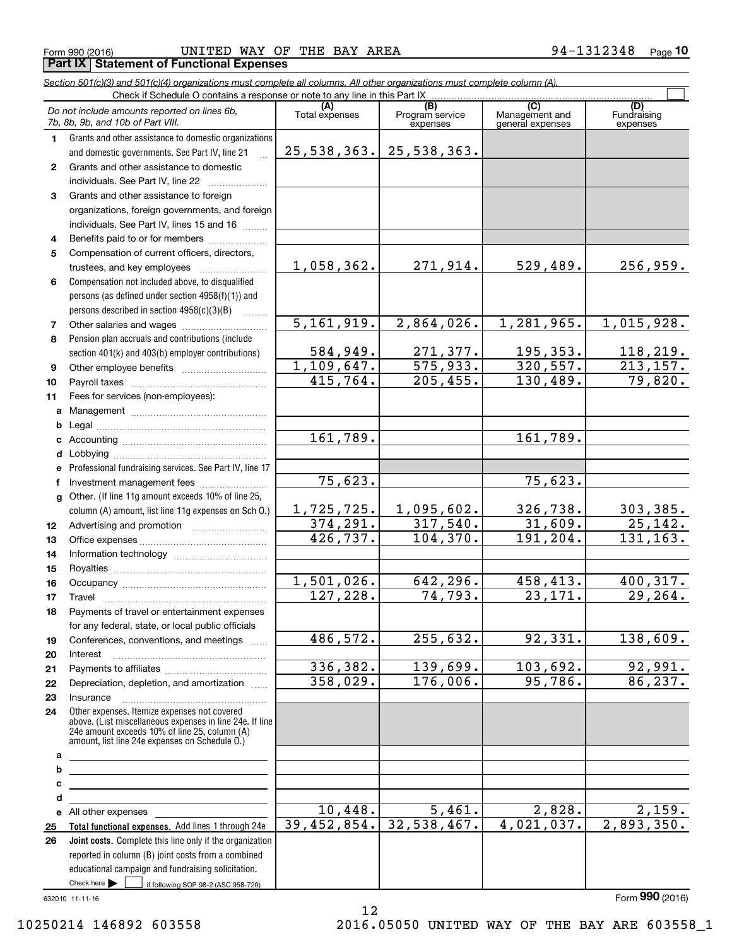Form 990 (2016) UNITED WAY OF THE BAY AREA 9 4-1312348 <sub>Page</sub> **Part IX | Statement of Functional Expenses** 

*Section 501(c)(3) and 501(c)(4) organizations must complete all columns. All other organizations must complete column (A).*

|              | Do not include amounts reported on lines 6b,<br>7b, 8b, 9b, and 10b of Part VIII.                                                                                                                                                  | (A)<br>Total expenses | (B)<br>Program service<br>expenses | (C)<br>Management and<br>general expenses | (D)<br>Fundraising<br>expenses |
|--------------|------------------------------------------------------------------------------------------------------------------------------------------------------------------------------------------------------------------------------------|-----------------------|------------------------------------|-------------------------------------------|--------------------------------|
| 1.           | Grants and other assistance to domestic organizations                                                                                                                                                                              |                       |                                    |                                           |                                |
|              | and domestic governments. See Part IV, line 21                                                                                                                                                                                     | 25,538,363.           | 25,538,363.                        |                                           |                                |
| $\mathbf{2}$ | Grants and other assistance to domestic                                                                                                                                                                                            |                       |                                    |                                           |                                |
|              | individuals. See Part IV, line 22                                                                                                                                                                                                  |                       |                                    |                                           |                                |
| 3            | Grants and other assistance to foreign                                                                                                                                                                                             |                       |                                    |                                           |                                |
|              | organizations, foreign governments, and foreign                                                                                                                                                                                    |                       |                                    |                                           |                                |
|              | individuals. See Part IV, lines 15 and 16                                                                                                                                                                                          |                       |                                    |                                           |                                |
| 4            | Benefits paid to or for members                                                                                                                                                                                                    |                       |                                    |                                           |                                |
| 5            | Compensation of current officers, directors,                                                                                                                                                                                       |                       |                                    |                                           |                                |
|              | trustees, and key employees                                                                                                                                                                                                        | 1,058,362.            | 271,914.                           | 529,489.                                  | 256,959.                       |
| 6            | Compensation not included above, to disqualified                                                                                                                                                                                   |                       |                                    |                                           |                                |
|              | persons (as defined under section 4958(f)(1)) and                                                                                                                                                                                  |                       |                                    |                                           |                                |
|              | persons described in section 4958(c)(3)(B)                                                                                                                                                                                         |                       |                                    |                                           |                                |
| 7            |                                                                                                                                                                                                                                    | 5, 161, 919.          | 2,864,026.                         | 1,281,965.                                | 1,015,928.                     |
| 8            | Pension plan accruals and contributions (include                                                                                                                                                                                   |                       |                                    |                                           |                                |
|              | section 401(k) and 403(b) employer contributions)                                                                                                                                                                                  | 584,949.              | 271,377.                           | 195,353.                                  | 118, 219.                      |
| 9            |                                                                                                                                                                                                                                    | 1,109,647.            | 575,933.                           | 320, 557.                                 | 213, 157.                      |
| 10           |                                                                                                                                                                                                                                    | 415,764.              | 205, 455.                          | 130,489.                                  | 79,820.                        |
| 11           | Fees for services (non-employees):                                                                                                                                                                                                 |                       |                                    |                                           |                                |
| a            |                                                                                                                                                                                                                                    |                       |                                    |                                           |                                |
| b            |                                                                                                                                                                                                                                    |                       |                                    |                                           |                                |
| c            |                                                                                                                                                                                                                                    | 161,789.              |                                    | 161,789.                                  |                                |
| d            |                                                                                                                                                                                                                                    |                       |                                    |                                           |                                |
| е            | Professional fundraising services. See Part IV, line 17                                                                                                                                                                            |                       |                                    |                                           |                                |
| f            | Investment management fees                                                                                                                                                                                                         | 75,623.               |                                    | 75,623.                                   |                                |
| g            | Other. (If line 11g amount exceeds 10% of line 25,                                                                                                                                                                                 |                       |                                    |                                           |                                |
|              | column (A) amount, list line 11g expenses on Sch 0.)                                                                                                                                                                               | 1,725,725.            | 1,095,602.                         | 326,738.                                  | 303,385.                       |
| 12           |                                                                                                                                                                                                                                    | 374, 291.             | 317,540.                           | 31,609.                                   | 25, 142.                       |
| 13           |                                                                                                                                                                                                                                    | 426, 737.             | 104,370.                           | 191,204.                                  | 131, 163.                      |
| 14           |                                                                                                                                                                                                                                    |                       |                                    |                                           |                                |
| 15           |                                                                                                                                                                                                                                    |                       |                                    |                                           |                                |
| 16           |                                                                                                                                                                                                                                    | 1,501,026.            | 642,296.                           | 458,413.                                  | 400, 317.                      |
| 17           |                                                                                                                                                                                                                                    | 127, 228.             | 74,793.                            | 23, 171.                                  | 29, 264.                       |
| 18           | Payments of travel or entertainment expenses                                                                                                                                                                                       |                       |                                    |                                           |                                |
|              | for any federal, state, or local public officials                                                                                                                                                                                  |                       |                                    | 92,331.                                   |                                |
| 19           | Conferences, conventions, and meetings                                                                                                                                                                                             | 486,572.              | 255,632.                           |                                           | 138,609.                       |
| 20           | Interest                                                                                                                                                                                                                           | 336,382.              | 139,699.                           | 103,692.                                  | 92,991.                        |
| 21           |                                                                                                                                                                                                                                    | 358,029.              | 176,006.                           | 95,786.                                   | 86, 237.                       |
| 22           | Depreciation, depletion, and amortization                                                                                                                                                                                          |                       |                                    |                                           |                                |
| 23           | Insurance<br>Other expenses. Itemize expenses not covered                                                                                                                                                                          |                       |                                    |                                           |                                |
| 24           | above. (List miscellaneous expenses in line 24e. If line<br>24e amount exceeds 10% of line 25, column (A)                                                                                                                          |                       |                                    |                                           |                                |
|              | amount, list line 24e expenses on Schedule O.)                                                                                                                                                                                     |                       |                                    |                                           |                                |
| а            |                                                                                                                                                                                                                                    |                       |                                    |                                           |                                |
| b            | <u> 1989 - Johann Barbara, martin amerikan basar dan berasal dan berasal dalam basar dalam basar dalam basar dala</u>                                                                                                              |                       |                                    |                                           |                                |
| с            | <u> 1989 - Johann Barbara, martin amerikan basar dan berasal dan berasal dalam basar dalam basar dalam basar dala</u>                                                                                                              |                       |                                    |                                           |                                |
| d            |                                                                                                                                                                                                                                    | 10,448.               | 5,461.                             | 2,828.                                    |                                |
| е            | All other expenses <b>contained</b> and the set of the set of the set of the set of the set of the set of the set of the set of the set of the set of the set of the set of the set of the set of the set of the set of the set of | 39,452,854.           | 32,538,467.                        | 4,021,037.                                | 2,159.<br>2,893,350.           |
| 25           | Total functional expenses. Add lines 1 through 24e                                                                                                                                                                                 |                       |                                    |                                           |                                |
| 26           | Joint costs. Complete this line only if the organization                                                                                                                                                                           |                       |                                    |                                           |                                |
|              | reported in column (B) joint costs from a combined                                                                                                                                                                                 |                       |                                    |                                           |                                |
|              | educational campaign and fundraising solicitation.<br>Check here $\blacktriangleright$<br>if following SOP 98-2 (ASC 958-720)                                                                                                      |                       |                                    |                                           |                                |
|              |                                                                                                                                                                                                                                    |                       |                                    |                                           |                                |

12

632010 11-11-16

Form (2016) **990**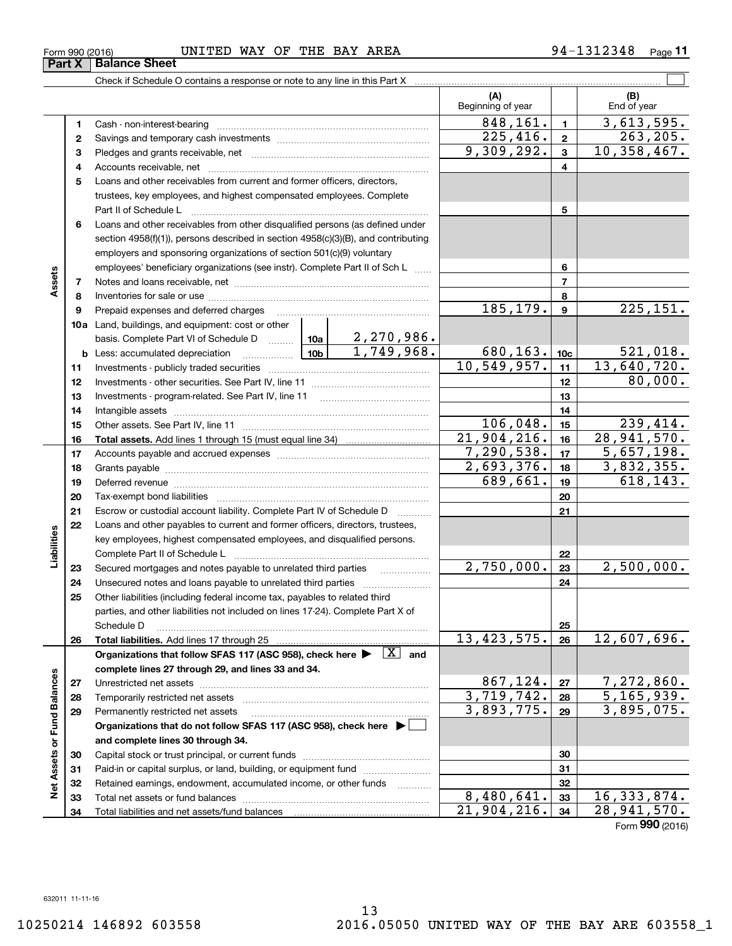# Form 990 (2016) UNITED WAY OF THE BAY AREA 9 4-1312348 <sub>Page</sub> **Part X Balance Sheet**<br>**Part X Balance Sheet**

**11**

| (A)<br>(B)<br>Beginning of year<br>End of year<br>$\overline{3,613,595}$ .<br>848,161.<br>$\mathbf{1}$<br>1<br>225,416.<br>$\mathbf 2$<br>2<br>$\overline{9,309,292}$ .<br>$\overline{10}$ , 358, 467.<br>$\mathbf{3}$<br>з<br>4<br>4<br>5<br>Loans and other receivables from current and former officers, directors,<br>trustees, key employees, and highest compensated employees. Complete<br>5<br>Loans and other receivables from other disqualified persons (as defined under<br>6<br>section 4958(f)(1)), persons described in section 4958(c)(3)(B), and contributing | 263, 205.<br>225, 151. |
|--------------------------------------------------------------------------------------------------------------------------------------------------------------------------------------------------------------------------------------------------------------------------------------------------------------------------------------------------------------------------------------------------------------------------------------------------------------------------------------------------------------------------------------------------------------------------------|------------------------|
|                                                                                                                                                                                                                                                                                                                                                                                                                                                                                                                                                                                |                        |
|                                                                                                                                                                                                                                                                                                                                                                                                                                                                                                                                                                                |                        |
|                                                                                                                                                                                                                                                                                                                                                                                                                                                                                                                                                                                |                        |
|                                                                                                                                                                                                                                                                                                                                                                                                                                                                                                                                                                                |                        |
|                                                                                                                                                                                                                                                                                                                                                                                                                                                                                                                                                                                |                        |
|                                                                                                                                                                                                                                                                                                                                                                                                                                                                                                                                                                                |                        |
|                                                                                                                                                                                                                                                                                                                                                                                                                                                                                                                                                                                |                        |
|                                                                                                                                                                                                                                                                                                                                                                                                                                                                                                                                                                                |                        |
|                                                                                                                                                                                                                                                                                                                                                                                                                                                                                                                                                                                |                        |
|                                                                                                                                                                                                                                                                                                                                                                                                                                                                                                                                                                                |                        |
| employers and sponsoring organizations of section 501(c)(9) voluntary                                                                                                                                                                                                                                                                                                                                                                                                                                                                                                          |                        |
| 6<br>employees' beneficiary organizations (see instr). Complete Part II of Sch L                                                                                                                                                                                                                                                                                                                                                                                                                                                                                               |                        |
| Assets<br>$\overline{7}$<br>7                                                                                                                                                                                                                                                                                                                                                                                                                                                                                                                                                  |                        |
| 8<br>8                                                                                                                                                                                                                                                                                                                                                                                                                                                                                                                                                                         |                        |
| 185,179.<br>$\boldsymbol{9}$<br>Prepaid expenses and deferred charges<br>9                                                                                                                                                                                                                                                                                                                                                                                                                                                                                                     |                        |
| <b>10a</b> Land, buildings, and equipment: cost or other                                                                                                                                                                                                                                                                                                                                                                                                                                                                                                                       |                        |
| basis. Complete Part VI of Schedule D  10a  <br><u>2,270,986.</u>                                                                                                                                                                                                                                                                                                                                                                                                                                                                                                              |                        |
| 1,749,968.<br>680, 163.<br>10 <sub>c</sub>                                                                                                                                                                                                                                                                                                                                                                                                                                                                                                                                     | 521,018.               |
| 10,549,957.<br>13,640,720.<br>11<br>11                                                                                                                                                                                                                                                                                                                                                                                                                                                                                                                                         |                        |
| 12<br>12                                                                                                                                                                                                                                                                                                                                                                                                                                                                                                                                                                       | 80,000.                |
| 13<br>13                                                                                                                                                                                                                                                                                                                                                                                                                                                                                                                                                                       |                        |
| 14<br>14                                                                                                                                                                                                                                                                                                                                                                                                                                                                                                                                                                       |                        |
| 106,048.<br>15<br>15                                                                                                                                                                                                                                                                                                                                                                                                                                                                                                                                                           | 239,414.               |
| 21,904,216.<br>28,941,570.<br>16<br>16                                                                                                                                                                                                                                                                                                                                                                                                                                                                                                                                         |                        |
| 7, 290, 538.<br>5,657,198.<br>17<br>17                                                                                                                                                                                                                                                                                                                                                                                                                                                                                                                                         |                        |
| 3,832,355.<br>2,693,376.<br>18<br>18                                                                                                                                                                                                                                                                                                                                                                                                                                                                                                                                           |                        |
| 689,661.<br>19<br>19<br>Deferred revenue manual contracts and contracts are all the manual contracts and contracts are contracted and c                                                                                                                                                                                                                                                                                                                                                                                                                                        | 618,143.               |
| 20<br>20                                                                                                                                                                                                                                                                                                                                                                                                                                                                                                                                                                       |                        |
| 21<br>21<br>Escrow or custodial account liability. Complete Part IV of Schedule D<br>$\overline{\phantom{a}}$                                                                                                                                                                                                                                                                                                                                                                                                                                                                  |                        |
| Loans and other payables to current and former officers, directors, trustees,<br>22                                                                                                                                                                                                                                                                                                                                                                                                                                                                                            |                        |
| key employees, highest compensated employees, and disqualified persons.                                                                                                                                                                                                                                                                                                                                                                                                                                                                                                        |                        |
| Liabilities<br>22<br>2,750,000.<br>2,500,000.<br>23                                                                                                                                                                                                                                                                                                                                                                                                                                                                                                                            |                        |
| Secured mortgages and notes payable to unrelated third parties<br>23<br>24                                                                                                                                                                                                                                                                                                                                                                                                                                                                                                     |                        |
| 24<br>25<br>Other liabilities (including federal income tax, payables to related third                                                                                                                                                                                                                                                                                                                                                                                                                                                                                         |                        |
| parties, and other liabilities not included on lines 17-24). Complete Part X of                                                                                                                                                                                                                                                                                                                                                                                                                                                                                                |                        |
| 25<br>Schedule D                                                                                                                                                                                                                                                                                                                                                                                                                                                                                                                                                               |                        |
| 13, 423, 575.<br>12,607,696.<br>26<br>26                                                                                                                                                                                                                                                                                                                                                                                                                                                                                                                                       |                        |
| Organizations that follow SFAS 117 (ASC 958), check here $\blacktriangleright \quad \boxed{X}$ and                                                                                                                                                                                                                                                                                                                                                                                                                                                                             |                        |
| complete lines 27 through 29, and lines 33 and 34.                                                                                                                                                                                                                                                                                                                                                                                                                                                                                                                             |                        |
| 867,124.<br>7,272,860.<br>27<br>27                                                                                                                                                                                                                                                                                                                                                                                                                                                                                                                                             |                        |
| 3,719,742.<br>$\overline{5,165,939.}$<br>28<br>28                                                                                                                                                                                                                                                                                                                                                                                                                                                                                                                              |                        |
| $\overline{3,895}$ , 075.<br>3,893,775.<br>29<br>29<br>Permanently restricted net assets                                                                                                                                                                                                                                                                                                                                                                                                                                                                                       |                        |
| Organizations that do not follow SFAS 117 (ASC 958), check here ▶ □                                                                                                                                                                                                                                                                                                                                                                                                                                                                                                            |                        |
| Net Assets or Fund Balances<br>and complete lines 30 through 34.                                                                                                                                                                                                                                                                                                                                                                                                                                                                                                               |                        |
| 30<br>30                                                                                                                                                                                                                                                                                                                                                                                                                                                                                                                                                                       |                        |
| Paid-in or capital surplus, or land, building, or equipment fund<br>31<br>31                                                                                                                                                                                                                                                                                                                                                                                                                                                                                                   |                        |
| Retained earnings, endowment, accumulated income, or other funds<br>32<br>32                                                                                                                                                                                                                                                                                                                                                                                                                                                                                                   |                        |
| 8,480,641.<br>16,333,874.<br>33<br>33                                                                                                                                                                                                                                                                                                                                                                                                                                                                                                                                          |                        |
| 21,904,216.<br>28,941,570.<br>34<br>34<br>$F_{\text{arm}}$ 990 (2016)                                                                                                                                                                                                                                                                                                                                                                                                                                                                                                          |                        |

Form (2016) **990**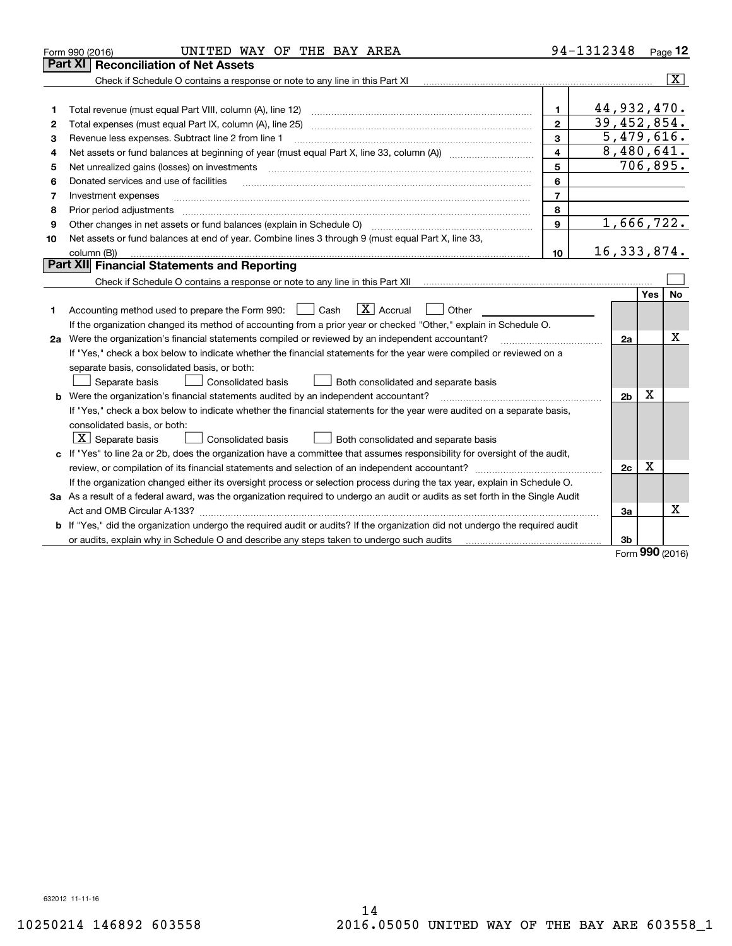|    | UNITED WAY OF THE BAY AREA<br>Form 990 (2016)                                                                                                                                                                                  |                         | 94-1312348     |     | Page 12        |
|----|--------------------------------------------------------------------------------------------------------------------------------------------------------------------------------------------------------------------------------|-------------------------|----------------|-----|----------------|
|    | <b>Reconciliation of Net Assets</b><br>Part XI                                                                                                                                                                                 |                         |                |     |                |
|    | Check if Schedule O contains a response or note to any line in this Part XI                                                                                                                                                    |                         |                |     | $ \mathbf{X} $ |
|    |                                                                                                                                                                                                                                |                         |                |     |                |
| 1  | Total revenue (must equal Part VIII, column (A), line 12)                                                                                                                                                                      | 1.                      | 44,932,470.    |     |                |
| 2  | Total expenses (must equal Part IX, column (A), line 25)                                                                                                                                                                       | $\overline{2}$          | 39,452,854.    |     |                |
| 3  | Revenue less expenses. Subtract line 2 from line 1                                                                                                                                                                             | 3                       | 5,479,616.     |     |                |
| 4  |                                                                                                                                                                                                                                | $\overline{\mathbf{4}}$ | 8,480,641.     |     |                |
| 5  | Net unrealized gains (losses) on investments                                                                                                                                                                                   | 5                       |                |     | 706,895.       |
| 6  | Donated services and use of facilities                                                                                                                                                                                         | 6                       |                |     |                |
| 7  | Investment expenses                                                                                                                                                                                                            | $\overline{7}$          |                |     |                |
| 8  | Prior period adjustments                                                                                                                                                                                                       | 8                       |                |     |                |
| 9  |                                                                                                                                                                                                                                | $\mathbf{9}$            | 1,666,722.     |     |                |
| 10 | Net assets or fund balances at end of year. Combine lines 3 through 9 (must equal Part X, line 33,                                                                                                                             |                         |                |     |                |
|    | column (B))                                                                                                                                                                                                                    | 10                      | 16, 333, 874.  |     |                |
|    | Part XII Financial Statements and Reporting                                                                                                                                                                                    |                         |                |     |                |
|    | Check if Schedule O contains a response or note to any line in this Part XII manuformal content of Schedule O contains a response or note to any line in this Part XII manuformal contents of the Schedule D content of the Sc |                         |                |     |                |
|    |                                                                                                                                                                                                                                |                         |                | Yes | No             |
| 1  | $\boxed{\mathbf{X}}$ Accrual<br>Accounting method used to prepare the Form 990: <u>June</u> Cash<br>Other                                                                                                                      |                         |                |     |                |
|    | If the organization changed its method of accounting from a prior year or checked "Other," explain in Schedule O.                                                                                                              |                         |                |     |                |
|    | 2a Were the organization's financial statements compiled or reviewed by an independent accountant?                                                                                                                             |                         | 2a             |     | х              |
|    | If "Yes," check a box below to indicate whether the financial statements for the year were compiled or reviewed on a                                                                                                           |                         |                |     |                |
|    | separate basis, consolidated basis, or both:                                                                                                                                                                                   |                         |                |     |                |
|    | Separate basis<br><b>Consolidated basis</b><br>Both consolidated and separate basis                                                                                                                                            |                         |                |     |                |
|    | <b>b</b> Were the organization's financial statements audited by an independent accountant?                                                                                                                                    |                         | 2 <sub>b</sub> | X   |                |
|    | If "Yes," check a box below to indicate whether the financial statements for the year were audited on a separate basis,                                                                                                        |                         |                |     |                |
|    | consolidated basis, or both:                                                                                                                                                                                                   |                         |                |     |                |
|    | $ \mathbf{X} $ Separate basis<br><b>Consolidated basis</b><br>Both consolidated and separate basis                                                                                                                             |                         |                |     |                |
|    | c If "Yes" to line 2a or 2b, does the organization have a committee that assumes responsibility for oversight of the audit,                                                                                                    |                         |                |     |                |
|    | review, or compilation of its financial statements and selection of an independent accountant?                                                                                                                                 |                         | 2c             | х   |                |
|    | If the organization changed either its oversight process or selection process during the tax year, explain in Schedule O.                                                                                                      |                         |                |     |                |
|    | 3a As a result of a federal award, was the organization required to undergo an audit or audits as set forth in the Single Audit                                                                                                |                         |                |     |                |
|    |                                                                                                                                                                                                                                |                         | За             |     | х              |
|    | b If "Yes," did the organization undergo the required audit or audits? If the organization did not undergo the required audit                                                                                                  |                         |                |     |                |
|    | or audits, explain why in Schedule O and describe any steps taken to undergo such audits                                                                                                                                       |                         | 3b             | nnn |                |

Form (2016) **990**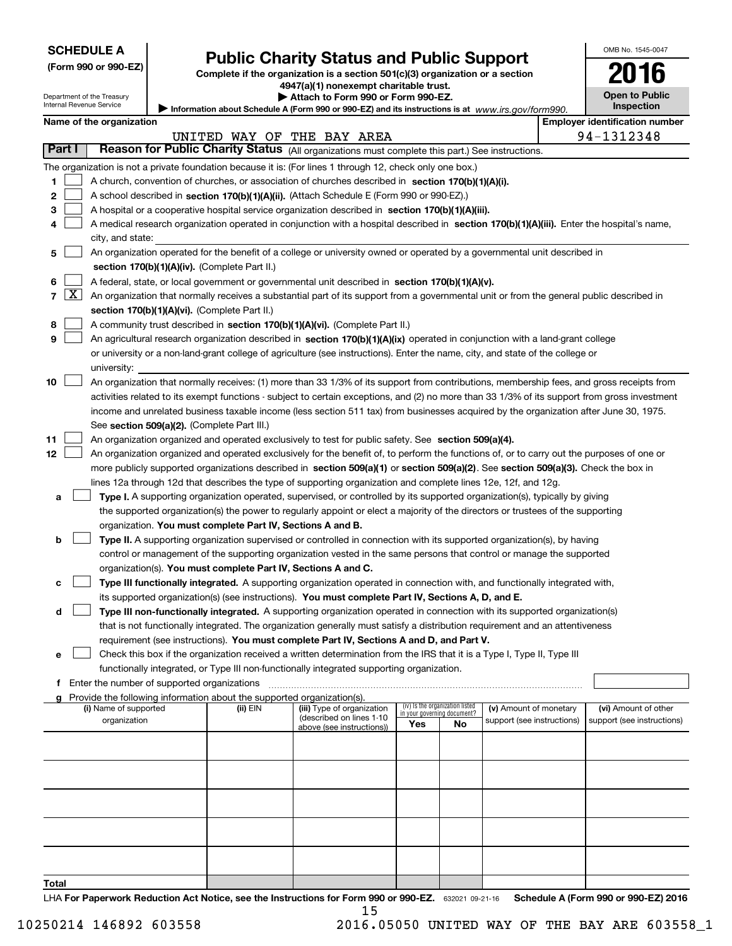| <b>SCHEDULE A</b> |  |
|-------------------|--|
|-------------------|--|

Department of the Treasury Internal Revenue Service

| (Form 990 or 990-EZ) |  |  |
|----------------------|--|--|
|----------------------|--|--|

# **Public Charity Status and Public Support**

**Complete if the organization is a section 501(c)(3) organization or a section 4947(a)(1) nonexempt charitable trust.**

**| Attach to Form 990 or Form 990-EZ.** 

Information about Schedule A (Form 990 or 990-EZ) and its instructions is at *www.irs.gov/form990.* 

OMB No. 1545-0047

**Open to Public Inspection**

٦

**2016**

| Name of the organization |  |  | Emplover identification number |
|--------------------------|--|--|--------------------------------|

|                |                                                                                                                                            |                                                                                                                                               |            | UNITED WAY OF THE BAY AREA |     |                                   |                            |  | 94-1312348                 |  |  |  |  |  |
|----------------|--------------------------------------------------------------------------------------------------------------------------------------------|-----------------------------------------------------------------------------------------------------------------------------------------------|------------|----------------------------|-----|-----------------------------------|----------------------------|--|----------------------------|--|--|--|--|--|
|                | Part I                                                                                                                                     | Reason for Public Charity Status (All organizations must complete this part.) See instructions.                                               |            |                            |     |                                   |                            |  |                            |  |  |  |  |  |
|                |                                                                                                                                            | The organization is not a private foundation because it is: (For lines 1 through 12, check only one box.)                                     |            |                            |     |                                   |                            |  |                            |  |  |  |  |  |
| 1              |                                                                                                                                            | A church, convention of churches, or association of churches described in section 170(b)(1)(A)(i).                                            |            |                            |     |                                   |                            |  |                            |  |  |  |  |  |
| 2              |                                                                                                                                            | A school described in section 170(b)(1)(A)(ii). (Attach Schedule E (Form 990 or 990-EZ).)                                                     |            |                            |     |                                   |                            |  |                            |  |  |  |  |  |
| 3              |                                                                                                                                            | A hospital or a cooperative hospital service organization described in section $170(b)(1)(A)(iii)$ .                                          |            |                            |     |                                   |                            |  |                            |  |  |  |  |  |
| 4              |                                                                                                                                            | A medical research organization operated in conjunction with a hospital described in section 170(b)(1)(A)(iii). Enter the hospital's name,    |            |                            |     |                                   |                            |  |                            |  |  |  |  |  |
|                |                                                                                                                                            | city, and state:                                                                                                                              |            |                            |     |                                   |                            |  |                            |  |  |  |  |  |
| 5              |                                                                                                                                            | An organization operated for the benefit of a college or university owned or operated by a governmental unit described in                     |            |                            |     |                                   |                            |  |                            |  |  |  |  |  |
|                |                                                                                                                                            | section 170(b)(1)(A)(iv). (Complete Part II.)                                                                                                 |            |                            |     |                                   |                            |  |                            |  |  |  |  |  |
| 6              |                                                                                                                                            | A federal, state, or local government or governmental unit described in section 170(b)(1)(A)(v).                                              |            |                            |     |                                   |                            |  |                            |  |  |  |  |  |
| $\overline{7}$ | $\lfloor x \rfloor$                                                                                                                        | An organization that normally receives a substantial part of its support from a governmental unit or from the general public described in     |            |                            |     |                                   |                            |  |                            |  |  |  |  |  |
|                |                                                                                                                                            | section 170(b)(1)(A)(vi). (Complete Part II.)                                                                                                 |            |                            |     |                                   |                            |  |                            |  |  |  |  |  |
| 8              |                                                                                                                                            | A community trust described in section 170(b)(1)(A)(vi). (Complete Part II.)                                                                  |            |                            |     |                                   |                            |  |                            |  |  |  |  |  |
| 9              |                                                                                                                                            | An agricultural research organization described in section 170(b)(1)(A)(ix) operated in conjunction with a land-grant college                 |            |                            |     |                                   |                            |  |                            |  |  |  |  |  |
|                |                                                                                                                                            | or university or a non-land-grant college of agriculture (see instructions). Enter the name, city, and state of the college or                |            |                            |     |                                   |                            |  |                            |  |  |  |  |  |
|                |                                                                                                                                            | university:                                                                                                                                   |            |                            |     |                                   |                            |  |                            |  |  |  |  |  |
| 10             |                                                                                                                                            | An organization that normally receives: (1) more than 33 1/3% of its support from contributions, membership fees, and gross receipts from     |            |                            |     |                                   |                            |  |                            |  |  |  |  |  |
|                |                                                                                                                                            | activities related to its exempt functions - subject to certain exceptions, and (2) no more than 33 1/3% of its support from gross investment |            |                            |     |                                   |                            |  |                            |  |  |  |  |  |
|                |                                                                                                                                            | income and unrelated business taxable income (less section 511 tax) from businesses acquired by the organization after June 30, 1975.         |            |                            |     |                                   |                            |  |                            |  |  |  |  |  |
|                |                                                                                                                                            | See section 509(a)(2). (Complete Part III.)                                                                                                   |            |                            |     |                                   |                            |  |                            |  |  |  |  |  |
| 11             | An organization organized and operated exclusively to test for public safety. See section 509(a)(4).                                       |                                                                                                                                               |            |                            |     |                                   |                            |  |                            |  |  |  |  |  |
| 12             | An organization organized and operated exclusively for the benefit of, to perform the functions of, or to carry out the purposes of one or |                                                                                                                                               |            |                            |     |                                   |                            |  |                            |  |  |  |  |  |
|                |                                                                                                                                            | more publicly supported organizations described in section 509(a)(1) or section 509(a)(2). See section 509(a)(3). Check the box in            |            |                            |     |                                   |                            |  |                            |  |  |  |  |  |
|                |                                                                                                                                            | lines 12a through 12d that describes the type of supporting organization and complete lines 12e, 12f, and 12g.                                |            |                            |     |                                   |                            |  |                            |  |  |  |  |  |
| a              |                                                                                                                                            | Type I. A supporting organization operated, supervised, or controlled by its supported organization(s), typically by giving                   |            |                            |     |                                   |                            |  |                            |  |  |  |  |  |
|                |                                                                                                                                            | the supported organization(s) the power to regularly appoint or elect a majority of the directors or trustees of the supporting               |            |                            |     |                                   |                            |  |                            |  |  |  |  |  |
|                |                                                                                                                                            | organization. You must complete Part IV, Sections A and B.                                                                                    |            |                            |     |                                   |                            |  |                            |  |  |  |  |  |
| b              |                                                                                                                                            | Type II. A supporting organization supervised or controlled in connection with its supported organization(s), by having                       |            |                            |     |                                   |                            |  |                            |  |  |  |  |  |
|                |                                                                                                                                            | control or management of the supporting organization vested in the same persons that control or manage the supported                          |            |                            |     |                                   |                            |  |                            |  |  |  |  |  |
|                |                                                                                                                                            | organization(s). You must complete Part IV, Sections A and C.                                                                                 |            |                            |     |                                   |                            |  |                            |  |  |  |  |  |
| с              |                                                                                                                                            | Type III functionally integrated. A supporting organization operated in connection with, and functionally integrated with,                    |            |                            |     |                                   |                            |  |                            |  |  |  |  |  |
|                |                                                                                                                                            | its supported organization(s) (see instructions). You must complete Part IV, Sections A, D, and E.                                            |            |                            |     |                                   |                            |  |                            |  |  |  |  |  |
| d              |                                                                                                                                            | Type III non-functionally integrated. A supporting organization operated in connection with its supported organization(s)                     |            |                            |     |                                   |                            |  |                            |  |  |  |  |  |
|                |                                                                                                                                            | that is not functionally integrated. The organization generally must satisfy a distribution requirement and an attentiveness                  |            |                            |     |                                   |                            |  |                            |  |  |  |  |  |
|                |                                                                                                                                            | requirement (see instructions). You must complete Part IV, Sections A and D, and Part V.                                                      |            |                            |     |                                   |                            |  |                            |  |  |  |  |  |
| е              |                                                                                                                                            | Check this box if the organization received a written determination from the IRS that it is a Type I, Type II, Type III                       |            |                            |     |                                   |                            |  |                            |  |  |  |  |  |
|                |                                                                                                                                            | functionally integrated, or Type III non-functionally integrated supporting organization.                                                     |            |                            |     |                                   |                            |  |                            |  |  |  |  |  |
|                |                                                                                                                                            | f Enter the number of supported organizations<br>Provide the following information about the supported organization(s).                       |            |                            |     |                                   |                            |  |                            |  |  |  |  |  |
| a              |                                                                                                                                            | (i) Name of supported                                                                                                                         | $(ii)$ EIN | (iii) Type of organization |     | (iv) Is the organization listed   | (v) Amount of monetary     |  | (vi) Amount of other       |  |  |  |  |  |
|                |                                                                                                                                            | organization                                                                                                                                  |            | (described on lines 1-10   | Yes | in your governing document?<br>No | support (see instructions) |  | support (see instructions) |  |  |  |  |  |
|                |                                                                                                                                            |                                                                                                                                               |            | above (see instructions))  |     |                                   |                            |  |                            |  |  |  |  |  |
|                |                                                                                                                                            |                                                                                                                                               |            |                            |     |                                   |                            |  |                            |  |  |  |  |  |
|                |                                                                                                                                            |                                                                                                                                               |            |                            |     |                                   |                            |  |                            |  |  |  |  |  |
|                |                                                                                                                                            |                                                                                                                                               |            |                            |     |                                   |                            |  |                            |  |  |  |  |  |
|                |                                                                                                                                            |                                                                                                                                               |            |                            |     |                                   |                            |  |                            |  |  |  |  |  |
|                |                                                                                                                                            |                                                                                                                                               |            |                            |     |                                   |                            |  |                            |  |  |  |  |  |
|                |                                                                                                                                            |                                                                                                                                               |            |                            |     |                                   |                            |  |                            |  |  |  |  |  |
|                |                                                                                                                                            |                                                                                                                                               |            |                            |     |                                   |                            |  |                            |  |  |  |  |  |
|                |                                                                                                                                            |                                                                                                                                               |            |                            |     |                                   |                            |  |                            |  |  |  |  |  |
|                |                                                                                                                                            |                                                                                                                                               |            |                            |     |                                   |                            |  |                            |  |  |  |  |  |
| Total          |                                                                                                                                            |                                                                                                                                               |            |                            |     |                                   |                            |  |                            |  |  |  |  |  |

LHA For Paperwork Reduction Act Notice, see the Instructions for Form 990 or 990-EZ. 632021 09-21-16 Schedule A (Form 990 or 990-EZ) 2016 15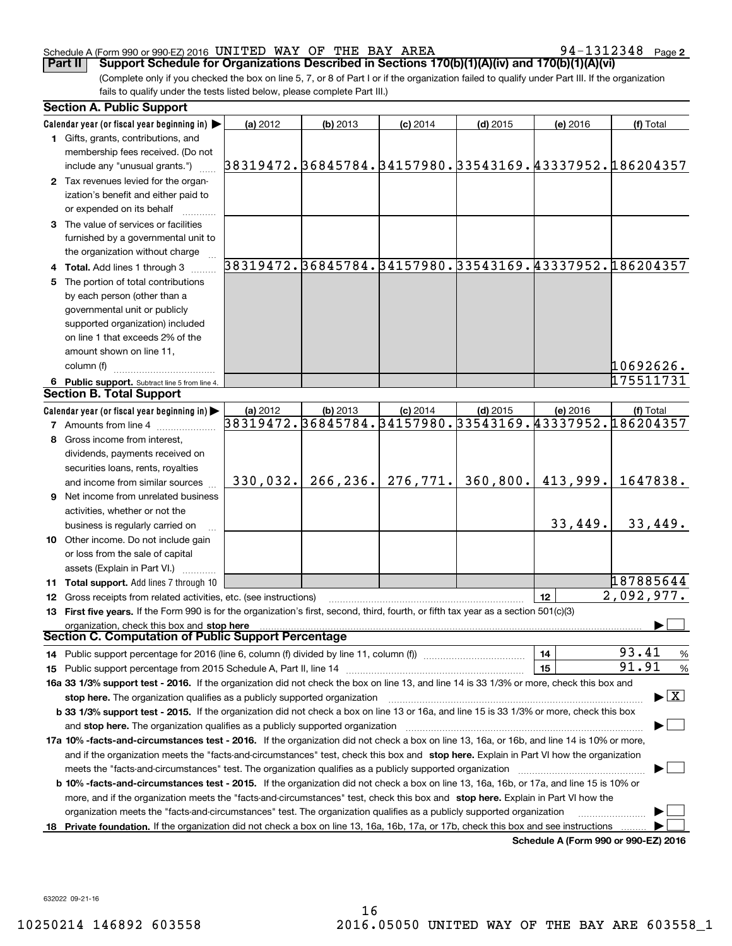### Schedule A (Form 990 or 990-EZ) 2016 Page UNITED WAY OF THE BAY AREA 94-1312348

**2**

(Complete only if you checked the box on line 5, 7, or 8 of Part I or if the organization failed to qualify under Part III. If the organization fails to qualify under the tests listed below, please complete Part III.) **Part II Support Schedule for Organizations Described in Sections 170(b)(1)(A)(iv) and 170(b)(1)(A)(vi)** 

|    | <b>Section A. Public Support</b>                                                                                                               |                                                        |           |            |            |                                      |                                                        |
|----|------------------------------------------------------------------------------------------------------------------------------------------------|--------------------------------------------------------|-----------|------------|------------|--------------------------------------|--------------------------------------------------------|
|    | Calendar year (or fiscal year beginning in) $\blacktriangleright$                                                                              | (a) 2012                                               | (b) 2013  | $(c)$ 2014 | $(d)$ 2015 | (e) 2016                             | (f) Total                                              |
|    | 1 Gifts, grants, contributions, and                                                                                                            |                                                        |           |            |            |                                      |                                                        |
|    | membership fees received. (Do not                                                                                                              |                                                        |           |            |            |                                      |                                                        |
|    | include any "unusual grants.")                                                                                                                 | 38319472.36845784.34157980.33543169.43337952.186204357 |           |            |            |                                      |                                                        |
|    | 2 Tax revenues levied for the organ-                                                                                                           |                                                        |           |            |            |                                      |                                                        |
|    | ization's benefit and either paid to                                                                                                           |                                                        |           |            |            |                                      |                                                        |
|    | or expended on its behalf                                                                                                                      |                                                        |           |            |            |                                      |                                                        |
|    | 3 The value of services or facilities                                                                                                          |                                                        |           |            |            |                                      |                                                        |
|    | furnished by a governmental unit to                                                                                                            |                                                        |           |            |            |                                      |                                                        |
|    | the organization without charge                                                                                                                |                                                        |           |            |            |                                      |                                                        |
|    | 4 Total. Add lines 1 through 3                                                                                                                 |                                                        |           |            |            |                                      | 38319472.36845784.34157980.33543169.43337952.186204357 |
| 5. | The portion of total contributions                                                                                                             |                                                        |           |            |            |                                      |                                                        |
|    | by each person (other than a                                                                                                                   |                                                        |           |            |            |                                      |                                                        |
|    | governmental unit or publicly                                                                                                                  |                                                        |           |            |            |                                      |                                                        |
|    | supported organization) included                                                                                                               |                                                        |           |            |            |                                      |                                                        |
|    | on line 1 that exceeds 2% of the                                                                                                               |                                                        |           |            |            |                                      |                                                        |
|    | amount shown on line 11,                                                                                                                       |                                                        |           |            |            |                                      |                                                        |
|    | column (f)                                                                                                                                     |                                                        |           |            |            |                                      | 10692626.                                              |
|    | 6 Public support. Subtract line 5 from line 4.                                                                                                 |                                                        |           |            |            |                                      | 175511731                                              |
|    | <b>Section B. Total Support</b>                                                                                                                |                                                        |           |            |            |                                      |                                                        |
|    | Calendar year (or fiscal year beginning in) $\blacktriangleright$                                                                              | (a) 2012                                               | (b) 2013  | $(c)$ 2014 | $(d)$ 2015 | (e) 2016                             | (f) Total                                              |
|    | <b>7</b> Amounts from line 4                                                                                                                   |                                                        |           |            |            |                                      | 38319472.36845784.34157980.33543169.43337952.186204357 |
| 8  | Gross income from interest,                                                                                                                    |                                                        |           |            |            |                                      |                                                        |
|    | dividends, payments received on                                                                                                                |                                                        |           |            |            |                                      |                                                        |
|    | securities loans, rents, royalties                                                                                                             |                                                        |           |            |            |                                      |                                                        |
|    | and income from similar sources                                                                                                                | 330,032.                                               | 266, 236. | 276,771.   | 360, 800.  | 413,999.                             | 1647838.                                               |
|    | 9 Net income from unrelated business                                                                                                           |                                                        |           |            |            |                                      |                                                        |
|    | activities, whether or not the                                                                                                                 |                                                        |           |            |            |                                      |                                                        |
|    | business is regularly carried on                                                                                                               |                                                        |           |            |            | 33,449.                              | 33,449.                                                |
|    | 10 Other income. Do not include gain                                                                                                           |                                                        |           |            |            |                                      |                                                        |
|    | or loss from the sale of capital                                                                                                               |                                                        |           |            |            |                                      |                                                        |
|    | assets (Explain in Part VI.)                                                                                                                   |                                                        |           |            |            |                                      |                                                        |
|    | <b>11 Total support.</b> Add lines 7 through 10                                                                                                |                                                        |           |            |            |                                      | 187885644                                              |
|    | <b>12</b> Gross receipts from related activities, etc. (see instructions)                                                                      |                                                        |           |            |            | 12                                   | 2,092,977.                                             |
|    | 13 First five years. If the Form 990 is for the organization's first, second, third, fourth, or fifth tax year as a section 501(c)(3)          |                                                        |           |            |            |                                      |                                                        |
|    | organization, check this box and stop here                                                                                                     |                                                        |           |            |            |                                      |                                                        |
|    | Section C. Computation of Public Support Percentage                                                                                            |                                                        |           |            |            |                                      |                                                        |
|    | 14 Public support percentage for 2016 (line 6, column (f) divided by line 11, column (f) <i>manumeronoming</i>                                 |                                                        |           |            |            | 14                                   | 93.41<br>$\frac{9}{6}$                                 |
|    |                                                                                                                                                |                                                        |           |            |            | 15                                   | 91.91<br>$\frac{9}{6}$                                 |
|    | 16a 33 1/3% support test - 2016. If the organization did not check the box on line 13, and line 14 is 33 1/3% or more, check this box and      |                                                        |           |            |            |                                      |                                                        |
|    | stop here. The organization qualifies as a publicly supported organization                                                                     |                                                        |           |            |            |                                      | $\blacktriangleright$ $\boxed{\text{X}}$               |
|    | b 33 1/3% support test - 2015. If the organization did not check a box on line 13 or 16a, and line 15 is 33 1/3% or more, check this box       |                                                        |           |            |            |                                      |                                                        |
|    | and stop here. The organization qualifies as a publicly supported organization                                                                 |                                                        |           |            |            |                                      |                                                        |
|    | 17a 10% -facts-and-circumstances test - 2016. If the organization did not check a box on line 13, 16a, or 16b, and line 14 is 10% or more,     |                                                        |           |            |            |                                      |                                                        |
|    | and if the organization meets the "facts-and-circumstances" test, check this box and stop here. Explain in Part VI how the organization        |                                                        |           |            |            |                                      |                                                        |
|    | meets the "facts-and-circumstances" test. The organization qualifies as a publicly supported organization <i>manumumumumumum</i>               |                                                        |           |            |            |                                      |                                                        |
|    | <b>b 10% -facts-and-circumstances test - 2015.</b> If the organization did not check a box on line 13, 16a, 16b, or 17a, and line 15 is 10% or |                                                        |           |            |            |                                      |                                                        |
|    | more, and if the organization meets the "facts-and-circumstances" test, check this box and stop here. Explain in Part VI how the               |                                                        |           |            |            |                                      |                                                        |
|    | organization meets the "facts-and-circumstances" test. The organization qualifies as a publicly supported organization                         |                                                        |           |            |            |                                      |                                                        |
|    | 18 Private foundation. If the organization did not check a box on line 13, 16a, 16b, 17a, or 17b, check this box and see instructions          |                                                        |           |            |            | Schedule A (Form 990 or 990-F7) 2016 |                                                        |

**Schedule A (Form 990 or 990-EZ) 2016**

632022 09-21-16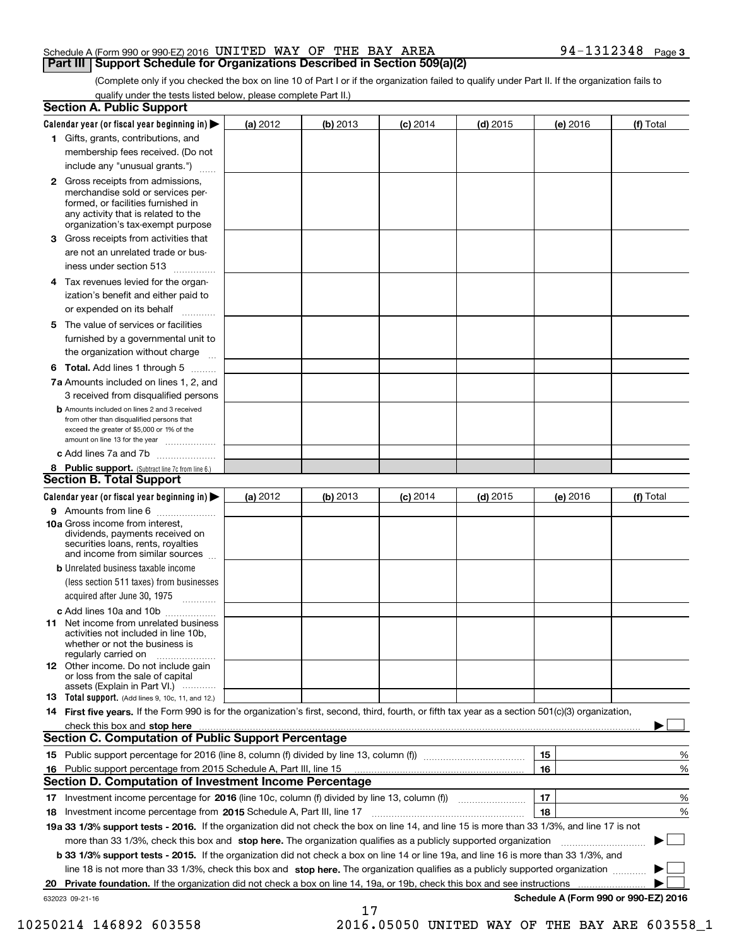## Schedule A (Form 990 or 990-EZ) 2016 Page UNITED WAY OF THE BAY AREA 94-1312348 **Part III Support Schedule for Organizations Described in Section 509(a)(2)**

(Complete only if you checked the box on line 10 of Part I or if the organization failed to qualify under Part II. If the organization fails to qualify under the tests listed below, please complete Part II.)

|    | <b>Section A. Public Support</b>                                                                                                                                                                                                          |          |            |            |            |          |                                      |
|----|-------------------------------------------------------------------------------------------------------------------------------------------------------------------------------------------------------------------------------------------|----------|------------|------------|------------|----------|--------------------------------------|
|    | Calendar year (or fiscal year beginning in) $\blacktriangleright$                                                                                                                                                                         | (a) 2012 | $(b)$ 2013 | $(c)$ 2014 | $(d)$ 2015 | (e) 2016 | (f) Total                            |
|    | 1 Gifts, grants, contributions, and                                                                                                                                                                                                       |          |            |            |            |          |                                      |
|    | membership fees received. (Do not                                                                                                                                                                                                         |          |            |            |            |          |                                      |
|    | include any "unusual grants.")                                                                                                                                                                                                            |          |            |            |            |          |                                      |
|    | 2 Gross receipts from admissions,<br>merchandise sold or services per-<br>formed, or facilities furnished in<br>any activity that is related to the<br>organization's tax-exempt purpose                                                  |          |            |            |            |          |                                      |
|    | 3 Gross receipts from activities that<br>are not an unrelated trade or bus-                                                                                                                                                               |          |            |            |            |          |                                      |
|    | iness under section 513                                                                                                                                                                                                                   |          |            |            |            |          |                                      |
|    | 4 Tax revenues levied for the organ-                                                                                                                                                                                                      |          |            |            |            |          |                                      |
|    | ization's benefit and either paid to<br>or expended on its behalf<br>.                                                                                                                                                                    |          |            |            |            |          |                                      |
|    | 5 The value of services or facilities                                                                                                                                                                                                     |          |            |            |            |          |                                      |
|    | furnished by a governmental unit to                                                                                                                                                                                                       |          |            |            |            |          |                                      |
|    | the organization without charge                                                                                                                                                                                                           |          |            |            |            |          |                                      |
|    | <b>6 Total.</b> Add lines 1 through 5                                                                                                                                                                                                     |          |            |            |            |          |                                      |
|    | 7a Amounts included on lines 1, 2, and                                                                                                                                                                                                    |          |            |            |            |          |                                      |
|    | 3 received from disqualified persons<br><b>b</b> Amounts included on lines 2 and 3 received<br>from other than disqualified persons that<br>exceed the greater of \$5,000 or 1% of the                                                    |          |            |            |            |          |                                      |
|    | amount on line 13 for the year<br>c Add lines 7a and 7b                                                                                                                                                                                   |          |            |            |            |          |                                      |
|    | 8 Public support. (Subtract line 7c from line 6.)                                                                                                                                                                                         |          |            |            |            |          |                                      |
|    | <b>Section B. Total Support</b>                                                                                                                                                                                                           |          |            |            |            |          |                                      |
|    | Calendar year (or fiscal year beginning in) $\blacktriangleright$                                                                                                                                                                         | (a) 2012 | (b) 2013   | $(c)$ 2014 | $(d)$ 2015 | (e) 2016 | (f) Total                            |
|    | 9 Amounts from line 6                                                                                                                                                                                                                     |          |            |            |            |          |                                      |
|    | 10a Gross income from interest,<br>dividends, payments received on<br>securities loans, rents, royalties<br>and income from similar sources                                                                                               |          |            |            |            |          |                                      |
|    | <b>b</b> Unrelated business taxable income<br>(less section 511 taxes) from businesses<br>acquired after June 30, 1975                                                                                                                    |          |            |            |            |          |                                      |
|    | c Add lines 10a and 10b                                                                                                                                                                                                                   |          |            |            |            |          |                                      |
|    | 11 Net income from unrelated business<br>activities not included in line 10b,<br>whether or not the business is<br>regularly carried on                                                                                                   |          |            |            |            |          |                                      |
|    | <b>12</b> Other income. Do not include gain<br>or loss from the sale of capital<br>assets (Explain in Part VI.)                                                                                                                           |          |            |            |            |          |                                      |
|    | <b>13</b> Total support. (Add lines 9, 10c, 11, and 12.)                                                                                                                                                                                  |          |            |            |            |          |                                      |
|    | 14 First five years. If the Form 990 is for the organization's first, second, third, fourth, or fifth tax year as a section 501(c)(3) organization,                                                                                       |          |            |            |            |          |                                      |
|    | check this box and <b>stop here</b> measurement contracts and <b>structure the state of the state of the state of the state of the state of the state of the state of the state of the state of the state of the state of the state o</b> |          |            |            |            |          |                                      |
|    | <b>Section C. Computation of Public Support Percentage</b>                                                                                                                                                                                |          |            |            |            |          |                                      |
|    |                                                                                                                                                                                                                                           |          |            |            |            | 15       | %                                    |
|    | 16 Public support percentage from 2015 Schedule A, Part III, line 15                                                                                                                                                                      |          |            |            |            | 16       | %                                    |
|    | <b>Section D. Computation of Investment Income Percentage</b>                                                                                                                                                                             |          |            |            |            |          |                                      |
|    | 17 Investment income percentage for 2016 (line 10c, column (f) divided by line 13, column (f))<br><b>18</b> Investment income percentage from <b>2015</b> Schedule A, Part III, line 17                                                   |          |            |            |            | 17<br>18 | %<br>%                               |
|    | 19a 33 1/3% support tests - 2016. If the organization did not check the box on line 14, and line 15 is more than 33 1/3%, and line 17 is not                                                                                              |          |            |            |            |          |                                      |
|    | more than 33 1/3%, check this box and stop here. The organization qualifies as a publicly supported organization                                                                                                                          |          |            |            |            |          | ▶                                    |
|    | b 33 1/3% support tests - 2015. If the organization did not check a box on line 14 or line 19a, and line 16 is more than 33 1/3%, and                                                                                                     |          |            |            |            |          |                                      |
|    | line 18 is not more than 33 1/3%, check this box and stop here. The organization qualifies as a publicly supported organization                                                                                                           |          |            |            |            |          |                                      |
| 20 |                                                                                                                                                                                                                                           |          |            |            |            |          |                                      |
|    | 632023 09-21-16                                                                                                                                                                                                                           |          |            |            |            |          | Schedule A (Form 990 or 990-EZ) 2016 |
|    |                                                                                                                                                                                                                                           |          | 17         |            |            |          |                                      |

 <sup>10250214 146892 603558 2016.05050</sup> UNITED WAY OF THE BAY ARE 603558\_1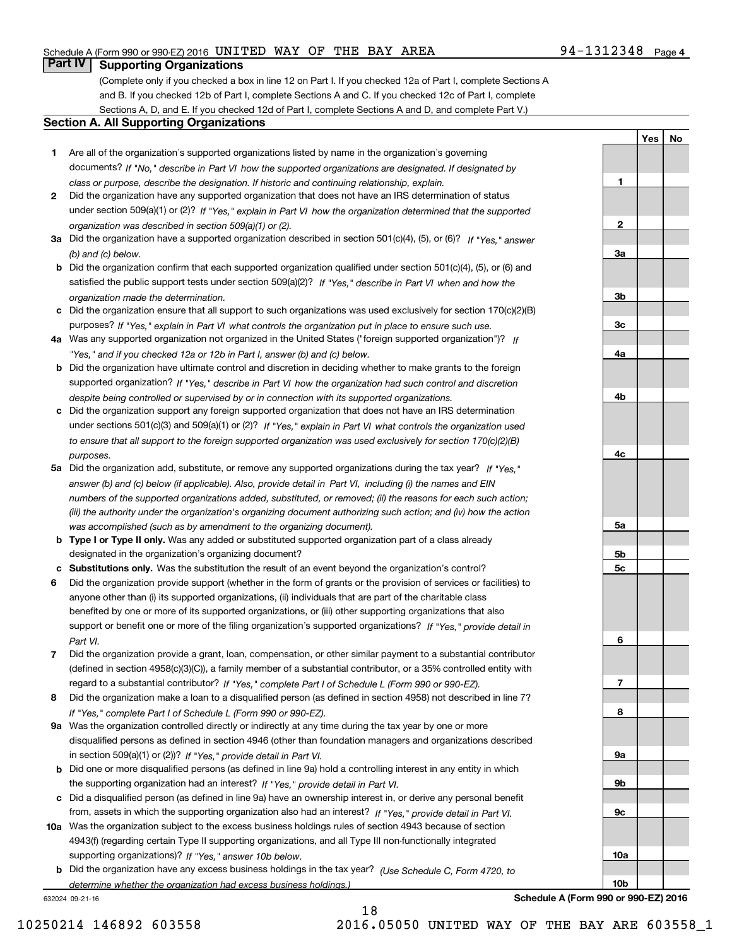## Schedule A (Form 990 or 990-EZ) 2016 Page UNITED WAY OF THE BAY AREA 94-1312348

## **Part IV Supporting Organizations**

(Complete only if you checked a box in line 12 on Part I. If you checked 12a of Part I, complete Sections A and B. If you checked 12b of Part I, complete Sections A and C. If you checked 12c of Part I, complete Sections A, D, and E. If you checked 12d of Part I, complete Sections A and D, and complete Part V.)

## **Section A. All Supporting Organizations**

- **1** Are all of the organization's supported organizations listed by name in the organization's governing documents? If "No," describe in Part VI how the supported organizations are designated. If designated by *class or purpose, describe the designation. If historic and continuing relationship, explain.*
- **2** Did the organization have any supported organization that does not have an IRS determination of status under section 509(a)(1) or (2)? If "Yes," explain in Part VI how the organization determined that the supported *organization was described in section 509(a)(1) or (2).*
- **3a** Did the organization have a supported organization described in section 501(c)(4), (5), or (6)? If "Yes," answer *(b) and (c) below.*
- **b** Did the organization confirm that each supported organization qualified under section 501(c)(4), (5), or (6) and satisfied the public support tests under section 509(a)(2)? If "Yes," describe in Part VI when and how the *organization made the determination.*
- **c**Did the organization ensure that all support to such organizations was used exclusively for section 170(c)(2)(B) purposes? If "Yes," explain in Part VI what controls the organization put in place to ensure such use.
- **4a***If* Was any supported organization not organized in the United States ("foreign supported organization")? *"Yes," and if you checked 12a or 12b in Part I, answer (b) and (c) below.*
- **b** Did the organization have ultimate control and discretion in deciding whether to make grants to the foreign supported organization? If "Yes," describe in Part VI how the organization had such control and discretion *despite being controlled or supervised by or in connection with its supported organizations.*
- **c** Did the organization support any foreign supported organization that does not have an IRS determination under sections 501(c)(3) and 509(a)(1) or (2)? If "Yes," explain in Part VI what controls the organization used *to ensure that all support to the foreign supported organization was used exclusively for section 170(c)(2)(B) purposes.*
- **5a** Did the organization add, substitute, or remove any supported organizations during the tax year? If "Yes," answer (b) and (c) below (if applicable). Also, provide detail in Part VI, including (i) the names and EIN *numbers of the supported organizations added, substituted, or removed; (ii) the reasons for each such action; (iii) the authority under the organization's organizing document authorizing such action; and (iv) how the action was accomplished (such as by amendment to the organizing document).*
- **b** Type I or Type II only. Was any added or substituted supported organization part of a class already designated in the organization's organizing document?
- **cSubstitutions only.**  Was the substitution the result of an event beyond the organization's control?
- **6** Did the organization provide support (whether in the form of grants or the provision of services or facilities) to *If "Yes," provide detail in* support or benefit one or more of the filing organization's supported organizations? anyone other than (i) its supported organizations, (ii) individuals that are part of the charitable class benefited by one or more of its supported organizations, or (iii) other supporting organizations that also *Part VI.*
- **7**Did the organization provide a grant, loan, compensation, or other similar payment to a substantial contributor *If "Yes," complete Part I of Schedule L (Form 990 or 990-EZ).* regard to a substantial contributor? (defined in section 4958(c)(3)(C)), a family member of a substantial contributor, or a 35% controlled entity with
- **8** Did the organization make a loan to a disqualified person (as defined in section 4958) not described in line 7? *If "Yes," complete Part I of Schedule L (Form 990 or 990-EZ).*
- **9a** Was the organization controlled directly or indirectly at any time during the tax year by one or more in section 509(a)(1) or (2))? If "Yes," *provide detail in Part VI.* disqualified persons as defined in section 4946 (other than foundation managers and organizations described
- **b** Did one or more disqualified persons (as defined in line 9a) hold a controlling interest in any entity in which the supporting organization had an interest? If "Yes," provide detail in Part VI.
- **c**Did a disqualified person (as defined in line 9a) have an ownership interest in, or derive any personal benefit from, assets in which the supporting organization also had an interest? If "Yes," provide detail in Part VI.
- **10a** Was the organization subject to the excess business holdings rules of section 4943 because of section supporting organizations)? If "Yes," answer 10b below. 4943(f) (regarding certain Type II supporting organizations, and all Type III non-functionally integrated
- **b** Did the organization have any excess business holdings in the tax year? (Use Schedule C, Form 4720, to *determine whether the organization had excess business holdings.)*

632024 09-21-16

**Schedule A (Form 990 or 990-EZ) 2016**

**YesNo**

**1**

**2**

**3a**

**3b**

**3c**

**4a**

**4b**

**4c**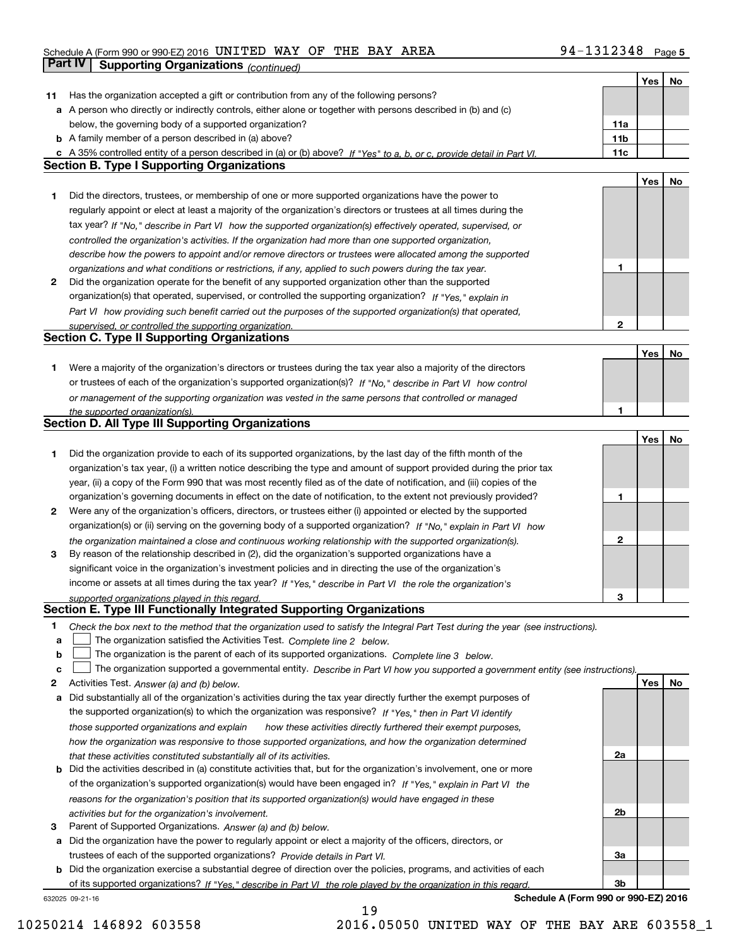# Schedule A (Form 990 or 990-EZ) 2016 Page UNITED WAY OF THE BAY AREA 94-1312348 **Part IV Supporting Organizations** *(continued)* **CONSCRIPTION**

|    |                                                                                                                                   |                 | Yes | No |
|----|-----------------------------------------------------------------------------------------------------------------------------------|-----------------|-----|----|
| 11 | Has the organization accepted a gift or contribution from any of the following persons?                                           |                 |     |    |
|    | a A person who directly or indirectly controls, either alone or together with persons described in (b) and (c)                    |                 |     |    |
|    | below, the governing body of a supported organization?                                                                            | 11a             |     |    |
|    | <b>b</b> A family member of a person described in (a) above?                                                                      | 11 <sub>b</sub> |     |    |
| c  | A 35% controlled entity of a person described in (a) or (b) above? If "Yes" to a, b, or c, provide detail in Part VI.             | 11c             |     |    |
|    | <b>Section B. Type I Supporting Organizations</b>                                                                                 |                 |     |    |
|    |                                                                                                                                   |                 | Yes | No |
| 1  | Did the directors, trustees, or membership of one or more supported organizations have the power to                               |                 |     |    |
|    | regularly appoint or elect at least a majority of the organization's directors or trustees at all times during the                |                 |     |    |
|    | tax year? If "No," describe in Part VI how the supported organization(s) effectively operated, supervised, or                     |                 |     |    |
|    | controlled the organization's activities. If the organization had more than one supported organization,                           |                 |     |    |
|    | describe how the powers to appoint and/or remove directors or trustees were allocated among the supported                         |                 |     |    |
|    | organizations and what conditions or restrictions, if any, applied to such powers during the tax year.                            | 1               |     |    |
| 2  | Did the organization operate for the benefit of any supported organization other than the supported                               |                 |     |    |
|    | organization(s) that operated, supervised, or controlled the supporting organization? If "Yes," explain in                        |                 |     |    |
|    | Part VI how providing such benefit carried out the purposes of the supported organization(s) that operated.                       |                 |     |    |
|    | supervised, or controlled the supporting organization.                                                                            | 2               |     |    |
|    | <b>Section C. Type II Supporting Organizations</b>                                                                                |                 |     |    |
|    |                                                                                                                                   |                 | Yes | No |
| 1  | Were a majority of the organization's directors or trustees during the tax year also a majority of the directors                  |                 |     |    |
|    | or trustees of each of the organization's supported organization(s)? If "No," describe in Part VI how control                     |                 |     |    |
|    | or management of the supporting organization was vested in the same persons that controlled or managed                            |                 |     |    |
|    | the supported organization(s).                                                                                                    | 1               |     |    |
|    | <b>Section D. All Type III Supporting Organizations</b>                                                                           |                 |     |    |
|    |                                                                                                                                   |                 | Yes | No |
| 1  | Did the organization provide to each of its supported organizations, by the last day of the fifth month of the                    |                 |     |    |
|    | organization's tax year, (i) a written notice describing the type and amount of support provided during the prior tax             |                 |     |    |
|    | year, (ii) a copy of the Form 990 that was most recently filed as of the date of notification, and (iii) copies of the            |                 |     |    |
|    | organization's governing documents in effect on the date of notification, to the extent not previously provided?                  | 1               |     |    |
| 2  | Were any of the organization's officers, directors, or trustees either (i) appointed or elected by the supported                  |                 |     |    |
|    | organization(s) or (ii) serving on the governing body of a supported organization? If "No," explain in Part VI how                |                 |     |    |
|    | the organization maintained a close and continuous working relationship with the supported organization(s).                       | 2               |     |    |
| 3  | By reason of the relationship described in (2), did the organization's supported organizations have a                             |                 |     |    |
|    | significant voice in the organization's investment policies and in directing the use of the organization's                        |                 |     |    |
|    | income or assets at all times during the tax year? If "Yes," describe in Part VI the role the organization's                      |                 |     |    |
|    | supported organizations played in this regard.                                                                                    | 3               |     |    |
|    | Section E. Type III Functionally Integrated Supporting Organizations                                                              |                 |     |    |
| 1  | Check the box next to the method that the organization used to satisfy the Integral Part Test during the year (see instructions). |                 |     |    |
| a  | The organization satisfied the Activities Test. Complete line 2 below.                                                            |                 |     |    |
| b  | The organization is the parent of each of its supported organizations. Complete line 3 below.                                     |                 |     |    |
| c  | The organization supported a governmental entity. Describe in Part VI how you supported a government entity (see instructions).   |                 |     |    |
| 2  | Activities Test. Answer (a) and (b) below.                                                                                        |                 | Yes | No |
| а  | Did substantially all of the organization's activities during the tax year directly further the exempt purposes of                |                 |     |    |
|    | the supported organization(s) to which the organization was responsive? If "Yes," then in Part VI identify                        |                 |     |    |
|    | those supported organizations and explain<br>how these activities directly furthered their exempt purposes,                       |                 |     |    |
|    | how the organization was responsive to those supported organizations, and how the organization determined                         |                 |     |    |
|    | that these activities constituted substantially all of its activities.                                                            | 2a              |     |    |
| b  | Did the activities described in (a) constitute activities that, but for the organization's involvement, one or more               |                 |     |    |
|    | of the organization's supported organization(s) would have been engaged in? If "Yes," explain in Part VI the                      |                 |     |    |
|    | reasons for the organization's position that its supported organization(s) would have engaged in these                            |                 |     |    |
|    | activities but for the organization's involvement.                                                                                | 2 <sub>b</sub>  |     |    |
| з  | Parent of Supported Organizations. Answer (a) and (b) below.                                                                      |                 |     |    |
| а  | Did the organization have the power to regularly appoint or elect a majority of the officers, directors, or                       |                 |     |    |
|    | trustees of each of the supported organizations? Provide details in Part VI.                                                      | 3a              |     |    |
| b  | Did the organization exercise a substantial degree of direction over the policies, programs, and activities of each               |                 |     |    |
|    | of its supported organizations? If "Yes." describe in Part VI the role played by the organization in this regard.                 | 3b              |     |    |

19

632025 09-21-16

**Schedule A (Form 990 or 990-EZ) 2016**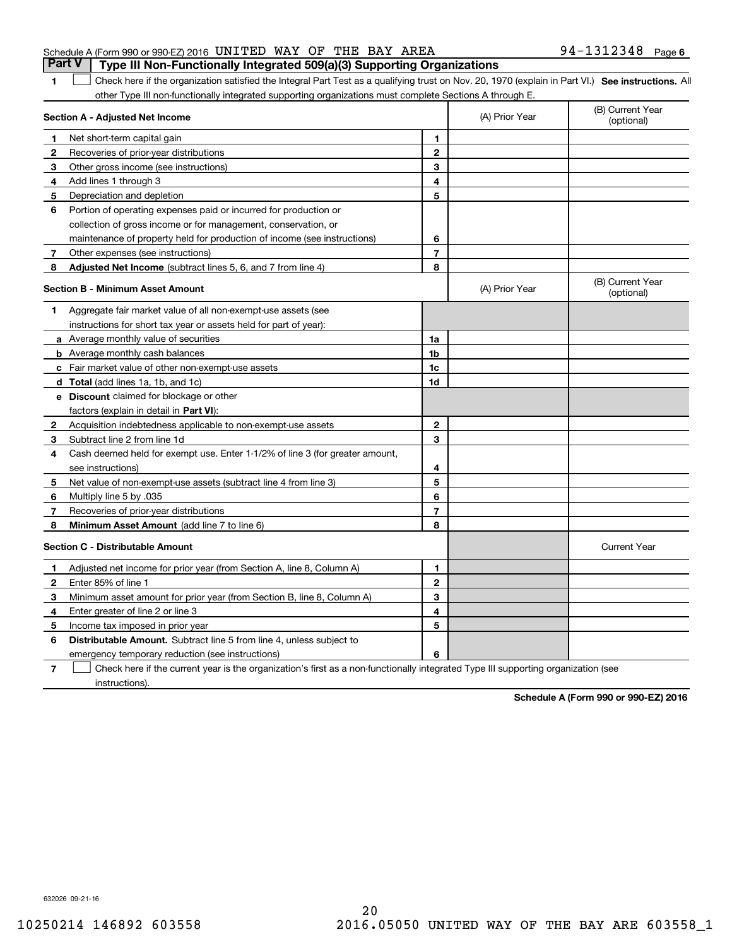|  | Schedule A (Form 990 or 990-EZ) 2016 UNITED WAY OF THE BAY AREA                       |  |  | $94 - 1312348$ Page 6 |  |
|--|---------------------------------------------------------------------------------------|--|--|-----------------------|--|
|  | <b>Part V</b> Type III Non-Functionally Integrated 509(a)(3) Supporting Organizations |  |  |                       |  |

1 Check here if the organization satisfied the Integral Part Test as a qualifying trust on Nov. 20, 1970 (explain in Part VI.) See instructions. All other Type III non-functionally integrated supporting organizations must complete Sections A through E.

|                                         | Section A - Adjusted Net Income                                                                                                   | (A) Prior Year | (B) Current Year<br>(optional) |                                |
|-----------------------------------------|-----------------------------------------------------------------------------------------------------------------------------------|----------------|--------------------------------|--------------------------------|
| 1                                       | Net short-term capital gain                                                                                                       | 1              |                                |                                |
| $\mathbf{2}$                            | Recoveries of prior-year distributions                                                                                            | $\overline{2}$ |                                |                                |
| 3                                       | Other gross income (see instructions)                                                                                             | 3              |                                |                                |
| 4                                       | Add lines 1 through 3                                                                                                             | 4              |                                |                                |
| 5                                       | Depreciation and depletion                                                                                                        | 5              |                                |                                |
| 6                                       | Portion of operating expenses paid or incurred for production or                                                                  |                |                                |                                |
|                                         | collection of gross income or for management, conservation, or                                                                    |                |                                |                                |
|                                         | maintenance of property held for production of income (see instructions)                                                          | 6              |                                |                                |
| 7                                       | Other expenses (see instructions)                                                                                                 | $\overline{7}$ |                                |                                |
| 8                                       | Adjusted Net Income (subtract lines 5, 6, and 7 from line 4)                                                                      | 8              |                                |                                |
| <b>Section B - Minimum Asset Amount</b> |                                                                                                                                   |                | (A) Prior Year                 | (B) Current Year<br>(optional) |
| 1                                       | Aggregate fair market value of all non-exempt-use assets (see                                                                     |                |                                |                                |
|                                         | instructions for short tax year or assets held for part of year):                                                                 |                |                                |                                |
|                                         | a Average monthly value of securities                                                                                             | 1a             |                                |                                |
|                                         | <b>b</b> Average monthly cash balances                                                                                            | 1b             |                                |                                |
|                                         | c Fair market value of other non-exempt-use assets                                                                                | 1c             |                                |                                |
|                                         | d Total (add lines 1a, 1b, and 1c)                                                                                                | 1d             |                                |                                |
|                                         | <b>e</b> Discount claimed for blockage or other                                                                                   |                |                                |                                |
|                                         | factors (explain in detail in Part VI):                                                                                           |                |                                |                                |
| $\mathbf{2}$                            | Acquisition indebtedness applicable to non-exempt-use assets                                                                      | 2              |                                |                                |
| 3                                       | Subtract line 2 from line 1d                                                                                                      | 3              |                                |                                |
| 4                                       | Cash deemed held for exempt use. Enter 1-1/2% of line 3 (for greater amount,                                                      |                |                                |                                |
|                                         | see instructions)                                                                                                                 | 4              |                                |                                |
| 5                                       | Net value of non-exempt-use assets (subtract line 4 from line 3)                                                                  | 5              |                                |                                |
| 6                                       | Multiply line 5 by .035                                                                                                           | 6              |                                |                                |
| 7                                       | Recoveries of prior-year distributions                                                                                            | $\overline{7}$ |                                |                                |
| 8                                       | Minimum Asset Amount (add line 7 to line 6)                                                                                       | 8              |                                |                                |
|                                         | <b>Section C - Distributable Amount</b>                                                                                           |                |                                | <b>Current Year</b>            |
| 1                                       | Adjusted net income for prior year (from Section A, line 8, Column A)                                                             | 1              |                                |                                |
| 2                                       | Enter 85% of line 1                                                                                                               | $\overline{2}$ |                                |                                |
| 3                                       | Minimum asset amount for prior year (from Section B, line 8, Column A)                                                            | 3              |                                |                                |
| 4                                       | Enter greater of line 2 or line 3                                                                                                 | 4              |                                |                                |
| 5                                       | Income tax imposed in prior year                                                                                                  | 5              |                                |                                |
| 6                                       | <b>Distributable Amount.</b> Subtract line 5 from line 4, unless subject to                                                       |                |                                |                                |
|                                         | emergency temporary reduction (see instructions)                                                                                  | 6              |                                |                                |
| 7                                       | Check here if the current year is the organization's first as a non-functionally integrated Type III supporting organization (see |                |                                |                                |

**7**instructions).

**Schedule A (Form 990 or 990-EZ) 2016**

632026 09-21-16

**1**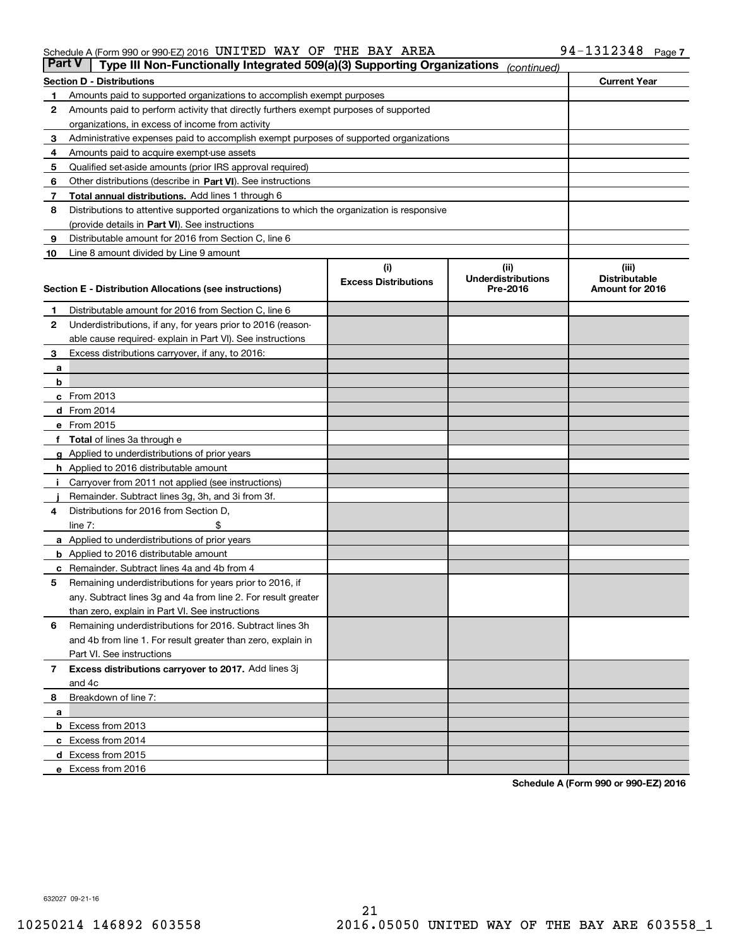### Schedule A (Form 990 or 990-EZ) 2016 Page UNITED WAY OF THE BAY AREA 94-1312348

| <b>Part V</b>                    | Type III Non-Functionally Integrated 509(a)(3) Supporting Organizations                    |                             | (continued)               |                      |  |  |  |
|----------------------------------|--------------------------------------------------------------------------------------------|-----------------------------|---------------------------|----------------------|--|--|--|
| <b>Section D - Distributions</b> |                                                                                            |                             |                           |                      |  |  |  |
| 1                                | Amounts paid to supported organizations to accomplish exempt purposes                      |                             |                           |                      |  |  |  |
| 2                                | Amounts paid to perform activity that directly furthers exempt purposes of supported       |                             |                           |                      |  |  |  |
|                                  | organizations, in excess of income from activity                                           |                             |                           |                      |  |  |  |
| з                                | Administrative expenses paid to accomplish exempt purposes of supported organizations      |                             |                           |                      |  |  |  |
| 4                                | Amounts paid to acquire exempt-use assets                                                  |                             |                           |                      |  |  |  |
| 5                                | Qualified set-aside amounts (prior IRS approval required)                                  |                             |                           |                      |  |  |  |
| 6                                | Other distributions (describe in Part VI). See instructions                                |                             |                           |                      |  |  |  |
| 7                                | Total annual distributions. Add lines 1 through 6                                          |                             |                           |                      |  |  |  |
| 8                                | Distributions to attentive supported organizations to which the organization is responsive |                             |                           |                      |  |  |  |
|                                  | (provide details in Part VI). See instructions                                             |                             |                           |                      |  |  |  |
| 9                                | Distributable amount for 2016 from Section C, line 6                                       |                             |                           |                      |  |  |  |
| 10                               | Line 8 amount divided by Line 9 amount                                                     |                             |                           |                      |  |  |  |
|                                  |                                                                                            | (i)                         | (ii)                      | (iii)                |  |  |  |
|                                  |                                                                                            | <b>Excess Distributions</b> | <b>Underdistributions</b> | <b>Distributable</b> |  |  |  |
|                                  | Section E - Distribution Allocations (see instructions)                                    |                             | Pre-2016                  | Amount for 2016      |  |  |  |
| 1                                | Distributable amount for 2016 from Section C, line 6                                       |                             |                           |                      |  |  |  |
| 2                                | Underdistributions, if any, for years prior to 2016 (reason-                               |                             |                           |                      |  |  |  |
|                                  | able cause required-explain in Part VI). See instructions                                  |                             |                           |                      |  |  |  |
| 3                                | Excess distributions carryover, if any, to 2016:                                           |                             |                           |                      |  |  |  |
|                                  |                                                                                            |                             |                           |                      |  |  |  |
| а<br>b                           |                                                                                            |                             |                           |                      |  |  |  |
|                                  | $c$ From 2013                                                                              |                             |                           |                      |  |  |  |
|                                  | d From 2014                                                                                |                             |                           |                      |  |  |  |
|                                  | e From 2015                                                                                |                             |                           |                      |  |  |  |
|                                  | Total of lines 3a through e                                                                |                             |                           |                      |  |  |  |
|                                  |                                                                                            |                             |                           |                      |  |  |  |
|                                  | <b>g</b> Applied to underdistributions of prior years                                      |                             |                           |                      |  |  |  |
|                                  | <b>h</b> Applied to 2016 distributable amount                                              |                             |                           |                      |  |  |  |
|                                  | Carryover from 2011 not applied (see instructions)                                         |                             |                           |                      |  |  |  |
|                                  | Remainder. Subtract lines 3g, 3h, and 3i from 3f.                                          |                             |                           |                      |  |  |  |
| 4                                | Distributions for 2016 from Section D,                                                     |                             |                           |                      |  |  |  |
|                                  | line $7:$                                                                                  |                             |                           |                      |  |  |  |
|                                  | <b>a</b> Applied to underdistributions of prior years                                      |                             |                           |                      |  |  |  |
|                                  | <b>b</b> Applied to 2016 distributable amount                                              |                             |                           |                      |  |  |  |
| с                                | Remainder. Subtract lines 4a and 4b from 4                                                 |                             |                           |                      |  |  |  |
| 5                                | Remaining underdistributions for years prior to 2016, if                                   |                             |                           |                      |  |  |  |
|                                  | any. Subtract lines 3g and 4a from line 2. For result greater                              |                             |                           |                      |  |  |  |
|                                  | than zero, explain in Part VI. See instructions                                            |                             |                           |                      |  |  |  |
| 6                                | Remaining underdistributions for 2016. Subtract lines 3h                                   |                             |                           |                      |  |  |  |
|                                  | and 4b from line 1. For result greater than zero, explain in                               |                             |                           |                      |  |  |  |
|                                  | Part VI. See instructions                                                                  |                             |                           |                      |  |  |  |
| 7                                | Excess distributions carryover to 2017. Add lines 3j                                       |                             |                           |                      |  |  |  |
|                                  | and 4c                                                                                     |                             |                           |                      |  |  |  |
| 8                                | Breakdown of line 7:                                                                       |                             |                           |                      |  |  |  |
| а                                |                                                                                            |                             |                           |                      |  |  |  |
|                                  | b Excess from 2013                                                                         |                             |                           |                      |  |  |  |
|                                  | c Excess from 2014                                                                         |                             |                           |                      |  |  |  |
|                                  | <b>d</b> Excess from 2015                                                                  |                             |                           |                      |  |  |  |
|                                  | e Excess from 2016                                                                         |                             |                           |                      |  |  |  |

**Schedule A (Form 990 or 990-EZ) 2016**

632027 09-21-16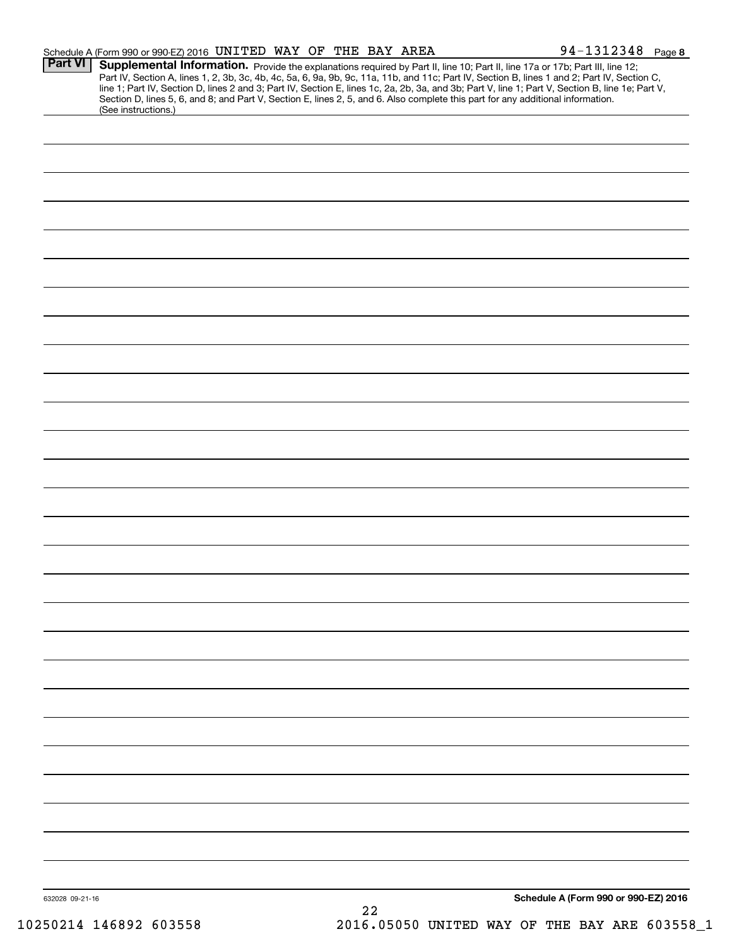|                 | Schedule A (Form 990 or 990-EZ) 2016 UNITED WAY OF THE BAY AREA                                                                                                                                                                                                                                                                                                                                                                                                                                                                                                      |  |    |  | $94 - 1312348$ Page 8                |  |
|-----------------|----------------------------------------------------------------------------------------------------------------------------------------------------------------------------------------------------------------------------------------------------------------------------------------------------------------------------------------------------------------------------------------------------------------------------------------------------------------------------------------------------------------------------------------------------------------------|--|----|--|--------------------------------------|--|
| <b>Part VI</b>  | Supplemental Information. Provide the explanations required by Part II, line 10; Part II, line 17a or 17b; Part III, line 12;<br>Part IV, Section A, lines 1, 2, 3b, 3c, 4b, 4c, 5a, 6, 9a, 9b, 9c, 11a, 11b, and 11c; Part IV, Section B, lines 1 and 2; Part IV, Section C,<br>line 1; Part IV, Section D, lines 2 and 3; Part IV, Section E, lines 1c, 2a, 2b, 3a, and 3b; Part V, line 1; Part V, Section B, line 1e; Part V,<br>Section D, lines 5, 6, and 8; and Part V, Section E, lines 2, 5, and 6. Also complete this part for any additional information. |  |    |  |                                      |  |
|                 | (See instructions.)                                                                                                                                                                                                                                                                                                                                                                                                                                                                                                                                                  |  |    |  |                                      |  |
|                 |                                                                                                                                                                                                                                                                                                                                                                                                                                                                                                                                                                      |  |    |  |                                      |  |
|                 |                                                                                                                                                                                                                                                                                                                                                                                                                                                                                                                                                                      |  |    |  |                                      |  |
|                 |                                                                                                                                                                                                                                                                                                                                                                                                                                                                                                                                                                      |  |    |  |                                      |  |
|                 |                                                                                                                                                                                                                                                                                                                                                                                                                                                                                                                                                                      |  |    |  |                                      |  |
|                 |                                                                                                                                                                                                                                                                                                                                                                                                                                                                                                                                                                      |  |    |  |                                      |  |
|                 |                                                                                                                                                                                                                                                                                                                                                                                                                                                                                                                                                                      |  |    |  |                                      |  |
|                 |                                                                                                                                                                                                                                                                                                                                                                                                                                                                                                                                                                      |  |    |  |                                      |  |
|                 |                                                                                                                                                                                                                                                                                                                                                                                                                                                                                                                                                                      |  |    |  |                                      |  |
|                 |                                                                                                                                                                                                                                                                                                                                                                                                                                                                                                                                                                      |  |    |  |                                      |  |
|                 |                                                                                                                                                                                                                                                                                                                                                                                                                                                                                                                                                                      |  |    |  |                                      |  |
|                 |                                                                                                                                                                                                                                                                                                                                                                                                                                                                                                                                                                      |  |    |  |                                      |  |
|                 |                                                                                                                                                                                                                                                                                                                                                                                                                                                                                                                                                                      |  |    |  |                                      |  |
|                 |                                                                                                                                                                                                                                                                                                                                                                                                                                                                                                                                                                      |  |    |  |                                      |  |
|                 |                                                                                                                                                                                                                                                                                                                                                                                                                                                                                                                                                                      |  |    |  |                                      |  |
|                 |                                                                                                                                                                                                                                                                                                                                                                                                                                                                                                                                                                      |  |    |  |                                      |  |
|                 |                                                                                                                                                                                                                                                                                                                                                                                                                                                                                                                                                                      |  |    |  |                                      |  |
|                 |                                                                                                                                                                                                                                                                                                                                                                                                                                                                                                                                                                      |  |    |  |                                      |  |
|                 |                                                                                                                                                                                                                                                                                                                                                                                                                                                                                                                                                                      |  |    |  |                                      |  |
|                 |                                                                                                                                                                                                                                                                                                                                                                                                                                                                                                                                                                      |  |    |  |                                      |  |
|                 |                                                                                                                                                                                                                                                                                                                                                                                                                                                                                                                                                                      |  |    |  |                                      |  |
|                 |                                                                                                                                                                                                                                                                                                                                                                                                                                                                                                                                                                      |  |    |  |                                      |  |
|                 |                                                                                                                                                                                                                                                                                                                                                                                                                                                                                                                                                                      |  |    |  |                                      |  |
|                 |                                                                                                                                                                                                                                                                                                                                                                                                                                                                                                                                                                      |  |    |  |                                      |  |
|                 |                                                                                                                                                                                                                                                                                                                                                                                                                                                                                                                                                                      |  |    |  |                                      |  |
|                 |                                                                                                                                                                                                                                                                                                                                                                                                                                                                                                                                                                      |  |    |  |                                      |  |
|                 |                                                                                                                                                                                                                                                                                                                                                                                                                                                                                                                                                                      |  |    |  |                                      |  |
|                 |                                                                                                                                                                                                                                                                                                                                                                                                                                                                                                                                                                      |  |    |  |                                      |  |
|                 |                                                                                                                                                                                                                                                                                                                                                                                                                                                                                                                                                                      |  |    |  |                                      |  |
|                 |                                                                                                                                                                                                                                                                                                                                                                                                                                                                                                                                                                      |  |    |  |                                      |  |
|                 |                                                                                                                                                                                                                                                                                                                                                                                                                                                                                                                                                                      |  |    |  |                                      |  |
|                 |                                                                                                                                                                                                                                                                                                                                                                                                                                                                                                                                                                      |  |    |  |                                      |  |
|                 |                                                                                                                                                                                                                                                                                                                                                                                                                                                                                                                                                                      |  |    |  |                                      |  |
| 632028 09-21-16 |                                                                                                                                                                                                                                                                                                                                                                                                                                                                                                                                                                      |  | 22 |  | Schedule A (Form 990 or 990-EZ) 2016 |  |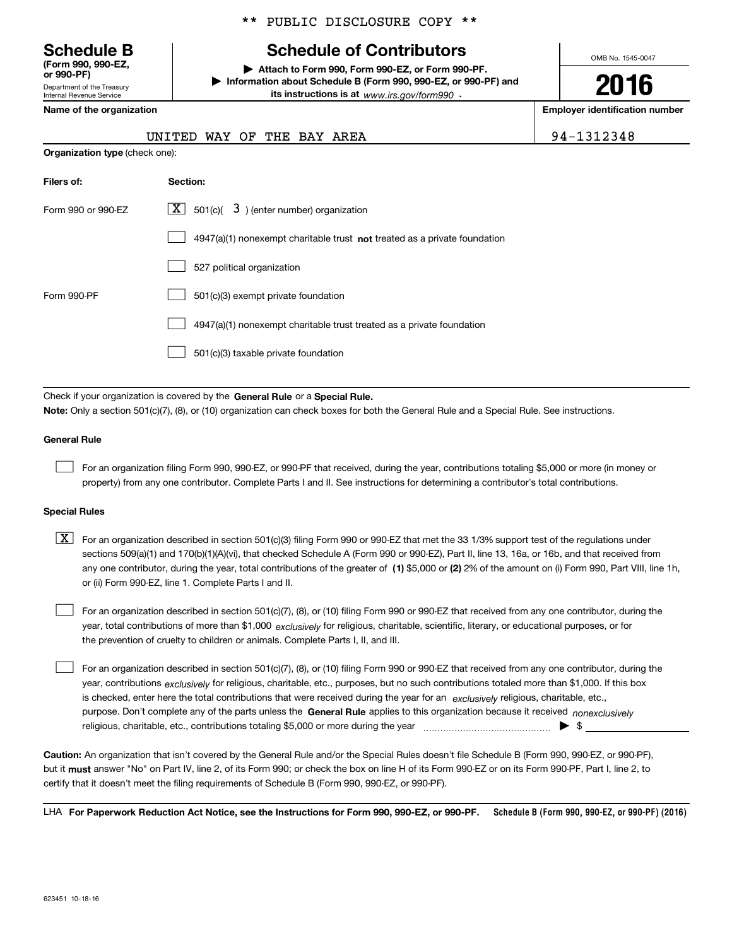Department of the Treasury **(Form 990, 990-EZ, or 990-PF)**

Internal Revenue Service

\*\* PUBLIC DISCLOSURE COPY \*\*

# **Schedule B Schedule of Contributors**

**| Attach to Form 990, Form 990-EZ, or Form 990-PF. | Information about Schedule B (Form 990, 990-EZ, or 990-PF) and its instructions is at** www.irs.gov/form990  $\cdot$ 

UNITED WAY OF THE BAY AREA  $\vert$  9.

**Name of the organization Employer identification number**

| ployer identificatior |
|-----------------------|
|                       |

OMB No. 1545-0047

**2016**

| 1312348<br>4 |  |
|--------------|--|
|--------------|--|

| <b>Organization type (check one):</b> |                                                                                    |  |  |  |  |
|---------------------------------------|------------------------------------------------------------------------------------|--|--|--|--|
| Filers of:                            | Section:                                                                           |  |  |  |  |
| Form 990 or 990-EZ                    | $\boxed{\textbf{X}}$ 501(c)( 3) (enter number) organization                        |  |  |  |  |
|                                       | $4947(a)(1)$ nonexempt charitable trust <b>not</b> treated as a private foundation |  |  |  |  |
|                                       | 527 political organization                                                         |  |  |  |  |
| Form 990-PF                           | 501(c)(3) exempt private foundation                                                |  |  |  |  |
|                                       | 4947(a)(1) nonexempt charitable trust treated as a private foundation              |  |  |  |  |
|                                       | 501(c)(3) taxable private foundation                                               |  |  |  |  |
|                                       |                                                                                    |  |  |  |  |

Check if your organization is covered by the **General Rule** or a **Special Rule. Note:**  Only a section 501(c)(7), (8), or (10) organization can check boxes for both the General Rule and a Special Rule. See instructions.

## **General Rule**

 $\mathcal{L}^{\text{max}}$ 

For an organization filing Form 990, 990-EZ, or 990-PF that received, during the year, contributions totaling \$5,000 or more (in money or property) from any one contributor. Complete Parts I and II. See instructions for determining a contributor's total contributions.

### **Special Rules**

 $\mathcal{L}^{\text{max}}$ 

any one contributor, during the year, total contributions of the greater of  $\,$  (1) \$5,000 or (2) 2% of the amount on (i) Form 990, Part VIII, line 1h,  $\boxed{\textbf{X}}$  For an organization described in section 501(c)(3) filing Form 990 or 990-EZ that met the 33 1/3% support test of the regulations under sections 509(a)(1) and 170(b)(1)(A)(vi), that checked Schedule A (Form 990 or 990-EZ), Part II, line 13, 16a, or 16b, and that received from or (ii) Form 990-EZ, line 1. Complete Parts I and II.

year, total contributions of more than \$1,000 *exclusively* for religious, charitable, scientific, literary, or educational purposes, or for For an organization described in section 501(c)(7), (8), or (10) filing Form 990 or 990-EZ that received from any one contributor, during the the prevention of cruelty to children or animals. Complete Parts I, II, and III.  $\mathcal{L}^{\text{max}}$ 

purpose. Don't complete any of the parts unless the **General Rule** applies to this organization because it received *nonexclusively* year, contributions <sub>exclusively</sub> for religious, charitable, etc., purposes, but no such contributions totaled more than \$1,000. If this box is checked, enter here the total contributions that were received during the year for an  $\;$ exclusively religious, charitable, etc., For an organization described in section 501(c)(7), (8), or (10) filing Form 990 or 990-EZ that received from any one contributor, during the religious, charitable, etc., contributions totaling \$5,000 or more during the year  $\Box$ — $\Box$   $\Box$ 

**Caution:**  An organization that isn't covered by the General Rule and/or the Special Rules doesn't file Schedule B (Form 990, 990-EZ, or 990-PF),  **must** but it answer "No" on Part IV, line 2, of its Form 990; or check the box on line H of its Form 990-EZ or on its Form 990-PF, Part I, line 2, to certify that it doesn't meet the filing requirements of Schedule B (Form 990, 990-EZ, or 990-PF).

**Schedule B (Form 990, 990-EZ, or 990-PF) (2016) For Paperwork Reduction Act Notice, see the Instructions for Form 990, 990-EZ, or 990-PF.** LHA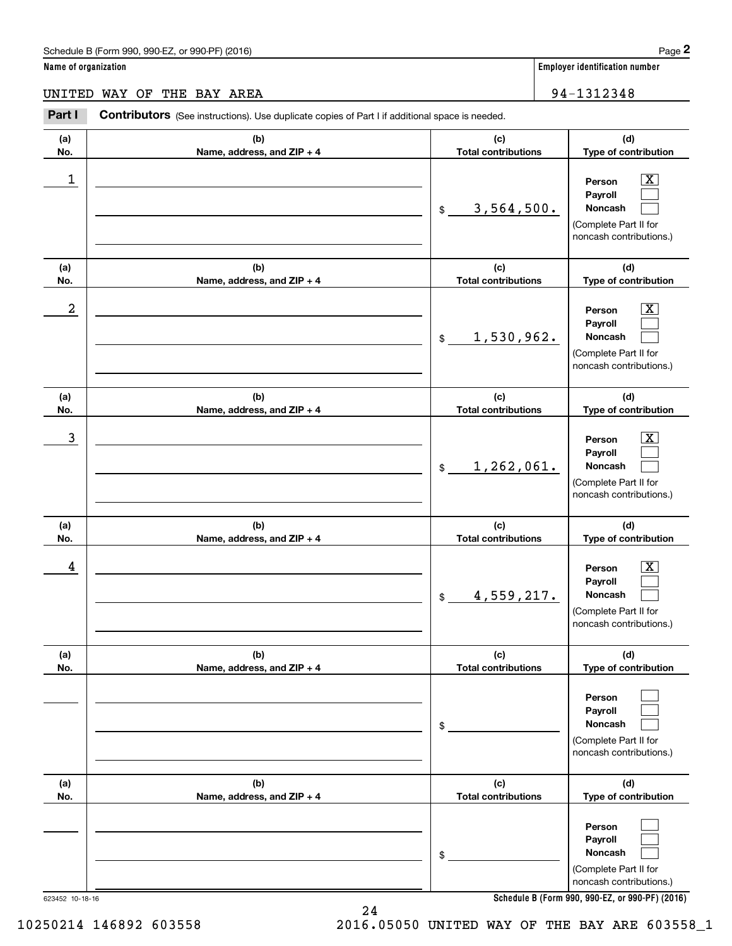**Name of organization Employer identification number**

UNITED WAY OF THE BAY AREA 1994-1312348

**(a)No.(b)Name, address, and ZIP + 4 (c)Total contributions (d)Type of contribution PersonPayrollNoncash (a)No.(b)Name, address, and ZIP + 4 (c)Total contributions (d)Type of contribution PersonPayrollNoncash (a)No.(b)Name, address, and ZIP + 4 (c)Total contributions (d)Type of contribution PersonPayrollNoncash (a) No.(b) Name, address, and ZIP + 4 (c) Total contributions (d) Type of contribution PersonPayrollNoncash (a) No.(b)Name, address, and ZIP + 4 (c) Total contributions (d) Type of contribution PersonPayrollNoncash(a) No.(b)Name, address, and ZIP + 4 (c) Total contributions (d)Type of contribution PersonPayrollNoncash Contributors** (See instructions). Use duplicate copies of Part I if additional space is needed. \$(Complete Part II for noncash contributions.) \$(Complete Part II for noncash contributions.) \$(Complete Part II for noncash contributions.) \$(Complete Part II for noncash contributions.) \$(Complete Part II for noncash contributions.) \$(Complete Part II for noncash contributions.) Employer identification Page 2<br> **2** ame of organization<br> **PART I Contributors** (See instructions). Use duplicate copies of Part I if additional space is needed.<br>
Part I **Contributors** (See instructions). Use duplicate co  $|X|$  $\mathcal{L}^{\text{max}}$  $\mathcal{L}^{\text{max}}$  $\boxed{\text{X}}$  $\mathcal{L}^{\text{max}}$  $\mathcal{L}^{\text{max}}$  $|X|$  $\mathcal{L}^{\text{max}}$  $\mathcal{L}^{\text{max}}$  $\boxed{\text{X}}$  $\mathcal{L}^{\text{max}}$  $\mathcal{L}^{\text{max}}$  $\mathcal{L}^{\text{max}}$  $\mathcal{L}^{\text{max}}$  $\mathcal{L}^{\text{max}}$  $\mathcal{L}^{\text{max}}$  $\mathcal{L}^{\text{max}}$  $\mathcal{L}^{\text{max}}$  $\begin{array}{c|c|c|c|c|c} 1 & \hspace{1.5cm} & \hspace{1.5cm} & \hspace{1.5cm} & \hspace{1.5cm} & \hspace{1.5cm} & \hspace{1.5cm} & \hspace{1.5cm} & \hspace{1.5cm} & \hspace{1.5cm} & \hspace{1.5cm} & \hspace{1.5cm} & \hspace{1.5cm} & \hspace{1.5cm} & \hspace{1.5cm} & \hspace{1.5cm} & \hspace{1.5cm} & \hspace{1.5cm} & \hspace{1.5cm} & \hspace{1.5cm} & \hspace{1.5cm} &$ 3,564,500.  $2$  | Person  $\overline{\text{X}}$ 1,530,962.  $\overline{3}$  | Person  $\overline{X}$ 1,262,061.  $4$  | Person  $\overline{\text{X}}$ 4,559,217.

24

**Schedule B (Form 990, 990-EZ, or 990-PF) (2016)**

623452 10-18-16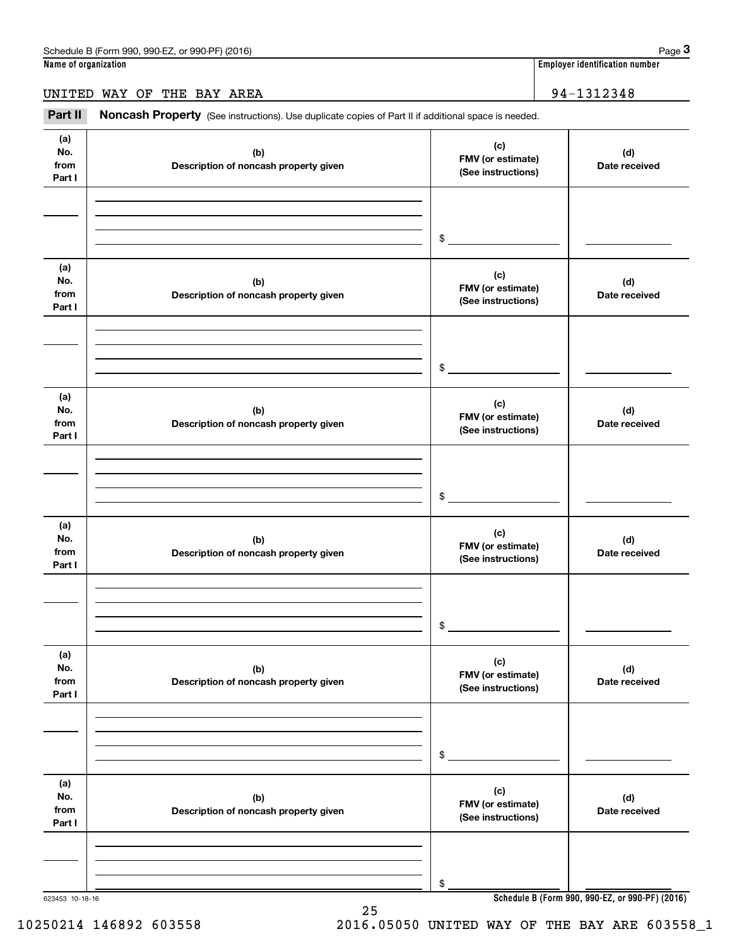UNITED WAY OF THE BAY AREA 94-1312348

Employer identification number<br> **3 Ame of organization**<br> **34-1312348**<br> **Part II Noncash Property** (See instructions). Use duplicate copies of Part II if additional space is needed.

| (a)<br>No.<br>from<br>Part I | (b)<br>Description of noncash property given | (c)<br>FMV (or estimate)<br>(See instructions) | (d)<br>Date received |
|------------------------------|----------------------------------------------|------------------------------------------------|----------------------|
|                              |                                              | $\frac{1}{2}$                                  |                      |
|                              |                                              |                                                |                      |
| (a)<br>No.<br>from<br>Part I | (b)<br>Description of noncash property given | (c)<br>FMV (or estimate)<br>(See instructions) | (d)<br>Date received |
|                              |                                              | $\frac{1}{2}$                                  |                      |
| (a)<br>No.<br>from<br>Part I | (b)<br>Description of noncash property given | (c)<br>FMV (or estimate)<br>(See instructions) | (d)<br>Date received |
|                              |                                              | \$                                             |                      |
| (a)<br>No.<br>from<br>Part I | (b)<br>Description of noncash property given | (c)<br>FMV (or estimate)<br>(See instructions) | (d)<br>Date received |
|                              |                                              | \$                                             |                      |
| (a)<br>No.<br>from<br>Part I | (b)<br>Description of noncash property given | (c)<br>FMV (or estimate)<br>(See instructions) | (d)<br>Date received |
|                              |                                              | \$                                             |                      |
| (a)<br>No.<br>from<br>Part I | (b)<br>Description of noncash property given | (c)<br>FMV (or estimate)<br>(See instructions) | (d)<br>Date received |
|                              |                                              | \$                                             |                      |

25

623453 10-18-16

**Schedule B (Form 990, 990-EZ, or 990-PF) (2016)**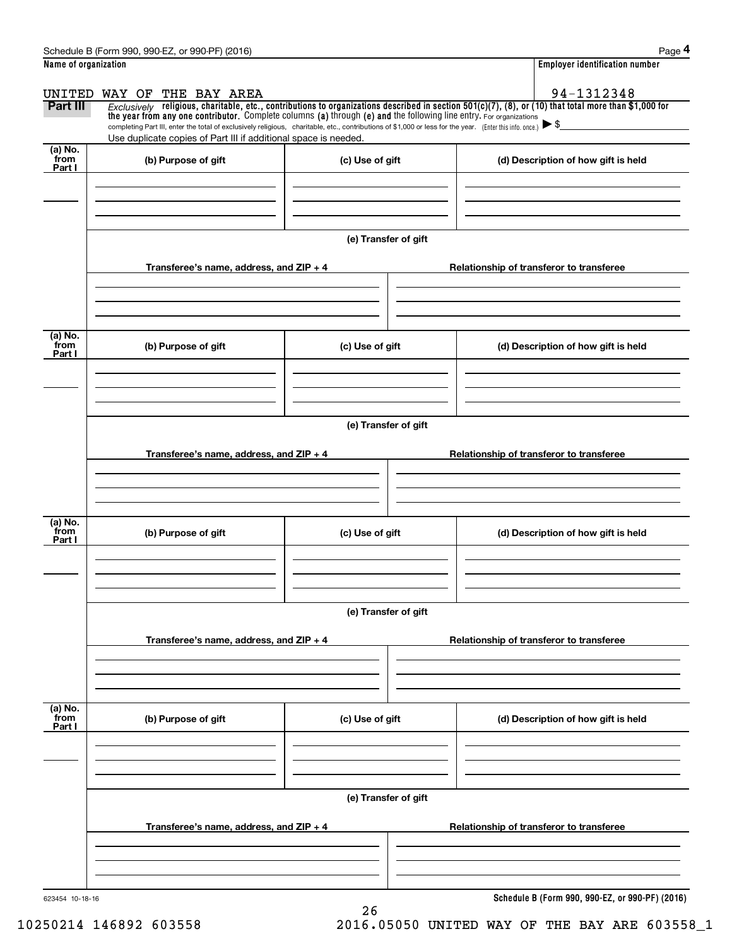|                           | Schedule B (Form 990, 990-EZ, or 990-PF) (2016)                                                                                                                                                                                                                                 |                      |                                          | Page 4                                          |  |  |  |
|---------------------------|---------------------------------------------------------------------------------------------------------------------------------------------------------------------------------------------------------------------------------------------------------------------------------|----------------------|------------------------------------------|-------------------------------------------------|--|--|--|
| Name of organization      |                                                                                                                                                                                                                                                                                 |                      |                                          | <b>Employer identification number</b>           |  |  |  |
|                           | UNITED WAY OF<br>THE BAY AREA                                                                                                                                                                                                                                                   |                      |                                          | 94-1312348                                      |  |  |  |
| <b>Part III</b>           | Exclusively religious, charitable, etc., contributions to organizations described in section $501(c)(7)$ , (8), or (10) that total more than \$1,000 for<br>the year from any one contributor. Complete columns (a) through (e) and the following line entry. For organizations |                      |                                          |                                                 |  |  |  |
|                           | completing Part III, enter the total of exclusively religious, charitable, etc., contributions of \$1,000 or less for the year. (Enter this info. once.) $\blacktriangleright$ \$                                                                                               |                      |                                          |                                                 |  |  |  |
| $(a)$ No.                 | Use duplicate copies of Part III if additional space is needed.                                                                                                                                                                                                                 |                      |                                          |                                                 |  |  |  |
| from<br>Part I            | (b) Purpose of gift                                                                                                                                                                                                                                                             | (c) Use of gift      |                                          | (d) Description of how gift is held             |  |  |  |
|                           |                                                                                                                                                                                                                                                                                 |                      |                                          |                                                 |  |  |  |
|                           |                                                                                                                                                                                                                                                                                 |                      |                                          |                                                 |  |  |  |
|                           |                                                                                                                                                                                                                                                                                 |                      |                                          |                                                 |  |  |  |
|                           |                                                                                                                                                                                                                                                                                 | (e) Transfer of gift |                                          |                                                 |  |  |  |
|                           | Transferee's name, address, and $ZIP + 4$                                                                                                                                                                                                                                       |                      |                                          |                                                 |  |  |  |
|                           |                                                                                                                                                                                                                                                                                 |                      | Relationship of transferor to transferee |                                                 |  |  |  |
|                           |                                                                                                                                                                                                                                                                                 |                      |                                          |                                                 |  |  |  |
|                           |                                                                                                                                                                                                                                                                                 |                      |                                          |                                                 |  |  |  |
| (a) No.<br>from           |                                                                                                                                                                                                                                                                                 |                      |                                          |                                                 |  |  |  |
| Part I                    | (b) Purpose of gift                                                                                                                                                                                                                                                             | (c) Use of gift      |                                          | (d) Description of how gift is held             |  |  |  |
|                           |                                                                                                                                                                                                                                                                                 |                      |                                          |                                                 |  |  |  |
|                           |                                                                                                                                                                                                                                                                                 |                      |                                          |                                                 |  |  |  |
|                           |                                                                                                                                                                                                                                                                                 | (e) Transfer of gift |                                          |                                                 |  |  |  |
|                           |                                                                                                                                                                                                                                                                                 |                      |                                          |                                                 |  |  |  |
|                           | Transferee's name, address, and ZIP + 4                                                                                                                                                                                                                                         |                      | Relationship of transferor to transferee |                                                 |  |  |  |
|                           |                                                                                                                                                                                                                                                                                 |                      |                                          |                                                 |  |  |  |
|                           |                                                                                                                                                                                                                                                                                 |                      |                                          |                                                 |  |  |  |
|                           |                                                                                                                                                                                                                                                                                 |                      |                                          |                                                 |  |  |  |
| (a) No.<br>from<br>Part I | (b) Purpose of gift                                                                                                                                                                                                                                                             | (c) Use of gift      |                                          | (d) Description of how gift is held             |  |  |  |
|                           |                                                                                                                                                                                                                                                                                 |                      |                                          |                                                 |  |  |  |
|                           |                                                                                                                                                                                                                                                                                 |                      |                                          |                                                 |  |  |  |
|                           |                                                                                                                                                                                                                                                                                 |                      |                                          |                                                 |  |  |  |
|                           | (e) Transfer of gift                                                                                                                                                                                                                                                            |                      |                                          |                                                 |  |  |  |
|                           |                                                                                                                                                                                                                                                                                 |                      | Relationship of transferor to transferee |                                                 |  |  |  |
|                           | Transferee's name, address, and ZIP + 4                                                                                                                                                                                                                                         |                      |                                          |                                                 |  |  |  |
|                           |                                                                                                                                                                                                                                                                                 |                      |                                          |                                                 |  |  |  |
|                           |                                                                                                                                                                                                                                                                                 |                      |                                          |                                                 |  |  |  |
| (a) No.<br>from           | (b) Purpose of gift                                                                                                                                                                                                                                                             | (c) Use of gift      |                                          | (d) Description of how gift is held             |  |  |  |
| Part I                    |                                                                                                                                                                                                                                                                                 |                      |                                          |                                                 |  |  |  |
|                           |                                                                                                                                                                                                                                                                                 |                      |                                          |                                                 |  |  |  |
|                           |                                                                                                                                                                                                                                                                                 |                      |                                          |                                                 |  |  |  |
|                           |                                                                                                                                                                                                                                                                                 |                      |                                          |                                                 |  |  |  |
|                           | (e) Transfer of gift                                                                                                                                                                                                                                                            |                      |                                          |                                                 |  |  |  |
|                           | Transferee's name, address, and ZIP + 4                                                                                                                                                                                                                                         |                      |                                          | Relationship of transferor to transferee        |  |  |  |
|                           |                                                                                                                                                                                                                                                                                 |                      |                                          |                                                 |  |  |  |
|                           |                                                                                                                                                                                                                                                                                 |                      |                                          |                                                 |  |  |  |
|                           |                                                                                                                                                                                                                                                                                 |                      |                                          |                                                 |  |  |  |
| 623454 10-18-16           |                                                                                                                                                                                                                                                                                 | 26                   |                                          | Schedule B (Form 990, 990-EZ, or 990-PF) (2016) |  |  |  |
|                           |                                                                                                                                                                                                                                                                                 |                      |                                          |                                                 |  |  |  |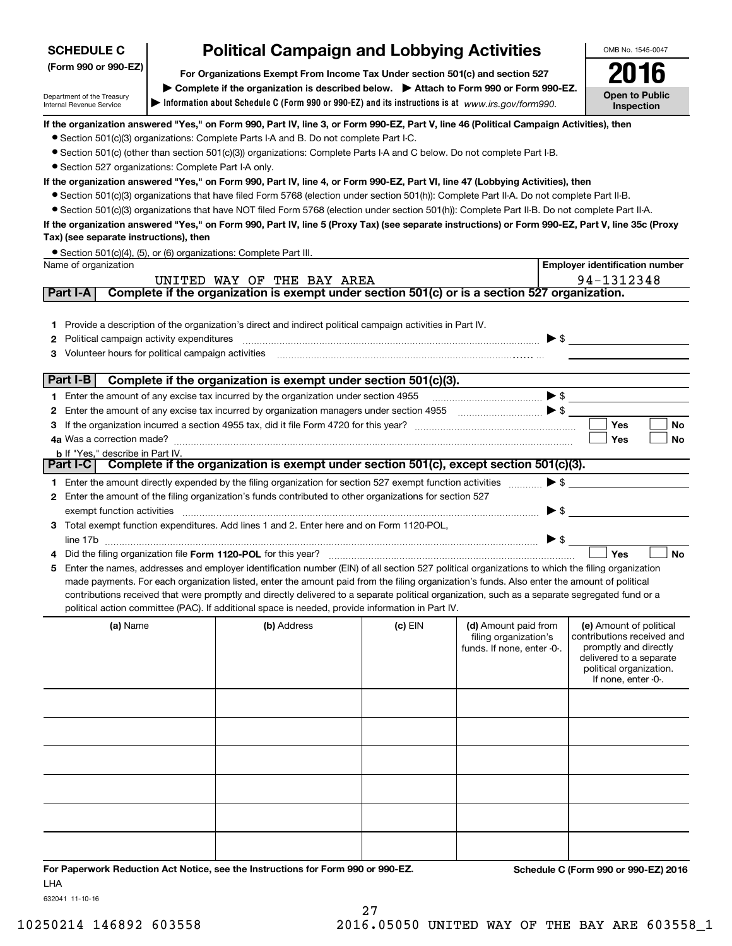| <b>SCHEDULE C</b>                                                                                       | <b>Political Campaign and Lobbying Activities</b>                             | OMB No. 1545-0047                                                                                                                                                                                                                                                                                                                                                                                                                                                                                                                                                                    |         |                                                                             |                          |                                                                                                                                                             |
|---------------------------------------------------------------------------------------------------------|-------------------------------------------------------------------------------|--------------------------------------------------------------------------------------------------------------------------------------------------------------------------------------------------------------------------------------------------------------------------------------------------------------------------------------------------------------------------------------------------------------------------------------------------------------------------------------------------------------------------------------------------------------------------------------|---------|-----------------------------------------------------------------------------|--------------------------|-------------------------------------------------------------------------------------------------------------------------------------------------------------|
| (Form 990 or 990-EZ)                                                                                    | For Organizations Exempt From Income Tax Under section 501(c) and section 527 |                                                                                                                                                                                                                                                                                                                                                                                                                                                                                                                                                                                      |         |                                                                             |                          |                                                                                                                                                             |
| Department of the Treasury<br>Internal Revenue Service                                                  | <b>Open to Public</b><br>Inspection                                           |                                                                                                                                                                                                                                                                                                                                                                                                                                                                                                                                                                                      |         |                                                                             |                          |                                                                                                                                                             |
| • Section 527 organizations: Complete Part I-A only.                                                    |                                                                               | If the organization answered "Yes," on Form 990, Part IV, line 3, or Form 990-EZ, Part V, line 46 (Political Campaign Activities), then<br>• Section 501(c)(3) organizations: Complete Parts I-A and B. Do not complete Part I-C.<br>● Section 501(c) (other than section 501(c)(3)) organizations: Complete Parts I-A and C below. Do not complete Part I-B.                                                                                                                                                                                                                        |         |                                                                             |                          |                                                                                                                                                             |
|                                                                                                         |                                                                               | If the organization answered "Yes," on Form 990, Part IV, line 4, or Form 990-EZ, Part VI, line 47 (Lobbying Activities), then<br>● Section 501(c)(3) organizations that have filed Form 5768 (election under section 501(h)): Complete Part II-A. Do not complete Part II-B.<br>• Section 501(c)(3) organizations that have NOT filed Form 5768 (election under section 501(h)): Complete Part II-B. Do not complete Part II-A.<br>If the organization answered "Yes," on Form 990, Part IV, line 5 (Proxy Tax) (see separate instructions) or Form 990-EZ, Part V, line 35c (Proxy |         |                                                                             |                          |                                                                                                                                                             |
| Tax) (see separate instructions), then                                                                  |                                                                               |                                                                                                                                                                                                                                                                                                                                                                                                                                                                                                                                                                                      |         |                                                                             |                          |                                                                                                                                                             |
| Name of organization                                                                                    |                                                                               | • Section 501(c)(4), (5), or (6) organizations: Complete Part III.                                                                                                                                                                                                                                                                                                                                                                                                                                                                                                                   |         |                                                                             |                          | <b>Employer identification number</b>                                                                                                                       |
| Part I-A                                                                                                |                                                                               | UNITED WAY OF THE BAY AREA<br>Complete if the organization is exempt under section 501(c) or is a section 527 organization.                                                                                                                                                                                                                                                                                                                                                                                                                                                          |         |                                                                             |                          | 94-1312348                                                                                                                                                  |
|                                                                                                         |                                                                               |                                                                                                                                                                                                                                                                                                                                                                                                                                                                                                                                                                                      |         |                                                                             |                          |                                                                                                                                                             |
| 1.                                                                                                      |                                                                               | Provide a description of the organization's direct and indirect political campaign activities in Part IV.                                                                                                                                                                                                                                                                                                                                                                                                                                                                            |         |                                                                             |                          |                                                                                                                                                             |
| Political campaign activity expenditures<br>2<br>Volunteer hours for political campaign activities<br>з |                                                                               |                                                                                                                                                                                                                                                                                                                                                                                                                                                                                                                                                                                      |         |                                                                             |                          | $\blacktriangleright$ \$                                                                                                                                    |
|                                                                                                         |                                                                               |                                                                                                                                                                                                                                                                                                                                                                                                                                                                                                                                                                                      |         |                                                                             |                          |                                                                                                                                                             |
| Part I-B                                                                                                |                                                                               | Complete if the organization is exempt under section 501(c)(3).                                                                                                                                                                                                                                                                                                                                                                                                                                                                                                                      |         |                                                                             |                          |                                                                                                                                                             |
| 1.                                                                                                      |                                                                               | Enter the amount of any excise tax incurred by the organization under section 4955                                                                                                                                                                                                                                                                                                                                                                                                                                                                                                   |         |                                                                             | $\blacktriangleright$ \$ |                                                                                                                                                             |
| 2                                                                                                       |                                                                               |                                                                                                                                                                                                                                                                                                                                                                                                                                                                                                                                                                                      |         |                                                                             |                          | <b>Yes</b><br><b>No</b>                                                                                                                                     |
| з                                                                                                       |                                                                               |                                                                                                                                                                                                                                                                                                                                                                                                                                                                                                                                                                                      |         |                                                                             |                          | Yes<br>No                                                                                                                                                   |
| <b>b</b> If "Yes," describe in Part IV.                                                                 |                                                                               |                                                                                                                                                                                                                                                                                                                                                                                                                                                                                                                                                                                      |         |                                                                             |                          |                                                                                                                                                             |
| Part I-C                                                                                                |                                                                               | Complete if the organization is exempt under section 501(c), except section 501(c)(3).                                                                                                                                                                                                                                                                                                                                                                                                                                                                                               |         |                                                                             |                          |                                                                                                                                                             |
| 1.                                                                                                      |                                                                               | Enter the amount directly expended by the filing organization for section 527 exempt function activities                                                                                                                                                                                                                                                                                                                                                                                                                                                                             |         |                                                                             | $\blacktriangleright$ \$ |                                                                                                                                                             |
| 2                                                                                                       |                                                                               | Enter the amount of the filing organization's funds contributed to other organizations for section 527                                                                                                                                                                                                                                                                                                                                                                                                                                                                               |         |                                                                             |                          |                                                                                                                                                             |
| exempt function activities                                                                              |                                                                               |                                                                                                                                                                                                                                                                                                                                                                                                                                                                                                                                                                                      |         |                                                                             | $\blacktriangleright$ \$ |                                                                                                                                                             |
|                                                                                                         |                                                                               | 3 Total exempt function expenditures. Add lines 1 and 2. Enter here and on Form 1120-POL,                                                                                                                                                                                                                                                                                                                                                                                                                                                                                            |         |                                                                             |                          |                                                                                                                                                             |
| line 17b                                                                                                |                                                                               | Did the filing organization file Form 1120-POL for this year?                                                                                                                                                                                                                                                                                                                                                                                                                                                                                                                        |         |                                                                             | $\triangleright$ \$      | Yes<br><b>No</b>                                                                                                                                            |
| 5                                                                                                       |                                                                               | Enter the names, addresses and employer identification number (EIN) of all section 527 political organizations to which the filing organization                                                                                                                                                                                                                                                                                                                                                                                                                                      |         |                                                                             |                          |                                                                                                                                                             |
|                                                                                                         |                                                                               | made payments. For each organization listed, enter the amount paid from the filing organization's funds. Also enter the amount of political                                                                                                                                                                                                                                                                                                                                                                                                                                          |         |                                                                             |                          |                                                                                                                                                             |
|                                                                                                         |                                                                               | contributions received that were promptly and directly delivered to a separate political organization, such as a separate segregated fund or a                                                                                                                                                                                                                                                                                                                                                                                                                                       |         |                                                                             |                          |                                                                                                                                                             |
|                                                                                                         |                                                                               | political action committee (PAC). If additional space is needed, provide information in Part IV.                                                                                                                                                                                                                                                                                                                                                                                                                                                                                     |         |                                                                             |                          |                                                                                                                                                             |
| (a) Name                                                                                                |                                                                               | (b) Address                                                                                                                                                                                                                                                                                                                                                                                                                                                                                                                                                                          | (c) EIN | (d) Amount paid from<br>filing organization's<br>funds. If none, enter -0-. |                          | (e) Amount of political<br>contributions received and<br>promptly and directly<br>delivered to a separate<br>political organization.<br>If none, enter -0-. |
|                                                                                                         |                                                                               |                                                                                                                                                                                                                                                                                                                                                                                                                                                                                                                                                                                      |         |                                                                             |                          |                                                                                                                                                             |
|                                                                                                         |                                                                               |                                                                                                                                                                                                                                                                                                                                                                                                                                                                                                                                                                                      |         |                                                                             |                          |                                                                                                                                                             |
|                                                                                                         |                                                                               |                                                                                                                                                                                                                                                                                                                                                                                                                                                                                                                                                                                      |         |                                                                             |                          |                                                                                                                                                             |
|                                                                                                         |                                                                               |                                                                                                                                                                                                                                                                                                                                                                                                                                                                                                                                                                                      |         |                                                                             |                          |                                                                                                                                                             |
|                                                                                                         |                                                                               |                                                                                                                                                                                                                                                                                                                                                                                                                                                                                                                                                                                      |         |                                                                             |                          |                                                                                                                                                             |
|                                                                                                         |                                                                               |                                                                                                                                                                                                                                                                                                                                                                                                                                                                                                                                                                                      |         |                                                                             |                          |                                                                                                                                                             |
|                                                                                                         |                                                                               | For Paperwork Reduction Act Notice, see the Instructions for Form 990 or 990-EZ.                                                                                                                                                                                                                                                                                                                                                                                                                                                                                                     |         |                                                                             |                          | Schedule C (Form 990 or 990-EZ) 2016                                                                                                                        |

LHA

632041 11-10-16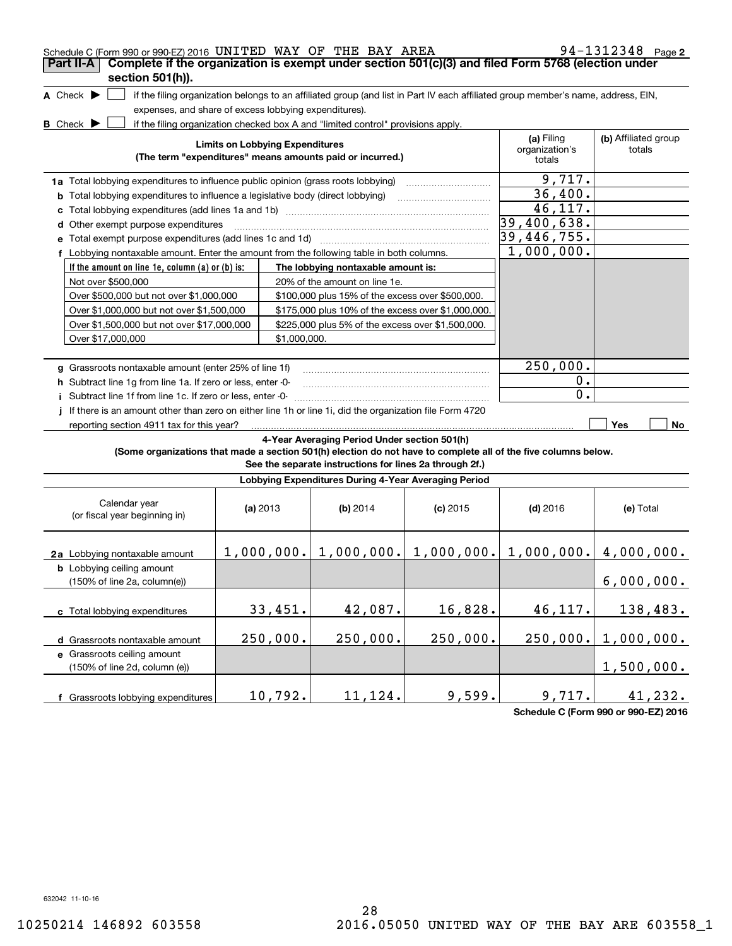| Schedule C (Form 990 or 990-EZ) 2016 UNITED WAY OF THE BAY AREA                                                 |                                                       |                                                                                                                                   |            |                          | $94 - 1312348$ Page 2      |
|-----------------------------------------------------------------------------------------------------------------|-------------------------------------------------------|-----------------------------------------------------------------------------------------------------------------------------------|------------|--------------------------|----------------------------|
| Complete if the organization is exempt under section 501(c)(3) and filed Form 5768 (election under<br>Part II-A |                                                       |                                                                                                                                   |            |                          |                            |
| section 501(h)).                                                                                                |                                                       |                                                                                                                                   |            |                          |                            |
| A Check $\blacktriangleright$                                                                                   |                                                       | if the filing organization belongs to an affiliated group (and list in Part IV each affiliated group member's name, address, EIN, |            |                          |                            |
|                                                                                                                 | expenses, and share of excess lobbying expenditures). |                                                                                                                                   |            |                          |                            |
| <b>B</b> Check <b>D</b>                                                                                         |                                                       | if the filing organization checked box A and "limited control" provisions apply.                                                  |            | (a) Filing               | (b) Affiliated group       |
|                                                                                                                 | <b>Limits on Lobbying Expenditures</b>                | (The term "expenditures" means amounts paid or incurred.)                                                                         |            | organization's<br>totals | totals                     |
| 1a Total lobbying expenditures to influence public opinion (grass roots lobbying)                               |                                                       |                                                                                                                                   |            | 9,717.                   |                            |
| <b>b</b> Total lobbying expenditures to influence a legislative body (direct lobbying)                          |                                                       |                                                                                                                                   |            | 36,400.                  |                            |
| с                                                                                                               |                                                       |                                                                                                                                   |            | 46,117.                  |                            |
| d Other exempt purpose expenditures                                                                             |                                                       |                                                                                                                                   |            | 39,400,638.              |                            |
|                                                                                                                 |                                                       |                                                                                                                                   |            | 39,446,755.              |                            |
| f Lobbying nontaxable amount. Enter the amount from the following table in both columns.                        |                                                       |                                                                                                                                   |            | 1,000,000.               |                            |
| If the amount on line 1e, column $(a)$ or $(b)$ is:                                                             |                                                       | The lobbying nontaxable amount is:                                                                                                |            |                          |                            |
| Not over \$500,000                                                                                              |                                                       | 20% of the amount on line 1e.                                                                                                     |            |                          |                            |
| Over \$500,000 but not over \$1,000,000                                                                         |                                                       | \$100,000 plus 15% of the excess over \$500,000.                                                                                  |            |                          |                            |
| Over \$1,000,000 but not over \$1,500,000                                                                       |                                                       | \$175,000 plus 10% of the excess over \$1,000,000.                                                                                |            |                          |                            |
| Over \$1,500,000 but not over \$17,000,000                                                                      |                                                       | \$225,000 plus 5% of the excess over \$1,500,000.                                                                                 |            |                          |                            |
| Over \$17,000,000                                                                                               | \$1,000,000.                                          |                                                                                                                                   |            |                          |                            |
|                                                                                                                 |                                                       |                                                                                                                                   |            |                          |                            |
| g Grassroots nontaxable amount (enter 25% of line 1f)                                                           |                                                       |                                                                                                                                   |            | 250,000.                 |                            |
| h Subtract line 1q from line 1a. If zero or less, enter -0-                                                     |                                                       |                                                                                                                                   |            | О.                       |                            |
| i Subtract line 1f from line 1c. If zero or less, enter -0-                                                     |                                                       |                                                                                                                                   |            | 0.                       |                            |
| If there is an amount other than zero on either line 1h or line 1i, did the organization file Form 4720         |                                                       |                                                                                                                                   |            |                          |                            |
| reporting section 4911 tax for this year?                                                                       |                                                       |                                                                                                                                   |            |                          | Yes<br>No                  |
|                                                                                                                 |                                                       | 4-Year Averaging Period Under section 501(h)                                                                                      |            |                          |                            |
| (Some organizations that made a section 501(h) election do not have to complete all of the five columns below.  |                                                       | See the separate instructions for lines 2a through 2f.)                                                                           |            |                          |                            |
|                                                                                                                 |                                                       | Lobbying Expenditures During 4-Year Averaging Period                                                                              |            |                          |                            |
| Calendar year<br>(or fiscal year beginning in)                                                                  | (a) $2013$                                            | (b) 2014                                                                                                                          | $(c)$ 2015 | $(d)$ 2016               | (e) Total                  |
| 2a Lobbying nontaxable amount                                                                                   |                                                       | $1,000,000.$ $  1,000,000.$ $  1,000,000.$                                                                                        |            |                          | $1,000,000.$ $ 4,000,000.$ |
| <b>b</b> Lobbying ceiling amount<br>(150% of line 2a, column(e))                                                |                                                       |                                                                                                                                   |            |                          | 6,000,000.                 |
| c Total lobbying expenditures                                                                                   | 33,451.                                               | 42,087.                                                                                                                           | 16,828.    | 46,117.                  | 138,483.                   |
| d Grassroots nontaxable amount                                                                                  | 250,000.                                              | 250,000.                                                                                                                          | 250,000.   | 250,000.                 | 1,000,000.                 |
| e Grassroots ceiling amount<br>(150% of line 2d, column (e))                                                    |                                                       |                                                                                                                                   |            |                          | 1,500,000.                 |
| f Grassroots lobbying expenditures                                                                              | 10,792.                                               | 11,124.                                                                                                                           | 9,599.     | 9,717.                   | 41,232.                    |

**Schedule C (Form 990 or 990-EZ) 2016**

632042 11-10-16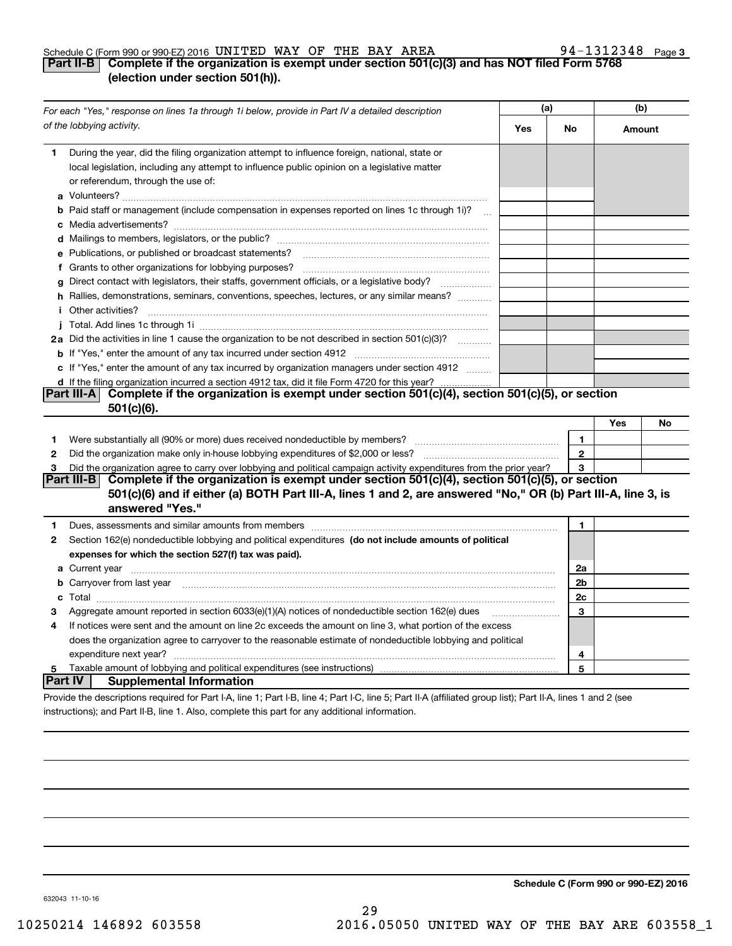## Schedule C (Form 990 or 990-EZ) 2016 <code>UNITED WAY OF THE BAY AREA</code>  $94-1312348$  <code>Page</code>

# **3**

## **Part II-B Complete if the organization is exempt under section 501(c)(3) and has NOT filed Form 5768 (election under section 501(h)).**

| For each "Yes," response on lines 1a through 1i below, provide in Part IV a detailed description |                                                                                                                                                                                                                                                  | (a) |                | (b)    |    |
|--------------------------------------------------------------------------------------------------|--------------------------------------------------------------------------------------------------------------------------------------------------------------------------------------------------------------------------------------------------|-----|----------------|--------|----|
|                                                                                                  | of the lobbying activity.                                                                                                                                                                                                                        | Yes | No             | Amount |    |
| 1                                                                                                | During the year, did the filing organization attempt to influence foreign, national, state or<br>local legislation, including any attempt to influence public opinion on a legislative matter<br>or referendum, through the use of:              |     |                |        |    |
|                                                                                                  | <b>b</b> Paid staff or management (include compensation in expenses reported on lines 1c through 1i)?<br>$\sim$                                                                                                                                  |     |                |        |    |
|                                                                                                  |                                                                                                                                                                                                                                                  |     |                |        |    |
|                                                                                                  | e Publications, or published or broadcast statements?                                                                                                                                                                                            |     |                |        |    |
|                                                                                                  |                                                                                                                                                                                                                                                  |     |                |        |    |
|                                                                                                  | g Direct contact with legislators, their staffs, government officials, or a legislative body?                                                                                                                                                    |     |                |        |    |
|                                                                                                  | h Rallies, demonstrations, seminars, conventions, speeches, lectures, or any similar means?<br><i>i</i> Other activities?                                                                                                                        |     |                |        |    |
|                                                                                                  |                                                                                                                                                                                                                                                  |     |                |        |    |
|                                                                                                  | 2a Did the activities in line 1 cause the organization to be not described in section 501(c)(3)?                                                                                                                                                 |     |                |        |    |
|                                                                                                  |                                                                                                                                                                                                                                                  |     |                |        |    |
|                                                                                                  | c If "Yes," enter the amount of any tax incurred by organization managers under section 4912                                                                                                                                                     |     |                |        |    |
|                                                                                                  | d If the filing organization incurred a section 4912 tax, did it file Form 4720 for this year?                                                                                                                                                   |     |                |        |    |
|                                                                                                  | Complete if the organization is exempt under section 501(c)(4), section 501(c)(5), or section<br><b>Part III-A</b><br>$501(c)(6)$ .                                                                                                              |     |                |        |    |
|                                                                                                  |                                                                                                                                                                                                                                                  |     |                | Yes    | No |
| 1                                                                                                |                                                                                                                                                                                                                                                  |     | 1              |        |    |
| 2                                                                                                |                                                                                                                                                                                                                                                  |     | $\mathbf{2}$   |        |    |
| 3                                                                                                | Did the organization agree to carry over lobbying and political campaign activity expenditures from the prior year?                                                                                                                              |     | 3              |        |    |
|                                                                                                  | Complete if the organization is exempt under section 501(c)(4), section 501(c)(5), or section<br> Part III-B <br>501(c)(6) and if either (a) BOTH Part III-A, lines 1 and 2, are answered "No," OR (b) Part III-A, line 3, is<br>answered "Yes." |     |                |        |    |
| 1                                                                                                | Dues, assessments and similar amounts from members [11] matter continuum matter assessments and similar amounts from members [11] matter continuum matter and similar amounts from members [11] matter and the state of the st                   |     | 1              |        |    |
| $\mathbf{2}$                                                                                     | Section 162(e) nondeductible lobbying and political expenditures (do not include amounts of political                                                                                                                                            |     |                |        |    |
|                                                                                                  | expenses for which the section 527(f) tax was paid).                                                                                                                                                                                             |     |                |        |    |
|                                                                                                  |                                                                                                                                                                                                                                                  |     | 2a             |        |    |
|                                                                                                  | <b>b</b> Carryover from last year <b>contained to the contract of the contract of Carryover from last year contained to the contract of the contract of Carryover from last year</b>                                                             |     | 2 <sub>b</sub> |        |    |
|                                                                                                  |                                                                                                                                                                                                                                                  |     | 2c             |        |    |
| з                                                                                                | Aggregate amount reported in section 6033(e)(1)(A) notices of nondeductible section 162(e) dues                                                                                                                                                  |     | 3              |        |    |
| 4                                                                                                | If notices were sent and the amount on line 2c exceeds the amount on line 3, what portion of the excess                                                                                                                                          |     |                |        |    |
|                                                                                                  | does the organization agree to carryover to the reasonable estimate of nondeductible lobbying and political                                                                                                                                      |     |                |        |    |
|                                                                                                  |                                                                                                                                                                                                                                                  |     | 4              |        |    |
| 5                                                                                                |                                                                                                                                                                                                                                                  |     | 5              |        |    |
| Part IV                                                                                          | <b>Supplemental Information</b>                                                                                                                                                                                                                  |     |                |        |    |
|                                                                                                  | Provide the descriptions required for Part I-A, line 1; Part I-B, line 4; Part I-C, line 5; Part II-A (affiliated group list); Part II-A, lines 1 and 2 (see                                                                                     |     |                |        |    |
|                                                                                                  | instructions); and Part II-B, line 1. Also, complete this part for any additional information.                                                                                                                                                   |     |                |        |    |

**Schedule C (Form 990 or 990-EZ) 2016**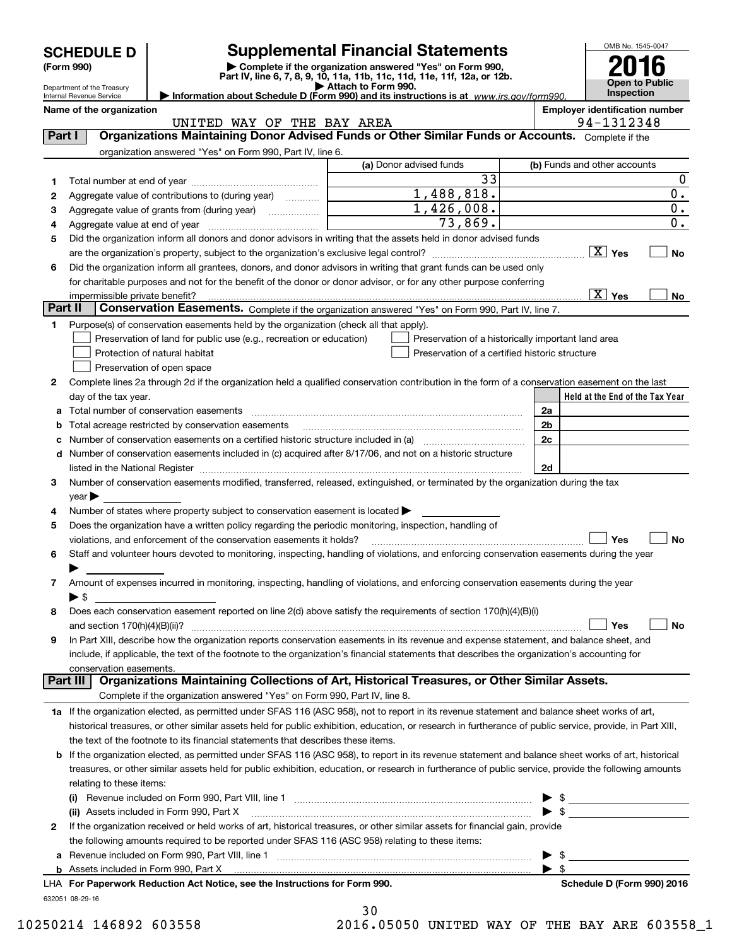| <b>SCHEDULE D</b> |
|-------------------|
|                   |

Department of the Treasury

# **Supplemental Financial Statements**

(Form 990)<br>
Pepartment of the Treasury<br>
Department of the Treasury<br>
Department of the Treasury<br>
Information about Schedule D (Form 990) and its instructions is at www.irs.gov/form990.



Internal Revenue Service

**Name of the organization Employer identification number** UNITED WAY OF THE BAY AREA **194-1312348** 

| Part I  | Organizations Maintaining Donor Advised Funds or Other Similar Funds or Accounts. Complete if the                                                                                                                             |                                                |                                                    |
|---------|-------------------------------------------------------------------------------------------------------------------------------------------------------------------------------------------------------------------------------|------------------------------------------------|----------------------------------------------------|
|         | organization answered "Yes" on Form 990, Part IV, line 6.                                                                                                                                                                     |                                                |                                                    |
|         |                                                                                                                                                                                                                               | (a) Donor advised funds                        | (b) Funds and other accounts                       |
| 1       |                                                                                                                                                                                                                               | 33                                             | $\mathbf 0$                                        |
| 2       | Aggregate value of contributions to (during year)                                                                                                                                                                             | 1,488,818.                                     | $\overline{0}$ .                                   |
| 3       | Aggregate value of grants from (during year)                                                                                                                                                                                  | 1,426,008.                                     | $\overline{0}$ .                                   |
| 4       |                                                                                                                                                                                                                               | $\overline{73,869}$ .                          | $\overline{\mathbf{0}}$ .                          |
| 5       | Did the organization inform all donors and donor advisors in writing that the assets held in donor advised funds                                                                                                              |                                                |                                                    |
|         |                                                                                                                                                                                                                               |                                                | <b>No</b>                                          |
| 6       | Did the organization inform all grantees, donors, and donor advisors in writing that grant funds can be used only                                                                                                             |                                                |                                                    |
|         | for charitable purposes and not for the benefit of the donor or donor advisor, or for any other purpose conferring                                                                                                            |                                                |                                                    |
|         | impermissible private benefit?                                                                                                                                                                                                |                                                | $\boxed{\text{X}}$ Yes<br>No                       |
| Part II | <b>Conservation Easements.</b> Complete if the organization answered "Yes" on Form 990, Part IV, line 7.                                                                                                                      |                                                |                                                    |
| 1.      | Purpose(s) of conservation easements held by the organization (check all that apply).                                                                                                                                         |                                                |                                                    |
|         | Preservation of land for public use (e.g., recreation or education)                                                                                                                                                           |                                                | Preservation of a historically important land area |
|         | Protection of natural habitat                                                                                                                                                                                                 | Preservation of a certified historic structure |                                                    |
|         | Preservation of open space                                                                                                                                                                                                    |                                                |                                                    |
| 2       | Complete lines 2a through 2d if the organization held a qualified conservation contribution in the form of a conservation easement on the last                                                                                |                                                |                                                    |
|         | day of the tax year.<br>a Total number of conservation easements                                                                                                                                                              |                                                | Held at the End of the Tax Year<br>2a              |
|         | Total acreage restricted by conservation easements                                                                                                                                                                            |                                                | 2 <sub>b</sub>                                     |
|         | Number of conservation easements on a certified historic structure included in (a) <i>mummumumumum</i>                                                                                                                        |                                                | 2c                                                 |
| d       | Number of conservation easements included in (c) acquired after 8/17/06, and not on a historic structure                                                                                                                      |                                                |                                                    |
|         | listed in the National Register [11, 1200] [12] The National Register [11, 1200] [12] The National Register [11, 1200] [12] The National Register [11, 1200] [12] The National Register [11, 1200] [12] The National Register |                                                | 2d                                                 |
| з       | Number of conservation easements modified, transferred, released, extinguished, or terminated by the organization during the tax                                                                                              |                                                |                                                    |
|         | $year \blacktriangleright$                                                                                                                                                                                                    |                                                |                                                    |
| 4       | Number of states where property subject to conservation easement is located >                                                                                                                                                 |                                                |                                                    |
| 5       | Does the organization have a written policy regarding the periodic monitoring, inspection, handling of                                                                                                                        |                                                |                                                    |
|         | violations, and enforcement of the conservation easements it holds?                                                                                                                                                           |                                                | Yes<br>No                                          |
| 6       | Staff and volunteer hours devoted to monitoring, inspecting, handling of violations, and enforcing conservation easements during the year                                                                                     |                                                |                                                    |
|         |                                                                                                                                                                                                                               |                                                |                                                    |
| 7       | Amount of expenses incurred in monitoring, inspecting, handling of violations, and enforcing conservation easements during the year                                                                                           |                                                |                                                    |
|         | ▶ \$                                                                                                                                                                                                                          |                                                |                                                    |
| 8       | Does each conservation easement reported on line 2(d) above satisfy the requirements of section 170(h)(4)(B)(i)                                                                                                               |                                                |                                                    |
|         |                                                                                                                                                                                                                               |                                                | Yes<br>No                                          |
| 9       | In Part XIII, describe how the organization reports conservation easements in its revenue and expense statement, and balance sheet, and                                                                                       |                                                |                                                    |
|         | include, if applicable, the text of the footnote to the organization's financial statements that describes the organization's accounting for                                                                                  |                                                |                                                    |
|         | conservation easements.<br>Organizations Maintaining Collections of Art, Historical Treasures, or Other Similar Assets.<br>Part III                                                                                           |                                                |                                                    |
|         | Complete if the organization answered "Yes" on Form 990, Part IV, line 8.                                                                                                                                                     |                                                |                                                    |
|         | 1a If the organization elected, as permitted under SFAS 116 (ASC 958), not to report in its revenue statement and balance sheet works of art,                                                                                 |                                                |                                                    |
|         | historical treasures, or other similar assets held for public exhibition, education, or research in furtherance of public service, provide, in Part XIII,                                                                     |                                                |                                                    |
|         | the text of the footnote to its financial statements that describes these items.                                                                                                                                              |                                                |                                                    |
|         | <b>b</b> If the organization elected, as permitted under SFAS 116 (ASC 958), to report in its revenue statement and balance sheet works of art, historical                                                                    |                                                |                                                    |
|         | treasures, or other similar assets held for public exhibition, education, or research in furtherance of public service, provide the following amounts                                                                         |                                                |                                                    |
|         | relating to these items:                                                                                                                                                                                                      |                                                |                                                    |
|         |                                                                                                                                                                                                                               |                                                | \$                                                 |
|         | (ii) Assets included in Form 990, Part X                                                                                                                                                                                      |                                                | $\blacktriangleright$ s                            |
| 2       | If the organization received or held works of art, historical treasures, or other similar assets for financial gain, provide                                                                                                  |                                                |                                                    |
|         | the following amounts required to be reported under SFAS 116 (ASC 958) relating to these items:                                                                                                                               |                                                |                                                    |
| а       |                                                                                                                                                                                                                               |                                                | $\blacktriangleright$ \$                           |
|         | b Assets included in Form 990, Part X [11, 12] Assets included in Form 990, Part X [11, 12] Assets included in Form 990, Part X [11, 12] Assets included in Form 990, Part X [12] Assets included that the state of the state |                                                | $\blacktriangleright$ \$                           |
|         | LHA For Paperwork Reduction Act Notice, see the Instructions for Form 990.                                                                                                                                                    |                                                | Schedule D (Form 990) 2016                         |
|         | 632051 08-29-16                                                                                                                                                                                                               |                                                |                                                    |

30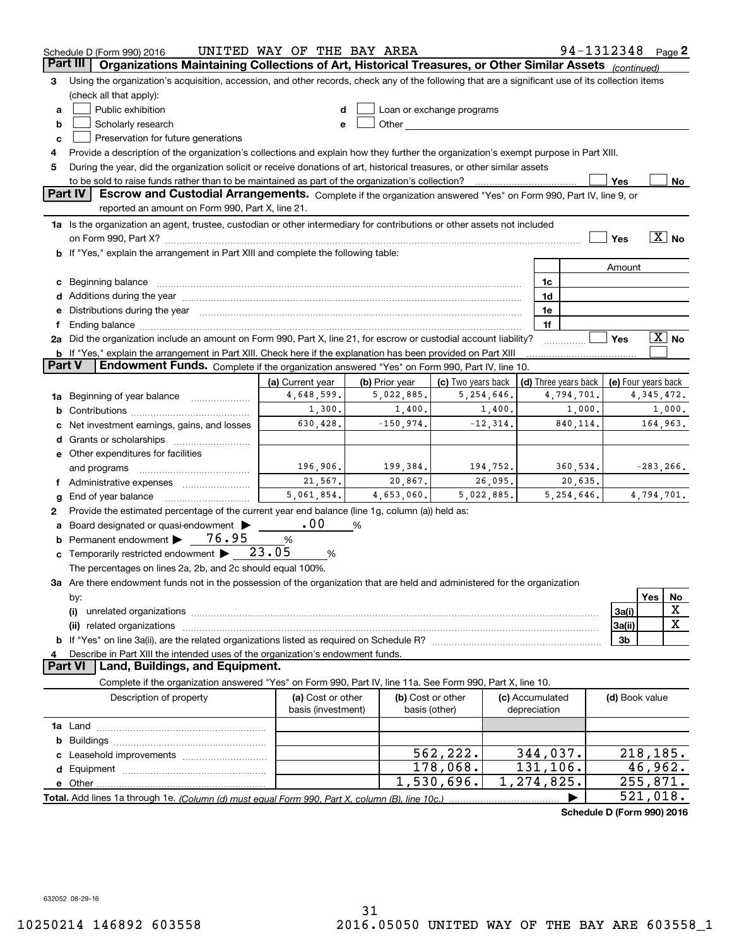|          | Schedule D (Form 990) 2016                                                                                                                                                                                                     | UNITED WAY OF THE BAY AREA |                |                                                                                                                                                                                                                               |             |                           | 94-1312348 $_{Page}$ 2     |                     |              |                   |
|----------|--------------------------------------------------------------------------------------------------------------------------------------------------------------------------------------------------------------------------------|----------------------------|----------------|-------------------------------------------------------------------------------------------------------------------------------------------------------------------------------------------------------------------------------|-------------|---------------------------|----------------------------|---------------------|--------------|-------------------|
| Part III | Organizations Maintaining Collections of Art, Historical Treasures, or Other Similar Assets (continued)                                                                                                                        |                            |                |                                                                                                                                                                                                                               |             |                           |                            |                     |              |                   |
| з        | Using the organization's acquisition, accession, and other records, check any of the following that are a significant use of its collection items                                                                              |                            |                |                                                                                                                                                                                                                               |             |                           |                            |                     |              |                   |
|          | (check all that apply):                                                                                                                                                                                                        |                            |                |                                                                                                                                                                                                                               |             |                           |                            |                     |              |                   |
| a        | Public exhibition                                                                                                                                                                                                              |                            |                | Loan or exchange programs                                                                                                                                                                                                     |             |                           |                            |                     |              |                   |
| b        | Scholarly research                                                                                                                                                                                                             |                            |                | Other and the contract of the contract of the contract of the contract of the contract of the contract of the contract of the contract of the contract of the contract of the contract of the contract of the contract of the |             |                           |                            |                     |              |                   |
| c        | Preservation for future generations                                                                                                                                                                                            |                            |                |                                                                                                                                                                                                                               |             |                           |                            |                     |              |                   |
| 4        | Provide a description of the organization's collections and explain how they further the organization's exempt purpose in Part XIII.                                                                                           |                            |                |                                                                                                                                                                                                                               |             |                           |                            |                     |              |                   |
| 5        | During the year, did the organization solicit or receive donations of art, historical treasures, or other similar assets                                                                                                       |                            |                |                                                                                                                                                                                                                               |             |                           |                            |                     |              |                   |
|          | to be sold to raise funds rather than to be maintained as part of the organization's collection?                                                                                                                               |                            |                |                                                                                                                                                                                                                               |             |                           |                            | Yes                 |              | No                |
|          | <b>Part IV</b><br>Escrow and Custodial Arrangements. Complete if the organization answered "Yes" on Form 990, Part IV, line 9, or                                                                                              |                            |                |                                                                                                                                                                                                                               |             |                           |                            |                     |              |                   |
|          | reported an amount on Form 990, Part X, line 21.                                                                                                                                                                               |                            |                |                                                                                                                                                                                                                               |             |                           |                            |                     |              |                   |
|          | 1a Is the organization an agent, trustee, custodian or other intermediary for contributions or other assets not included                                                                                                       |                            |                |                                                                                                                                                                                                                               |             |                           |                            |                     |              |                   |
|          |                                                                                                                                                                                                                                |                            |                |                                                                                                                                                                                                                               |             |                           |                            | Yes                 |              | $\overline{X}$ No |
|          | b If "Yes," explain the arrangement in Part XIII and complete the following table:                                                                                                                                             |                            |                |                                                                                                                                                                                                                               |             |                           |                            |                     |              |                   |
|          |                                                                                                                                                                                                                                |                            |                |                                                                                                                                                                                                                               |             |                           |                            | Amount              |              |                   |
| c        | Beginning balance material content contracts and content and content and content and content and content and content and content and content and content and content and content and content and content and content and conte |                            |                |                                                                                                                                                                                                                               |             | 1c                        |                            |                     |              |                   |
|          |                                                                                                                                                                                                                                |                            |                |                                                                                                                                                                                                                               |             | 1d                        |                            |                     |              |                   |
|          | e Distributions during the year manufactured and continuum and contained and the year manufactured and contained and the year manufactured and contained and contained and contained and contained and contained and contained |                            |                |                                                                                                                                                                                                                               |             | 1e                        |                            |                     |              |                   |
| f        |                                                                                                                                                                                                                                |                            |                |                                                                                                                                                                                                                               |             | 1f                        |                            |                     |              |                   |
|          | 2a Did the organization include an amount on Form 990, Part X, line 21, for escrow or custodial account liability?                                                                                                             |                            |                |                                                                                                                                                                                                                               |             |                           |                            | Yes                 |              | $X$ No            |
|          | <b>b</b> If "Yes," explain the arrangement in Part XIII. Check here if the explanation has been provided on Part XIII                                                                                                          |                            |                |                                                                                                                                                                                                                               |             |                           |                            |                     |              |                   |
| Part V   | Endowment Funds. Complete if the organization answered "Yes" on Form 990, Part IV, line 10.                                                                                                                                    |                            |                |                                                                                                                                                                                                                               |             |                           |                            |                     |              |                   |
|          |                                                                                                                                                                                                                                | (a) Current year           | (b) Prior year | (c) Two years back                                                                                                                                                                                                            |             |                           | (d) Three years back       | (e) Four years back |              |                   |
| 1a       | Beginning of year balance                                                                                                                                                                                                      | 4,648,599.                 | 5,022,885.     | 5,254,646.                                                                                                                                                                                                                    |             |                           | 4,794,701.                 |                     | 4, 345, 472. |                   |
| b        |                                                                                                                                                                                                                                | 1,300.                     | 1,400.         |                                                                                                                                                                                                                               | 1,400.      |                           | 1,000.                     |                     |              | 1,000.            |
|          | Net investment earnings, gains, and losses                                                                                                                                                                                     | 630,428.                   | $-150,974.$    |                                                                                                                                                                                                                               | $-12, 314.$ |                           | 840,114.                   |                     | 164,963.     |                   |
| d        |                                                                                                                                                                                                                                |                            |                |                                                                                                                                                                                                                               |             |                           |                            |                     |              |                   |
|          | <b>e</b> Other expenditures for facilities                                                                                                                                                                                     |                            |                |                                                                                                                                                                                                                               |             |                           |                            |                     |              |                   |
|          | and programs                                                                                                                                                                                                                   | 196,906.                   | 199,384.       |                                                                                                                                                                                                                               | 194,752.    |                           | 360,534.                   |                     | $-283, 266.$ |                   |
|          | f Administrative expenses                                                                                                                                                                                                      | 21,567.                    | 20,867.        |                                                                                                                                                                                                                               | 26,095.     |                           | 20,635.                    |                     |              |                   |
| g        | End of year balance                                                                                                                                                                                                            | 5,061,854.                 | 4,653,060.     | 5,022,885.                                                                                                                                                                                                                    |             |                           | 5,254,646.                 |                     | 4,794,701.   |                   |
| 2        | Provide the estimated percentage of the current year end balance (line 1g, column (a)) held as:                                                                                                                                |                            |                |                                                                                                                                                                                                                               |             |                           |                            |                     |              |                   |
| а        | Board designated or quasi-endowment                                                                                                                                                                                            | .00                        | %              |                                                                                                                                                                                                                               |             |                           |                            |                     |              |                   |
| b        | Permanent endowment<br>76.95                                                                                                                                                                                                   | %                          |                |                                                                                                                                                                                                                               |             |                           |                            |                     |              |                   |
|          | <b>c</b> Temporarily restricted endowment $\blacktriangleright$ 23.05                                                                                                                                                          | %                          |                |                                                                                                                                                                                                                               |             |                           |                            |                     |              |                   |
|          | The percentages on lines 2a, 2b, and 2c should equal 100%.                                                                                                                                                                     |                            |                |                                                                                                                                                                                                                               |             |                           |                            |                     |              |                   |
|          | 3a Are there endowment funds not in the possession of the organization that are held and administered for the organization                                                                                                     |                            |                |                                                                                                                                                                                                                               |             |                           |                            |                     |              |                   |
|          | by:                                                                                                                                                                                                                            |                            |                |                                                                                                                                                                                                                               |             |                           |                            |                     | Yes          | No                |
|          | (i)                                                                                                                                                                                                                            |                            |                |                                                                                                                                                                                                                               |             |                           |                            | 3a(i)               |              | X                 |
|          | (ii) related organizations                                                                                                                                                                                                     |                            |                |                                                                                                                                                                                                                               |             |                           |                            | 3a(ii)              |              | $\mathbf X$       |
|          |                                                                                                                                                                                                                                |                            |                |                                                                                                                                                                                                                               |             |                           |                            | 3b                  |              |                   |
| 4        | Describe in Part XIII the intended uses of the organization's endowment funds.                                                                                                                                                 |                            |                |                                                                                                                                                                                                                               |             |                           |                            |                     |              |                   |
|          | Land, Buildings, and Equipment.<br>Part VI                                                                                                                                                                                     |                            |                |                                                                                                                                                                                                                               |             |                           |                            |                     |              |                   |
|          | Complete if the organization answered "Yes" on Form 990, Part IV, line 11a. See Form 990, Part X, line 10.                                                                                                                     |                            |                |                                                                                                                                                                                                                               |             |                           |                            |                     |              |                   |
|          | Description of property                                                                                                                                                                                                        | (a) Cost or other          |                | (b) Cost or other                                                                                                                                                                                                             |             | (c) Accumulated           |                            | (d) Book value      |              |                   |
|          |                                                                                                                                                                                                                                | basis (investment)         |                | basis (other)                                                                                                                                                                                                                 |             | depreciation              |                            |                     |              |                   |
|          |                                                                                                                                                                                                                                |                            |                |                                                                                                                                                                                                                               |             |                           |                            |                     |              |                   |
| b        |                                                                                                                                                                                                                                |                            |                |                                                                                                                                                                                                                               |             |                           |                            |                     |              |                   |
|          |                                                                                                                                                                                                                                |                            |                | 562,222.                                                                                                                                                                                                                      |             | 344,037.                  |                            |                     | 218,185.     |                   |
|          |                                                                                                                                                                                                                                |                            |                | 178,068.                                                                                                                                                                                                                      |             | 131, 106.                 |                            |                     | 46,962.      |                   |
|          |                                                                                                                                                                                                                                |                            |                | 1,530,696.                                                                                                                                                                                                                    |             | $\overline{1,274}$ , 825. |                            |                     | 255,871.     |                   |
|          |                                                                                                                                                                                                                                |                            |                |                                                                                                                                                                                                                               |             |                           |                            |                     | 521,018.     |                   |
|          |                                                                                                                                                                                                                                |                            |                |                                                                                                                                                                                                                               |             |                           | Schedule D (Form 990) 2016 |                     |              |                   |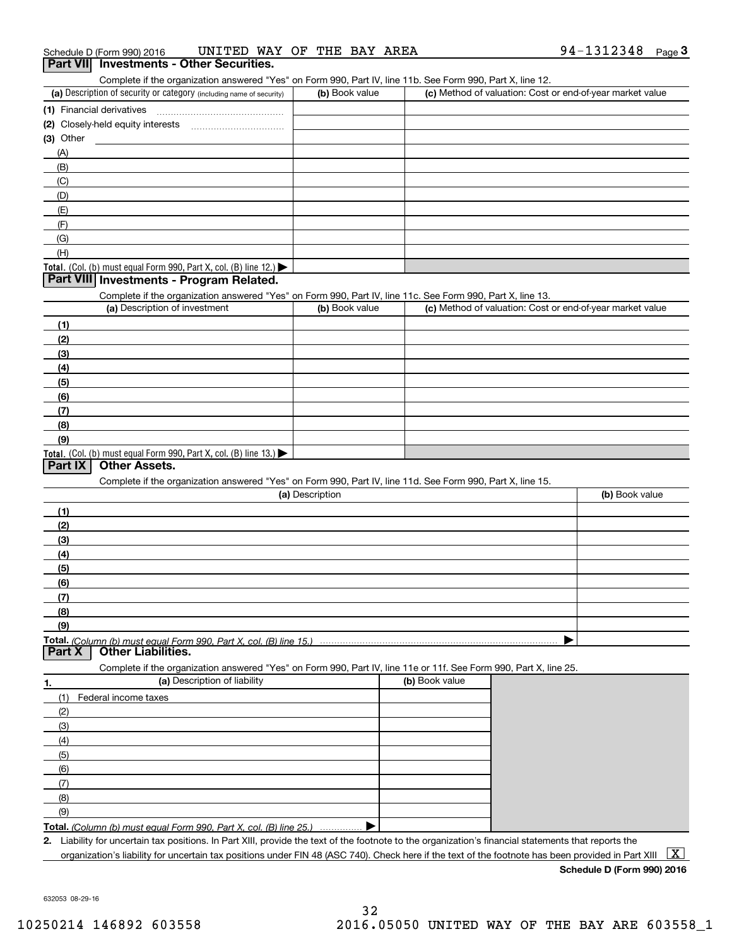## Complete if the organization answered "Yes" on Form 990, Part IV, line 11b. See Form 990, Part X, line 12.

| OUTIDIOUS II THO ORGANIZATION ANOWSI CO. TOO ON IT ONLY JOURNAL MINITIONS OCC FONDI JOU, I AREA, MINITIZ. |                |                                                           |
|-----------------------------------------------------------------------------------------------------------|----------------|-----------------------------------------------------------|
| (a) Description of security or category (including name of security)                                      | (b) Book value | (c) Method of valuation: Cost or end-of-year market value |
| (1) Financial derivatives                                                                                 |                |                                                           |
| (2) Closely-held equity interests<br>                                                                     |                |                                                           |
| (3) Other                                                                                                 |                |                                                           |
| (A)                                                                                                       |                |                                                           |
| (B)                                                                                                       |                |                                                           |
| (C)                                                                                                       |                |                                                           |
| (D)                                                                                                       |                |                                                           |
| (E)                                                                                                       |                |                                                           |
| (F)                                                                                                       |                |                                                           |
| (G)                                                                                                       |                |                                                           |
| (H)                                                                                                       |                |                                                           |
| Total. (Col. (b) must equal Form 990, Part X, col. (B) line 12.) $\blacktriangleright$                    |                |                                                           |

## **Part VIII Investments - Program Related.**

Complete if the organization answered "Yes" on Form 990, Part IV, line 11c. See Form 990, Part X, line 13.

| (a) Description of investment                                    | (b) Book value | (c) Method of valuation: Cost or end-of-year market value |
|------------------------------------------------------------------|----------------|-----------------------------------------------------------|
| (1)                                                              |                |                                                           |
| (2)                                                              |                |                                                           |
| $\frac{1}{2}$                                                    |                |                                                           |
| (4)                                                              |                |                                                           |
| $\frac{1}{2}$                                                    |                |                                                           |
| (6)                                                              |                |                                                           |
| $\frac{1}{2}$                                                    |                |                                                           |
| (8)                                                              |                |                                                           |
| (9)                                                              |                |                                                           |
| Total. (Col. (b) must equal Form 990, Part X, col. (B) line 13.) |                |                                                           |

## **Part IX Other Assets.**

Complete if the organization answered "Yes" on Form 990, Part IV, line 11d. See Form 990, Part X, line 15.

| (a) Description | (b) Book value |
|-----------------|----------------|
| (1)             |                |
| (2)             |                |
| $\frac{1}{2}$   |                |
| (4)             |                |
| $\frac{1}{2}$   |                |
| (6)             |                |
| (7)             |                |
| (8)             |                |
| (9)             |                |
|                 |                |

**Part X Other Liabilities.**

Complete if the organization answered "Yes" on Form 990, Part IV, line 11e or 11f. See Form 990, Part X, line 25.

| -1. | (a) Description of liability                                       | (b) Book value |
|-----|--------------------------------------------------------------------|----------------|
| (1) | Federal income taxes                                               |                |
| (2) |                                                                    |                |
| (3) |                                                                    |                |
| (4) |                                                                    |                |
| (5) |                                                                    |                |
| (6) |                                                                    |                |
|     |                                                                    |                |
| (8) |                                                                    |                |
| (9) |                                                                    |                |
|     | Total. (Column (b) must equal Form 990, Part X, col. (B) line 25.) |                |

**Total.**  *(Column (b) must equal Form 990, Part X, col. (B) line 25.)* . . . . . . . . . . . . . . .

**2.** Liability for uncertain tax positions. In Part XIII, provide the text of the footnote to the organization's financial statements that reports the organization's liability for uncertain tax positions under FIN 48 (ASC 740). Check here if the text of the footnote has been provided in Part XIII  $~\boxed{\rm X}$ 

**Schedule D (Form 990) 2016**

632053 08-29-16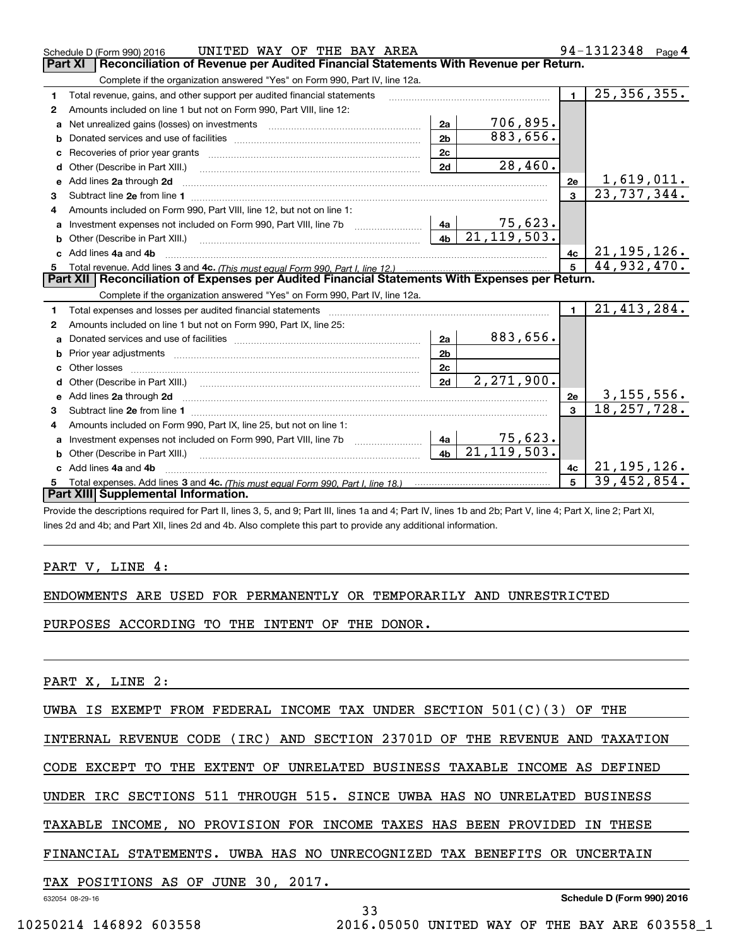|    | UNITED WAY OF THE BAY AREA<br>Schedule D (Form 990) 2016                                                                                                                                                                            |                |               |                         | 94-1312348 Page 4           |
|----|-------------------------------------------------------------------------------------------------------------------------------------------------------------------------------------------------------------------------------------|----------------|---------------|-------------------------|-----------------------------|
|    | <b>Part XI</b><br>Reconciliation of Revenue per Audited Financial Statements With Revenue per Return.                                                                                                                               |                |               |                         |                             |
|    | Complete if the organization answered "Yes" on Form 990, Part IV, line 12a.                                                                                                                                                         |                |               |                         |                             |
| 1  | Total revenue, gains, and other support per audited financial statements                                                                                                                                                            |                |               | $\blacksquare$          | $\overline{25, 356, 355}$ . |
| 2  | Amounts included on line 1 but not on Form 990, Part VIII, line 12:                                                                                                                                                                 |                |               |                         |                             |
| a  | Net unrealized gains (losses) on investments [11] matter contracts and the unrealized gains (losses) on investments                                                                                                                 | 2a             | 706,895.      |                         |                             |
|    |                                                                                                                                                                                                                                     | 2 <sub>b</sub> | 883,656.      |                         |                             |
|    |                                                                                                                                                                                                                                     | 2 <sub>c</sub> |               |                         |                             |
| d  |                                                                                                                                                                                                                                     | 2d             | 28,460.       |                         |                             |
| е  | Add lines 2a through 2d                                                                                                                                                                                                             |                |               | 2e                      | <u>1,619,011.</u>           |
| З. |                                                                                                                                                                                                                                     |                |               | $\overline{\mathbf{3}}$ | 23,737,344.                 |
| 4  | Amounts included on Form 990, Part VIII, line 12, but not on line 1:                                                                                                                                                                |                |               |                         |                             |
|    |                                                                                                                                                                                                                                     |                | 75,623.       |                         |                             |
| b  | Other (Describe in Part XIII.) <b>Construction Contract Construction</b> Chemical Construction Chemical Chemical Chemical Chemical Chemical Chemical Chemical Chemical Chemical Chemical Chemical Chemical Chemical Chemical Chemic | 4 <sub>b</sub> | 21, 119, 503. |                         |                             |
|    | Add lines 4a and 4b                                                                                                                                                                                                                 |                |               | 4c                      | 21, 195, 126.               |
|    |                                                                                                                                                                                                                                     |                |               | 5                       | 44,932,470.                 |
|    |                                                                                                                                                                                                                                     |                |               |                         |                             |
|    | Part XII   Reconciliation of Expenses per Audited Financial Statements With Expenses per Return.                                                                                                                                    |                |               |                         |                             |
|    | Complete if the organization answered "Yes" on Form 990, Part IV, line 12a.                                                                                                                                                         |                |               |                         |                             |
| 1  | Total expenses and losses per audited financial statements                                                                                                                                                                          |                |               | $\blacksquare$          | 21,413,284.                 |
| 2  | Amounts included on line 1 but not on Form 990, Part IX, line 25:                                                                                                                                                                   |                |               |                         |                             |
| a  |                                                                                                                                                                                                                                     | 2a             | 883,656.      |                         |                             |
| b  |                                                                                                                                                                                                                                     | 2 <sub>b</sub> |               |                         |                             |
|    | Other losses                                                                                                                                                                                                                        | 2c             |               |                         |                             |
| d  |                                                                                                                                                                                                                                     | 2d             | 2, 271, 900.  |                         |                             |
| е  | Add lines 2a through 2d <b>contained a contained a contained a contained a</b> contained a contained a contained a contained a contained a contained a contained a contained a contained a contained a contained a contained a cont |                |               | 2e                      | 3, 155, 556.                |
| 3  |                                                                                                                                                                                                                                     |                |               | $\overline{3}$          | 18, 257, 728.               |
| 4  | Amounts included on Form 990, Part IX, line 25, but not on line 1:                                                                                                                                                                  |                |               |                         |                             |
| a  | Investment expenses not included on Form 990, Part VIII, line 7b [1000000000000000000000000000000000                                                                                                                                | 4a             | 75,623.       |                         |                             |
|    | Other (Describe in Part XIII.)                                                                                                                                                                                                      | 4 <sub>b</sub> | 21, 119, 503. |                         |                             |
|    | Add lines 4a and 4b                                                                                                                                                                                                                 |                |               | 4 <sub>c</sub>          | 21, 195, 126.               |
|    | Part XIII Supplemental Information.                                                                                                                                                                                                 |                |               |                         | 39,452,854.                 |

Provide the descriptions required for Part II, lines 3, 5, and 9; Part III, lines 1a and 4; Part IV, lines 1b and 2b; Part V, line 4; Part X, line 2; Part XI, lines 2d and 4b; and Part XII, lines 2d and 4b. Also complete this part to provide any additional information.

## PART V, LINE 4:

|  |  |  |  |  |  |  |  | ENDOWMENTS ARE USED FOR PERMANENTLY OR TEMPORARILY AND UNRESTRICTED |
|--|--|--|--|--|--|--|--|---------------------------------------------------------------------|
|--|--|--|--|--|--|--|--|---------------------------------------------------------------------|

PURPOSES ACCORDING TO THE INTENT OF THE DONOR.

PART X, LINE 2:

| UWBA IS EXEMPT FROM FEDERAL INCOME TAX UNDER SECTION $501(C)(3)$ OF THE |  |
|-------------------------------------------------------------------------|--|
|-------------------------------------------------------------------------|--|

INTERNAL REVENUE CODE (IRC) AND SECTION 23701D OF THE REVENUE AND TAXATION

CODE EXCEPT TO THE EXTENT OF UNRELATED BUSINESS TAXABLE INCOME AS DEFINED

UNDER IRC SECTIONS 511 THROUGH 515. SINCE UWBA HAS NO UNRELATED BUSINESS

TAXABLE INCOME, NO PROVISION FOR INCOME TAXES HAS BEEN PROVIDED IN THESE

FINANCIAL STATEMENTS. UWBA HAS NO UNRECOGNIZED TAX BENEFITS OR UNCERTAIN

33

TAX POSITIONS AS OF JUNE 30, 2017.

632054 08-29-16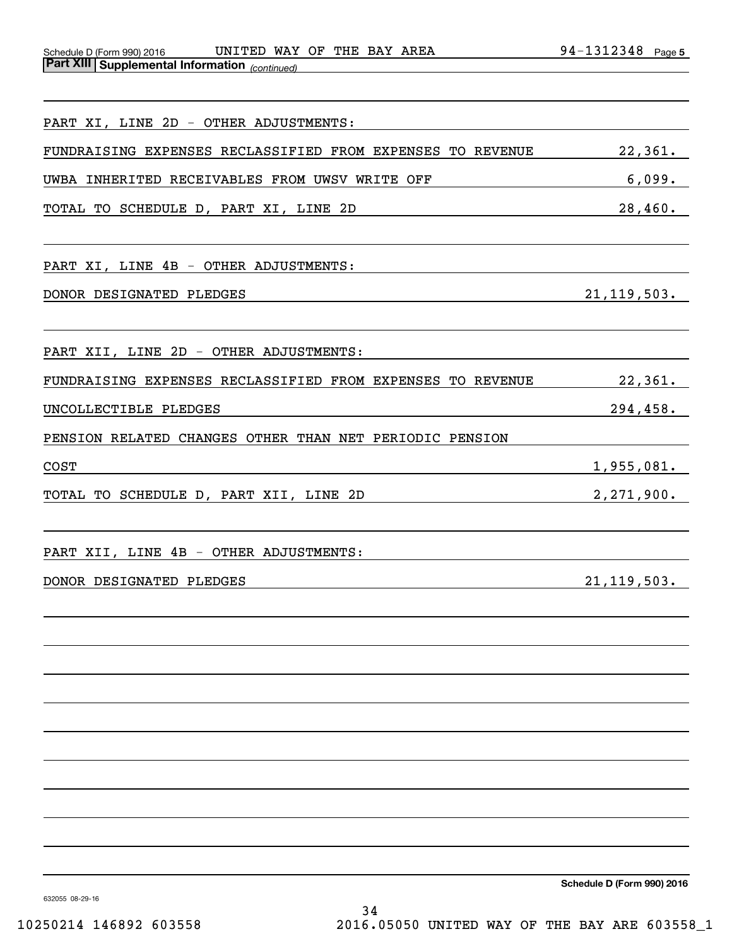| PART XI, LINE 2D - OTHER ADJUSTMENTS:                              |                            |
|--------------------------------------------------------------------|----------------------------|
| FUNDRAISING EXPENSES RECLASSIFIED FROM EXPENSES TO REVENUE         | 22,361.                    |
| UWBA INHERITED RECEIVABLES FROM UWSV WRITE OFF                     | 6,099.                     |
| TOTAL TO SCHEDULE D, PART XI, LINE 2D                              | 28,460.                    |
| PART XI, LINE 4B - OTHER ADJUSTMENTS:                              |                            |
| DONOR DESIGNATED PLEDGES                                           | 21, 119, 503.              |
| PART XII, LINE 2D - OTHER ADJUSTMENTS:                             |                            |
| FUNDRAISING EXPENSES RECLASSIFIED FROM EXPENSES TO REVENUE 22,361. |                            |
| UNCOLLECTIBLE PLEDGES                                              | 294,458.                   |
| PENSION RELATED CHANGES OTHER THAN NET PERIODIC PENSION            |                            |
| COST                                                               | 1,955,081.                 |
| TOTAL TO SCHEDULE D, PART XII, LINE 2D                             | 2,271,900.                 |
| PART XII, LINE 4B - OTHER ADJUSTMENTS:                             |                            |
| DONOR DESIGNATED PLEDGES                                           | 21, 119, 503.              |
|                                                                    |                            |
|                                                                    |                            |
|                                                                    |                            |
|                                                                    |                            |
|                                                                    |                            |
|                                                                    |                            |
|                                                                    | Schedule D (Form 990) 2016 |

632055 08-29-16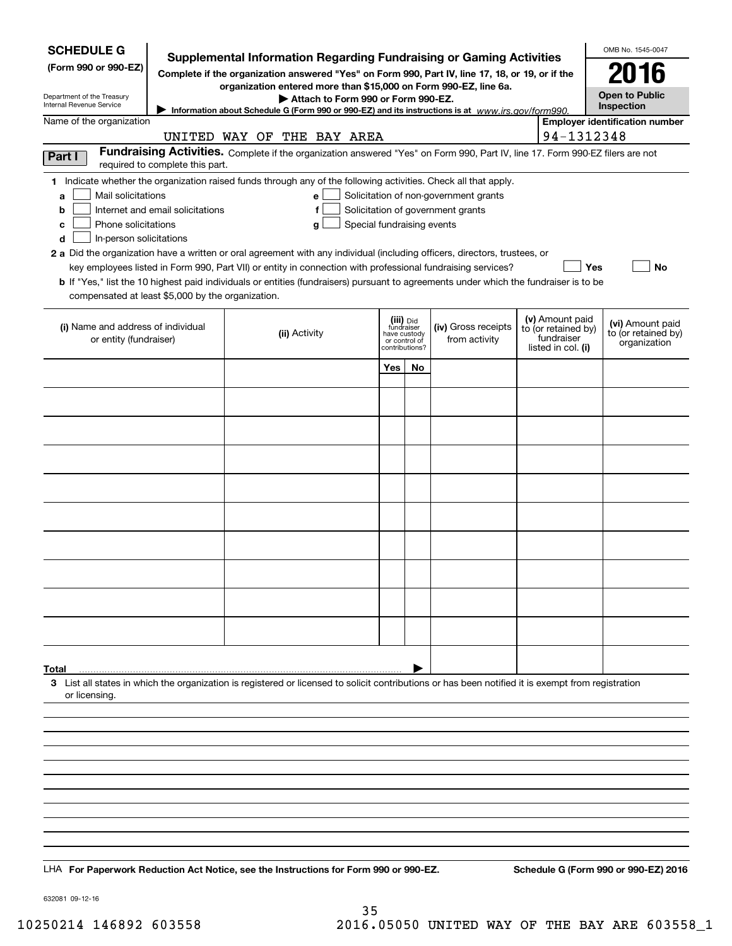| <b>SCHEDULE G</b>                                                                                                                                                                                                                                      |  |                                                                                                                                                    |                                                                       |    |  |                                   |                                       | OMB No. 1545-0047     |  |  |
|--------------------------------------------------------------------------------------------------------------------------------------------------------------------------------------------------------------------------------------------------------|--|----------------------------------------------------------------------------------------------------------------------------------------------------|-----------------------------------------------------------------------|----|--|-----------------------------------|---------------------------------------|-----------------------|--|--|
| <b>Supplemental Information Regarding Fundraising or Gaming Activities</b><br>(Form 990 or 990-EZ)<br>Complete if the organization answered "Yes" on Form 990, Part IV, line 17, 18, or 19, or if the                                                  |  |                                                                                                                                                    |                                                                       |    |  |                                   |                                       |                       |  |  |
| organization entered more than \$15,000 on Form 990-EZ, line 6a.<br>Department of the Treasury                                                                                                                                                         |  |                                                                                                                                                    |                                                                       |    |  |                                   |                                       | <b>Open to Public</b> |  |  |
| Internal Revenue Service                                                                                                                                                                                                                               |  | Attach to Form 990 or Form 990-EZ.<br>Information about Schedule G (Form 990 or 990-EZ) and its instructions is at www.irs.gov/form990.            |                                                                       |    |  |                                   |                                       |                       |  |  |
| Name of the organization                                                                                                                                                                                                                               |  |                                                                                                                                                    |                                                                       |    |  |                                   | <b>Employer identification number</b> |                       |  |  |
| UNITED WAY OF THE BAY AREA                                                                                                                                                                                                                             |  |                                                                                                                                                    |                                                                       |    |  |                                   | 94-1312348                            |                       |  |  |
| Fundraising Activities. Complete if the organization answered "Yes" on Form 990, Part IV, line 17. Form 990-EZ filers are not<br>Part I<br>required to complete this part.                                                                             |  |                                                                                                                                                    |                                                                       |    |  |                                   |                                       |                       |  |  |
| 1 Indicate whether the organization raised funds through any of the following activities. Check all that apply.                                                                                                                                        |  |                                                                                                                                                    |                                                                       |    |  |                                   |                                       |                       |  |  |
| Mail solicitations<br>e l<br>Solicitation of non-government grants<br>a                                                                                                                                                                                |  |                                                                                                                                                    |                                                                       |    |  |                                   |                                       |                       |  |  |
| Solicitation of government grants<br>Internet and email solicitations<br>b<br>f<br>Phone solicitations<br>Special fundraising events<br>с<br>g                                                                                                         |  |                                                                                                                                                    |                                                                       |    |  |                                   |                                       |                       |  |  |
| d<br>In-person solicitations                                                                                                                                                                                                                           |  |                                                                                                                                                    |                                                                       |    |  |                                   |                                       |                       |  |  |
| 2 a Did the organization have a written or oral agreement with any individual (including officers, directors, trustees, or<br>key employees listed in Form 990, Part VII) or entity in connection with professional fundraising services?<br>Yes<br>No |  |                                                                                                                                                    |                                                                       |    |  |                                   |                                       |                       |  |  |
|                                                                                                                                                                                                                                                        |  | <b>b</b> If "Yes," list the 10 highest paid individuals or entities (fundraisers) pursuant to agreements under which the fundraiser is to be       |                                                                       |    |  |                                   |                                       |                       |  |  |
| compensated at least \$5,000 by the organization.                                                                                                                                                                                                      |  |                                                                                                                                                    |                                                                       |    |  |                                   |                                       |                       |  |  |
| (iii) Did<br>fundraiser                                                                                                                                                                                                                                |  |                                                                                                                                                    |                                                                       |    |  | (v) Amount paid                   | (vi) Amount paid                      |                       |  |  |
| (i) Name and address of individual<br>or entity (fundraiser)                                                                                                                                                                                           |  | (ii) Activity                                                                                                                                      | (iv) Gross receipts<br>have custody<br>from activity<br>or control of |    |  | to (or retained by)<br>fundraiser | to (or retained by)<br>organization   |                       |  |  |
|                                                                                                                                                                                                                                                        |  |                                                                                                                                                    | contributions?                                                        |    |  |                                   | listed in col. (i)                    |                       |  |  |
|                                                                                                                                                                                                                                                        |  |                                                                                                                                                    | Yes                                                                   | No |  |                                   |                                       |                       |  |  |
|                                                                                                                                                                                                                                                        |  |                                                                                                                                                    |                                                                       |    |  |                                   |                                       |                       |  |  |
|                                                                                                                                                                                                                                                        |  |                                                                                                                                                    |                                                                       |    |  |                                   |                                       |                       |  |  |
|                                                                                                                                                                                                                                                        |  |                                                                                                                                                    |                                                                       |    |  |                                   |                                       |                       |  |  |
|                                                                                                                                                                                                                                                        |  |                                                                                                                                                    |                                                                       |    |  |                                   |                                       |                       |  |  |
|                                                                                                                                                                                                                                                        |  |                                                                                                                                                    |                                                                       |    |  |                                   |                                       |                       |  |  |
|                                                                                                                                                                                                                                                        |  |                                                                                                                                                    |                                                                       |    |  |                                   |                                       |                       |  |  |
|                                                                                                                                                                                                                                                        |  |                                                                                                                                                    |                                                                       |    |  |                                   |                                       |                       |  |  |
|                                                                                                                                                                                                                                                        |  |                                                                                                                                                    |                                                                       |    |  |                                   |                                       |                       |  |  |
|                                                                                                                                                                                                                                                        |  |                                                                                                                                                    |                                                                       |    |  |                                   |                                       |                       |  |  |
|                                                                                                                                                                                                                                                        |  |                                                                                                                                                    |                                                                       |    |  |                                   |                                       |                       |  |  |
|                                                                                                                                                                                                                                                        |  |                                                                                                                                                    |                                                                       |    |  |                                   |                                       |                       |  |  |
|                                                                                                                                                                                                                                                        |  |                                                                                                                                                    |                                                                       |    |  |                                   |                                       |                       |  |  |
|                                                                                                                                                                                                                                                        |  |                                                                                                                                                    |                                                                       |    |  |                                   |                                       |                       |  |  |
|                                                                                                                                                                                                                                                        |  |                                                                                                                                                    |                                                                       |    |  |                                   |                                       |                       |  |  |
| Total                                                                                                                                                                                                                                                  |  |                                                                                                                                                    |                                                                       |    |  |                                   |                                       |                       |  |  |
|                                                                                                                                                                                                                                                        |  | 3 List all states in which the organization is registered or licensed to solicit contributions or has been notified it is exempt from registration |                                                                       |    |  |                                   |                                       |                       |  |  |
| or licensing.                                                                                                                                                                                                                                          |  |                                                                                                                                                    |                                                                       |    |  |                                   |                                       |                       |  |  |
|                                                                                                                                                                                                                                                        |  |                                                                                                                                                    |                                                                       |    |  |                                   |                                       |                       |  |  |
|                                                                                                                                                                                                                                                        |  |                                                                                                                                                    |                                                                       |    |  |                                   |                                       |                       |  |  |
|                                                                                                                                                                                                                                                        |  |                                                                                                                                                    |                                                                       |    |  |                                   |                                       |                       |  |  |
|                                                                                                                                                                                                                                                        |  |                                                                                                                                                    |                                                                       |    |  |                                   |                                       |                       |  |  |
|                                                                                                                                                                                                                                                        |  |                                                                                                                                                    |                                                                       |    |  |                                   |                                       |                       |  |  |
|                                                                                                                                                                                                                                                        |  |                                                                                                                                                    |                                                                       |    |  |                                   |                                       |                       |  |  |
|                                                                                                                                                                                                                                                        |  |                                                                                                                                                    |                                                                       |    |  |                                   |                                       |                       |  |  |
|                                                                                                                                                                                                                                                        |  |                                                                                                                                                    |                                                                       |    |  |                                   |                                       |                       |  |  |
| Schedule G (Form 990 or 990-EZ) 2016<br>LHA For Paperwork Reduction Act Notice, see the Instructions for Form 990 or 990-EZ.                                                                                                                           |  |                                                                                                                                                    |                                                                       |    |  |                                   |                                       |                       |  |  |

632081 09-12-16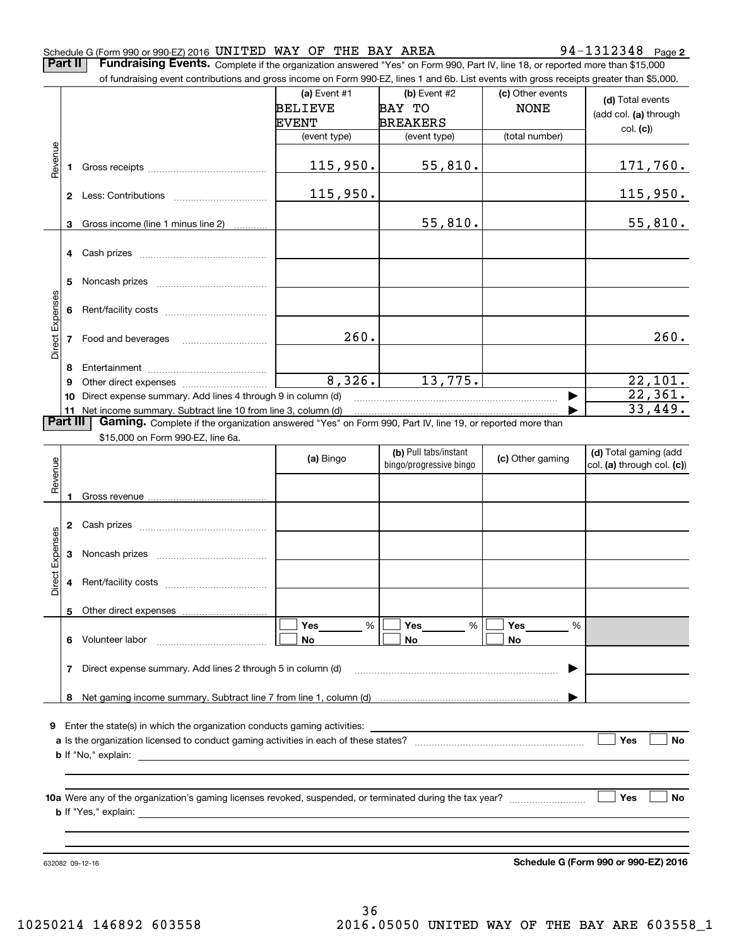### Schedule G (Form 990 or 990-EZ) 2016 <code>UNITED WAY OF THE BAY AREA</code>  $94-1312348$  <code>Page</code>

**2**

**Part II** | Fundraising Events. Complete if the organization answered "Yes" on Form 990, Part IV, line 18, or reported more than \$15,000

|                 |          | of fundraising event contributions and gross income on Form 990-EZ, lines 1 and 6b. List events with gross receipts greater than \$5,000.                                   |                |                                                  |                  |                                                     |  |  |  |  |
|-----------------|----------|-----------------------------------------------------------------------------------------------------------------------------------------------------------------------------|----------------|--------------------------------------------------|------------------|-----------------------------------------------------|--|--|--|--|
|                 |          |                                                                                                                                                                             | (a) Event #1   | (b) Event #2                                     | (c) Other events | (d) Total events                                    |  |  |  |  |
|                 |          |                                                                                                                                                                             | <b>BELIEVE</b> | BAY TO                                           | <b>NONE</b>      | (add col. (a) through                               |  |  |  |  |
|                 |          |                                                                                                                                                                             | <b>EVENT</b>   | <b>BREAKERS</b>                                  |                  |                                                     |  |  |  |  |
|                 |          |                                                                                                                                                                             | (event type)   | (event type)                                     | (total number)   | col. (c)                                            |  |  |  |  |
|                 |          |                                                                                                                                                                             |                |                                                  |                  |                                                     |  |  |  |  |
| Revenue         | 1.       |                                                                                                                                                                             | 115,950.       | 55,810.                                          |                  | 171,760.                                            |  |  |  |  |
|                 |          |                                                                                                                                                                             |                |                                                  |                  |                                                     |  |  |  |  |
|                 |          |                                                                                                                                                                             | 115,950.       |                                                  |                  | 115,950.                                            |  |  |  |  |
|                 |          |                                                                                                                                                                             |                |                                                  |                  |                                                     |  |  |  |  |
|                 | 3        | Gross income (line 1 minus line 2)                                                                                                                                          |                | 55,810.                                          |                  | 55,810.                                             |  |  |  |  |
|                 |          |                                                                                                                                                                             |                |                                                  |                  |                                                     |  |  |  |  |
|                 |          |                                                                                                                                                                             |                |                                                  |                  |                                                     |  |  |  |  |
|                 |          |                                                                                                                                                                             |                |                                                  |                  |                                                     |  |  |  |  |
|                 |          |                                                                                                                                                                             |                |                                                  |                  |                                                     |  |  |  |  |
|                 | 5        |                                                                                                                                                                             |                |                                                  |                  |                                                     |  |  |  |  |
|                 |          |                                                                                                                                                                             |                |                                                  |                  |                                                     |  |  |  |  |
|                 |          |                                                                                                                                                                             |                |                                                  |                  |                                                     |  |  |  |  |
| Direct Expenses |          |                                                                                                                                                                             | 260.           |                                                  |                  | 260.                                                |  |  |  |  |
|                 |          | 7 Food and beverages                                                                                                                                                        |                |                                                  |                  |                                                     |  |  |  |  |
|                 |          |                                                                                                                                                                             |                |                                                  |                  |                                                     |  |  |  |  |
|                 | 8        |                                                                                                                                                                             | 8,326.         | 13,775.                                          |                  |                                                     |  |  |  |  |
|                 | 9        |                                                                                                                                                                             |                |                                                  |                  | 22,101.<br>22,361.                                  |  |  |  |  |
|                 | 10       | Direct expense summary. Add lines 4 through 9 in column (d)                                                                                                                 |                |                                                  |                  | 33,449.                                             |  |  |  |  |
|                 | Part III | 11 Net income summary. Subtract line 10 from line 3, column (d)<br>Gaming. Complete if the organization answered "Yes" on Form 990, Part IV, line 19, or reported more than |                |                                                  |                  |                                                     |  |  |  |  |
|                 |          |                                                                                                                                                                             |                |                                                  |                  |                                                     |  |  |  |  |
|                 |          | \$15,000 on Form 990-EZ, line 6a.                                                                                                                                           |                |                                                  |                  |                                                     |  |  |  |  |
|                 |          |                                                                                                                                                                             | (a) Bingo      | (b) Pull tabs/instant<br>bingo/progressive bingo | (c) Other gaming | (d) Total gaming (add<br>col. (a) through col. (c)) |  |  |  |  |
| Revenue         |          |                                                                                                                                                                             |                |                                                  |                  |                                                     |  |  |  |  |
|                 |          |                                                                                                                                                                             |                |                                                  |                  |                                                     |  |  |  |  |
|                 |          |                                                                                                                                                                             |                |                                                  |                  |                                                     |  |  |  |  |
|                 |          |                                                                                                                                                                             |                |                                                  |                  |                                                     |  |  |  |  |
|                 |          |                                                                                                                                                                             |                |                                                  |                  |                                                     |  |  |  |  |
|                 |          |                                                                                                                                                                             |                |                                                  |                  |                                                     |  |  |  |  |
| Expenses        | 3        |                                                                                                                                                                             |                |                                                  |                  |                                                     |  |  |  |  |
|                 |          |                                                                                                                                                                             |                |                                                  |                  |                                                     |  |  |  |  |
| <b>Direct</b>   |          |                                                                                                                                                                             |                |                                                  |                  |                                                     |  |  |  |  |
|                 |          |                                                                                                                                                                             |                |                                                  |                  |                                                     |  |  |  |  |
|                 |          | 5 Other direct expenses                                                                                                                                                     |                |                                                  |                  |                                                     |  |  |  |  |
|                 |          |                                                                                                                                                                             | %<br>Yes       | Yes<br>%                                         | Yes<br>%         |                                                     |  |  |  |  |
|                 |          | 6 Volunteer labor                                                                                                                                                           | No             | No                                               | No               |                                                     |  |  |  |  |
|                 |          |                                                                                                                                                                             |                |                                                  |                  |                                                     |  |  |  |  |
|                 | 7        | Direct expense summary. Add lines 2 through 5 in column (d)                                                                                                                 |                |                                                  |                  |                                                     |  |  |  |  |
|                 |          |                                                                                                                                                                             |                |                                                  |                  |                                                     |  |  |  |  |
|                 |          |                                                                                                                                                                             |                |                                                  |                  |                                                     |  |  |  |  |
|                 |          |                                                                                                                                                                             |                |                                                  |                  |                                                     |  |  |  |  |
|                 |          | <b>9</b> Enter the state(s) in which the organization conducts gaming activities:                                                                                           |                |                                                  |                  |                                                     |  |  |  |  |
|                 |          |                                                                                                                                                                             |                |                                                  |                  | Yes<br>No                                           |  |  |  |  |
|                 |          |                                                                                                                                                                             |                |                                                  |                  |                                                     |  |  |  |  |
|                 |          |                                                                                                                                                                             |                |                                                  |                  |                                                     |  |  |  |  |
|                 |          |                                                                                                                                                                             |                |                                                  |                  |                                                     |  |  |  |  |
|                 |          |                                                                                                                                                                             |                |                                                  |                  |                                                     |  |  |  |  |
|                 |          |                                                                                                                                                                             |                |                                                  |                  | Yes<br>No                                           |  |  |  |  |
|                 |          |                                                                                                                                                                             |                |                                                  |                  |                                                     |  |  |  |  |
|                 |          |                                                                                                                                                                             |                |                                                  |                  |                                                     |  |  |  |  |

632082 09-12-16

**Schedule G (Form 990 or 990-EZ) 2016**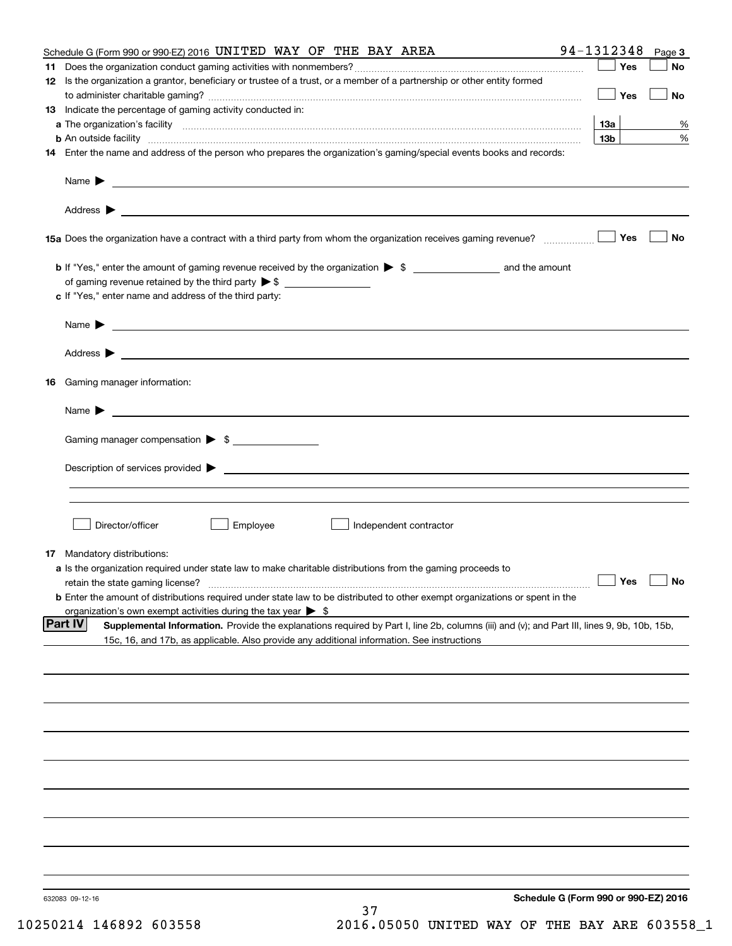| Schedule G (Form 990 or 990-EZ) 2016 UNITED WAY OF THE BAY AREA                                                                                                                                                                         | 94-1312348      | Page 3    |
|-----------------------------------------------------------------------------------------------------------------------------------------------------------------------------------------------------------------------------------------|-----------------|-----------|
|                                                                                                                                                                                                                                         | Yes             | No        |
| 12 Is the organization a grantor, beneficiary or trustee of a trust, or a member of a partnership or other entity formed                                                                                                                |                 |           |
|                                                                                                                                                                                                                                         | Yes             | <b>No</b> |
| 13 Indicate the percentage of gaming activity conducted in:                                                                                                                                                                             |                 |           |
|                                                                                                                                                                                                                                         | <u>13a</u>      | %         |
| <b>b</b> An outside facility <i>www.communicality www.communicality.communicality www.communicality www.communicality.communicality www.communicality.com</i>                                                                           | 13 <sub>b</sub> | %         |
| 14 Enter the name and address of the person who prepares the organization's gaming/special events books and records:                                                                                                                    |                 |           |
|                                                                                                                                                                                                                                         |                 |           |
|                                                                                                                                                                                                                                         |                 |           |
| 15a Does the organization have a contract with a third party from whom the organization receives gaming revenue?                                                                                                                        | Yes             | No        |
| <b>b</b> If "Yes," enter the amount of gaming revenue received by the organization $\triangleright$ \$ ___________________ and the amount                                                                                               |                 |           |
|                                                                                                                                                                                                                                         |                 |           |
| c If "Yes," enter name and address of the third party:                                                                                                                                                                                  |                 |           |
|                                                                                                                                                                                                                                         |                 |           |
| Name $\blacktriangleright$ $\_\_\_\_\_\_\_\_\_\$                                                                                                                                                                                        |                 |           |
|                                                                                                                                                                                                                                         |                 |           |
|                                                                                                                                                                                                                                         |                 |           |
| 16 Gaming manager information:                                                                                                                                                                                                          |                 |           |
| Name $\blacktriangleright$ $\frac{1}{\sqrt{1-\frac{1}{2}}\left(1-\frac{1}{2}\right)}$                                                                                                                                                   |                 |           |
|                                                                                                                                                                                                                                         |                 |           |
| Gaming manager compensation > \$                                                                                                                                                                                                        |                 |           |
|                                                                                                                                                                                                                                         |                 |           |
|                                                                                                                                                                                                                                         |                 |           |
|                                                                                                                                                                                                                                         |                 |           |
| Director/officer<br>Employee<br>Independent contractor                                                                                                                                                                                  |                 |           |
|                                                                                                                                                                                                                                         |                 |           |
| 17 Mandatory distributions:                                                                                                                                                                                                             |                 |           |
| a Is the organization required under state law to make charitable distributions from the gaming proceeds to                                                                                                                             |                 |           |
| $\Box$ Yes $\Box$ No<br>retain the state gaming license?                                                                                                                                                                                |                 |           |
| <b>b</b> Enter the amount of distributions required under state law to be distributed to other exempt organizations or spent in the                                                                                                     |                 |           |
| organization's own exempt activities during the tax year $\triangleright$ \$<br> Part IV<br>Supplemental Information. Provide the explanations required by Part I, line 2b, columns (iii) and (v); and Part III, lines 9, 9b, 10b, 15b, |                 |           |
| 15c, 16, and 17b, as applicable. Also provide any additional information. See instructions                                                                                                                                              |                 |           |
|                                                                                                                                                                                                                                         |                 |           |
|                                                                                                                                                                                                                                         |                 |           |
|                                                                                                                                                                                                                                         |                 |           |
|                                                                                                                                                                                                                                         |                 |           |
|                                                                                                                                                                                                                                         |                 |           |
|                                                                                                                                                                                                                                         |                 |           |
|                                                                                                                                                                                                                                         |                 |           |
|                                                                                                                                                                                                                                         |                 |           |
|                                                                                                                                                                                                                                         |                 |           |
|                                                                                                                                                                                                                                         |                 |           |
|                                                                                                                                                                                                                                         |                 |           |
|                                                                                                                                                                                                                                         |                 |           |
| Schedule G (Form 990 or 990-EZ) 2016<br>632083 09-12-16<br>37                                                                                                                                                                           |                 |           |
|                                                                                                                                                                                                                                         |                 |           |

10250214 146892 603558 2016.05050 UNITED WAY OF THE BAY ARE 603558\_1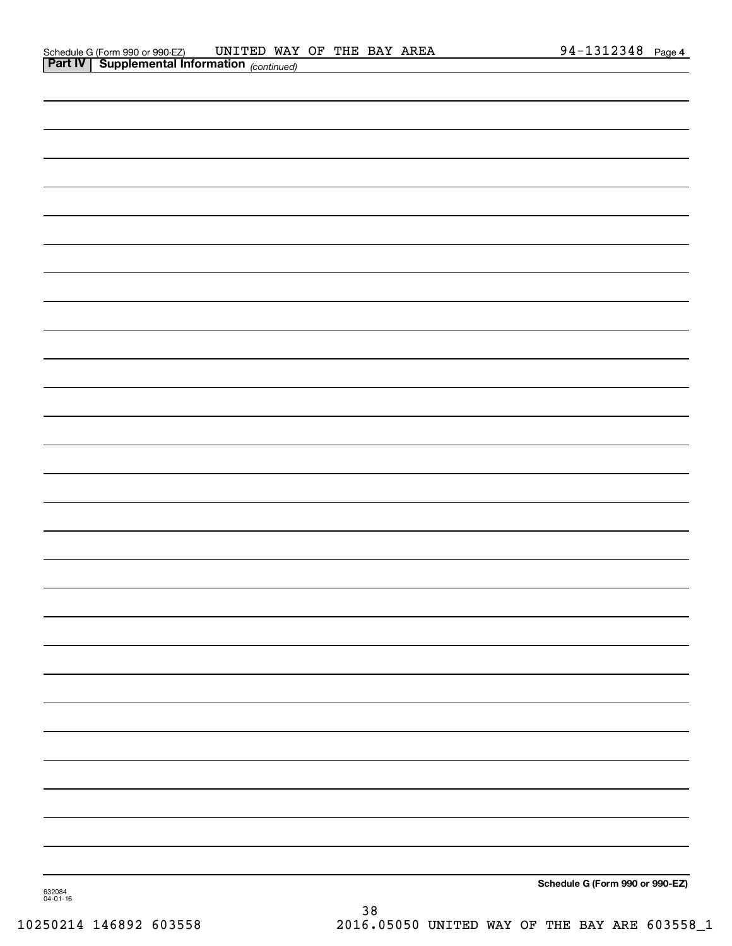|  | Schedule G (Form 990 or 990-EZ) |
|--|---------------------------------|
|  |                                 |

632084 04-01-16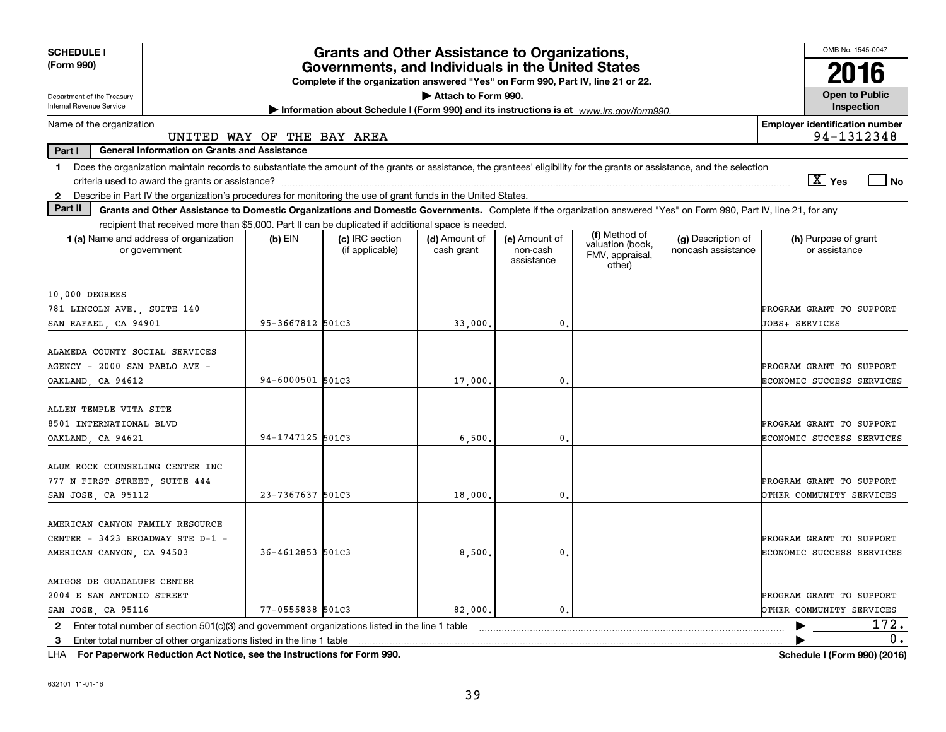| <b>SCHEDULE I</b><br>(Form 990)                                                                  | <b>Grants and Other Assistance to Organizations,</b><br>Governments, and Individuals in the United States<br>Complete if the organization answered "Yes" on Form 990, Part IV, line 21 or 22.                                                                                             |                  |                                                                                         |                             |                                         |                                               |                                          |                |                                                       |  |
|--------------------------------------------------------------------------------------------------|-------------------------------------------------------------------------------------------------------------------------------------------------------------------------------------------------------------------------------------------------------------------------------------------|------------------|-----------------------------------------------------------------------------------------|-----------------------------|-----------------------------------------|-----------------------------------------------|------------------------------------------|----------------|-------------------------------------------------------|--|
| Department of the Treasury<br>Internal Revenue Service                                           |                                                                                                                                                                                                                                                                                           |                  | Information about Schedule I (Form 990) and its instructions is at www.irs.gov/form990. | Attach to Form 990.         |                                         |                                               |                                          |                | <b>Open to Public</b><br>Inspection                   |  |
| Name of the organization                                                                         | UNITED WAY OF THE BAY AREA                                                                                                                                                                                                                                                                |                  |                                                                                         |                             |                                         |                                               |                                          |                | <b>Employer identification number</b><br>94-1312348   |  |
| Part I                                                                                           | <b>General Information on Grants and Assistance</b>                                                                                                                                                                                                                                       |                  |                                                                                         |                             |                                         |                                               |                                          |                |                                                       |  |
| 1.<br>$\mathbf{2}$                                                                               | Does the organization maintain records to substantiate the amount of the grants or assistance, the grantees' eligibility for the grants or assistance, and the selection<br>Describe in Part IV the organization's procedures for monitoring the use of grant funds in the United States. |                  |                                                                                         |                             |                                         |                                               |                                          |                | $\boxed{\text{X}}$ Yes<br>l No                        |  |
| Part II                                                                                          | Grants and Other Assistance to Domestic Organizations and Domestic Governments. Complete if the organization answered "Yes" on Form 990, Part IV, line 21, for any                                                                                                                        |                  |                                                                                         |                             |                                         |                                               |                                          |                |                                                       |  |
|                                                                                                  | recipient that received more than \$5,000. Part II can be duplicated if additional space is needed.                                                                                                                                                                                       |                  |                                                                                         |                             |                                         | (f) Method of                                 |                                          |                |                                                       |  |
|                                                                                                  | 1 (a) Name and address of organization<br>or government                                                                                                                                                                                                                                   | $(b)$ EIN        | (c) IRC section<br>(if applicable)                                                      | (d) Amount of<br>cash grant | (e) Amount of<br>non-cash<br>assistance | valuation (book,<br>FMV, appraisal,<br>other) | (g) Description of<br>noncash assistance |                | (h) Purpose of grant<br>or assistance                 |  |
| 10,000 DEGREES<br>781 LINCOLN AVE., SUITE 140<br>SAN RAFAEL, CA 94901                            |                                                                                                                                                                                                                                                                                           | 95-3667812 501C3 |                                                                                         | 33,000                      | $\mathbf{0}$ .                          |                                               |                                          | JOBS+ SERVICES | PROGRAM GRANT TO SUPPORT                              |  |
| ALAMEDA COUNTY SOCIAL SERVICES<br>AGENCY - 2000 SAN PABLO AVE -<br>OAKLAND, CA 94612             |                                                                                                                                                                                                                                                                                           | 94-6000501 501C3 |                                                                                         | 17,000                      | $\mathbf{0}$ .                          |                                               |                                          |                | PROGRAM GRANT TO SUPPORT<br>ECONOMIC SUCCESS SERVICES |  |
| ALLEN TEMPLE VITA SITE<br>8501 INTERNATIONAL BLVD<br>OAKLAND, CA 94621                           |                                                                                                                                                                                                                                                                                           | 94-1747125 501C3 |                                                                                         | 6,500                       | $\mathbf{0}$ .                          |                                               |                                          |                | PROGRAM GRANT TO SUPPORT<br>ECONOMIC SUCCESS SERVICES |  |
| ALUM ROCK COUNSELING CENTER INC<br>777 N FIRST STREET, SUITE 444<br>SAN JOSE, CA 95112           |                                                                                                                                                                                                                                                                                           | 23-7367637 501C3 |                                                                                         | 18,000                      | $\mathbf{0}$ .                          |                                               |                                          |                | PROGRAM GRANT TO SUPPORT<br>OTHER COMMUNITY SERVICES  |  |
| AMERICAN CANYON FAMILY RESOURCE<br>CENTER - 3423 BROADWAY STE D-1 -<br>AMERICAN CANYON, CA 94503 |                                                                                                                                                                                                                                                                                           | 36-4612853 501C3 |                                                                                         | 8,500.                      | 0.                                      |                                               |                                          |                | PROGRAM GRANT TO SUPPORT<br>ECONOMIC SUCCESS SERVICES |  |
| AMIGOS DE GUADALUPE CENTER<br>2004 E SAN ANTONIO STREET<br>SAN JOSE, CA 95116                    |                                                                                                                                                                                                                                                                                           | 77-0555838 501C3 |                                                                                         | 82,000                      | $\mathbf{0}$ .                          |                                               |                                          |                | PROGRAM GRANT TO SUPPORT<br>OTHER COMMUNITY SERVICES  |  |
| 2<br>3.                                                                                          | Enter total number of section $501(c)(3)$ and government organizations listed in the line 1 table<br>Enter total number of other organizations listed in the line 1 table                                                                                                                 |                  |                                                                                         |                             |                                         |                                               |                                          |                | 172.<br>0.                                            |  |
|                                                                                                  |                                                                                                                                                                                                                                                                                           |                  |                                                                                         |                             |                                         |                                               |                                          |                |                                                       |  |

**For Paperwork Reduction Act Notice, see the Instructions for Form 990. Schedule I (Form 990) (2016)** LHA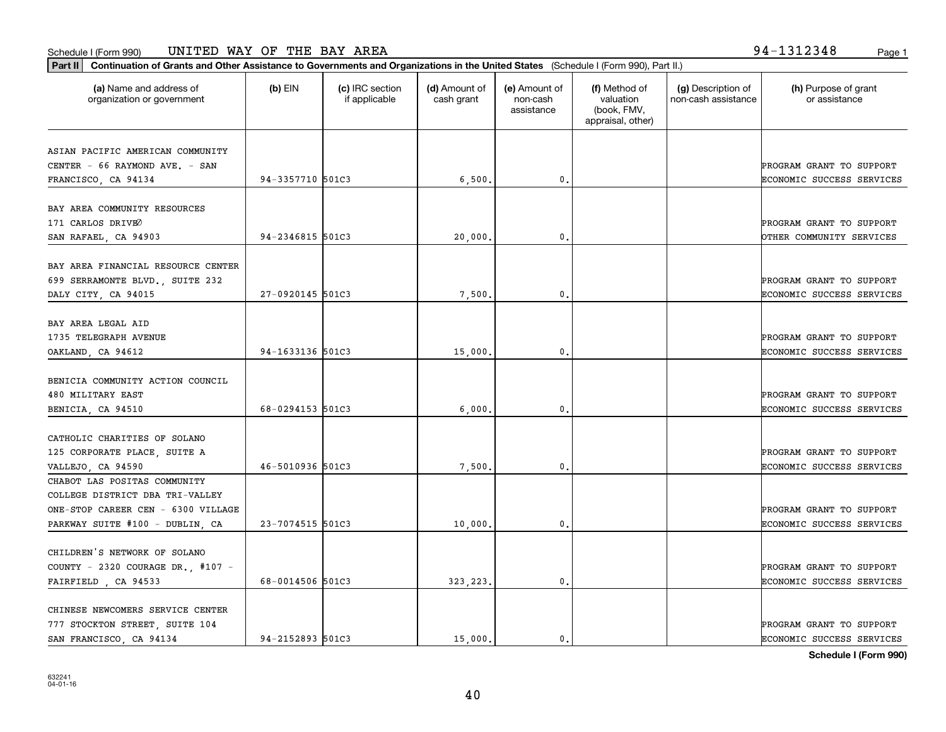| (a) Name and address of<br>organization or government | $(b)$ EIN        | (c) IRC section<br>if applicable | (d) Amount of<br>cash grant | (e) Amount of<br>non-cash<br>assistance | (f) Method of<br>valuation<br>(book, FMV,<br>appraisal, other) | (g) Description of<br>non-cash assistance | (h) Purpose of grant<br>or assistance |
|-------------------------------------------------------|------------------|----------------------------------|-----------------------------|-----------------------------------------|----------------------------------------------------------------|-------------------------------------------|---------------------------------------|
| ASIAN PACIFIC AMERICAN COMMUNITY                      |                  |                                  |                             |                                         |                                                                |                                           |                                       |
| CENTER - 66 RAYMOND AVE. - SAN                        |                  |                                  |                             |                                         |                                                                |                                           | PROGRAM GRANT TO SUPPORT              |
| FRANCISCO, CA 94134                                   | 94-3357710 501C3 |                                  | 6,500.                      | $\mathbf{0}$                            |                                                                |                                           | ECONOMIC SUCCESS SERVICES             |
|                                                       |                  |                                  |                             |                                         |                                                                |                                           |                                       |
| BAY AREA COMMUNITY RESOURCES                          |                  |                                  |                             |                                         |                                                                |                                           |                                       |
| 171 CARLOS DRIVEO                                     |                  |                                  |                             |                                         |                                                                |                                           | PROGRAM GRANT TO SUPPORT              |
| SAN RAFAEL, CA 94903                                  | 94-2346815 501C3 |                                  | 20,000                      | 0                                       |                                                                |                                           | OTHER COMMUNITY SERVICES              |
|                                                       |                  |                                  |                             |                                         |                                                                |                                           |                                       |
| BAY AREA FINANCIAL RESOURCE CENTER                    |                  |                                  |                             |                                         |                                                                |                                           |                                       |
| 699 SERRAMONTE BLVD., SUITE 232                       |                  |                                  |                             |                                         |                                                                |                                           | PROGRAM GRANT TO SUPPORT              |
| DALY CITY, CA 94015                                   | 27-0920145 501C3 |                                  | 7,500                       | 0.                                      |                                                                |                                           | ECONOMIC SUCCESS SERVICES             |
|                                                       |                  |                                  |                             |                                         |                                                                |                                           |                                       |
| BAY AREA LEGAL AID                                    |                  |                                  |                             |                                         |                                                                |                                           |                                       |
| 1735 TELEGRAPH AVENUE                                 |                  |                                  |                             |                                         |                                                                |                                           | PROGRAM GRANT TO SUPPORT              |
| OAKLAND, CA 94612                                     | 94-1633136 501C3 |                                  | 15,000                      | $\mathbf 0$ .                           |                                                                |                                           | ECONOMIC SUCCESS SERVICES             |
|                                                       |                  |                                  |                             |                                         |                                                                |                                           |                                       |
| BENICIA COMMUNITY ACTION COUNCIL                      |                  |                                  |                             |                                         |                                                                |                                           |                                       |
| 480 MILITARY EAST                                     |                  |                                  |                             |                                         |                                                                |                                           | PROGRAM GRANT TO SUPPORT              |
| BENICIA, CA 94510                                     | 68-0294153 501C3 |                                  | 6,000                       | $\mathbf 0$ .                           |                                                                |                                           | ECONOMIC SUCCESS SERVICES             |
| CATHOLIC CHARITIES OF SOLANO                          |                  |                                  |                             |                                         |                                                                |                                           |                                       |
| 125 CORPORATE PLACE, SUITE A                          |                  |                                  |                             |                                         |                                                                |                                           | PROGRAM GRANT TO SUPPORT              |
| VALLEJO, CA 94590                                     | 46-5010936 501C3 |                                  | 7,500                       | $\mathbf 0$ .                           |                                                                |                                           | ECONOMIC SUCCESS SERVICES             |
| CHABOT LAS POSITAS COMMUNITY                          |                  |                                  |                             |                                         |                                                                |                                           |                                       |
| COLLEGE DISTRICT DBA TRI-VALLEY                       |                  |                                  |                             |                                         |                                                                |                                           |                                       |
| ONE-STOP CAREER CEN - 6300 VILLAGE                    |                  |                                  |                             |                                         |                                                                |                                           | PROGRAM GRANT TO SUPPORT              |
| PARKWAY SUITE #100 - DUBLIN, CA                       | 23-7074515 501C3 |                                  | 10,000                      | 0.                                      |                                                                |                                           | ECONOMIC SUCCESS SERVICES             |
|                                                       |                  |                                  |                             |                                         |                                                                |                                           |                                       |
| CHILDREN'S NETWORK OF SOLANO                          |                  |                                  |                             |                                         |                                                                |                                           |                                       |
| COUNTY - 2320 COURAGE DR., #107 -                     |                  |                                  |                             |                                         |                                                                |                                           | PROGRAM GRANT TO SUPPORT              |
| FAIRFIELD, CA 94533                                   | 68-0014506 501C3 |                                  | 323, 223.                   | 0.                                      |                                                                |                                           | ECONOMIC SUCCESS SERVICES             |
|                                                       |                  |                                  |                             |                                         |                                                                |                                           |                                       |
| CHINESE NEWCOMERS SERVICE CENTER                      |                  |                                  |                             |                                         |                                                                |                                           |                                       |
| 777 STOCKTON STREET, SUITE 104                        |                  |                                  |                             |                                         |                                                                |                                           | PROGRAM GRANT TO SUPPORT              |
| SAN FRANCISCO, CA 94134                               | 94-2152893 501C3 |                                  | 15,000.                     | $\mathbf{0}$ .                          |                                                                |                                           | ECONOMIC SUCCESS SERVICES             |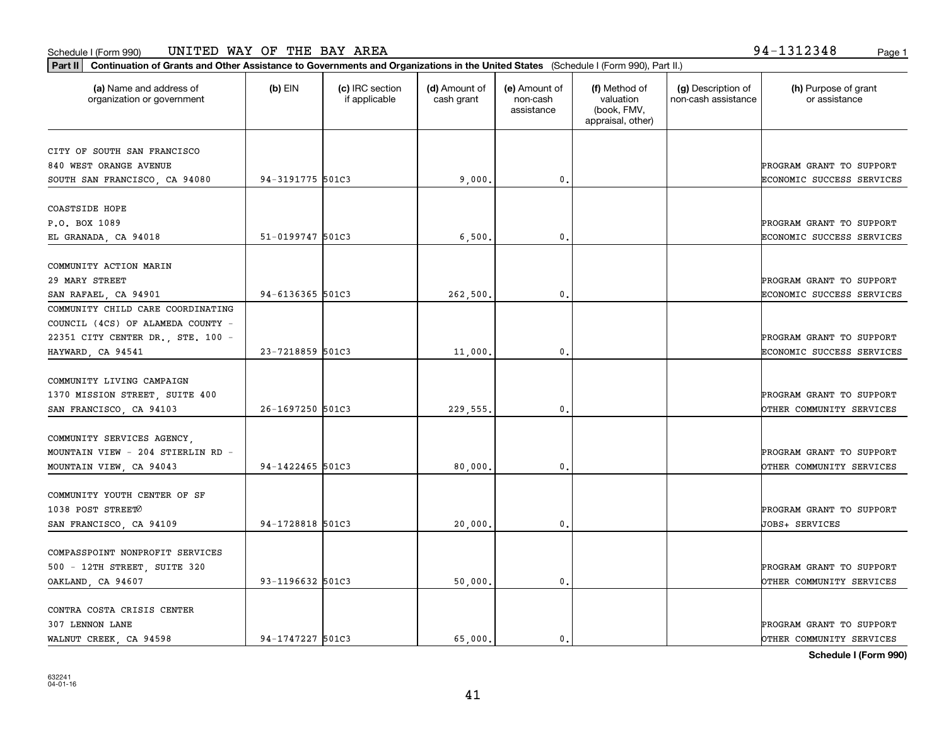**Part II Continuation of Grants and Other Assistance to Governments and Organizations in the United States**  (Schedule I (Form 990), Part II.)

| (a) Name and address of<br>organization or government | (b) EIN          | (c) IRC section<br>if applicable | (d) Amount of<br>cash grant | (e) Amount of<br>non-cash<br>assistance | (f) Method of<br>valuation<br>(book, FMV,<br>appraisal, other) | (g) Description of<br>non-cash assistance | (h) Purpose of grant<br>or assistance |
|-------------------------------------------------------|------------------|----------------------------------|-----------------------------|-----------------------------------------|----------------------------------------------------------------|-------------------------------------------|---------------------------------------|
| CITY OF SOUTH SAN FRANCISCO                           |                  |                                  |                             |                                         |                                                                |                                           |                                       |
| 840 WEST ORANGE AVENUE                                |                  |                                  |                             |                                         |                                                                |                                           | PROGRAM GRANT TO SUPPORT              |
| SOUTH SAN FRANCISCO, CA 94080                         | 94-3191775 501C3 |                                  | 9,000                       | 0.                                      |                                                                |                                           | ECONOMIC SUCCESS SERVICES             |
| <b>COASTSIDE HOPE</b>                                 |                  |                                  |                             |                                         |                                                                |                                           |                                       |
| P.O. BOX 1089                                         |                  |                                  |                             |                                         |                                                                |                                           | PROGRAM GRANT TO SUPPORT              |
| EL GRANADA, CA 94018                                  | 51-0199747 501C3 |                                  | 6,500                       | $\mathbf{0}$                            |                                                                |                                           | ECONOMIC SUCCESS SERVICES             |
| COMMUNITY ACTION MARIN                                |                  |                                  |                             |                                         |                                                                |                                           |                                       |
| 29 MARY STREET                                        |                  |                                  |                             |                                         |                                                                |                                           | PROGRAM GRANT TO SUPPORT              |
| SAN RAFAEL, CA 94901                                  | 94-6136365 501C3 |                                  | 262,500                     | 0.                                      |                                                                |                                           | ECONOMIC SUCCESS SERVICES             |
| COMMUNITY CHILD CARE COORDINATING                     |                  |                                  |                             |                                         |                                                                |                                           |                                       |
| COUNCIL (4CS) OF ALAMEDA COUNTY -                     |                  |                                  |                             |                                         |                                                                |                                           |                                       |
| 22351 CITY CENTER DR., STE. 100 -                     |                  |                                  |                             |                                         |                                                                |                                           | PROGRAM GRANT TO SUPPORT              |
| HAYWARD, CA 94541                                     | 23-7218859 501C3 |                                  | 11,000                      | $\mathbf{0}$                            |                                                                |                                           | ECONOMIC SUCCESS SERVICES             |
|                                                       |                  |                                  |                             |                                         |                                                                |                                           |                                       |
| COMMUNITY LIVING CAMPAIGN                             |                  |                                  |                             |                                         |                                                                |                                           |                                       |
| 1370 MISSION STREET, SUITE 400                        |                  |                                  |                             |                                         |                                                                |                                           | PROGRAM GRANT TO SUPPORT              |
| SAN FRANCISCO, CA 94103                               | 26-1697250 501C3 |                                  | 229,555.                    | 0.                                      |                                                                |                                           | OTHER COMMUNITY SERVICES              |
|                                                       |                  |                                  |                             |                                         |                                                                |                                           |                                       |
| COMMUNITY SERVICES AGENCY,                            |                  |                                  |                             |                                         |                                                                |                                           |                                       |
| MOUNTAIN VIEW - 204 STIERLIN RD -                     |                  |                                  |                             |                                         |                                                                |                                           | PROGRAM GRANT TO SUPPORT              |
| MOUNTAIN VIEW, CA 94043                               | 94-1422465 501C3 |                                  | 80,000.                     | 0.                                      |                                                                |                                           | OTHER COMMUNITY SERVICES              |
|                                                       |                  |                                  |                             |                                         |                                                                |                                           |                                       |
| COMMUNITY YOUTH CENTER OF SF                          |                  |                                  |                             |                                         |                                                                |                                           |                                       |
| 1038 POST STREET0                                     |                  |                                  |                             |                                         |                                                                |                                           | PROGRAM GRANT TO SUPPORT              |
| SAN FRANCISCO, CA 94109                               | 94-1728818 501C3 |                                  | 20,000                      | 0.                                      |                                                                |                                           | JOBS+ SERVICES                        |
|                                                       |                  |                                  |                             |                                         |                                                                |                                           |                                       |
| COMPASSPOINT NONPROFIT SERVICES                       |                  |                                  |                             |                                         |                                                                |                                           |                                       |
| 500 - 12TH STREET, SUITE 320                          |                  |                                  |                             |                                         |                                                                |                                           | PROGRAM GRANT TO SUPPORT              |
| OAKLAND, CA 94607                                     | 93-1196632 501C3 |                                  | 50,000                      | 0.                                      |                                                                |                                           | OTHER COMMUNITY SERVICES              |
| CONTRA COSTA CRISIS CENTER                            |                  |                                  |                             |                                         |                                                                |                                           |                                       |
| 307 LENNON LANE                                       |                  |                                  |                             |                                         |                                                                |                                           | PROGRAM GRANT TO SUPPORT              |
| WALNUT CREEK, CA 94598                                | 94-1747227 501C3 |                                  | 65.000.                     | 0.                                      |                                                                |                                           | <b>PTHER COMMUNITY SERVICES</b>       |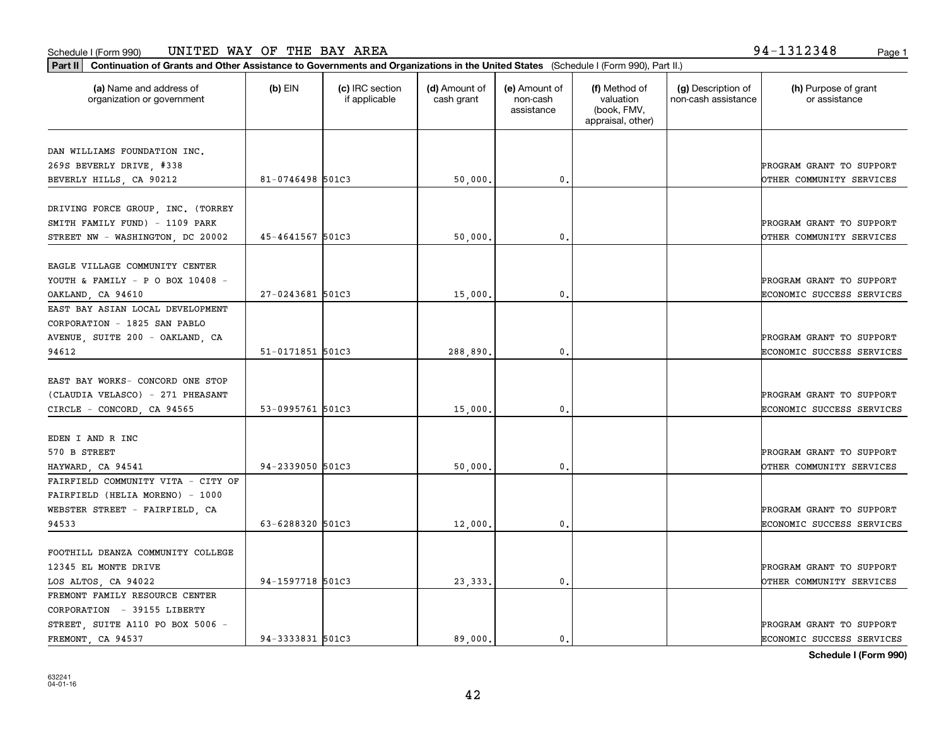**Part II Continuation of Grants and Other Assistance to Governments and Organizations in the United States**  (Schedule I (Form 990), Part II.)

| (a) Name and address of<br>organization or government               | $(b)$ EIN        | (c) IRC section<br>if applicable | (d) Amount of<br>cash grant | (e) Amount of<br>non-cash<br>assistance | (f) Method of<br>valuation<br>(book, FMV,<br>appraisal, other) | (g) Description of<br>non-cash assistance | (h) Purpose of grant<br>or assistance |
|---------------------------------------------------------------------|------------------|----------------------------------|-----------------------------|-----------------------------------------|----------------------------------------------------------------|-------------------------------------------|---------------------------------------|
| DAN WILLIAMS FOUNDATION INC.                                        |                  |                                  |                             |                                         |                                                                |                                           |                                       |
| 269S BEVERLY DRIVE, #338                                            |                  |                                  |                             |                                         |                                                                |                                           | PROGRAM GRANT TO SUPPORT              |
| BEVERLY HILLS, CA 90212                                             | 81-0746498 501C3 |                                  | 50,000.                     | 0.                                      |                                                                |                                           | OTHER COMMUNITY SERVICES              |
|                                                                     |                  |                                  |                             |                                         |                                                                |                                           |                                       |
| DRIVING FORCE GROUP, INC. (TORREY<br>SMITH FAMILY FUND) - 1109 PARK |                  |                                  |                             |                                         |                                                                |                                           | PROGRAM GRANT TO SUPPORT              |
| STREET NW - WASHINGTON, DC 20002                                    | 45-4641567 501C3 |                                  | 50,000.                     | 0.                                      |                                                                |                                           | OTHER COMMUNITY SERVICES              |
|                                                                     |                  |                                  |                             |                                         |                                                                |                                           |                                       |
| EAGLE VILLAGE COMMUNITY CENTER                                      |                  |                                  |                             |                                         |                                                                |                                           |                                       |
| YOUTH & FAMILY - P O BOX 10408 -                                    |                  |                                  |                             |                                         |                                                                |                                           | PROGRAM GRANT TO SUPPORT              |
| OAKLAND, CA 94610                                                   | 27-0243681 501C3 |                                  | 15,000.                     | 0.                                      |                                                                |                                           | ECONOMIC SUCCESS SERVICES             |
| EAST BAY ASIAN LOCAL DEVELOPMENT                                    |                  |                                  |                             |                                         |                                                                |                                           |                                       |
| CORPORATION - 1825 SAN PABLO                                        |                  |                                  |                             |                                         |                                                                |                                           |                                       |
| AVENUE, SUITE 200 - OAKLAND, CA                                     |                  |                                  |                             |                                         |                                                                |                                           | PROGRAM GRANT TO SUPPORT              |
| 94612                                                               | 51-0171851 501C3 |                                  | 288,890.                    | 0.                                      |                                                                |                                           | ECONOMIC SUCCESS SERVICES             |
|                                                                     |                  |                                  |                             |                                         |                                                                |                                           |                                       |
| EAST BAY WORKS- CONCORD ONE STOP                                    |                  |                                  |                             |                                         |                                                                |                                           |                                       |
| (CLAUDIA VELASCO) - 271 PHEASANT                                    |                  |                                  |                             |                                         |                                                                |                                           | PROGRAM GRANT TO SUPPORT              |
| CIRCLE - CONCORD, CA 94565                                          | 53-0995761 501C3 |                                  | 15,000.                     | 0.                                      |                                                                |                                           | ECONOMIC SUCCESS SERVICES             |
| EDEN I AND R INC                                                    |                  |                                  |                             |                                         |                                                                |                                           |                                       |
| 570 B STREET                                                        |                  |                                  |                             |                                         |                                                                |                                           | PROGRAM GRANT TO SUPPORT              |
|                                                                     | 94-2339050 501C3 |                                  | 50,000.                     | $\mathfrak o$ .                         |                                                                |                                           | OTHER COMMUNITY SERVICES              |
| HAYWARD, CA 94541<br>FAIRFIELD COMMUNITY VITA - CITY OF             |                  |                                  |                             |                                         |                                                                |                                           |                                       |
| FAIRFIELD (HELIA MORENO) - 1000                                     |                  |                                  |                             |                                         |                                                                |                                           |                                       |
| WEBSTER STREET - FAIRFIELD, CA                                      |                  |                                  |                             |                                         |                                                                |                                           | PROGRAM GRANT TO SUPPORT              |
| 94533                                                               | 63-6288320 501C3 |                                  | 12,000.                     | 0.                                      |                                                                |                                           | ECONOMIC SUCCESS SERVICES             |
|                                                                     |                  |                                  |                             |                                         |                                                                |                                           |                                       |
| FOOTHILL DEANZA COMMUNITY COLLEGE                                   |                  |                                  |                             |                                         |                                                                |                                           |                                       |
| 12345 EL MONTE DRIVE                                                |                  |                                  |                             |                                         |                                                                |                                           | PROGRAM GRANT TO SUPPORT              |
| LOS ALTOS, CA 94022                                                 | 94-1597718 501C3 |                                  | 23, 333.                    | 0.                                      |                                                                |                                           | OTHER COMMUNITY SERVICES              |
| FREMONT FAMILY RESOURCE CENTER                                      |                  |                                  |                             |                                         |                                                                |                                           |                                       |
| CORPORATION - 39155 LIBERTY                                         |                  |                                  |                             |                                         |                                                                |                                           |                                       |
| STREET SUITE A110 PO BOX 5006 -                                     |                  |                                  |                             |                                         |                                                                |                                           | PROGRAM GRANT TO SUPPORT              |

**Schedule I (Form 990)**

42

FREMONT, CA 94537 94-3333831 501C3 89,000. 0. ECONOMIC SUCCESS SERVICES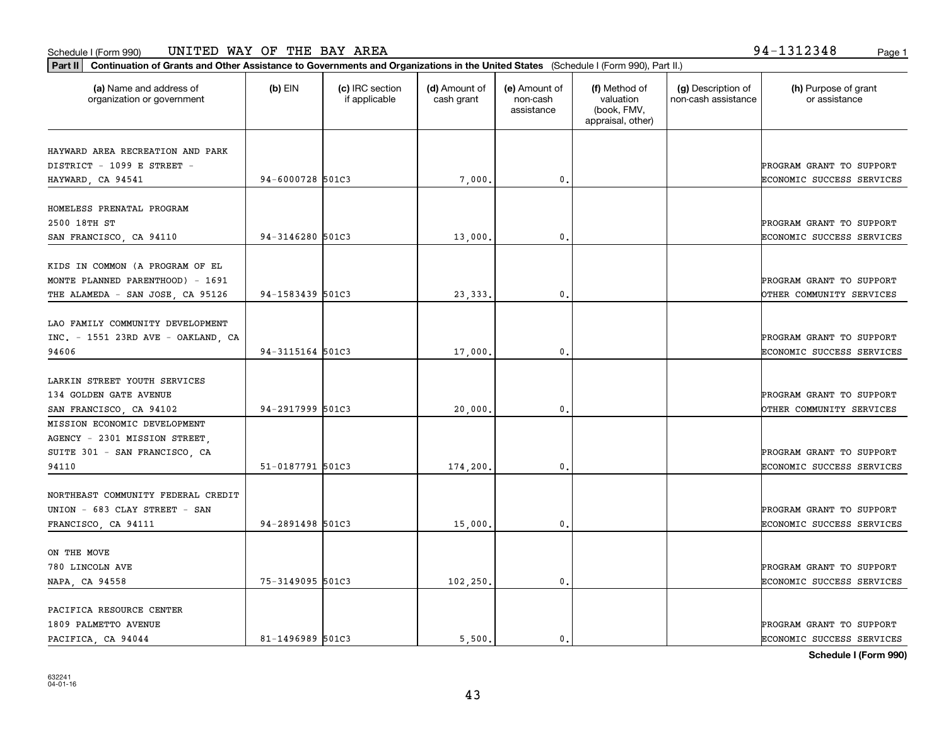**Part II Continuation of Grants and Other Assistance to Governments and Organizations in the United States**  (Schedule I (Form 990), Part II.)

т

632241 04-01-16

| (a) Name and address of<br>organization or government | $(b)$ EIN        | (c) IRC section<br>if applicable | (d) Amount of<br>cash grant | (e) Amount of<br>non-cash<br>assistance | (f) Method of<br>valuation<br>(book, FMV,<br>appraisal, other) | (g) Description of<br>non-cash assistance | (h) Purpose of grant<br>or assistance                |
|-------------------------------------------------------|------------------|----------------------------------|-----------------------------|-----------------------------------------|----------------------------------------------------------------|-------------------------------------------|------------------------------------------------------|
| HAYWARD AREA RECREATION AND PARK                      |                  |                                  |                             |                                         |                                                                |                                           |                                                      |
| DISTRICT - 1099 E STREET -                            |                  |                                  |                             |                                         |                                                                |                                           | PROGRAM GRANT TO SUPPORT                             |
| HAYWARD, CA 94541                                     | 94-6000728 501C3 |                                  | 7,000,                      | $\mathbf{0}$                            |                                                                |                                           | ECONOMIC SUCCESS SERVICES                            |
|                                                       |                  |                                  |                             |                                         |                                                                |                                           |                                                      |
| HOMELESS PRENATAL PROGRAM                             |                  |                                  |                             |                                         |                                                                |                                           |                                                      |
| 2500 18TH ST                                          |                  |                                  |                             |                                         |                                                                |                                           | PROGRAM GRANT TO SUPPORT                             |
| SAN FRANCISCO, CA 94110                               | 94-3146280 501C3 |                                  | 13,000.                     | 0.                                      |                                                                |                                           | <b>ECONOMIC SUCCESS SERVICES</b>                     |
|                                                       |                  |                                  |                             |                                         |                                                                |                                           |                                                      |
| KIDS IN COMMON (A PROGRAM OF EL                       |                  |                                  |                             |                                         |                                                                |                                           |                                                      |
| MONTE PLANNED PARENTHOOD) - 1691                      | 94-1583439 501C3 |                                  | 23,333                      | $\mathbf{0}$                            |                                                                |                                           | PROGRAM GRANT TO SUPPORT<br>OTHER COMMUNITY SERVICES |
| THE ALAMEDA - SAN JOSE, CA 95126                      |                  |                                  |                             |                                         |                                                                |                                           |                                                      |
| LAO FAMILY COMMUNITY DEVELOPMENT                      |                  |                                  |                             |                                         |                                                                |                                           |                                                      |
| INC. - 1551 23RD AVE - OAKLAND, CA                    |                  |                                  |                             |                                         |                                                                |                                           | PROGRAM GRANT TO SUPPORT                             |
| 94606                                                 | 94-3115164 501C3 |                                  | 17,000                      | $\mathbf{0}$                            |                                                                |                                           | ECONOMIC SUCCESS SERVICES                            |
|                                                       |                  |                                  |                             |                                         |                                                                |                                           |                                                      |
| LARKIN STREET YOUTH SERVICES                          |                  |                                  |                             |                                         |                                                                |                                           |                                                      |
| 134 GOLDEN GATE AVENUE                                |                  |                                  |                             |                                         |                                                                |                                           | PROGRAM GRANT TO SUPPORT                             |
| SAN FRANCISCO, CA 94102                               | 94-2917999 501C3 |                                  | 20,000                      | $\mathbf{0}$                            |                                                                |                                           | OTHER COMMUNITY SERVICES                             |
| MISSION ECONOMIC DEVELOPMENT                          |                  |                                  |                             |                                         |                                                                |                                           |                                                      |
| AGENCY - 2301 MISSION STREET,                         |                  |                                  |                             |                                         |                                                                |                                           |                                                      |
| SUITE 301 - SAN FRANCISCO, CA                         |                  |                                  |                             |                                         |                                                                |                                           | PROGRAM GRANT TO SUPPORT                             |
| 94110                                                 | 51-0187791 501C3 |                                  | 174,200.                    | $\mathbf{0}$                            |                                                                |                                           | ECONOMIC SUCCESS SERVICES                            |
| NORTHEAST COMMUNITY FEDERAL CREDIT                    |                  |                                  |                             |                                         |                                                                |                                           |                                                      |
| UNION - 683 CLAY STREET - SAN                         |                  |                                  |                             |                                         |                                                                |                                           | PROGRAM GRANT TO SUPPORT                             |
| FRANCISCO, CA 94111                                   | 94-2891498 501C3 |                                  | 15,000.                     | 0.                                      |                                                                |                                           | ECONOMIC SUCCESS SERVICES                            |
|                                                       |                  |                                  |                             |                                         |                                                                |                                           |                                                      |
| ON THE MOVE                                           |                  |                                  |                             |                                         |                                                                |                                           |                                                      |
| 780 LINCOLN AVE                                       |                  |                                  |                             |                                         |                                                                |                                           | PROGRAM GRANT TO SUPPORT                             |
| NAPA, CA 94558                                        | 75-3149095 501C3 |                                  | 102,250.                    | $\mathbf 0$                             |                                                                |                                           | ECONOMIC SUCCESS SERVICES                            |
|                                                       |                  |                                  |                             |                                         |                                                                |                                           |                                                      |
| PACIFICA RESOURCE CENTER                              |                  |                                  |                             |                                         |                                                                |                                           |                                                      |
| 1809 PALMETTO AVENUE                                  |                  |                                  |                             |                                         |                                                                |                                           | PROGRAM GRANT TO SUPPORT                             |
| PACIFICA, CA 94044                                    | 81-1496989 501C3 |                                  | 5.500.                      | $\mathbf{0}$ .                          |                                                                |                                           | ECONOMIC SUCCESS SERVICES                            |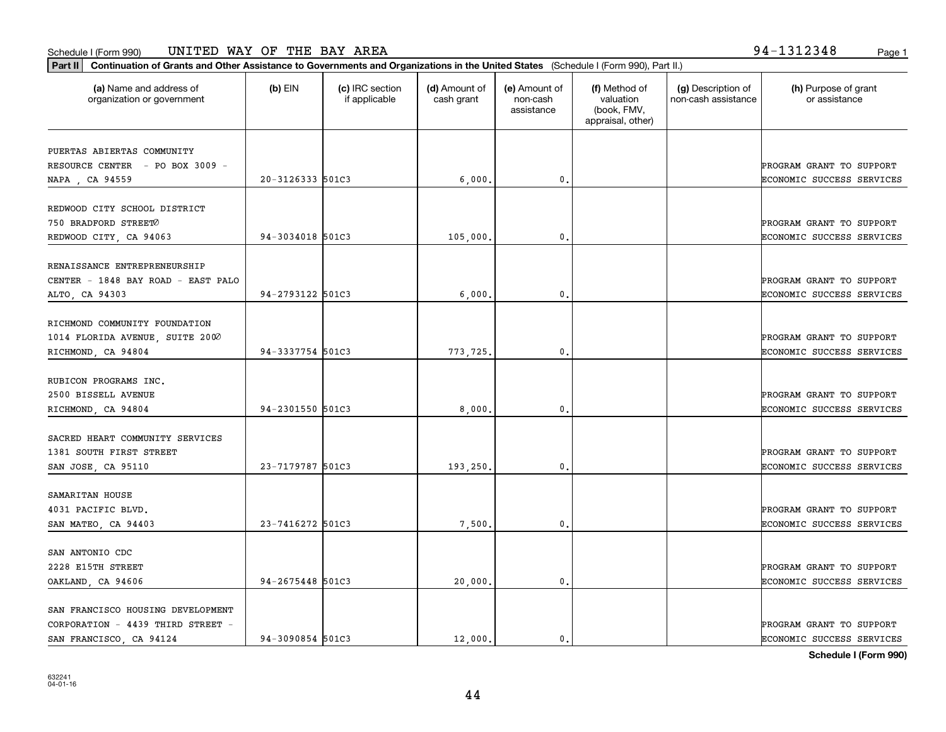**Part II Continuation of Grants and Other Assistance to Governments and Organizations in the United States**  (Schedule I (Form 990), Part II.)

| (a) Name and address of<br>organization or government | $(b)$ EIN        | (c) IRC section<br>if applicable | (d) Amount of<br>cash grant | (e) Amount of<br>non-cash<br>assistance | (f) Method of<br>valuation<br>(book, FMV,<br>appraisal, other) | (g) Description of<br>non-cash assistance | (h) Purpose of grant<br>or assistance                 |
|-------------------------------------------------------|------------------|----------------------------------|-----------------------------|-----------------------------------------|----------------------------------------------------------------|-------------------------------------------|-------------------------------------------------------|
| PUERTAS ABIERTAS COMMUNITY                            |                  |                                  |                             |                                         |                                                                |                                           |                                                       |
| RESOURCE CENTER - PO BOX 3009 -                       |                  |                                  |                             |                                         |                                                                |                                           | PROGRAM GRANT TO SUPPORT                              |
| NAPA, CA 94559                                        | 20-3126333 501C3 |                                  | 6,000.                      | $\mathbf{0}$                            |                                                                |                                           | ECONOMIC SUCCESS SERVICES                             |
|                                                       |                  |                                  |                             |                                         |                                                                |                                           |                                                       |
| REDWOOD CITY SCHOOL DISTRICT                          |                  |                                  |                             |                                         |                                                                |                                           |                                                       |
| 750 BRADFORD STREET0                                  |                  |                                  |                             |                                         |                                                                |                                           | PROGRAM GRANT TO SUPPORT                              |
| REDWOOD CITY, CA 94063                                | 94-3034018 501C3 |                                  | 105,000.                    | 0.                                      |                                                                |                                           | ECONOMIC SUCCESS SERVICES                             |
| RENAISSANCE ENTREPRENEURSHIP                          |                  |                                  |                             |                                         |                                                                |                                           |                                                       |
| CENTER - 1848 BAY ROAD - EAST PALO                    |                  |                                  |                             |                                         |                                                                |                                           | PROGRAM GRANT TO SUPPORT                              |
| ALTO, CA 94303                                        | 94-2793122 501C3 |                                  | 6,000,                      | $\mathbf 0$ .                           |                                                                |                                           | ECONOMIC SUCCESS SERVICES                             |
|                                                       |                  |                                  |                             |                                         |                                                                |                                           |                                                       |
| RICHMOND COMMUNITY FOUNDATION                         |                  |                                  |                             |                                         |                                                                |                                           |                                                       |
| 1014 FLORIDA AVENUE, SUITE 2000                       |                  |                                  |                             |                                         |                                                                |                                           | PROGRAM GRANT TO SUPPORT                              |
| RICHMOND, CA 94804                                    | 94-3337754 501C3 |                                  | 773,725.                    | 0.                                      |                                                                |                                           | ECONOMIC SUCCESS SERVICES                             |
|                                                       |                  |                                  |                             |                                         |                                                                |                                           |                                                       |
| RUBICON PROGRAMS INC.                                 |                  |                                  |                             |                                         |                                                                |                                           |                                                       |
| 2500 BISSELL AVENUE                                   |                  |                                  |                             |                                         |                                                                |                                           | PROGRAM GRANT TO SUPPORT                              |
| RICHMOND, CA 94804                                    | 94-2301550 501C3 |                                  | 8,000                       | $\mathbf 0$ .                           |                                                                |                                           | ECONOMIC SUCCESS SERVICES                             |
| SACRED HEART COMMUNITY SERVICES                       |                  |                                  |                             |                                         |                                                                |                                           |                                                       |
| 1381 SOUTH FIRST STREET                               |                  |                                  |                             |                                         |                                                                |                                           | PROGRAM GRANT TO SUPPORT                              |
| SAN JOSE, CA 95110                                    | 23-7179787 501C3 |                                  | 193,250.                    | $\mathbf 0$ .                           |                                                                |                                           | ECONOMIC SUCCESS SERVICES                             |
|                                                       |                  |                                  |                             |                                         |                                                                |                                           |                                                       |
| SAMARITAN HOUSE                                       |                  |                                  |                             |                                         |                                                                |                                           |                                                       |
| 4031 PACIFIC BLVD.                                    |                  |                                  |                             |                                         |                                                                |                                           | PROGRAM GRANT TO SUPPORT                              |
| SAN MATEO, CA 94403                                   | 23-7416272 501C3 |                                  | 7,500.                      | $\mathbf 0$ .                           |                                                                |                                           | ECONOMIC SUCCESS SERVICES                             |
|                                                       |                  |                                  |                             |                                         |                                                                |                                           |                                                       |
| SAN ANTONIO CDC                                       |                  |                                  |                             |                                         |                                                                |                                           |                                                       |
| 2228 E15TH STREET                                     | 94-2675448 501C3 |                                  |                             | 0.                                      |                                                                |                                           | PROGRAM GRANT TO SUPPORT<br>ECONOMIC SUCCESS SERVICES |
| OAKLAND, CA 94606                                     |                  |                                  | 20,000.                     |                                         |                                                                |                                           |                                                       |
| SAN FRANCISCO HOUSING DEVELOPMENT                     |                  |                                  |                             |                                         |                                                                |                                           |                                                       |
| CORPORATION - 4439 THIRD STREET -                     |                  |                                  |                             |                                         |                                                                |                                           | PROGRAM GRANT TO SUPPORT                              |
| SAN FRANCISCO, CA 94124                               | 94-3090854 501C3 |                                  | 12,000.                     | $\mathbf{0}$ .                          |                                                                |                                           | ECONOMIC SUCCESS SERVICES                             |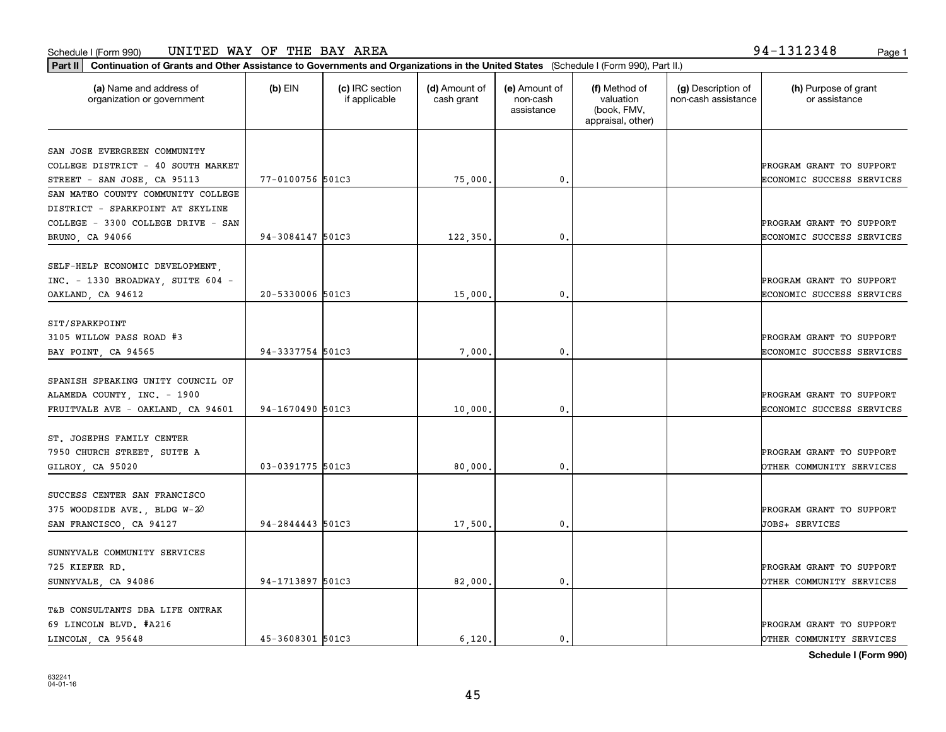**Part II Continuation of Grants and Other Assistance to Governments and Organizations in the United States**  (Schedule I (Form 990), Part II.)

| (a) Name and address of<br>organization or government | $(b)$ EIN        | (c) IRC section<br>if applicable | (d) Amount of<br>cash grant | (e) Amount of<br>non-cash<br>assistance | (f) Method of<br>valuation<br>(book, FMV,<br>appraisal, other) | (g) Description of<br>non-cash assistance | (h) Purpose of grant<br>or assistance |
|-------------------------------------------------------|------------------|----------------------------------|-----------------------------|-----------------------------------------|----------------------------------------------------------------|-------------------------------------------|---------------------------------------|
| SAN JOSE EVERGREEN COMMUNITY                          |                  |                                  |                             |                                         |                                                                |                                           |                                       |
| COLLEGE DISTRICT - 40 SOUTH MARKET                    |                  |                                  |                             |                                         |                                                                |                                           | PROGRAM GRANT TO SUPPORT              |
| STREET - SAN JOSE, CA 95113                           | 77-0100756 501C3 |                                  | 75,000.                     | 0.                                      |                                                                |                                           | ECONOMIC SUCCESS SERVICES             |
| SAN MATEO COUNTY COMMUNITY COLLEGE                    |                  |                                  |                             |                                         |                                                                |                                           |                                       |
| DISTRICT - SPARKPOINT AT SKYLINE                      |                  |                                  |                             |                                         |                                                                |                                           |                                       |
| COLLEGE - 3300 COLLEGE DRIVE - SAN                    |                  |                                  |                             |                                         |                                                                |                                           | PROGRAM GRANT TO SUPPORT              |
| BRUNO, CA 94066                                       | 94-3084147 501C3 |                                  | 122,350.                    | $\mathbf{0}$ .                          |                                                                |                                           | ECONOMIC SUCCESS SERVICES             |
|                                                       |                  |                                  |                             |                                         |                                                                |                                           |                                       |
| SELF-HELP ECONOMIC DEVELOPMENT,                       |                  |                                  |                             |                                         |                                                                |                                           |                                       |
| INC. - 1330 BROADWAY, SUITE 604 -                     |                  |                                  |                             |                                         |                                                                |                                           | PROGRAM GRANT TO SUPPORT              |
| OAKLAND, CA 94612                                     | 20-5330006 501C3 |                                  | 15,000.                     | 0.                                      |                                                                |                                           | ECONOMIC SUCCESS SERVICES             |
|                                                       |                  |                                  |                             |                                         |                                                                |                                           |                                       |
| SIT/SPARKPOINT                                        |                  |                                  |                             |                                         |                                                                |                                           |                                       |
| 3105 WILLOW PASS ROAD #3                              |                  |                                  |                             |                                         |                                                                |                                           | PROGRAM GRANT TO SUPPORT              |
| BAY POINT, CA 94565                                   | 94-3337754 501C3 |                                  | 7,000,                      | 0.                                      |                                                                |                                           | ECONOMIC SUCCESS SERVICES             |
|                                                       |                  |                                  |                             |                                         |                                                                |                                           |                                       |
| SPANISH SPEAKING UNITY COUNCIL OF                     |                  |                                  |                             |                                         |                                                                |                                           |                                       |
| ALAMEDA COUNTY, INC. - 1900                           |                  |                                  |                             |                                         |                                                                |                                           | PROGRAM GRANT TO SUPPORT              |
| FRUITVALE AVE - OAKLAND, CA 94601                     | 94-1670490 501C3 |                                  | 10,000.                     | 0.                                      |                                                                |                                           | ECONOMIC SUCCESS SERVICES             |
| ST. JOSEPHS FAMILY CENTER                             |                  |                                  |                             |                                         |                                                                |                                           |                                       |
| 7950 CHURCH STREET, SUITE A                           |                  |                                  |                             |                                         |                                                                |                                           | PROGRAM GRANT TO SUPPORT              |
| GILROY, CA 95020                                      | 03-0391775 501C3 |                                  | 80,000                      | 0.                                      |                                                                |                                           | OTHER COMMUNITY SERVICES              |
|                                                       |                  |                                  |                             |                                         |                                                                |                                           |                                       |
| SUCCESS CENTER SAN FRANCISCO                          |                  |                                  |                             |                                         |                                                                |                                           |                                       |
| 375 WOODSIDE AVE., BLDG W-20                          |                  |                                  |                             |                                         |                                                                |                                           | PROGRAM GRANT TO SUPPORT              |
| SAN FRANCISCO, CA 94127                               | 94-2844443 501C3 |                                  | 17,500.                     | 0.                                      |                                                                |                                           | JOBS+ SERVICES                        |
|                                                       |                  |                                  |                             |                                         |                                                                |                                           |                                       |
| SUNNYVALE COMMUNITY SERVICES                          |                  |                                  |                             |                                         |                                                                |                                           |                                       |
| 725 KIEFER RD.                                        |                  |                                  |                             |                                         |                                                                |                                           | PROGRAM GRANT TO SUPPORT              |
| SUNNYVALE, CA 94086                                   | 94-1713897 501C3 |                                  | 82,000.                     | 0.                                      |                                                                |                                           | OTHER COMMUNITY SERVICES              |
|                                                       |                  |                                  |                             |                                         |                                                                |                                           |                                       |
| T&B CONSULTANTS DBA LIFE ONTRAK                       |                  |                                  |                             |                                         |                                                                |                                           |                                       |
| 69 LINCOLN BLVD. #A216                                |                  |                                  |                             |                                         |                                                                |                                           | PROGRAM GRANT TO SUPPORT              |

LINCOLN, CA 95648  $\begin{vmatrix} 45-3608301 & 501C3 & 6,120. \end{vmatrix}$  6,120. 0. 0.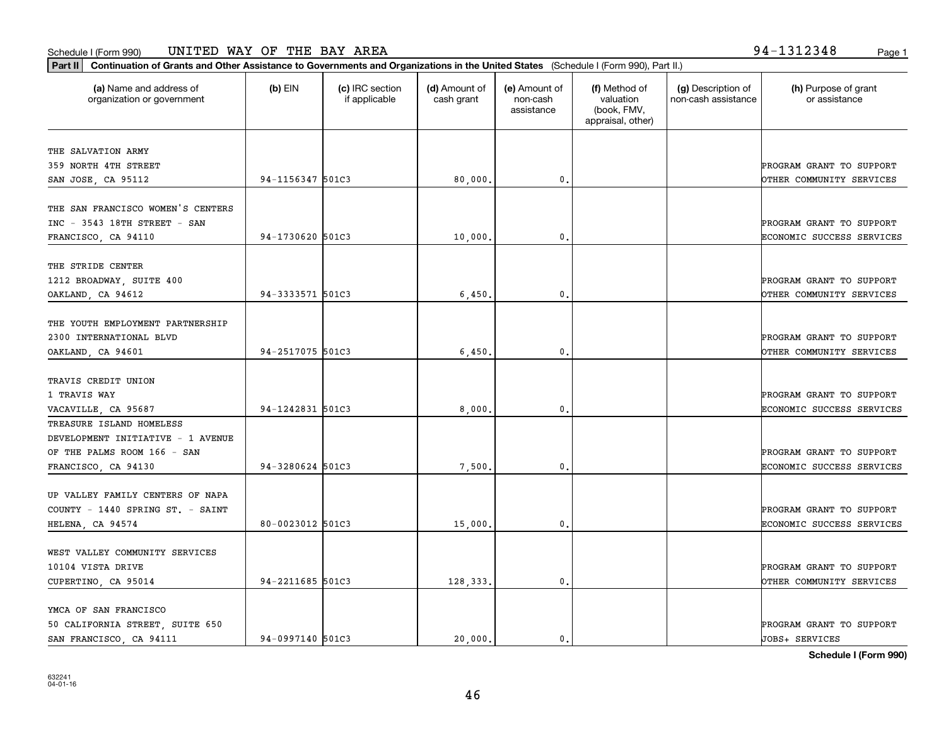**Part II Continuation of Grants and Other Assistance to Governments and Organizations in the United States**  (Schedule I (Form 990), Part II.)

 $(b)$  EIN  $(c)$  IRC section

YMCA OF SAN FRANCISCO

| (a) Name and address of<br>organization or government | $(b)$ EIN        | (c) IRC section<br>if applicable | (d) Amount of<br>cash grant | (e) Amount of<br>non-cash<br>assistance | (f) Method of<br>valuation<br>(book, FMV,<br>appraisal, other) | (g) Description of<br>non-cash assistance | (h) Purpose of grant<br>or assistance |
|-------------------------------------------------------|------------------|----------------------------------|-----------------------------|-----------------------------------------|----------------------------------------------------------------|-------------------------------------------|---------------------------------------|
| THE SALVATION ARMY                                    |                  |                                  |                             |                                         |                                                                |                                           |                                       |
| 359 NORTH 4TH STREET                                  |                  |                                  |                             |                                         |                                                                |                                           | PROGRAM GRANT TO SUPPORT              |
| SAN JOSE, CA 95112                                    | 94-1156347 501C3 |                                  | 80,000                      | 0.                                      |                                                                |                                           | OTHER COMMUNITY SERVICES              |
| THE SAN FRANCISCO WOMEN'S CENTERS                     |                  |                                  |                             |                                         |                                                                |                                           |                                       |
| INC - 3543 18TH STREET - SAN                          |                  |                                  |                             |                                         |                                                                |                                           | PROGRAM GRANT TO SUPPORT              |
| FRANCISCO, CA 94110                                   | 94-1730620 501C3 |                                  | 10,000.                     | 0.                                      |                                                                |                                           | ECONOMIC SUCCESS SERVICES             |
| THE STRIDE CENTER                                     |                  |                                  |                             |                                         |                                                                |                                           |                                       |
| 1212 BROADWAY, SUITE 400                              |                  |                                  |                             |                                         |                                                                |                                           | PROGRAM GRANT TO SUPPORT              |
| OAKLAND, CA 94612                                     | 94-3333571 501C3 |                                  | 6,450.                      | 0.                                      |                                                                |                                           | OTHER COMMUNITY SERVICES              |
| THE YOUTH EMPLOYMENT PARTNERSHIP                      |                  |                                  |                             |                                         |                                                                |                                           |                                       |
| 2300 INTERNATIONAL BLVD                               |                  |                                  |                             |                                         |                                                                |                                           | PROGRAM GRANT TO SUPPORT              |
| OAKLAND, CA 94601                                     | 94-2517075 501C3 |                                  | 6,450.                      | $\mathbf{0}$                            |                                                                |                                           | OTHER COMMUNITY SERVICES              |
| TRAVIS CREDIT UNION                                   |                  |                                  |                             |                                         |                                                                |                                           |                                       |
| 1 TRAVIS WAY                                          |                  |                                  |                             |                                         |                                                                |                                           | PROGRAM GRANT TO SUPPORT              |
| VACAVILLE, CA 95687                                   | 94-1242831 501C3 |                                  | 8,000                       | 0.                                      |                                                                |                                           | ECONOMIC SUCCESS SERVICES             |
| TREASURE ISLAND HOMELESS                              |                  |                                  |                             |                                         |                                                                |                                           |                                       |
| DEVELOPMENT INITIATIVE - 1 AVENUE                     |                  |                                  |                             |                                         |                                                                |                                           |                                       |
| OF THE PALMS ROOM 166 - SAN                           |                  |                                  |                             |                                         |                                                                |                                           | PROGRAM GRANT TO SUPPORT              |
| FRANCISCO, CA 94130                                   | 94-3280624 501C3 |                                  | 7,500.                      | 0.                                      |                                                                |                                           | ECONOMIC SUCCESS SERVICES             |
| UP VALLEY FAMILY CENTERS OF NAPA                      |                  |                                  |                             |                                         |                                                                |                                           |                                       |
| COUNTY - 1440 SPRING ST. - SAINT                      |                  |                                  |                             |                                         |                                                                |                                           | PROGRAM GRANT TO SUPPORT              |
| HELENA, CA 94574                                      | 80-0023012 501C3 |                                  | 15,000                      | 0.                                      |                                                                |                                           | ECONOMIC SUCCESS SERVICES             |
|                                                       |                  |                                  |                             |                                         |                                                                |                                           |                                       |
| WEST VALLEY COMMUNITY SERVICES                        |                  |                                  |                             |                                         |                                                                |                                           |                                       |
| 10104 VISTA DRIVE                                     |                  |                                  |                             |                                         |                                                                |                                           | PROGRAM GRANT TO SUPPORT              |
| CUPERTINO, CA 95014                                   | 94-2211685 501C3 |                                  | 128, 333.                   | 0.                                      |                                                                |                                           | OTHER COMMUNITY SERVICES              |
|                                                       |                  |                                  |                             |                                         |                                                                |                                           |                                       |

50 CALIFORNIA STREET, SUITE 650 PROGRAM GRANT TO SUPPORT

SAN FRANCISCO, CA 94111 94-0997140 501C3 (20,000. 0. 0. JOBS+ SERVICES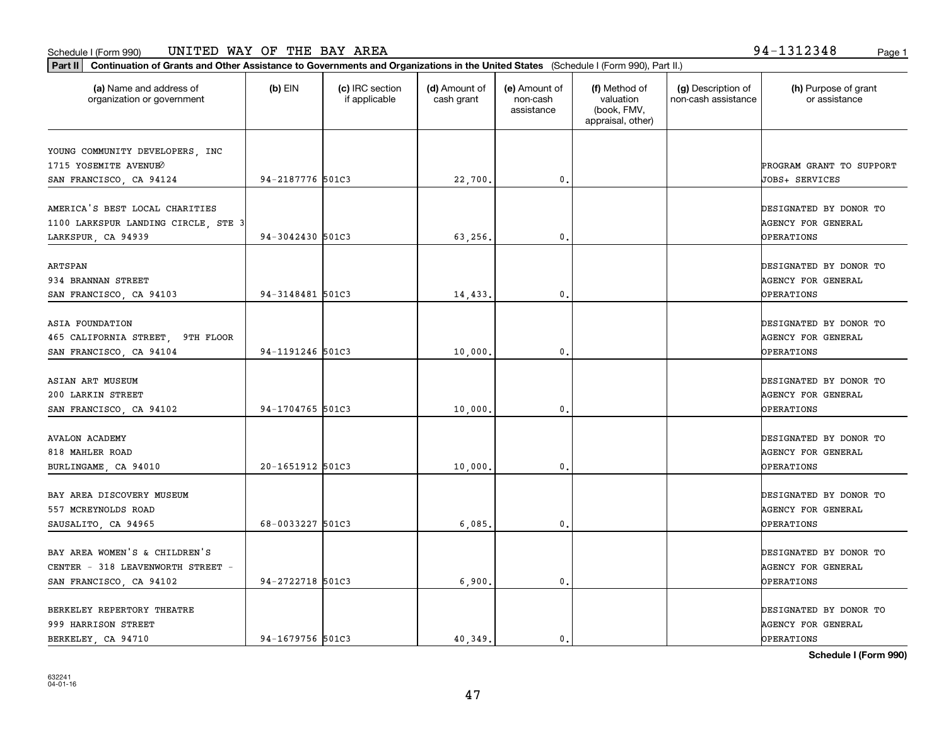### Schedule I (Form 990) Page 1 UNITED WAY OF THE BAY AREA 94-1312348

| Part II   Continuation of Grants and Other Assistance to Governments and Organizations in the United States (Schedule I (Form 990), Part II.) |                  |                                  |                             |                                         |                                                                |                                           |                                       |
|-----------------------------------------------------------------------------------------------------------------------------------------------|------------------|----------------------------------|-----------------------------|-----------------------------------------|----------------------------------------------------------------|-------------------------------------------|---------------------------------------|
| (a) Name and address of<br>organization or government                                                                                         | $(b)$ EIN        | (c) IRC section<br>if applicable | (d) Amount of<br>cash grant | (e) Amount of<br>non-cash<br>assistance | (f) Method of<br>valuation<br>(book, FMV,<br>appraisal, other) | (g) Description of<br>non-cash assistance | (h) Purpose of grant<br>or assistance |
|                                                                                                                                               |                  |                                  |                             |                                         |                                                                |                                           |                                       |
| YOUNG COMMUNITY DEVELOPERS, INC<br>1715 YOSEMITE AVENUEO                                                                                      |                  |                                  |                             |                                         |                                                                |                                           | PROGRAM GRANT TO SUPPORT              |
| SAN FRANCISCO, CA 94124                                                                                                                       | 94-2187776 501C3 |                                  | 22,700.                     | 0.                                      |                                                                |                                           | JOBS+ SERVICES                        |
|                                                                                                                                               |                  |                                  |                             |                                         |                                                                |                                           |                                       |
| AMERICA'S BEST LOCAL CHARITIES                                                                                                                |                  |                                  |                             |                                         |                                                                |                                           | DESIGNATED BY DONOR TO                |
| 1100 LARKSPUR LANDING CIRCLE, STE 3                                                                                                           |                  |                                  |                             |                                         |                                                                |                                           | <b>AGENCY FOR GENERAL</b>             |
| LARKSPUR, CA 94939                                                                                                                            | 94-3042430 501C3 |                                  | 63,256.                     | $\mathfrak{o}$ .                        |                                                                |                                           | <b>OPERATIONS</b>                     |
|                                                                                                                                               |                  |                                  |                             |                                         |                                                                |                                           |                                       |
| ARTSPAN                                                                                                                                       |                  |                                  |                             |                                         |                                                                |                                           | DESIGNATED BY DONOR TO                |
| 934 BRANNAN STREET                                                                                                                            |                  |                                  |                             |                                         |                                                                |                                           | AGENCY FOR GENERAL                    |
| SAN FRANCISCO, CA 94103                                                                                                                       | 94-3148481 501C3 |                                  | 14,433.                     | $\mathfrak{o}$ .                        |                                                                |                                           | OPERATIONS                            |
|                                                                                                                                               |                  |                                  |                             |                                         |                                                                |                                           |                                       |
| ASIA FOUNDATION                                                                                                                               |                  |                                  |                             |                                         |                                                                |                                           | DESIGNATED BY DONOR TO                |
| 465 CALIFORNIA STREET, 9TH FLOOR                                                                                                              |                  |                                  |                             |                                         |                                                                |                                           | <b>AGENCY FOR GENERAL</b>             |
| SAN FRANCISCO, CA 94104                                                                                                                       | 94-1191246 501C3 |                                  | 10,000                      | $\mathfrak{o}$ .                        |                                                                |                                           | <b>OPERATIONS</b>                     |
| ASIAN ART MUSEUM                                                                                                                              |                  |                                  |                             |                                         |                                                                |                                           | DESIGNATED BY DONOR TO                |
| 200 LARKIN STREET                                                                                                                             |                  |                                  |                             |                                         |                                                                |                                           | <b>AGENCY FOR GENERAL</b>             |
| SAN FRANCISCO, CA 94102                                                                                                                       | 94-1704765 501C3 |                                  | 10,000                      | 0.                                      |                                                                |                                           | <b>OPERATIONS</b>                     |
|                                                                                                                                               |                  |                                  |                             |                                         |                                                                |                                           |                                       |
| <b>AVALON ACADEMY</b>                                                                                                                         |                  |                                  |                             |                                         |                                                                |                                           | DESIGNATED BY DONOR TO                |
| 818 MAHLER ROAD                                                                                                                               |                  |                                  |                             |                                         |                                                                |                                           | <b>AGENCY FOR GENERAL</b>             |
| BURLINGAME, CA 94010                                                                                                                          | 20-1651912 501C3 |                                  | 10,000                      | 0.                                      |                                                                |                                           | <b>OPERATIONS</b>                     |
|                                                                                                                                               |                  |                                  |                             |                                         |                                                                |                                           |                                       |
| BAY AREA DISCOVERY MUSEUM                                                                                                                     |                  |                                  |                             |                                         |                                                                |                                           | DESIGNATED BY DONOR TO                |
| 557 MCREYNOLDS ROAD                                                                                                                           |                  |                                  |                             |                                         |                                                                |                                           | <b>AGENCY FOR GENERAL</b>             |
| SAUSALITO, CA 94965                                                                                                                           | 68-0033227 501C3 |                                  | 6,085.                      | $\mathfrak{o}$ .                        |                                                                |                                           | OPERATIONS                            |
|                                                                                                                                               |                  |                                  |                             |                                         |                                                                |                                           |                                       |
| BAY AREA WOMEN'S & CHILDREN'S                                                                                                                 |                  |                                  |                             |                                         |                                                                |                                           | DESIGNATED BY DONOR TO                |
| CENTER - 318 LEAVENWORTH STREET -                                                                                                             |                  |                                  |                             |                                         |                                                                |                                           | <b>AGENCY FOR GENERAL</b>             |
| SAN FRANCISCO, CA 94102                                                                                                                       | 94-2722718 501C3 |                                  | 6,900                       | $\mathfrak{o}$ .                        |                                                                |                                           | <b>OPERATIONS</b>                     |
|                                                                                                                                               |                  |                                  |                             |                                         |                                                                |                                           |                                       |
| BERKELEY REPERTORY THEATRE                                                                                                                    |                  |                                  |                             |                                         |                                                                |                                           | DESIGNATED BY DONOR TO                |
| 999 HARRISON STREET                                                                                                                           |                  |                                  |                             |                                         |                                                                |                                           | <b>AGENCY FOR GENERAL</b>             |
| BERKELEY CA 94710                                                                                                                             | 94-1679756 501C3 |                                  | 40.349.                     | $\mathbf{0}$ .                          |                                                                |                                           | <b>OPERATIONS</b>                     |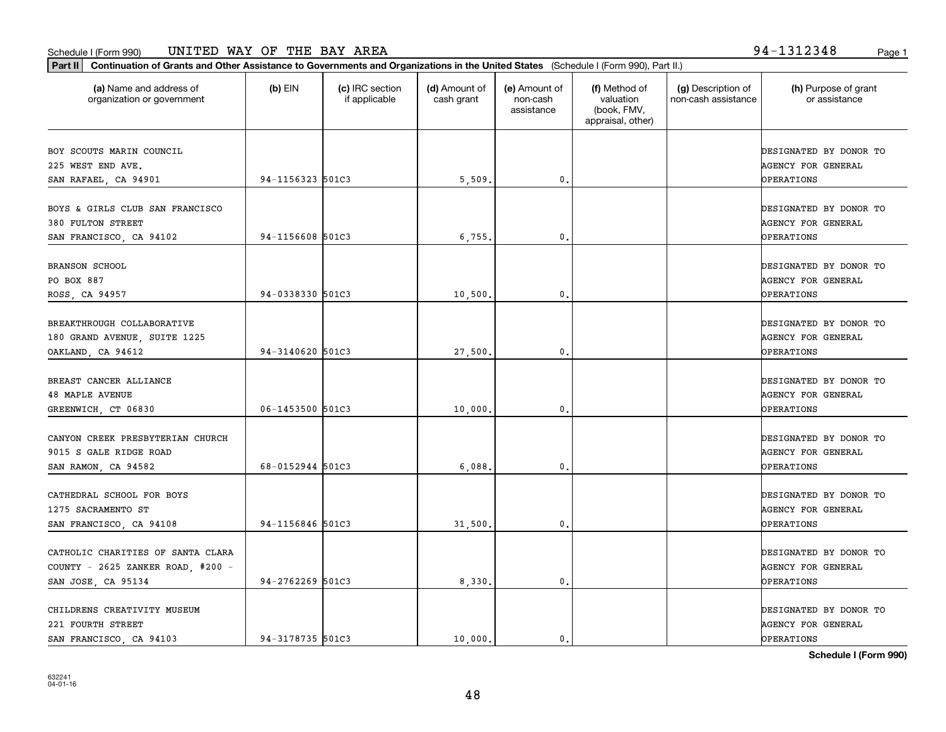|                                                                                              | Part II   Continuation of Grants and Other Assistance to Governments and Organizations in the United States (Schedule I (Form 990), Part II.) |                                  |                             |                                         |                                                                |                                           |                                                                          |  |  |  |
|----------------------------------------------------------------------------------------------|-----------------------------------------------------------------------------------------------------------------------------------------------|----------------------------------|-----------------------------|-----------------------------------------|----------------------------------------------------------------|-------------------------------------------|--------------------------------------------------------------------------|--|--|--|
| (a) Name and address of<br>organization or government                                        | $(b)$ EIN                                                                                                                                     | (c) IRC section<br>if applicable | (d) Amount of<br>cash grant | (e) Amount of<br>non-cash<br>assistance | (f) Method of<br>valuation<br>(book, FMV,<br>appraisal, other) | (g) Description of<br>non-cash assistance | (h) Purpose of grant<br>or assistance                                    |  |  |  |
| BOY SCOUTS MARIN COUNCIL<br>225 WEST END AVE.                                                |                                                                                                                                               |                                  |                             |                                         |                                                                |                                           | DESIGNATED BY DONOR TO<br><b>AGENCY FOR GENERAL</b>                      |  |  |  |
| SAN RAFAEL, CA 94901                                                                         | 94-1156323 501C3                                                                                                                              |                                  | 5,509.                      | 0.                                      |                                                                |                                           | <b>OPERATIONS</b>                                                        |  |  |  |
| BOYS & GIRLS CLUB SAN FRANCISCO<br>380 FULTON STREET<br>SAN FRANCISCO, CA 94102              | 94-1156608 501C3                                                                                                                              |                                  | 6, 755.                     | 0.                                      |                                                                |                                           | DESIGNATED BY DONOR TO<br><b>AGENCY FOR GENERAL</b><br>OPERATIONS        |  |  |  |
| <b>BRANSON SCHOOL</b><br>PO BOX 887<br>ROSS, CA 94957                                        | 94-0338330 501C3                                                                                                                              |                                  | 10,500.                     | $\mathbf{0}$ .                          |                                                                |                                           | DESIGNATED BY DONOR TO<br>AGENCY FOR GENERAL<br>OPERATIONS               |  |  |  |
| BREAKTHROUGH COLLABORATIVE<br>180 GRAND AVENUE, SUITE 1225<br>OAKLAND, CA 94612              | 94-3140620 501C3                                                                                                                              |                                  | 27,500.                     | $\mathbf{0}$ .                          |                                                                |                                           | DESIGNATED BY DONOR TO<br><b>AGENCY FOR GENERAL</b><br>OPERATIONS        |  |  |  |
| BREAST CANCER ALLIANCE<br><b>48 MAPLE AVENUE</b><br>GREENWICH, CT 06830                      | 06-1453500 501C3                                                                                                                              |                                  | 10,000.                     | $\mathbf{0}$                            |                                                                |                                           | DESIGNATED BY DONOR TO<br><b>AGENCY FOR GENERAL</b><br>OPERATIONS        |  |  |  |
| CANYON CREEK PRESBYTERIAN CHURCH<br>9015 S GALE RIDGE ROAD<br>SAN RAMON, CA 94582            | 68-0152944 501C3                                                                                                                              |                                  | 6,088.                      | 0.                                      |                                                                |                                           | DESIGNATED BY DONOR TO<br><b>AGENCY FOR GENERAL</b><br>OPERATIONS        |  |  |  |
| CATHEDRAL SCHOOL FOR BOYS<br>1275 SACRAMENTO ST<br>SAN FRANCISCO, CA 94108                   | 94-1156846 501C3                                                                                                                              |                                  | 31,500.                     | $^{\circ}$ .                            |                                                                |                                           | DESIGNATED BY DONOR TO<br><b>AGENCY FOR GENERAL</b><br><b>OPERATIONS</b> |  |  |  |
| CATHOLIC CHARITIES OF SANTA CLARA<br>COUNTY - 2625 ZANKER ROAD, #200 -<br>SAN JOSE, CA 95134 | 94-2762269 501C3                                                                                                                              |                                  | 8,330.                      | $\mathbf{0}$ .                          |                                                                |                                           | DESIGNATED BY DONOR TO<br>AGENCY FOR GENERAL<br>OPERATIONS               |  |  |  |
| CHILDRENS CREATIVITY MUSEUM<br>221 FOURTH STREET<br>SAN FRANCISCO, CA 94103                  | 94-3178735 501C3                                                                                                                              |                                  | 10,000.                     | $\mathbf{0}$ .                          |                                                                |                                           | DESIGNATED BY DONOR TO<br><b>AGENCY FOR GENERAL</b><br>OPERATIONS        |  |  |  |

48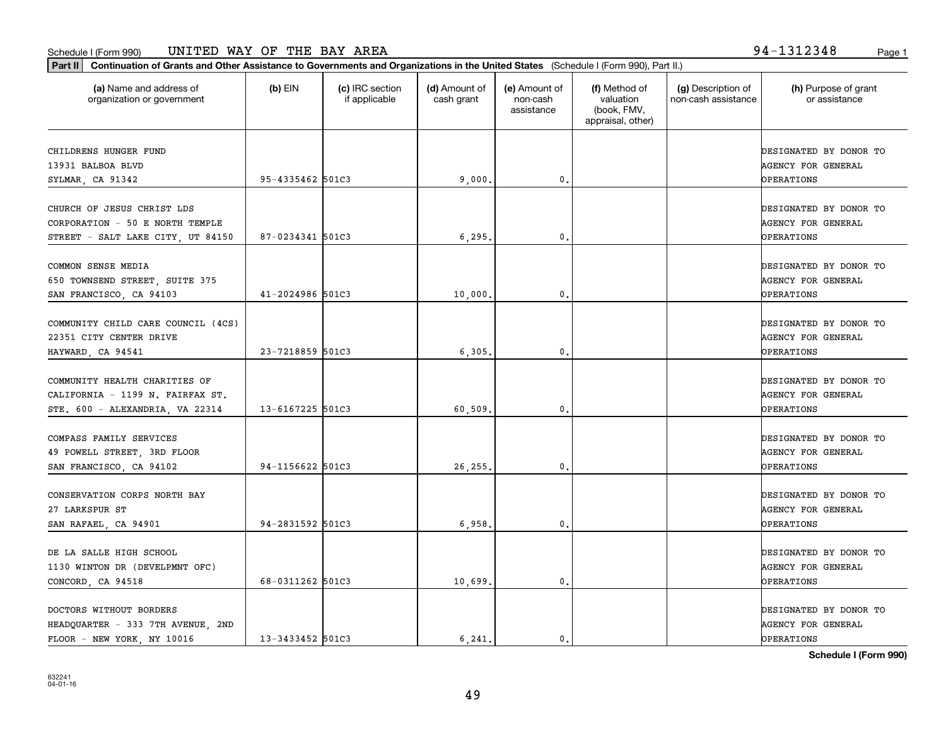**Part II Continuation of Grants and Other Assistance to Governments and Organizations in the United States**  (Schedule I (Form 990), Part II.)

| (a) Name and address of<br>organization or government                                                | $(b)$ EIN        | (c) IRC section<br>if applicable | (d) Amount of<br>cash grant | (e) Amount of<br>non-cash<br>assistance | (f) Method of<br>valuation<br>(book, FMV,<br>appraisal, other) | (g) Description of<br>non-cash assistance | (h) Purpose of grant<br>or assistance                                    |
|------------------------------------------------------------------------------------------------------|------------------|----------------------------------|-----------------------------|-----------------------------------------|----------------------------------------------------------------|-------------------------------------------|--------------------------------------------------------------------------|
| CHILDRENS HUNGER FUND<br>13931 BALBOA BLVD<br>SYLMAR, CA 91342                                       | 95-4335462 501C3 |                                  | 9,000.                      | 0.                                      |                                                                |                                           | DESIGNATED BY DONOR TO<br><b>AGENCY FOR GENERAL</b><br><b>OPERATIONS</b> |
| CHURCH OF JESUS CHRIST LDS<br>CORPORATION - 50 E NORTH TEMPLE<br>STREET - SALT LAKE CITY, UT 84150   | 87-0234341 501C3 |                                  | 6, 295.                     | 0.                                      |                                                                |                                           | DESIGNATED BY DONOR TO<br>AGENCY FOR GENERAL<br><b>OPERATIONS</b>        |
| COMMON SENSE MEDIA<br>650 TOWNSEND STREET, SUITE 375<br>SAN FRANCISCO, CA 94103                      | 41-2024986 501C3 |                                  | 10,000.                     | 0.                                      |                                                                |                                           | DESIGNATED BY DONOR TO<br><b>AGENCY FOR GENERAL</b><br><b>OPERATIONS</b> |
| COMMUNITY CHILD CARE COUNCIL (4CS)<br>22351 CITY CENTER DRIVE<br>HAYWARD, CA 94541                   | 23-7218859 501C3 |                                  | 6, 305.                     | 0.                                      |                                                                |                                           | DESIGNATED BY DONOR TO<br>AGENCY FOR GENERAL<br><b>OPERATIONS</b>        |
| COMMUNITY HEALTH CHARITIES OF<br>CALIFORNIA - 1199 N. FAIRFAX ST.<br>STE. 600 - ALEXANDRIA, VA 22314 | 13-6167225 501C3 |                                  | 60,509.                     | 0.                                      |                                                                |                                           | DESIGNATED BY DONOR TO<br><b>AGENCY FOR GENERAL</b><br><b>OPERATIONS</b> |
| COMPASS FAMILY SERVICES<br>49 POWELL STREET, 3RD FLOOR<br>SAN FRANCISCO, CA 94102                    | 94-1156622 501C3 |                                  | 26,255.                     | 0.                                      |                                                                |                                           | DESIGNATED BY DONOR TO<br><b>AGENCY FOR GENERAL</b><br><b>OPERATIONS</b> |
| CONSERVATION CORPS NORTH BAY<br>27 LARKSPUR ST<br>SAN RAFAEL, CA 94901                               | 94-2831592 501C3 |                                  | 6,958.                      | 0.                                      |                                                                |                                           | DESIGNATED BY DONOR TO<br>AGENCY FOR GENERAL<br>OPERATIONS               |
| DE LA SALLE HIGH SCHOOL<br>1130 WINTON DR (DEVELPMNT OFC)<br>CONCORD, CA 94518                       | 68-0311262 501C3 |                                  | 10,699.                     | 0.                                      |                                                                |                                           | DESIGNATED BY DONOR TO<br><b>AGENCY FOR GENERAL</b><br><b>OPERATIONS</b> |
| DOCTORS WITHOUT BORDERS<br>HEADQUARTER - 333 7TH AVENUE, 2ND<br>FLOOR - NEW YORK, NY 10016           | 13-3433452 501C3 |                                  | 6.241.                      | 0.                                      |                                                                |                                           | DESIGNATED BY DONOR TO<br><b>AGENCY FOR GENERAL</b><br>OPERATIONS        |

Т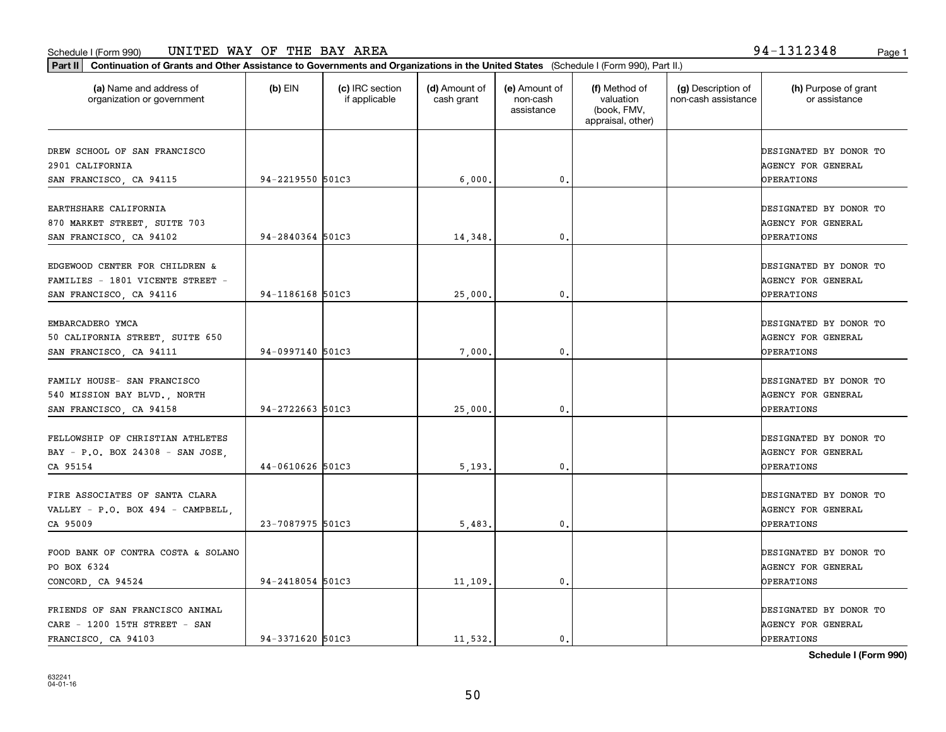| (a) Name and address of<br>organization or government                                         | $(b)$ EIN        | (c) IRC section<br>if applicable | (d) Amount of<br>cash grant | (e) Amount of<br>non-cash<br>assistance | (f) Method of<br>valuation<br>(book, FMV,<br>appraisal, other) | (g) Description of<br>non-cash assistance | (h) Purpose of grant<br>or assistance                             |
|-----------------------------------------------------------------------------------------------|------------------|----------------------------------|-----------------------------|-----------------------------------------|----------------------------------------------------------------|-------------------------------------------|-------------------------------------------------------------------|
| DREW SCHOOL OF SAN FRANCISCO<br>2901 CALIFORNIA<br>SAN FRANCISCO, CA 94115                    | 94-2219550 501C3 |                                  | 6,000,                      | $\mathfrak{o}$ .                        |                                                                |                                           | DESIGNATED BY DONOR TO<br><b>AGENCY FOR GENERAL</b><br>OPERATIONS |
| EARTHSHARE CALIFORNIA<br>870 MARKET STREET, SUITE 703<br>SAN FRANCISCO, CA 94102              | 94-2840364 501C3 |                                  | 14,348                      | 0.                                      |                                                                |                                           | DESIGNATED BY DONOR TO<br><b>AGENCY FOR GENERAL</b><br>OPERATIONS |
| EDGEWOOD CENTER FOR CHILDREN &<br>FAMILIES - 1801 VICENTE STREET -<br>SAN FRANCISCO, CA 94116 | 94-1186168 501C3 |                                  | 25,000                      | $\mathbf{0}$ .                          |                                                                |                                           | DESIGNATED BY DONOR TO<br><b>AGENCY FOR GENERAL</b><br>OPERATIONS |
| EMBARCADERO YMCA<br>50 CALIFORNIA STREET, SUITE 650<br>SAN FRANCISCO, CA 94111                | 94-0997140 501C3 |                                  | 7,000                       | $\mathbf{0}$ .                          |                                                                |                                           | DESIGNATED BY DONOR TO<br><b>AGENCY FOR GENERAL</b><br>OPERATIONS |
| FAMILY HOUSE- SAN FRANCISCO<br>540 MISSION BAY BLVD., NORTH<br>SAN FRANCISCO, CA 94158        | 94-2722663 501C3 |                                  | 25,000                      | $\mathbf{0}$ .                          |                                                                |                                           | DESIGNATED BY DONOR TO<br><b>AGENCY FOR GENERAL</b><br>OPERATIONS |
| FELLOWSHIP OF CHRISTIAN ATHLETES<br>BAY - P.O. BOX 24308 - SAN JOSE,<br>CA 95154              | 44-0610626 501C3 |                                  | 5, 193.                     | $\mathbf{0}$ .                          |                                                                |                                           | DESIGNATED BY DONOR TO<br><b>AGENCY FOR GENERAL</b><br>OPERATIONS |
| FIRE ASSOCIATES OF SANTA CLARA<br>VALLEY - P.O. BOX 494 - CAMPBELL,<br>CA 95009               | 23-7087975 501C3 |                                  | 5,483.                      | $\mathbf{0}$ .                          |                                                                |                                           | DESIGNATED BY DONOR TO<br><b>AGENCY FOR GENERAL</b><br>OPERATIONS |
| FOOD BANK OF CONTRA COSTA & SOLANO<br>PO BOX 6324<br>CONCORD, CA 94524                        | 94-2418054 501C3 |                                  | 11,109.                     | $\mathbf{0}$ .                          |                                                                |                                           | DESIGNATED BY DONOR TO<br><b>AGENCY FOR GENERAL</b><br>OPERATIONS |
| FRIENDS OF SAN FRANCISCO ANIMAL<br>CARE - 1200 15TH STREET - SAN<br>FRANCISCO, CA 94103       | 94-3371620 501C3 |                                  | 11.532.                     | $\mathbf{0}$ .                          |                                                                |                                           | DESIGNATED BY DONOR TO<br><b>AGENCY FOR GENERAL</b><br>OPERATIONS |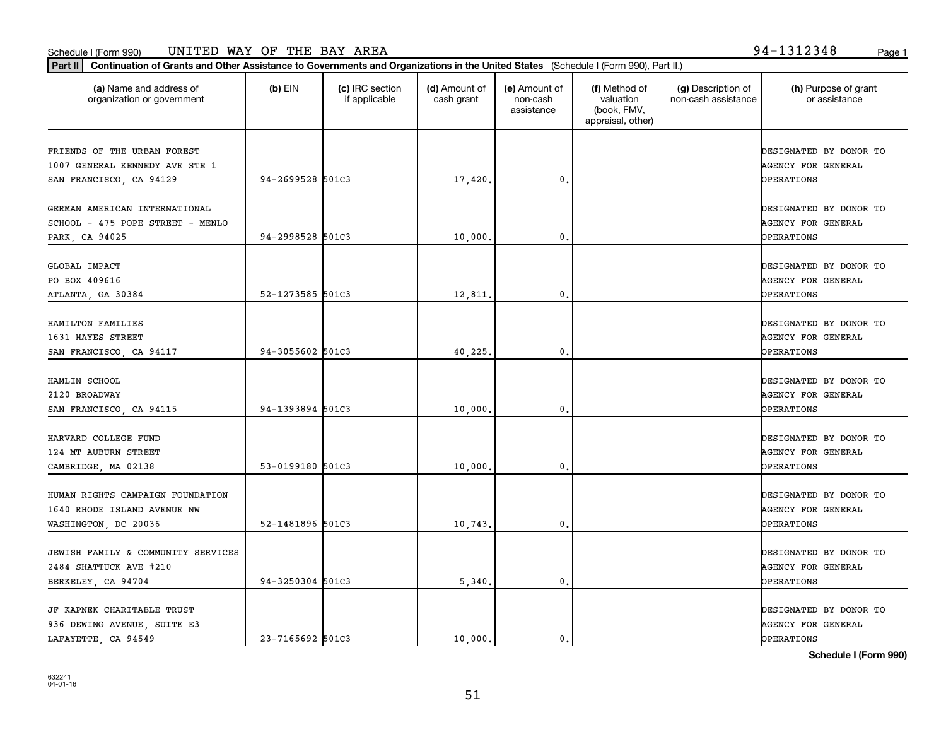| Part II   Continuation of Grants and Other Assistance to Governments and Organizations in the United States (Schedule I (Form 990), Part II.) |                  |                                  |                             |                                         |                                                                |                                           |                                                                          |
|-----------------------------------------------------------------------------------------------------------------------------------------------|------------------|----------------------------------|-----------------------------|-----------------------------------------|----------------------------------------------------------------|-------------------------------------------|--------------------------------------------------------------------------|
| (a) Name and address of<br>organization or government                                                                                         | $(b)$ EIN        | (c) IRC section<br>if applicable | (d) Amount of<br>cash grant | (e) Amount of<br>non-cash<br>assistance | (f) Method of<br>valuation<br>(book, FMV,<br>appraisal, other) | (g) Description of<br>non-cash assistance | (h) Purpose of grant<br>or assistance                                    |
| FRIENDS OF THE URBAN FOREST<br>1007 GENERAL KENNEDY AVE STE 1<br>SAN FRANCISCO, CA 94129                                                      | 94-2699528 501C3 |                                  | 17,420.                     | $\mathbf{0}$ .                          |                                                                |                                           | DESIGNATED BY DONOR TO<br>AGENCY FOR GENERAL<br><b>OPERATIONS</b>        |
| GERMAN AMERICAN INTERNATIONAL<br>SCHOOL - 475 POPE STREET - MENLO<br>PARK, CA 94025                                                           | 94-2998528 501C3 |                                  | 10,000                      | 0.                                      |                                                                |                                           | DESIGNATED BY DONOR TO<br>AGENCY FOR GENERAL<br>OPERATIONS               |
| GLOBAL IMPACT<br>PO BOX 409616<br>ATLANTA, GA 30384                                                                                           | 52-1273585 501C3 |                                  | 12,811.                     | $\mathbf{0}$ .                          |                                                                |                                           | DESIGNATED BY DONOR TO<br>AGENCY FOR GENERAL<br><b>OPERATIONS</b>        |
| HAMILTON FAMILIES<br>1631 HAYES STREET<br>SAN FRANCISCO, CA 94117                                                                             | 94-3055602 501C3 |                                  | 40,225                      | $\mathbf{0}$ .                          |                                                                |                                           | DESIGNATED BY DONOR TO<br>AGENCY FOR GENERAL<br>OPERATIONS               |
| HAMLIN SCHOOL<br>2120 BROADWAY<br>SAN FRANCISCO, CA 94115                                                                                     | 94-1393894 501C3 |                                  | 10,000                      | $\mathbf{0}$                            |                                                                |                                           | DESIGNATED BY DONOR TO<br>AGENCY FOR GENERAL<br>OPERATIONS               |
| HARVARD COLLEGE FUND<br>124 MT AUBURN STREET<br>CAMBRIDGE, MA 02138                                                                           | 53-0199180 501C3 |                                  | 10,000.                     | 0.                                      |                                                                |                                           | DESIGNATED BY DONOR TO<br>AGENCY FOR GENERAL<br>OPERATIONS               |
| HUMAN RIGHTS CAMPAIGN FOUNDATION<br>1640 RHODE ISLAND AVENUE NW<br>WASHINGTON, DC 20036                                                       | 52-1481896 501C3 |                                  | 10,743                      | $\mathbf{0}$ .                          |                                                                |                                           | DESIGNATED BY DONOR TO<br><b>AGENCY FOR GENERAL</b><br><b>OPERATIONS</b> |
| JEWISH FAMILY & COMMUNITY SERVICES<br>2484 SHATTUCK AVE #210<br>BERKELEY, CA 94704                                                            | 94-3250304 501C3 |                                  | 5,340.                      | $\mathbf{0}$ .                          |                                                                |                                           | DESIGNATED BY DONOR TO<br>AGENCY FOR GENERAL<br>OPERATIONS               |
| JF KAPNEK CHARITABLE TRUST<br>936 DEWING AVENUE, SUITE E3<br>LAFAYETTE, CA 94549                                                              | 23-7165692 501C3 |                                  | 10.000.                     | $\mathbf{0}$                            |                                                                |                                           | DESIGNATED BY DONOR TO<br><b>AGENCY FOR GENERAL</b><br>OPERATIONS        |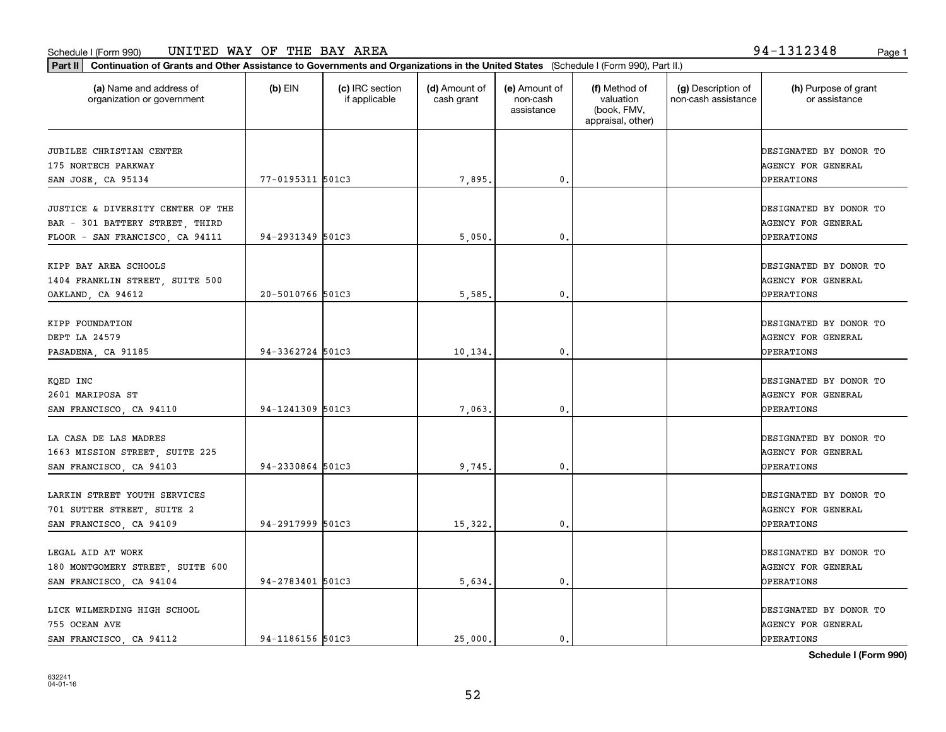### Schedule I (Form 990) Page 1 UNITED WAY OF THE BAY AREA 94-1312348

|  | 48 | Page 1 |  |
|--|----|--------|--|
|--|----|--------|--|

| (a) Name and address of<br>organization or government                                                   | $(b)$ EIN        | (c) IRC section<br>if applicable | (d) Amount of<br>cash grant | (e) Amount of<br>non-cash<br>assistance | (f) Method of<br>valuation<br>(book, FMV,<br>appraisal, other) | (g) Description of<br>non-cash assistance | (h) Purpose of grant<br>or assistance                                    |
|---------------------------------------------------------------------------------------------------------|------------------|----------------------------------|-----------------------------|-----------------------------------------|----------------------------------------------------------------|-------------------------------------------|--------------------------------------------------------------------------|
| JUBILEE CHRISTIAN CENTER<br>175 NORTECH PARKWAY                                                         |                  |                                  |                             |                                         |                                                                |                                           | DESIGNATED BY DONOR TO<br><b>AGENCY FOR GENERAL</b>                      |
| SAN JOSE, CA 95134                                                                                      | 77-0195311 501C3 |                                  | 7,895.                      | 0.                                      |                                                                |                                           | <b>OPERATIONS</b>                                                        |
| JUSTICE & DIVERSITY CENTER OF THE<br>BAR - 301 BATTERY STREET, THIRD<br>FLOOR - SAN FRANCISCO, CA 94111 | 94-2931349 501C3 |                                  | 5,050                       | $\mathbf{0}$                            |                                                                |                                           | DESIGNATED BY DONOR TO<br><b>AGENCY FOR GENERAL</b><br><b>OPERATIONS</b> |
| KIPP BAY AREA SCHOOLS<br>1404 FRANKLIN STREET, SUITE 500<br>OAKLAND, CA 94612                           | 20-5010766 501C3 |                                  | 5,585.                      | $\mathbf{0}$ .                          |                                                                |                                           | DESIGNATED BY DONOR TO<br>AGENCY FOR GENERAL<br><b>OPERATIONS</b>        |
| KIPP FOUNDATION<br>DEPT LA 24579<br>PASADENA, CA 91185                                                  | 94-3362724 501C3 |                                  | 10,134.                     | $\mathbf{0}$                            |                                                                |                                           | DESIGNATED BY DONOR TO<br><b>AGENCY FOR GENERAL</b><br><b>OPERATIONS</b> |
| KQED INC<br>2601 MARIPOSA ST<br>SAN FRANCISCO, CA 94110                                                 | 94-1241309 501C3 |                                  | 7,063.                      | $\mathbf{0}$                            |                                                                |                                           | DESIGNATED BY DONOR TO<br><b>AGENCY FOR GENERAL</b><br><b>OPERATIONS</b> |
| LA CASA DE LAS MADRES<br>1663 MISSION STREET, SUITE 225<br>SAN FRANCISCO, CA 94103                      | 94-2330864 501C3 |                                  | 9,745.                      | 0.                                      |                                                                |                                           | DESIGNATED BY DONOR TO<br><b>AGENCY FOR GENERAL</b><br><b>OPERATIONS</b> |
| LARKIN STREET YOUTH SERVICES<br>701 SUTTER STREET, SUITE 2<br>SAN FRANCISCO, CA 94109                   | 94-2917999 501C3 |                                  | 15,322.                     | $^{\circ}$ .                            |                                                                |                                           | DESIGNATED BY DONOR TO<br><b>AGENCY FOR GENERAL</b><br><b>OPERATIONS</b> |
| LEGAL AID AT WORK<br>180 MONTGOMERY STREET, SUITE 600<br>SAN FRANCISCO, CA 94104                        | 94-2783401 501C3 |                                  | 5,634.                      | $\mathbf{0}$ .                          |                                                                |                                           | DESIGNATED BY DONOR TO<br><b>AGENCY FOR GENERAL</b><br><b>OPERATIONS</b> |
| LICK WILMERDING HIGH SCHOOL<br>755 OCEAN AVE<br>SAN FRANCISCO, CA 94112                                 | 94-1186156 501C3 |                                  | 25.000.                     | $\mathfrak{o}$ .                        |                                                                |                                           | DESIGNATED BY DONOR TO<br><b>AGENCY FOR GENERAL</b><br><b>OPERATIONS</b> |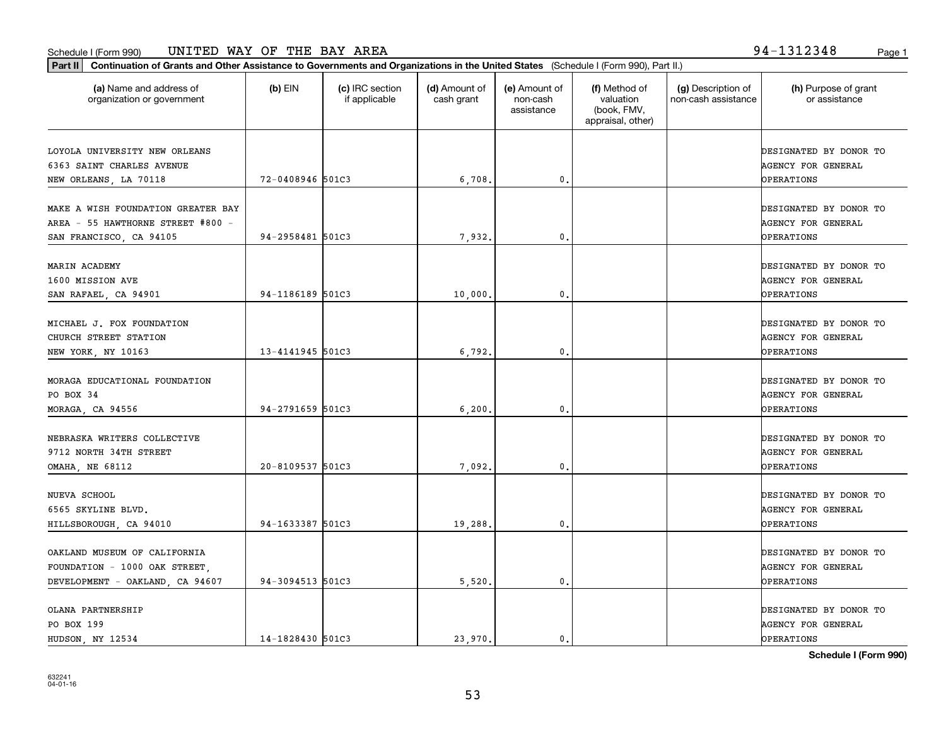| Part II   Continuation of Grants and Other Assistance to Governments and Organizations in the United States (Schedule I (Form 990), Part II.) |                  |                                  |                             |                                         |                                                                |                                           |                                                                          |  |  |
|-----------------------------------------------------------------------------------------------------------------------------------------------|------------------|----------------------------------|-----------------------------|-----------------------------------------|----------------------------------------------------------------|-------------------------------------------|--------------------------------------------------------------------------|--|--|
| (a) Name and address of<br>organization or government                                                                                         | $(b)$ EIN        | (c) IRC section<br>if applicable | (d) Amount of<br>cash grant | (e) Amount of<br>non-cash<br>assistance | (f) Method of<br>valuation<br>(book, FMV,<br>appraisal, other) | (g) Description of<br>non-cash assistance | (h) Purpose of grant<br>or assistance                                    |  |  |
| LOYOLA UNIVERSITY NEW ORLEANS<br>6363 SAINT CHARLES AVENUE<br>NEW ORLEANS, LA 70118                                                           | 72-0408946 501C3 |                                  | 6,708.                      | $\mathbf{0}$ .                          |                                                                |                                           | DESIGNATED BY DONOR TO<br><b>AGENCY FOR GENERAL</b><br><b>OPERATIONS</b> |  |  |
| MAKE A WISH FOUNDATION GREATER BAY<br>AREA - 55 HAWTHORNE STREET #800 -<br>SAN FRANCISCO, CA 94105                                            | 94-2958481 501C3 |                                  | 7,932.                      | 0.                                      |                                                                |                                           | DESIGNATED BY DONOR TO<br><b>AGENCY FOR GENERAL</b><br>OPERATIONS        |  |  |
| MARIN ACADEMY<br>1600 MISSION AVE<br>SAN RAFAEL, CA 94901                                                                                     | 94-1186189 501C3 |                                  | 10,000,                     | $\mathfrak{o}$ .                        |                                                                |                                           | DESIGNATED BY DONOR TO<br><b>AGENCY FOR GENERAL</b><br>OPERATIONS        |  |  |
| MICHAEL J. FOX FOUNDATION<br>CHURCH STREET STATION<br>NEW YORK, NY 10163                                                                      | 13-4141945 501C3 |                                  | 6,792                       | $\mathfrak o$ .                         |                                                                |                                           | DESIGNATED BY DONOR TO<br><b>AGENCY FOR GENERAL</b><br>OPERATIONS        |  |  |
| MORAGA EDUCATIONAL FOUNDATION<br>PO BOX 34<br>MORAGA, CA 94556                                                                                | 94-2791659 501C3 |                                  | 6, 200                      | $\mathbf{0}$                            |                                                                |                                           | DESIGNATED BY DONOR TO<br><b>AGENCY FOR GENERAL</b><br>OPERATIONS        |  |  |
| NEBRASKA WRITERS COLLECTIVE<br>9712 NORTH 34TH STREET<br>OMAHA, NE 68112                                                                      | 20-8109537 501C3 |                                  | 7,092.                      | $\mathbf{0}$                            |                                                                |                                           | DESIGNATED BY DONOR TO<br><b>AGENCY FOR GENERAL</b><br>OPERATIONS        |  |  |
| NUEVA SCHOOL<br>6565 SKYLINE BLVD.<br>HILLSBOROUGH, CA 94010                                                                                  | 94-1633387 501C3 |                                  | 19,288                      | $\mathbf{0}$ .                          |                                                                |                                           | DESIGNATED BY DONOR TO<br><b>AGENCY FOR GENERAL</b><br>OPERATIONS        |  |  |
| OAKLAND MUSEUM OF CALIFORNIA<br>FOUNDATION - 1000 OAK STREET,<br>DEVELOPMENT - OAKLAND, CA 94607                                              | 94-3094513 501C3 |                                  | 5,520.                      | $\mathfrak{o}$ .                        |                                                                |                                           | DESIGNATED BY DONOR TO<br><b>AGENCY FOR GENERAL</b><br>OPERATIONS        |  |  |
| OLANA PARTNERSHIP<br>PO BOX 199<br>HUDSON, NY 12534                                                                                           | 14-1828430 501C3 |                                  | 23.970.                     | $\mathfrak{o}$ .                        |                                                                |                                           | DESIGNATED BY DONOR TO<br><b>AGENCY FOR GENERAL</b><br><b>OPERATIONS</b> |  |  |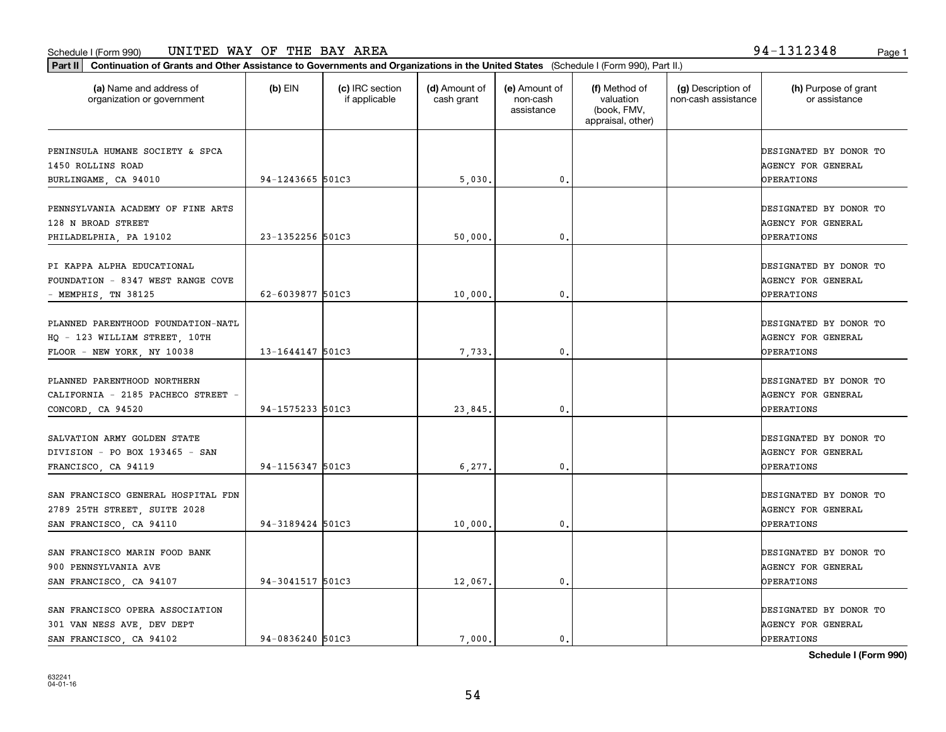organization or government

**Schedule I (Form 990)**

| PENNSYLVANIA ACADEMY OF FINE ARTS  |                  |         |  | DESIGNATED BY DONOR TO |
|------------------------------------|------------------|---------|--|------------------------|
| 128 N BROAD STREET                 |                  |         |  | AGENCY FOR GENERAL     |
| PHILADELPHIA, PA 19102             | 23-1352256 501C3 | 50,000. |  | <b>OPERATIONS</b>      |
|                                    |                  |         |  |                        |
| PI KAPPA ALPHA EDUCATIONAL         |                  |         |  | DESIGNATED BY DONOR TO |
| FOUNDATION - 8347 WEST RANGE COVE  |                  |         |  | AGENCY FOR GENERAL     |
| - MEMPHIS, TN 38125                | 62-6039877 501C3 | 10,000. |  | <b>OPERATIONS</b>      |
|                                    |                  |         |  |                        |
| PLANNED PARENTHOOD FOUNDATION-NATL |                  |         |  | DESIGNATED BY DONOR TO |
| HQ - 123 WILLIAM STREET, 10TH      |                  |         |  | AGENCY FOR GENERAL     |
| FLOOR - NEW YORK, NY 10038         | 13-1644147 501C3 | 7.733.  |  | OPERATIONS             |
|                                    |                  |         |  |                        |
| PLANNED PARENTHOOD NORTHERN        |                  |         |  | DESIGNATED BY DONOR TO |
| CALIFORNIA - 2185 PACHECO STREET - |                  |         |  | AGENCY FOR GENERAL     |
| CONCORD, CA 94520                  | 94-1575233 501C3 | 23,845. |  | <b>OPERATIONS</b>      |
|                                    |                  |         |  |                        |

non-cashassistance

valuation (book, FMV, appraisal, other)

(g) Description of non-cash assistance

**Part II Continuation of Grants and Other Assistance to Governments and Organizations in the United States**  (Schedule I (Form 990), Part II.) **(a) (b) (c) (d) (e) (f) (g) (h)** Name and address of  $(b)$  EIN  $(c)$  IRC section (d) Amount of (e) Amount of (f) Method of

if applicable

cash grant

BURLINGAME, CA 94010 94-1243665 501C3 95,030. 0. 0. 0. 0. 0. OPERATIONS

PENINSULA HUMANE SOCIETY & SPCA  $\vert$ 1450 ROLLINS ROAD AGENCY FOR GENERAL

SALVATION ARMY GOLDEN STATE DESIGNATED BY DONOR TO DIVISION - PO BOX 193465 - SAN AGENCY FOR GENERAL

SAN FRANCISCO GENERAL HOSPITAL FDN DESIGNATED BY DONOR TO 2789 25TH STREET, SUITE 2028 AGENCY FOR GENERAL AND A LOCAL STREET AND RESERVED A LOCAL AGENCY FOR GENERAL AND

SAN FRANCISCO MARIN FOOD BANK DESIGNATED BY DONOR TO 900 PENNSYLVANIA AVE AGENCY FOR GENERAL

SAN FRANCISCO OPERA ASSOCIATION DESIGNATED BY DONOR TO

54

FRANCISCO, CA 94119 94-1156347 501C3 6,277. 0. OPERATIONS

SAN FRANCISCO, CA 94110 94-3189424 501C3 (10,000. 0. OPERATIONS

SAN FRANCISCO, CA 94107 **94-3041517 501C3** 12,067. 0.

SAN FRANCISCO, CA 94102 94-0836240 501C3 (7,000. 0. OPERATIONS

(h) Purpose of grant or assistance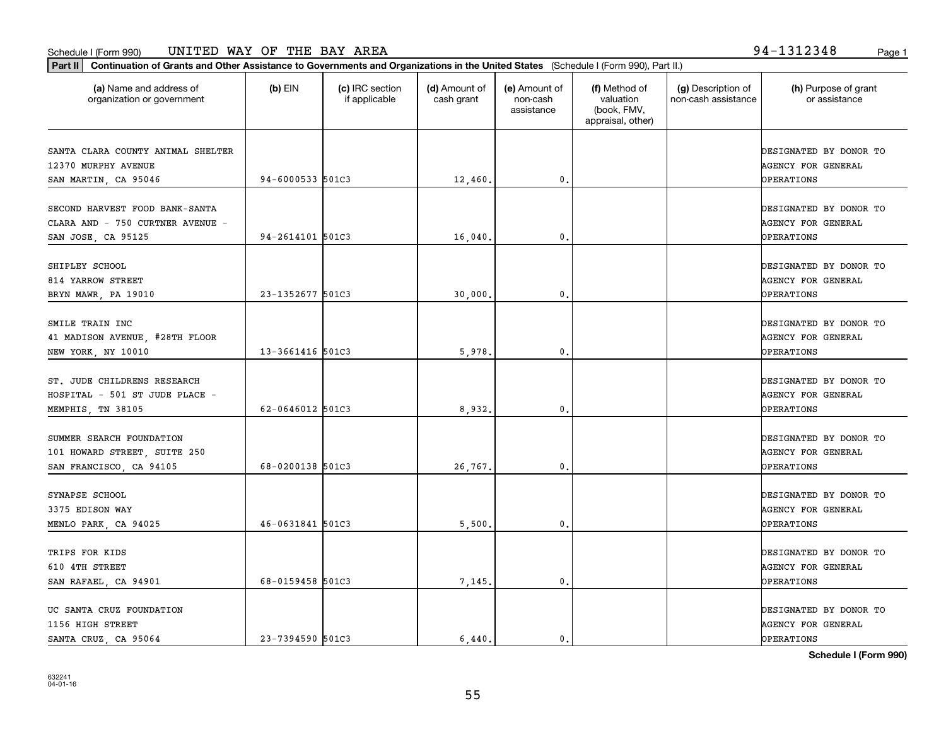**Part II Continuation of Grants and Other Assistance to Governments and Organizations in the United States**  (Schedule I (Form 990), Part II.)

| (a) Name and address of<br>organization or government                                    | $(b)$ EIN        | (c) IRC section<br>if applicable | (d) Amount of<br>cash grant | (e) Amount of<br>non-cash<br>assistance | (f) Method of<br>valuation<br>(book, FMV,<br>appraisal, other) | (g) Description of<br>non-cash assistance | (h) Purpose of grant<br>or assistance                                    |
|------------------------------------------------------------------------------------------|------------------|----------------------------------|-----------------------------|-----------------------------------------|----------------------------------------------------------------|-------------------------------------------|--------------------------------------------------------------------------|
| SANTA CLARA COUNTY ANIMAL SHELTER<br>12370 MURPHY AVENUE                                 | 94-6000533 501C3 |                                  |                             | $\mathbf{0}$ .                          |                                                                |                                           | DESIGNATED BY DONOR TO<br><b>AGENCY FOR GENERAL</b>                      |
| SAN MARTIN, CA 95046                                                                     |                  |                                  | 12,460.                     |                                         |                                                                |                                           | OPERATIONS                                                               |
| SECOND HARVEST FOOD BANK-SANTA<br>CLARA AND - 750 CURTNER AVENUE -<br>SAN JOSE, CA 95125 | 94-2614101 501C3 |                                  | 16,040.                     | 0.                                      |                                                                |                                           | DESIGNATED BY DONOR TO<br><b>AGENCY FOR GENERAL</b><br>OPERATIONS        |
| SHIPLEY SCHOOL<br>814 YARROW STREET<br>BRYN MAWR, PA 19010                               | 23-1352677 501C3 |                                  | 30,000.                     | $\mathbf{0}$ .                          |                                                                |                                           | DESIGNATED BY DONOR TO<br><b>AGENCY FOR GENERAL</b><br><b>OPERATIONS</b> |
| SMILE TRAIN INC<br>41 MADISON AVENUE, #28TH FLOOR<br>NEW YORK, NY 10010                  | 13-3661416 501C3 |                                  | 5,978.                      | 0.                                      |                                                                |                                           | DESIGNATED BY DONOR TO<br>AGENCY FOR GENERAL<br>OPERATIONS               |
| ST. JUDE CHILDRENS RESEARCH<br>HOSPITAL - 501 ST JUDE PLACE -<br>MEMPHIS, TN 38105       | 62-0646012 501C3 |                                  | 8,932.                      | 0.                                      |                                                                |                                           | DESIGNATED BY DONOR TO<br>AGENCY FOR GENERAL<br>OPERATIONS               |
| SUMMER SEARCH FOUNDATION<br>101 HOWARD STREET, SUITE 250<br>SAN FRANCISCO, CA 94105      | 68-0200138 501C3 |                                  | 26,767.                     | 0.                                      |                                                                |                                           | DESIGNATED BY DONOR TO<br>AGENCY FOR GENERAL<br><b>OPERATIONS</b>        |
| SYNAPSE SCHOOL<br>3375 EDISON WAY<br>MENLO PARK, CA 94025                                | 46-0631841 501C3 |                                  | 5,500.                      | 0.                                      |                                                                |                                           | DESIGNATED BY DONOR TO<br>AGENCY FOR GENERAL<br>OPERATIONS               |
| TRIPS FOR KIDS<br>610 4TH STREET<br>SAN RAFAEL, CA 94901                                 | 68-0159458 501C3 |                                  | 7,145.                      | $\mathbf{0}$                            |                                                                |                                           | DESIGNATED BY DONOR TO<br><b>AGENCY FOR GENERAL</b><br>OPERATIONS        |
| UC SANTA CRUZ FOUNDATION<br>1156 HIGH STREET                                             |                  |                                  |                             |                                         |                                                                |                                           | DESIGNATED BY DONOR TO<br>AGENCY FOR GENERAL                             |

**Schedule I (Form 990)**

SANTA CRUZ, CA 95064  $\begin{vmatrix} 23-7394590 & 501C3 \\ 23 & -394590 & 23-7394590 \end{vmatrix}$  6,440.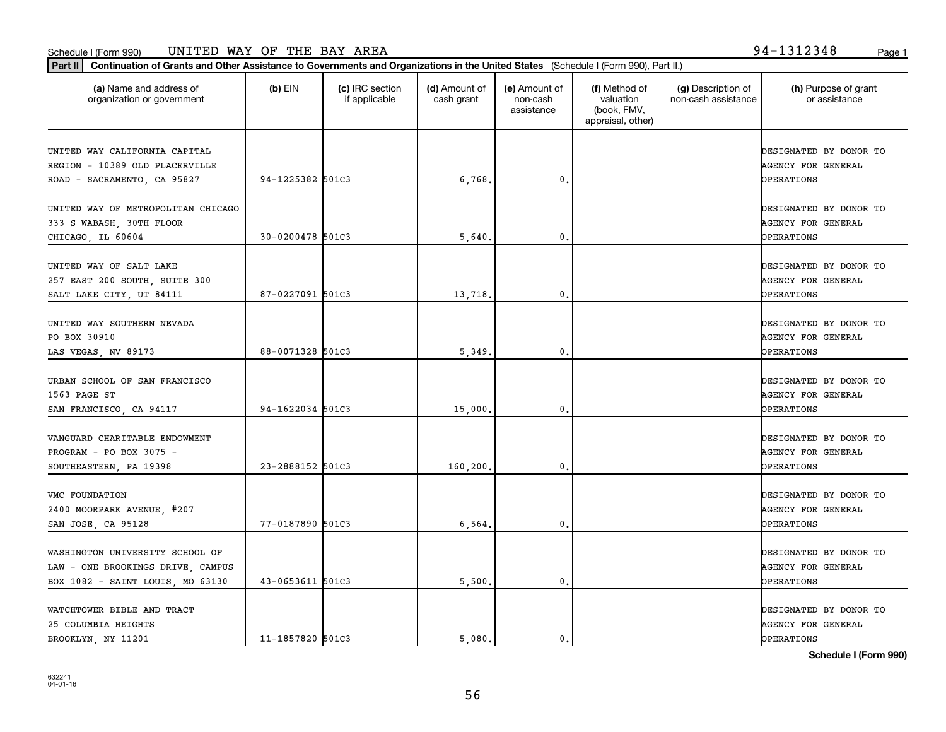**Part II Continuation of Grants and Other Assistance to Governments and Organizations in the United States**  (Schedule I (Form 990), Part II.)

| (a) Name and address of<br>organization or government                                                    | $(b)$ EIN        | (c) IRC section<br>if applicable | (d) Amount of<br>cash grant | (e) Amount of<br>non-cash<br>assistance | (f) Method of<br>valuation<br>(book, FMV,<br>appraisal, other) | (g) Description of<br>non-cash assistance | (h) Purpose of grant<br>or assistance                             |
|----------------------------------------------------------------------------------------------------------|------------------|----------------------------------|-----------------------------|-----------------------------------------|----------------------------------------------------------------|-------------------------------------------|-------------------------------------------------------------------|
| UNITED WAY CALIFORNIA CAPITAL<br>REGION - 10389 OLD PLACERVILLE<br>ROAD - SACRAMENTO, CA 95827           | 94-1225382 501C3 |                                  | 6,768.                      | 0.                                      |                                                                |                                           | DESIGNATED BY DONOR TO<br>AGENCY FOR GENERAL<br>OPERATIONS        |
| UNITED WAY OF METROPOLITAN CHICAGO<br>333 S WABASH, 30TH FLOOR<br>CHICAGO, IL 60604                      | 30-0200478 501C3 |                                  | 5,640.                      | 0.                                      |                                                                |                                           | DESIGNATED BY DONOR TO<br><b>AGENCY FOR GENERAL</b><br>OPERATIONS |
| UNITED WAY OF SALT LAKE<br>257 EAST 200 SOUTH, SUITE 300<br>SALT LAKE CITY, UT 84111                     | 87-0227091 501C3 |                                  | 13,718.                     | $\mathbf 0$ .                           |                                                                |                                           | DESIGNATED BY DONOR TO<br><b>AGENCY FOR GENERAL</b><br>OPERATIONS |
| UNITED WAY SOUTHERN NEVADA<br>PO BOX 30910<br>LAS VEGAS, NV 89173                                        | 88-0071328 501C3 |                                  | 5,349.                      | $\mathbf 0$ .                           |                                                                |                                           | DESIGNATED BY DONOR TO<br>AGENCY FOR GENERAL<br><b>OPERATIONS</b> |
| URBAN SCHOOL OF SAN FRANCISCO<br>1563 PAGE ST<br>SAN FRANCISCO, CA 94117                                 | 94-1622034 501C3 |                                  | 15,000.                     | 0.                                      |                                                                |                                           | DESIGNATED BY DONOR TO<br>AGENCY FOR GENERAL<br>OPERATIONS        |
| VANGUARD CHARITABLE ENDOWMENT<br>PROGRAM - PO BOX 3075 -<br>SOUTHEASTERN, PA 19398                       | 23-2888152 501C3 |                                  | 160,200.                    | $\mathbf 0$ .                           |                                                                |                                           | DESIGNATED BY DONOR TO<br><b>AGENCY FOR GENERAL</b><br>OPERATIONS |
| VMC FOUNDATION<br>2400 MOORPARK AVENUE, #207<br>SAN JOSE, CA 95128                                       | 77-0187890 501C3 |                                  | 6,564.                      | $\mathbf 0$ .                           |                                                                |                                           | DESIGNATED BY DONOR TO<br>AGENCY FOR GENERAL<br>OPERATIONS        |
| WASHINGTON UNIVERSITY SCHOOL OF<br>LAW - ONE BROOKINGS DRIVE, CAMPUS<br>BOX 1082 - SAINT LOUIS, MO 63130 | 43-0653611 501C3 |                                  | 5,500.                      | 0.                                      |                                                                |                                           | DESIGNATED BY DONOR TO<br>AGENCY FOR GENERAL<br>OPERATIONS        |
| WATCHTOWER BIBLE AND TRACT<br>25 COLUMBIA HEIGHTS                                                        |                  |                                  |                             |                                         |                                                                |                                           | DESIGNATED BY DONOR TO<br>AGENCY FOR GENERAL                      |

BROOKLYN, NY 11201 11-1857820 501C3 11-1857820 501C3 5,080. 0.

56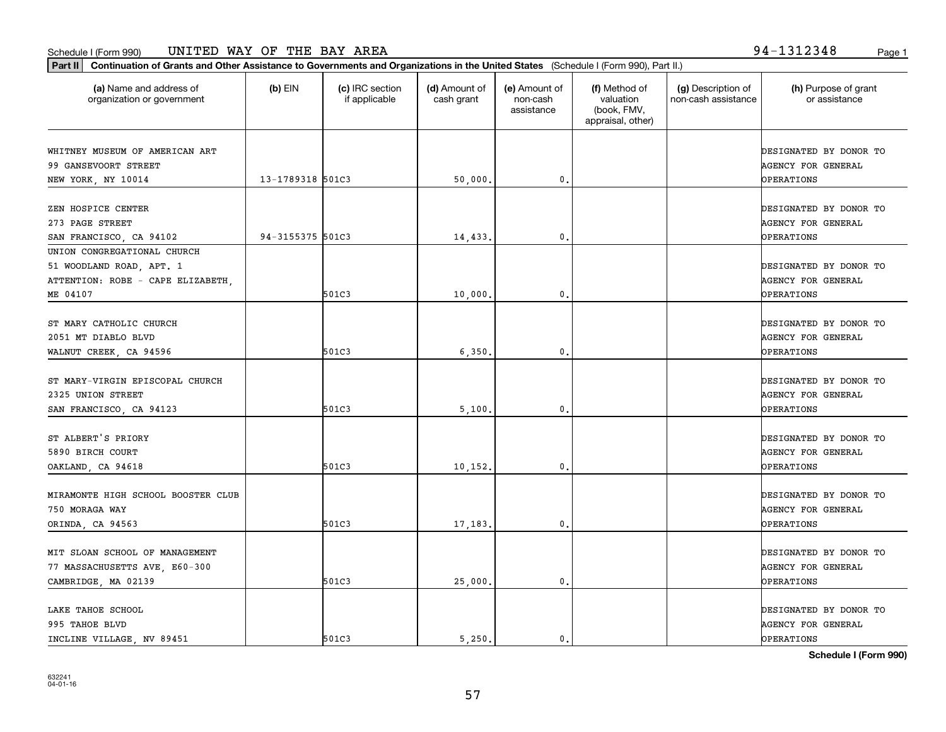organization or government

632241 04-01-16

| ZEN HOSPICE CENTER                 |                  |       |         |                | DESIGNATED BY DONOR TO    |
|------------------------------------|------------------|-------|---------|----------------|---------------------------|
| 273 PAGE STREET                    |                  |       |         |                | <b>AGENCY FOR GENERAL</b> |
| SAN FRANCISCO, CA 94102            | 94-3155375 501C3 |       | 14,433. | 0.             | OPERATIONS                |
| UNION CONGREGATIONAL CHURCH        |                  |       |         |                |                           |
| 51 WOODLAND ROAD, APT. 1           |                  |       |         |                | DESIGNATED BY DONOR TO    |
| ATTENTION: ROBE - CAPE ELIZABETH,  |                  |       |         |                | <b>AGENCY FOR GENERAL</b> |
| <b>ME 04107</b>                    |                  | 501C3 | 10,000. | 0.             | OPERATIONS                |
|                                    |                  |       |         |                |                           |
| ST MARY CATHOLIC CHURCH            |                  |       |         |                | DESIGNATED BY DONOR TO    |
| 2051 MT DIABLO BLVD                |                  |       |         |                | AGENCY FOR GENERAL        |
| WALNUT CREEK, CA 94596             |                  | 501C3 | 6,350.  | 0.             | OPERATIONS                |
| ST MARY-VIRGIN EPISCOPAL CHURCH    |                  |       |         |                | DESIGNATED BY DONOR TO    |
| 2325 UNION STREET                  |                  |       |         |                | AGENCY FOR GENERAL        |
| SAN FRANCISCO, CA 94123            |                  | 501C3 | 5,100.  | 0.             | OPERATIONS                |
|                                    |                  |       |         |                |                           |
| ST ALBERT'S PRIORY                 |                  |       |         |                | DESIGNATED BY DONOR TO    |
| 5890 BIRCH COURT                   |                  |       |         |                | <b>AGENCY FOR GENERAL</b> |
| OAKLAND, CA 94618                  |                  | 501C3 | 10,152. | $^{\rm 0}$ .   | OPERATIONS                |
|                                    |                  |       |         |                |                           |
| MIRAMONTE HIGH SCHOOL BOOSTER CLUB |                  |       |         |                | DESIGNATED BY DONOR TO    |
| 750 MORAGA WAY                     |                  |       |         |                | <b>AGENCY FOR GENERAL</b> |
| ORINDA, CA 94563                   |                  | 501C3 | 17,183. | 0.             | OPERATIONS                |
|                                    |                  |       |         |                |                           |
| MIT SLOAN SCHOOL OF MANAGEMENT     |                  |       |         |                | DESIGNATED BY DONOR TO    |
| 77 MASSACHUSETTS AVE, E60-300      |                  |       |         |                | AGENCY FOR GENERAL        |
| CAMBRIDGE, MA 02139                |                  | 501C3 | 25,000. | 0.             | OPERATIONS                |
| LAKE TAHOE SCHOOL                  |                  |       |         |                | DESIGNATED BY DONOR TO    |
| 995 TAHOE BLVD                     |                  |       |         |                | <b>AGENCY FOR GENERAL</b> |
| INCLINE VILLAGE, NV 89451          |                  | 501C3 | 5,250.  | $\mathbf{0}$ . | OPERATIONS                |

**Part II Continuation of Grants and Other Assistance to Governments and Organizations in the United States**  (Schedule I (Form 990), Part II.)

if applicable

 $(b)$  EIN  $(c)$  IRC section

**(a) (b) (c) (d) (e) (f) (g) (h)** Name and address of

NEW YORK, NY 10014 | 13-1789318 501C3 | 50,000. 0. 0. 0. | DPERATIONS

(d) Amount of cash grant

WHITNEY MUSEUM OF AMERICAN ART PRODUCT AND RESIGNATED BY DONOR TO RESIGNATED BY DONOR TO DESIGNATED BY DONOR TO 99 GANSEVOORT STREET AGENCY FOR GENERAL

(e) Amount of non-cashassistance

(f) Method of valuation (book, FMV, appraisal, other)

(g) Description of non-cash assistance

(h) Purpose of grant or assistance

57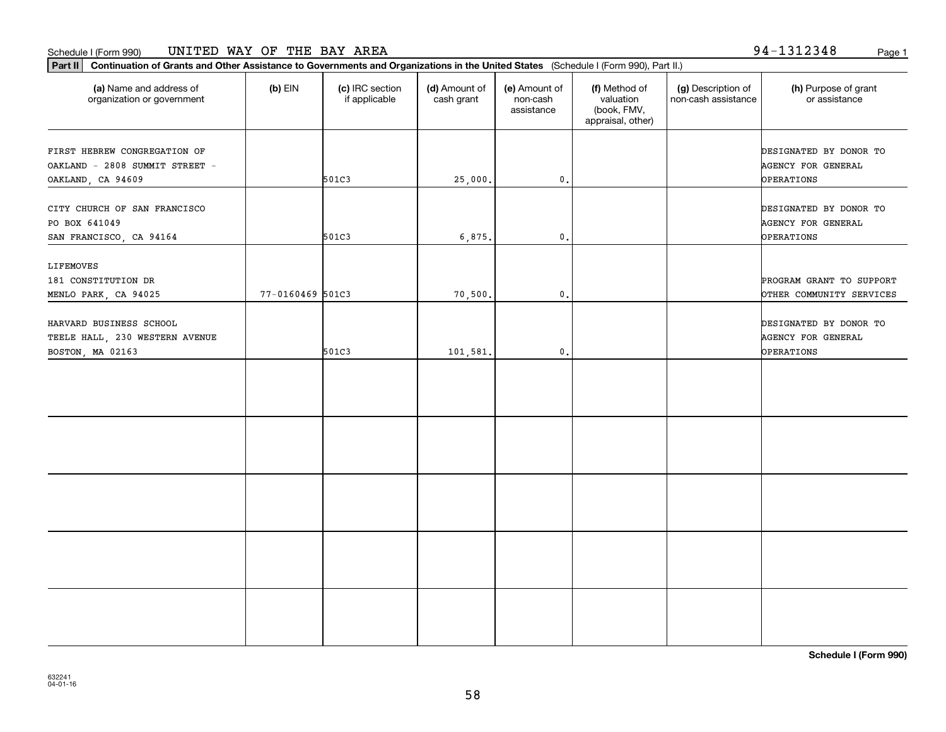### Schedule I (Form 990) Page 1 UNITED WAY OF THE BAY AREA

**Part II Continuation of Grants and Other Assistance to Governments and Organizations in the United States**  (Schedule I (Form 990), Part II.)

632241 04-01-16

|  | Schedule I (Form 990) |
|--|-----------------------|
|--|-----------------------|

| (a) Name and address of<br>organization or government                               | $(b)$ EIN        | (c) IRC section<br>if applicable | (d) Amount of<br>cash grant | (e) Amount of<br>non-cash<br>assistance | (f) Method of<br>valuation<br>(book, FMV,<br>appraisal, other) | (g) Description of<br>non-cash assistance | (h) Purpose of grant<br>or assistance                             |
|-------------------------------------------------------------------------------------|------------------|----------------------------------|-----------------------------|-----------------------------------------|----------------------------------------------------------------|-------------------------------------------|-------------------------------------------------------------------|
| FIRST HEBREW CONGREGATION OF<br>OAKLAND - 2808 SUMMIT STREET -<br>OAKLAND, CA 94609 |                  | 501C3                            | 25,000.                     | $\mathfrak o$ .                         |                                                                |                                           | DESIGNATED BY DONOR TO<br>AGENCY FOR GENERAL<br>OPERATIONS        |
| CITY CHURCH OF SAN FRANCISCO<br>PO BOX 641049<br>SAN FRANCISCO, CA 94164            |                  | 501C3                            | 6,875.                      | $\mathfrak{o}$ .                        |                                                                |                                           | DESIGNATED BY DONOR TO<br><b>AGENCY FOR GENERAL</b><br>OPERATIONS |
| LIFEMOVES<br>181 CONSTITUTION DR<br>MENLO PARK, CA 94025                            | 77-0160469 501C3 |                                  | 70,500.                     | $\mathfrak o$ .                         |                                                                |                                           | PROGRAM GRANT TO SUPPORT<br>OTHER COMMUNITY SERVICES              |
| HARVARD BUSINESS SCHOOL<br>TEELE HALL, 230 WESTERN AVENUE<br>BOSTON, MA 02163       |                  | 501C3                            | 101,581.                    | $\mathfrak o$ .                         |                                                                |                                           | DESIGNATED BY DONOR TO<br>AGENCY FOR GENERAL<br>OPERATIONS        |
|                                                                                     |                  |                                  |                             |                                         |                                                                |                                           |                                                                   |
|                                                                                     |                  |                                  |                             |                                         |                                                                |                                           |                                                                   |
|                                                                                     |                  |                                  |                             |                                         |                                                                |                                           |                                                                   |
|                                                                                     |                  |                                  |                             |                                         |                                                                |                                           |                                                                   |
|                                                                                     |                  |                                  |                             |                                         |                                                                |                                           |                                                                   |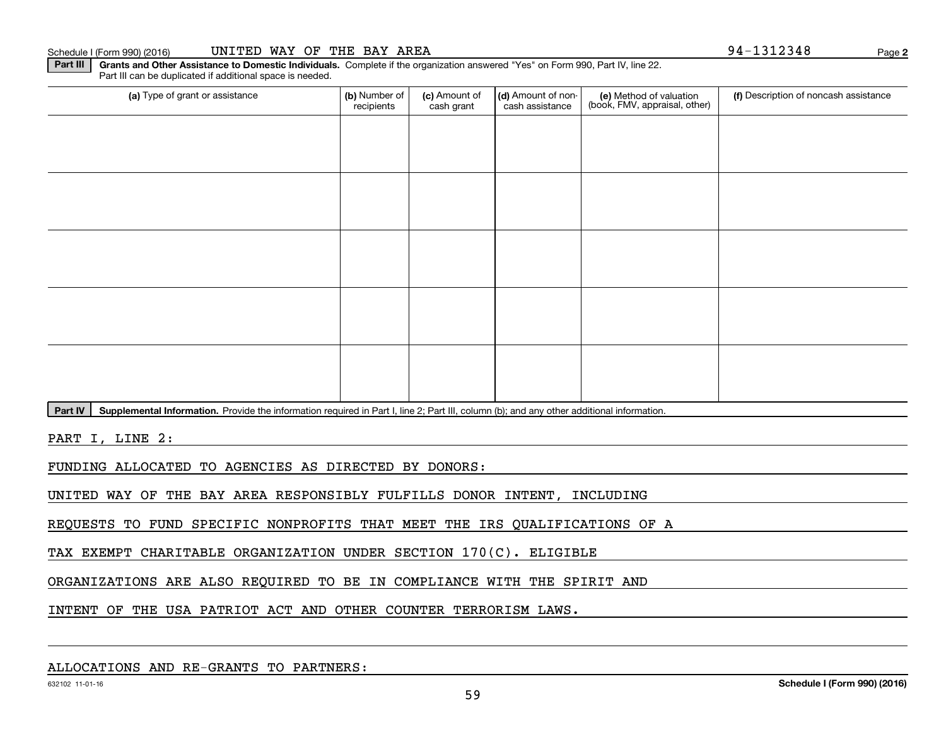### Schedule I (Form 990) (2016) Page UNITED WAY OF THE BAY AREA 94-1312348

**Part III | Grants and Other Assistance to Domestic Individuals. Complete if the organization answered "Yes" on Form 990, Part IV, line 22.** 

(a) Type of grant or assistance **Audity Commet Audio Commet Commet Commet Commet Commet Commet Commet Commet Comme** Part III can be duplicated if additional space is needed. (e) Method of valuation (book, FMV, appraisal, other) recipients(c) Amount of cash grant (d) Amount of noncash assistance **(f)** Description of noncash assistance

59

Part IV | Supplemental Information. Provide the information required in Part I, line 2; Part III, column (b); and any other additional information.

PART I, LINE 2:

FUNDING ALLOCATED TO AGENCIES AS DIRECTED BY DONORS:

UNITED WAY OF THE BAY AREA RESPONSIBLY FULFILLS DONOR INTENT, INCLUDING

REQUESTS TO FUND SPECIFIC NONPROFITS THAT MEET THE IRS QUALIFICATIONS OF A

TAX EXEMPT CHARITABLE ORGANIZATION UNDER SECTION 170(C). ELIGIBLE

ORGANIZATIONS ARE ALSO REQUIRED TO BE IN COMPLIANCE WITH THE SPIRIT AND

INTENT OF THE USA PATRIOT ACT AND OTHER COUNTER TERRORISM LAWS.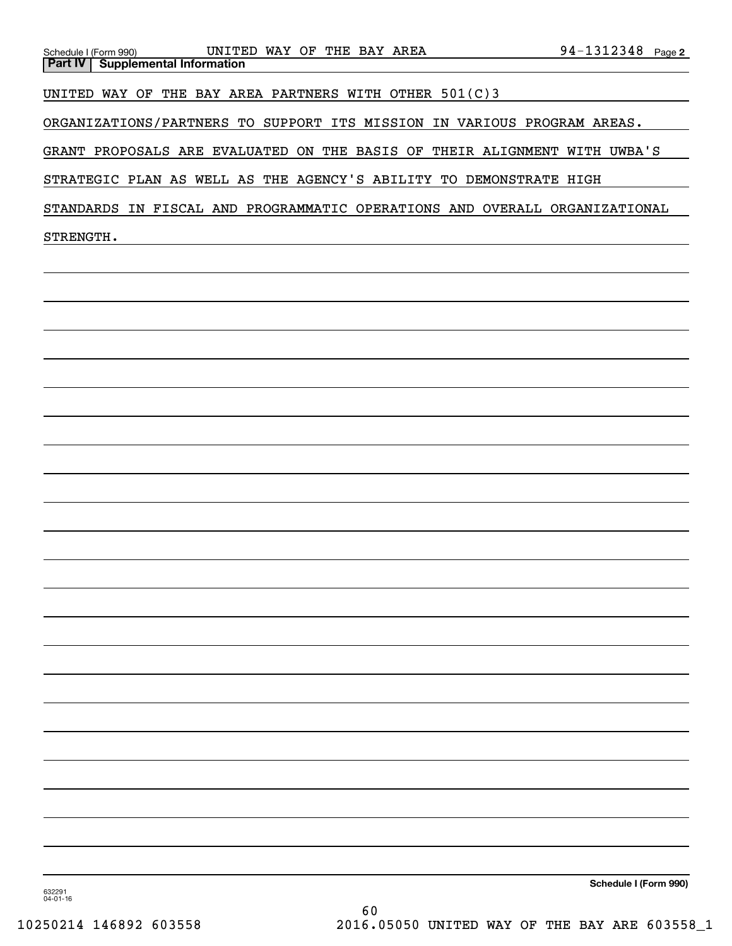| <b>Part IV</b><br><b>Supplemental Information</b>                          |
|----------------------------------------------------------------------------|
| UNITED WAY OF THE BAY AREA PARTNERS WITH OTHER 501(C)3                     |
| ORGANIZATIONS/PARTNERS TO SUPPORT ITS MISSION IN VARIOUS PROGRAM AREAS.    |
| GRANT PROPOSALS ARE EVALUATED ON THE BASIS OF THEIR ALIGNMENT WITH UWBA'S  |
| STRATEGIC PLAN AS WELL AS THE AGENCY'S ABILITY TO DEMONSTRATE HIGH         |
| STANDARDS IN FISCAL AND PROGRAMMATIC OPERATIONS AND OVERALL ORGANIZATIONAL |
| STRENGTH.                                                                  |
|                                                                            |
|                                                                            |
|                                                                            |
|                                                                            |
|                                                                            |
|                                                                            |
|                                                                            |
|                                                                            |
|                                                                            |
|                                                                            |
|                                                                            |
|                                                                            |
|                                                                            |
|                                                                            |
|                                                                            |
|                                                                            |
|                                                                            |
|                                                                            |
|                                                                            |
|                                                                            |
|                                                                            |
|                                                                            |
| Schedule I (Form 990)<br>632291<br>$04 - 01 - 16$                          |
| 60                                                                         |

Schedule I (Form 990) UNITED WAY OF THE BAY AREA 94-1312348 Page

**2**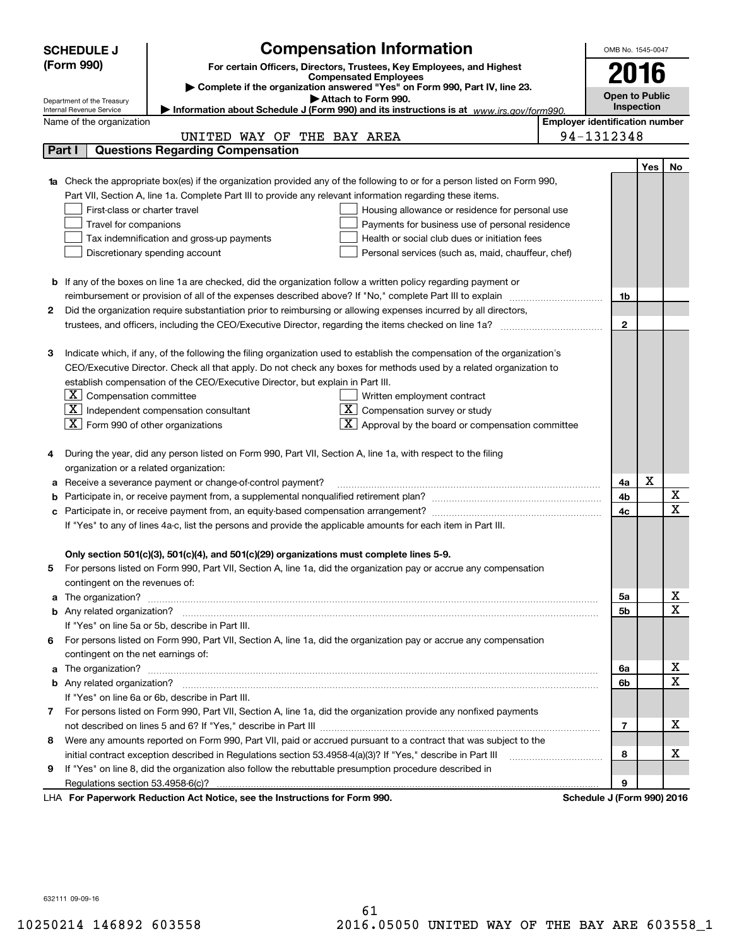|        | <b>Compensation Information</b><br><b>SCHEDULE J</b>                                                                                                                     | OMB No. 1545-0047     |            |                              |
|--------|--------------------------------------------------------------------------------------------------------------------------------------------------------------------------|-----------------------|------------|------------------------------|
|        | (Form 990)<br>For certain Officers, Directors, Trustees, Key Employees, and Highest                                                                                      |                       |            |                              |
|        | <b>Compensated Employees</b>                                                                                                                                             | 2016                  |            |                              |
|        | Complete if the organization answered "Yes" on Form 990, Part IV, line 23.                                                                                               | <b>Open to Public</b> |            |                              |
|        | Attach to Form 990.<br>Department of the Treasury<br>Information about Schedule J (Form 990) and its instructions is at www.irs.gov/form990.<br>Internal Revenue Service | Inspection            |            |                              |
|        | <b>Employer identification number</b><br>Name of the organization                                                                                                        |                       |            |                              |
|        | 94-1312348<br>UNITED WAY OF THE BAY AREA                                                                                                                                 |                       |            |                              |
| Part I | <b>Questions Regarding Compensation</b>                                                                                                                                  |                       |            |                              |
|        |                                                                                                                                                                          |                       | <b>Yes</b> | No                           |
|        | 1a Check the appropriate box(es) if the organization provided any of the following to or for a person listed on Form 990,                                                |                       |            |                              |
|        | Part VII, Section A, line 1a. Complete Part III to provide any relevant information regarding these items.                                                               |                       |            |                              |
|        | First-class or charter travel<br>Housing allowance or residence for personal use                                                                                         |                       |            |                              |
|        | Travel for companions<br>Payments for business use of personal residence                                                                                                 |                       |            |                              |
|        | Tax indemnification and gross-up payments<br>Health or social club dues or initiation fees                                                                               |                       |            |                              |
|        | Discretionary spending account<br>Personal services (such as, maid, chauffeur, chef)                                                                                     |                       |            |                              |
|        |                                                                                                                                                                          |                       |            |                              |
|        | <b>b</b> If any of the boxes on line 1a are checked, did the organization follow a written policy regarding payment or                                                   |                       |            |                              |
|        | reimbursement or provision of all of the expenses described above? If "No," complete Part III to explain                                                                 | 1b                    |            |                              |
| 2      | Did the organization require substantiation prior to reimbursing or allowing expenses incurred by all directors,                                                         |                       |            |                              |
|        | trustees, and officers, including the CEO/Executive Director, regarding the items checked on line 1a?                                                                    | $\mathbf{2}$          |            |                              |
|        |                                                                                                                                                                          |                       |            |                              |
| З      | Indicate which, if any, of the following the filing organization used to establish the compensation of the organization's                                                |                       |            |                              |
|        | CEO/Executive Director. Check all that apply. Do not check any boxes for methods used by a related organization to                                                       |                       |            |                              |
|        | establish compensation of the CEO/Executive Director, but explain in Part III.                                                                                           |                       |            |                              |
|        | $\lfloor \texttt{X} \rfloor$ Compensation committee<br>Written employment contract                                                                                       |                       |            |                              |
|        | $X$ Compensation survey or study<br>$ \mathbf{X} $ Independent compensation consultant                                                                                   |                       |            |                              |
|        | $ \mathbf{X} $ Form 990 of other organizations<br>$\lfloor x \rfloor$ Approval by the board or compensation committee                                                    |                       |            |                              |
|        |                                                                                                                                                                          |                       |            |                              |
|        | During the year, did any person listed on Form 990, Part VII, Section A, line 1a, with respect to the filing                                                             |                       |            |                              |
|        | organization or a related organization:                                                                                                                                  |                       |            |                              |
| а      | Receive a severance payment or change-of-control payment?                                                                                                                | 4a                    | X          |                              |
|        |                                                                                                                                                                          | 4b                    |            | X                            |
| с      |                                                                                                                                                                          | 4c                    |            | $\overline{\mathbf{x}}$      |
|        | If "Yes" to any of lines 4a-c, list the persons and provide the applicable amounts for each item in Part III.                                                            |                       |            |                              |
|        |                                                                                                                                                                          |                       |            |                              |
|        | Only section 501(c)(3), 501(c)(4), and 501(c)(29) organizations must complete lines 5-9.                                                                                 |                       |            |                              |
|        | For persons listed on Form 990, Part VII, Section A, line 1a, did the organization pay or accrue any compensation                                                        |                       |            |                              |
|        | contingent on the revenues of:                                                                                                                                           |                       |            |                              |
| a      |                                                                                                                                                                          | 5a                    |            | x<br>$\overline{\mathbf{x}}$ |
|        |                                                                                                                                                                          | 5b                    |            |                              |
|        | If "Yes" on line 5a or 5b, describe in Part III.                                                                                                                         |                       |            |                              |
| 6.     | For persons listed on Form 990, Part VII, Section A, line 1a, did the organization pay or accrue any compensation                                                        |                       |            |                              |
|        | contingent on the net earnings of:                                                                                                                                       |                       |            | х                            |
| a      |                                                                                                                                                                          | 6a                    |            | $\overline{\mathbf{x}}$      |
|        |                                                                                                                                                                          | 6b                    |            |                              |
|        | If "Yes" on line 6a or 6b, describe in Part III.                                                                                                                         |                       |            |                              |
|        | 7 For persons listed on Form 990, Part VII, Section A, line 1a, did the organization provide any nonfixed payments                                                       |                       |            | х                            |
|        |                                                                                                                                                                          | 7                     |            |                              |
| 8      | Were any amounts reported on Form 990, Part VII, paid or accrued pursuant to a contract that was subject to the                                                          |                       |            | х                            |
|        | initial contract exception described in Regulations section 53.4958-4(a)(3)? If "Yes," describe in Part III                                                              | 8                     |            |                              |
| 9      | If "Yes" on line 8, did the organization also follow the rebuttable presumption procedure described in                                                                   |                       |            |                              |
|        | Regulations section 53.4958-6(c)?<br><b>Departments Reduction Act Notice, can the Instructions for Form 000</b><br>Schodule I (Form 000) 2016                            | 9                     |            |                              |

LHA For Paperwork Reduction Act Notice, see the Instructions for Form 990. Schedule J (Form 990) 2016

632111 09-09-16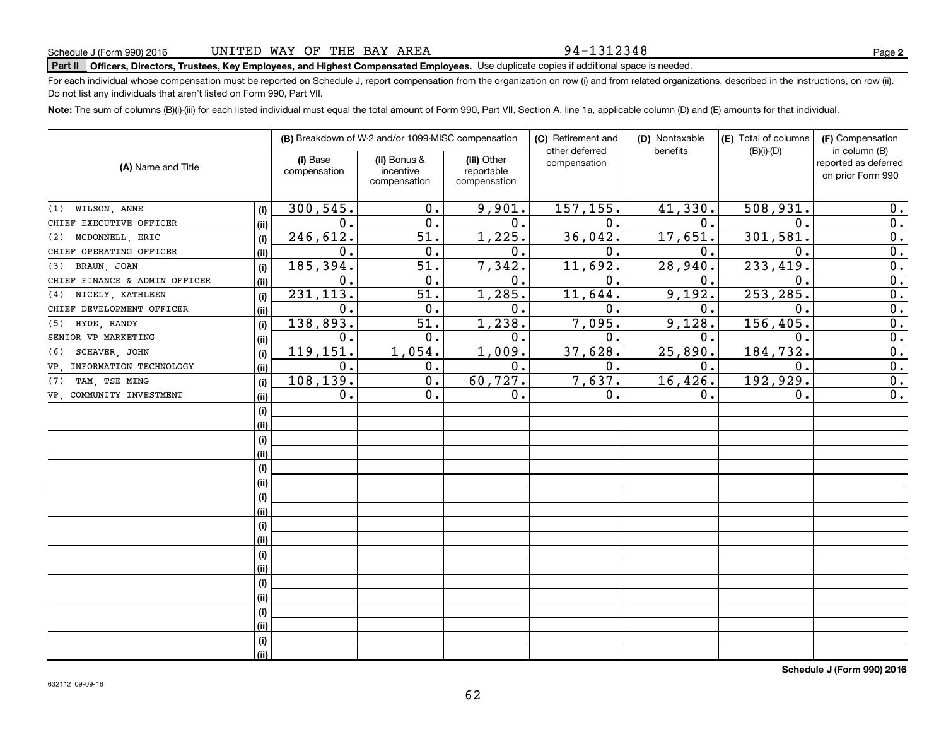94-1312348

# **Part II Officers, Directors, Trustees, Key Employees, and Highest Compensated Employees.**  Schedule J (Form 990) 2016 Page Use duplicate copies if additional space is needed.

For each individual whose compensation must be reported on Schedule J, report compensation from the organization on row (i) and from related organizations, described in the instructions, on row (ii). Do not list any individuals that aren't listed on Form 990, Part VII.

**Note:**  The sum of columns (B)(i)-(iii) for each listed individual must equal the total amount of Form 990, Part VII, Section A, line 1a, applicable column (D) and (E) amounts for that individual.

|                                                |      | (B) Breakdown of W-2 and/or 1099-MISC compensation |                                           | (C) Retirement and<br>other deferred | (D) Nontaxable<br>benefits | (E) Total of columns<br>$(B)(i)-(D)$ | (F) Compensation<br>in column (B)         |                           |
|------------------------------------------------|------|----------------------------------------------------|-------------------------------------------|--------------------------------------|----------------------------|--------------------------------------|-------------------------------------------|---------------------------|
| (i) Base<br>(A) Name and Title<br>compensation |      | (ii) Bonus &<br>incentive<br>compensation          | (iii) Other<br>reportable<br>compensation | compensation                         |                            |                                      | reported as deferred<br>on prior Form 990 |                           |
| WILSON, ANNE<br>(1)                            | (i)  | 300, 545.                                          | 0.                                        | 9,901.                               | 157, 155.                  | 41,330.                              | 508,931.                                  | 0.                        |
| CHIEF EXECUTIVE OFFICER                        | (ii) | $\mathbf 0$ .                                      | $\overline{0}$ .                          | $\overline{0}$ .                     | $\overline{0}$ .           | 0.                                   | $\mathbf{0}$ .                            | $\overline{0}$ .          |
| MCDONNELL, ERIC<br>(2)                         | (i)  | 246,612.                                           | 51.                                       | 1,225.                               | 36,042.                    | 17,651.                              | 301,581                                   | 0.                        |
| CHIEF OPERATING OFFICER                        | (ii) | $\mathbf 0$ .                                      | $\mathbf 0$ .                             | 0.                                   | $\mathbf 0$ .              | $\mathbf 0$ .                        | 0                                         | $\overline{0}$ .          |
| BRAUN, JOAN<br>(3)                             | (i)  | 185,394.                                           | 51.                                       | 7,342.                               | 11,692.                    | 28,940.                              | 233, 419                                  | $\overline{0}$ .          |
| CHIEF FINANCE & ADMIN OFFICER                  | (ii) | $\mathbf 0$ .                                      | $\mathbf 0$ .                             | 0.                                   | $\mathbf 0$ .              | $\mathbf 0$ .                        | $\mathbf 0$                               | $\overline{0}$ .          |
| NICELY, KATHLEEN<br>(4)                        | (i)  | 231, 113.                                          | 51.                                       | 1,285.                               | 11,644                     | 9,192.                               | 253,285.                                  | $\overline{0}$ .          |
| CHIEF DEVELOPMENT OFFICER                      | (ii) | $\mathbf 0$ .                                      | 0.                                        | 0.                                   | $\mathbf 0$ .              | $\mathbf 0$ .                        | $\mathbf 0$                               | $\overline{0}$ .          |
| HYDE, RANDY<br>(5)                             | (i)  | 138,893.                                           | 51.                                       | 1,238.                               | 7,095.                     | 9,128.                               | 156, 405.                                 | $\overline{0}$ .          |
| SENIOR VP MARKETING                            | (ii) | 0.                                                 | 0.                                        | 0.                                   | 0.                         | 0.                                   | $\mathbf 0$ .                             | $\overline{0}$ .          |
| SCHAVER, JOHN<br>(6)                           | (i)  | 119,151.                                           | 1,054.                                    | 1,009.                               | 37,628.                    | 25,890.                              | 184,732.                                  | $\overline{0}$ .          |
| VP, INFORMATION TECHNOLOGY                     | (ii) | 0.                                                 | 0.                                        | 0.                                   | 0.                         | 0.                                   | $\mathbf 0$ .                             | $\overline{\mathbf{0}}$ . |
| TAM, TSE MING<br>(7)                           | (i)  | 108,139.                                           | 0.                                        | 60,727.                              | 7,637.                     | 16,426.                              | 192,929.                                  | $\overline{0}$ .          |
| VP COMMUNITY INVESTMENT                        | (ii) | 0.                                                 | 0.                                        | 0.                                   | 0.                         | 0.                                   | 0.                                        | 0.                        |
|                                                | (i)  |                                                    |                                           |                                      |                            |                                      |                                           |                           |
|                                                | (ii) |                                                    |                                           |                                      |                            |                                      |                                           |                           |
|                                                | (i)  |                                                    |                                           |                                      |                            |                                      |                                           |                           |
|                                                | (ii) |                                                    |                                           |                                      |                            |                                      |                                           |                           |
|                                                | (i)  |                                                    |                                           |                                      |                            |                                      |                                           |                           |
|                                                | (i)  |                                                    |                                           |                                      |                            |                                      |                                           |                           |
|                                                | (i)  |                                                    |                                           |                                      |                            |                                      |                                           |                           |
|                                                | (ii) |                                                    |                                           |                                      |                            |                                      |                                           |                           |
|                                                | (i)  |                                                    |                                           |                                      |                            |                                      |                                           |                           |
|                                                | (ii) |                                                    |                                           |                                      |                            |                                      |                                           |                           |
|                                                | (i)  |                                                    |                                           |                                      |                            |                                      |                                           |                           |
|                                                | (i)  |                                                    |                                           |                                      |                            |                                      |                                           |                           |
|                                                | (i)  |                                                    |                                           |                                      |                            |                                      |                                           |                           |
|                                                | (i)  |                                                    |                                           |                                      |                            |                                      |                                           |                           |
|                                                | (i)  |                                                    |                                           |                                      |                            |                                      |                                           |                           |
|                                                | (i)  |                                                    |                                           |                                      |                            |                                      |                                           |                           |
|                                                | (i)  |                                                    |                                           |                                      |                            |                                      |                                           |                           |
|                                                | (ii) |                                                    |                                           |                                      |                            |                                      |                                           |                           |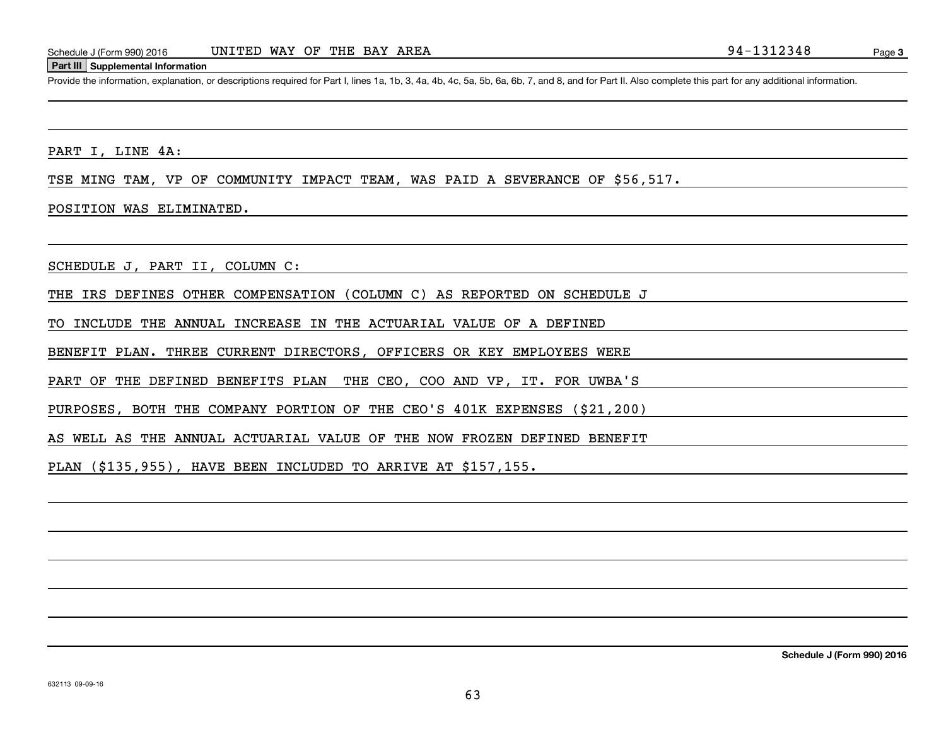### **Part III Supplemental Information**

Schedule J (Form 990) 2016 UNITED WAY OF THE BAY AREA<br>
Part III Supplemental Information<br>
Provide the information, explanation, or descriptions required for Part I, lines 1a, 1b, 3, 4a, 4b, 4c, 5a, 5b, 6a, 6b, 7, and 8, an

PART I, LINE 4A:

TSE MING TAM, VP OF COMMUNITY IMPACT TEAM, WAS PAID A SEVERANCE OF \$56,517.

POSITION WAS ELIMINATED.

SCHEDULE J, PART II, COLUMN C:

THE IRS DEFINES OTHER COMPENSATION (COLUMN C) AS REPORTED ON SCHEDULE J

TO INCLUDE THE ANNUAL INCREASE IN THE ACTUARIAL VALUE OF A DEFINED

BENEFIT PLAN. THREE CURRENT DIRECTORS, OFFICERS OR KEY EMPLOYEES WERE

PART OF THE DEFINED BENEFITS PLAN THE CEO, COO AND VP, IT. FOR UWBA'S

PURPOSES, BOTH THE COMPANY PORTION OF THE CEO'S 401K EXPENSES (\$21,200)

AS WELL AS THE ANNUAL ACTUARIAL VALUE OF THE NOW FROZEN DEFINED BENEFIT

PLAN (\$135,955), HAVE BEEN INCLUDED TO ARRIVE AT \$157,155.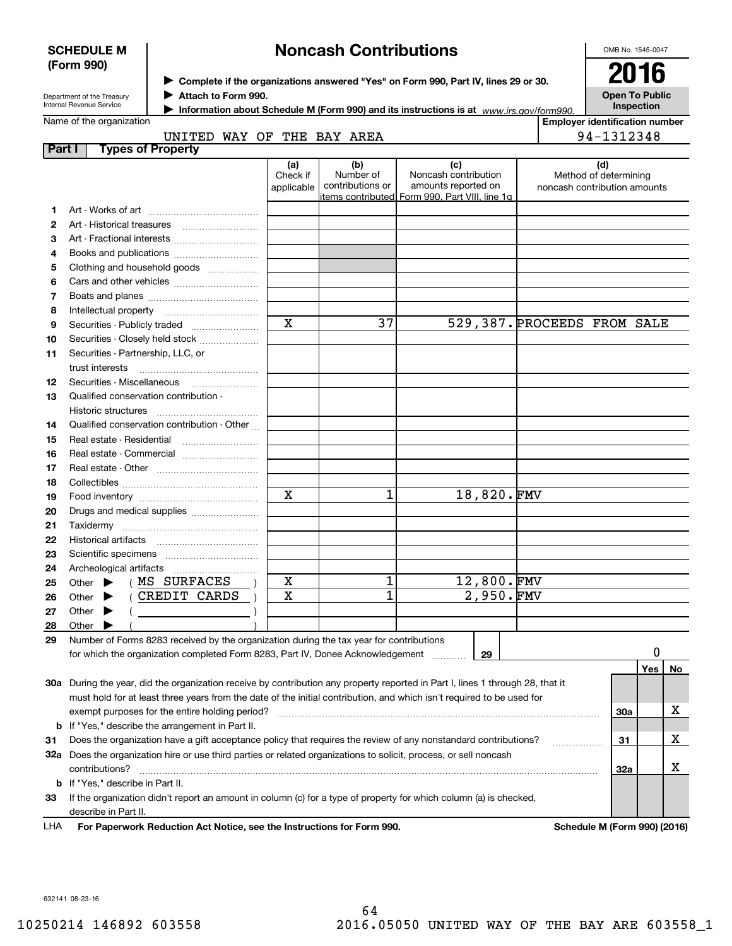|                                                                                                                       | <b>SCHEDULE M</b>                                                                                              |                                                                                                                                                                           |                        | <b>Noncash Contributions</b>  |                                                                                               |               |                             | OMB No. 1545-0047                                     |     |    |  |
|-----------------------------------------------------------------------------------------------------------------------|----------------------------------------------------------------------------------------------------------------|---------------------------------------------------------------------------------------------------------------------------------------------------------------------------|------------------------|-------------------------------|-----------------------------------------------------------------------------------------------|---------------|-----------------------------|-------------------------------------------------------|-----|----|--|
|                                                                                                                       | (Form 990)<br>> Complete if the organizations answered "Yes" on Form 990, Part IV, lines 29 or 30.             |                                                                                                                                                                           |                        |                               |                                                                                               |               |                             |                                                       |     |    |  |
|                                                                                                                       |                                                                                                                | 2016<br><b>Open To Public</b>                                                                                                                                             |                        |                               |                                                                                               |               |                             |                                                       |     |    |  |
|                                                                                                                       | Department of the Treasury<br><b>Internal Revenue Service</b>                                                  | Attach to Form 990.<br>Information about Schedule M (Form 990) and its instructions is at www.irs.gov/form990.                                                            |                        |                               |                                                                                               |               |                             |                                                       |     |    |  |
|                                                                                                                       | Name of the organization                                                                                       |                                                                                                                                                                           |                        |                               |                                                                                               |               |                             | Inspection<br><b>Employer identification number</b>   |     |    |  |
|                                                                                                                       |                                                                                                                |                                                                                                                                                                           |                        |                               |                                                                                               |               |                             | 94-1312348                                            |     |    |  |
| <b>Part I</b>                                                                                                         |                                                                                                                | UNITED WAY OF THE BAY AREA<br><b>Types of Property</b>                                                                                                                    |                        |                               |                                                                                               |               |                             |                                                       |     |    |  |
|                                                                                                                       |                                                                                                                |                                                                                                                                                                           | (a)                    | (b)                           | (c)                                                                                           |               |                             | (d)                                                   |     |    |  |
|                                                                                                                       |                                                                                                                |                                                                                                                                                                           | Check if<br>applicable | Number of<br>contributions or | Noncash contribution<br>amounts reported on<br>items contributed Form 990, Part VIII, line 1g |               |                             | Method of determining<br>noncash contribution amounts |     |    |  |
| 1                                                                                                                     |                                                                                                                |                                                                                                                                                                           |                        |                               |                                                                                               |               |                             |                                                       |     |    |  |
| 2                                                                                                                     |                                                                                                                |                                                                                                                                                                           |                        |                               |                                                                                               |               |                             |                                                       |     |    |  |
| З                                                                                                                     |                                                                                                                | Art - Fractional interests                                                                                                                                                |                        |                               |                                                                                               |               |                             |                                                       |     |    |  |
| 4                                                                                                                     |                                                                                                                | Books and publications                                                                                                                                                    |                        |                               |                                                                                               |               |                             |                                                       |     |    |  |
| 5                                                                                                                     |                                                                                                                | Clothing and household goods                                                                                                                                              |                        |                               |                                                                                               |               |                             |                                                       |     |    |  |
| 6                                                                                                                     |                                                                                                                |                                                                                                                                                                           |                        |                               |                                                                                               |               |                             |                                                       |     |    |  |
| 7                                                                                                                     |                                                                                                                |                                                                                                                                                                           |                        |                               |                                                                                               |               |                             |                                                       |     |    |  |
| 8                                                                                                                     | Intellectual property                                                                                          |                                                                                                                                                                           |                        |                               |                                                                                               |               |                             |                                                       |     |    |  |
| 9                                                                                                                     |                                                                                                                | Securities - Publicly traded                                                                                                                                              | $\mathbf X$            | 37                            |                                                                                               |               | 529,387. PROCEEDS FROM SALE |                                                       |     |    |  |
| 10                                                                                                                    |                                                                                                                | Securities - Closely held stock                                                                                                                                           |                        |                               |                                                                                               |               |                             |                                                       |     |    |  |
| 11                                                                                                                    | Securities - Partnership, LLC, or                                                                              |                                                                                                                                                                           |                        |                               |                                                                                               |               |                             |                                                       |     |    |  |
|                                                                                                                       | trust interests                                                                                                |                                                                                                                                                                           |                        |                               |                                                                                               |               |                             |                                                       |     |    |  |
| 12                                                                                                                    | Securities - Miscellaneous                                                                                     |                                                                                                                                                                           |                        |                               |                                                                                               |               |                             |                                                       |     |    |  |
| 13                                                                                                                    | Qualified conservation contribution -                                                                          |                                                                                                                                                                           |                        |                               |                                                                                               |               |                             |                                                       |     |    |  |
|                                                                                                                       | Historic structures                                                                                            |                                                                                                                                                                           |                        |                               |                                                                                               |               |                             |                                                       |     |    |  |
| 14                                                                                                                    |                                                                                                                | Qualified conservation contribution - Other                                                                                                                               |                        |                               |                                                                                               |               |                             |                                                       |     |    |  |
| 15                                                                                                                    |                                                                                                                | Real estate - Residential                                                                                                                                                 |                        |                               |                                                                                               |               |                             |                                                       |     |    |  |
| 16                                                                                                                    |                                                                                                                | Real estate - Commercial                                                                                                                                                  |                        |                               |                                                                                               |               |                             |                                                       |     |    |  |
| 17                                                                                                                    |                                                                                                                |                                                                                                                                                                           |                        |                               |                                                                                               |               |                             |                                                       |     |    |  |
| 18                                                                                                                    |                                                                                                                |                                                                                                                                                                           |                        |                               |                                                                                               |               |                             |                                                       |     |    |  |
| 19                                                                                                                    |                                                                                                                |                                                                                                                                                                           | $\mathbf X$            | $\mathbf{1}$                  |                                                                                               | $18,820.$ FMV |                             |                                                       |     |    |  |
| 20                                                                                                                    |                                                                                                                | Drugs and medical supplies                                                                                                                                                |                        |                               |                                                                                               |               |                             |                                                       |     |    |  |
| 21                                                                                                                    |                                                                                                                |                                                                                                                                                                           |                        |                               |                                                                                               |               |                             |                                                       |     |    |  |
| 22                                                                                                                    |                                                                                                                |                                                                                                                                                                           |                        |                               |                                                                                               |               |                             |                                                       |     |    |  |
| 23                                                                                                                    |                                                                                                                |                                                                                                                                                                           |                        |                               |                                                                                               |               |                             |                                                       |     |    |  |
| 24                                                                                                                    |                                                                                                                |                                                                                                                                                                           |                        |                               |                                                                                               |               |                             |                                                       |     |    |  |
| 25                                                                                                                    | Other                                                                                                          | MS SURFACES                                                                                                                                                               | x                      | ı                             |                                                                                               | 12,800.FMV    |                             |                                                       |     |    |  |
| 26                                                                                                                    | Other                                                                                                          | CREDIT CARDS                                                                                                                                                              | X                      | $\overline{1}$                |                                                                                               | $2,950.$ FMV  |                             |                                                       |     |    |  |
| 27                                                                                                                    | Other                                                                                                          |                                                                                                                                                                           |                        |                               |                                                                                               |               |                             |                                                       |     |    |  |
| 28                                                                                                                    | Other                                                                                                          |                                                                                                                                                                           |                        |                               |                                                                                               |               |                             |                                                       |     |    |  |
| 29                                                                                                                    |                                                                                                                | Number of Forms 8283 received by the organization during the tax year for contributions<br>for which the organization completed Form 8283, Part IV, Donee Acknowledgement |                        |                               |                                                                                               | 29            |                             |                                                       | 0   |    |  |
|                                                                                                                       |                                                                                                                |                                                                                                                                                                           |                        |                               |                                                                                               |               |                             |                                                       | Yes | No |  |
|                                                                                                                       |                                                                                                                | 30a During the year, did the organization receive by contribution any property reported in Part I, lines 1 through 28, that it                                            |                        |                               |                                                                                               |               |                             |                                                       |     |    |  |
| must hold for at least three years from the date of the initial contribution, and which isn't required to be used for |                                                                                                                |                                                                                                                                                                           |                        |                               |                                                                                               |               |                             | 30a                                                   |     |    |  |
|                                                                                                                       | exempt purposes for the entire holding period?                                                                 |                                                                                                                                                                           |                        |                               |                                                                                               |               |                             |                                                       |     | X  |  |
| b                                                                                                                     | If "Yes," describe the arrangement in Part II.                                                                 |                                                                                                                                                                           |                        |                               |                                                                                               |               |                             |                                                       |     |    |  |
| 31                                                                                                                    | Does the organization have a gift acceptance policy that requires the review of any nonstandard contributions? |                                                                                                                                                                           |                        |                               |                                                                                               |               |                             |                                                       |     | X  |  |
| 32a                                                                                                                   |                                                                                                                | Does the organization hire or use third parties or related organizations to solicit, process, or sell noncash                                                             |                        |                               |                                                                                               |               |                             |                                                       |     |    |  |
|                                                                                                                       | contributions?                                                                                                 |                                                                                                                                                                           |                        |                               |                                                                                               |               |                             | 32a                                                   |     | х  |  |
| b                                                                                                                     | If "Yes," describe in Part II.                                                                                 |                                                                                                                                                                           |                        |                               |                                                                                               |               |                             |                                                       |     |    |  |
| 33                                                                                                                    |                                                                                                                | If the organization didn't report an amount in column (c) for a type of property for which column (a) is checked,                                                         |                        |                               |                                                                                               |               |                             |                                                       |     |    |  |
|                                                                                                                       | describe in Part II.                                                                                           |                                                                                                                                                                           |                        |                               |                                                                                               |               |                             |                                                       |     |    |  |

For Paperwork Reduction Act Notice, see the Instructions for Form 990. Schedule M (Form 990) (2016) LHA

632141 08-23-16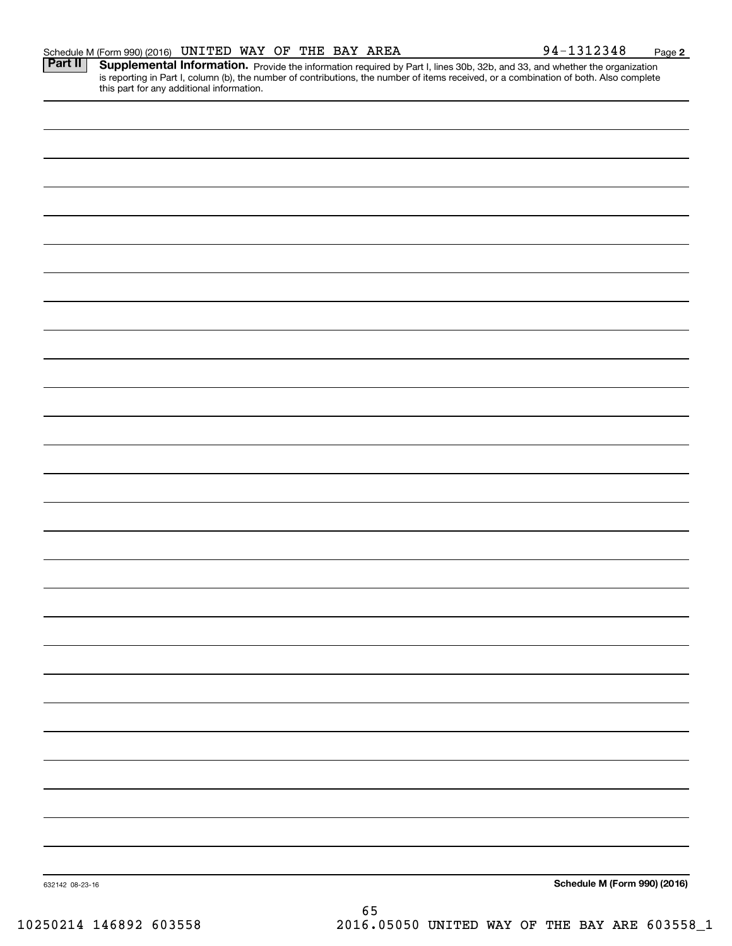|  | Schedule M (Form 990) (2016) | UNITED | WAY | OF | THE | BAY | <b>AREA</b> | L2348 | Page |  |
|--|------------------------------|--------|-----|----|-----|-----|-------------|-------|------|--|
|--|------------------------------|--------|-----|----|-----|-----|-------------|-------|------|--|

Provide the information required by Part I, lines 30b, 32b, and 33, and whether the organization is reporting in Part I, column (b), the number of contributions, the number of items received, or a combination of both. Also complete this part for any additional information. **Part II Supplemental Information.** 

**2**

|                 | 65 |                                     |
|-----------------|----|-------------------------------------|
| 632142 08-23-16 |    | <b>Schedule M (Form 990) (2016)</b> |
|                 |    |                                     |
|                 |    |                                     |
|                 |    |                                     |
|                 |    |                                     |
|                 |    |                                     |
|                 |    |                                     |
|                 |    |                                     |
|                 |    |                                     |
|                 |    |                                     |
|                 |    |                                     |
|                 |    |                                     |
|                 |    |                                     |
|                 |    |                                     |
|                 |    |                                     |
|                 |    |                                     |
|                 |    |                                     |
|                 |    |                                     |
|                 |    |                                     |
|                 |    |                                     |
|                 |    |                                     |
|                 |    |                                     |
|                 |    |                                     |
|                 |    |                                     |
|                 |    |                                     |
|                 |    |                                     |
|                 |    |                                     |
|                 |    |                                     |

10250214 146892 603558 2016.05050 UNITED WAY OF THE BAY ARE 603558\_1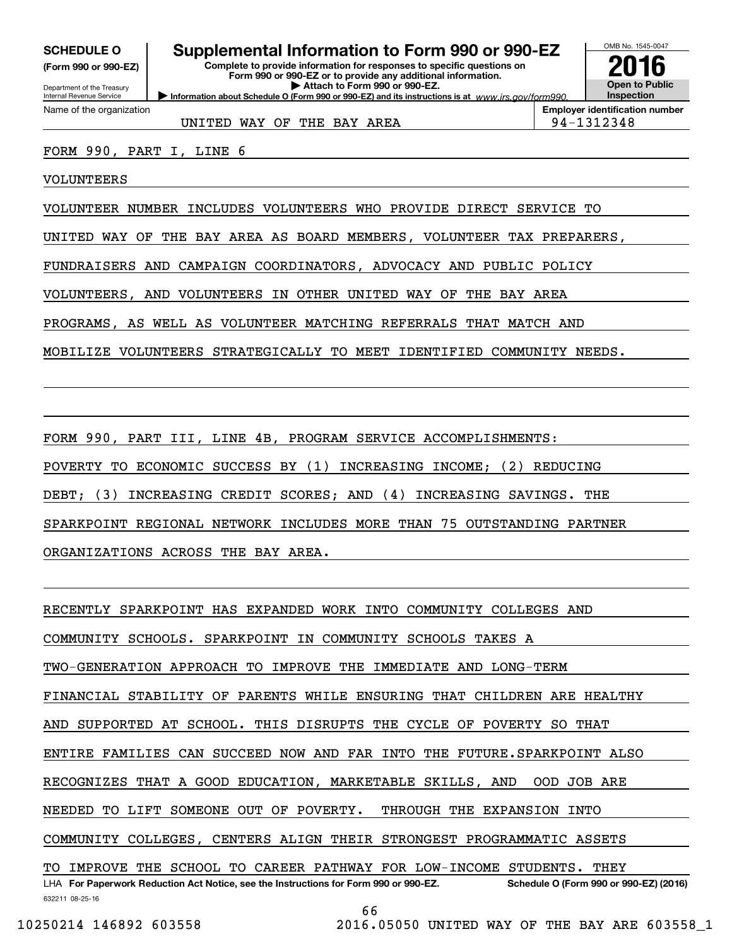**(Form 990 or 990-EZ)**

Department of the Treasury Internal Revenue Service Name of the organization

## **SCHEDULE O Supplemental Information to Form 990 or 990-EZ**

**Information about Schedule O (Form 990 or 990-EZ) and its instructions is at**  $www.irs.gov/form990.$ **Complete to provide information for responses to specific questions on Form 990 or 990-EZ or to provide any additional information. | Attach to Form 990 or 990-EZ.**



UNITED WAY OF THE BAY AREA **194-1312348** 

**Employer identification number**

FORM 990, PART I, LINE 6

VOLUNTEERS

VOLUNTEER NUMBER INCLUDES VOLUNTEERS WHO PROVIDE DIRECT SERVICE TO

UNITED WAY OF THE BAY AREA AS BOARD MEMBERS, VOLUNTEER TAX PREPARERS,

FUNDRAISERS AND CAMPAIGN COORDINATORS, ADVOCACY AND PUBLIC POLICY

VOLUNTEERS, AND VOLUNTEERS IN OTHER UNITED WAY OF THE BAY AREA

PROGRAMS, AS WELL AS VOLUNTEER MATCHING REFERRALS THAT MATCH AND

MOBILIZE VOLUNTEERS STRATEGICALLY TO MEET IDENTIFIED COMMUNITY NEEDS.

FORM 990, PART III, LINE 4B, PROGRAM SERVICE ACCOMPLISHMENTS:

POVERTY TO ECONOMIC SUCCESS BY (1) INCREASING INCOME; (2) REDUCING

DEBT; (3) INCREASING CREDIT SCORES; AND (4) INCREASING SAVINGS. THE

SPARKPOINT REGIONAL NETWORK INCLUDES MORE THAN 75 OUTSTANDING PARTNER

ORGANIZATIONS ACROSS THE BAY AREA.

RECENTLY SPARKPOINT HAS EXPANDED WORK INTO COMMUNITY COLLEGES AND

COMMUNITY SCHOOLS. SPARKPOINT IN COMMUNITY SCHOOLS TAKES A

TWO-GENERATION APPROACH TO IMPROVE THE IMMEDIATE AND LONG-TERM

FINANCIAL STABILITY OF PARENTS WHILE ENSURING THAT CHILDREN ARE HEALTHY

AND SUPPORTED AT SCHOOL. THIS DISRUPTS THE CYCLE OF POVERTY SO THAT

ENTIRE FAMILIES CAN SUCCEED NOW AND FAR INTO THE FUTURE.SPARKPOINT ALSO

RECOGNIZES THAT A GOOD EDUCATION, MARKETABLE SKILLS, AND OOD JOB ARE

NEEDED TO LIFT SOMEONE OUT OF POVERTY. THROUGH THE EXPANSION INTO

COMMUNITY COLLEGES, CENTERS ALIGN THEIR STRONGEST PROGRAMMATIC ASSETS

632211 08-25-16 LHA For Paperwork Reduction Act Notice, see the Instructions for Form 990 or 990-EZ. Schedule O (Form 990 or 990-EZ) (2016) TO IMPROVE THE SCHOOL TO CAREER PATHWAY FOR LOW-INCOME STUDENTS. THEY

66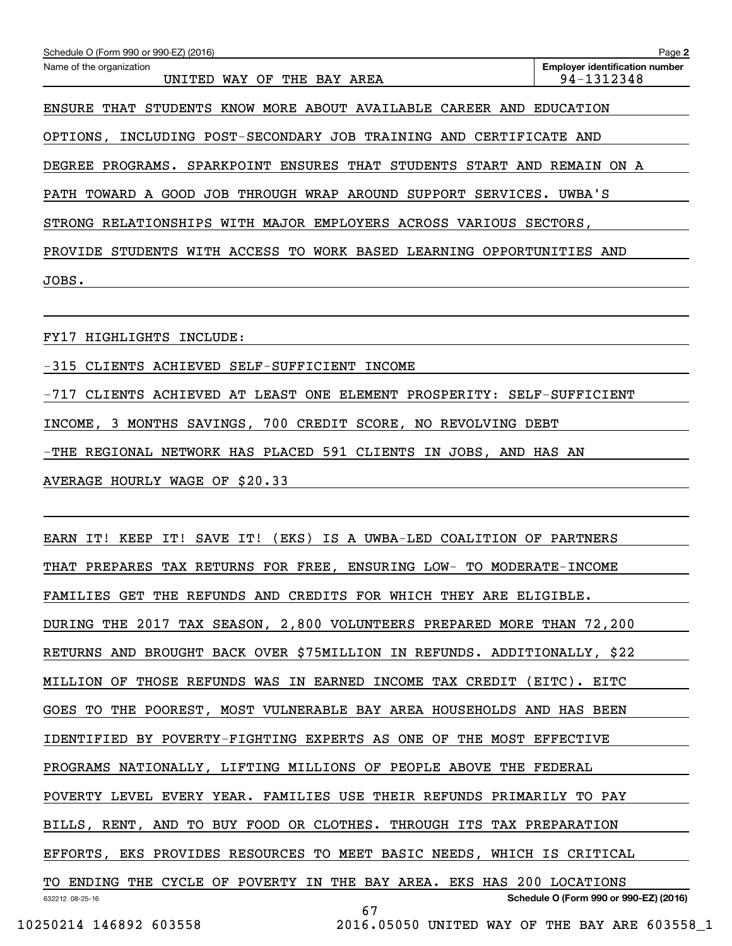| Schedule O (Form 990 or 990-EZ) (2016)                                       | Page 2                                              |
|------------------------------------------------------------------------------|-----------------------------------------------------|
| Name of the organization<br>OF<br>THE BAY AREA<br>UNITED<br>WAY              | <b>Employer identification number</b><br>94-1312348 |
| MORE ABOUT AVAILABLE CAREER AND<br>STUDENTS<br>KNOW<br><b>ENSURE</b><br>THAT | EDUCATION                                           |
| OPTIONS, INCLUDING POST-SECONDARY JOB<br>TRAINING<br>AND<br>CERTIFICATE      | AND                                                 |
| DEGREE PROGRAMS. SPARKPOINT ENSURES THAT STUDENTS START AND                  | REMAIN<br>ON A                                      |
| JOB THROUGH WRAP AROUND SUPPORT<br>PATH TOWARD<br>A GOOD<br>SERVICES.        | UWBA'S                                              |
| STRONG RELATIONSHIPS WITH MAJOR EMPLOYERS ACROSS VARIOUS                     | SECTORS.                                            |
| WITH ACCESS TO WORK BASED LEARNING<br>PROVIDE STUDENTS                       | OPPORTUNITIES AND                                   |
| JOBS.                                                                        |                                                     |
|                                                                              |                                                     |

FY17 HIGHLIGHTS INCLUDE:

-315 CLIENTS ACHIEVED SELF-SUFFICIENT INCOME

-717 CLIENTS ACHIEVED AT LEAST ONE ELEMENT PROSPERITY: SELF-SUFFICIENT

INCOME, 3 MONTHS SAVINGS, 700 CREDIT SCORE, NO REVOLVING DEBT

-THE REGIONAL NETWORK HAS PLACED 591 CLIENTS IN JOBS, AND HAS AN

AVERAGE HOURLY WAGE OF \$20.33

632212 08-25-16 **Schedule O (Form 990 or 990-EZ) (2016)** EARN IT! KEEP IT! SAVE IT! (EKS) IS A UWBA-LED COALITION OF PARTNERS THAT PREPARES TAX RETURNS FOR FREE, ENSURING LOW- TO MODERATE-INCOME FAMILIES GET THE REFUNDS AND CREDITS FOR WHICH THEY ARE ELIGIBLE. DURING THE 2017 TAX SEASON, 2,800 VOLUNTEERS PREPARED MORE THAN 72,200 RETURNS AND BROUGHT BACK OVER \$75MILLION IN REFUNDS. ADDITIONALLY, \$22 MILLION OF THOSE REFUNDS WAS IN EARNED INCOME TAX CREDIT (EITC). EITC GOES TO THE POOREST, MOST VULNERABLE BAY AREA HOUSEHOLDS AND HAS BEEN IDENTIFIED BY POVERTY-FIGHTING EXPERTS AS ONE OF THE MOST EFFECTIVE PROGRAMS NATIONALLY, LIFTING MILLIONS OF PEOPLE ABOVE THE FEDERAL POVERTY LEVEL EVERY YEAR. FAMILIES USE THEIR REFUNDS PRIMARILY TO PAY BILLS, RENT, AND TO BUY FOOD OR CLOTHES. THROUGH ITS TAX PREPARATION EFFORTS, EKS PROVIDES RESOURCES TO MEET BASIC NEEDS, WHICH IS CRITICAL TO ENDING THE CYCLE OF POVERTY IN THE BAY AREA. EKS HAS 200 LOCATIONS 67

10250214 146892 603558 2016.05050 UNITED WAY OF THE BAY ARE 603558\_1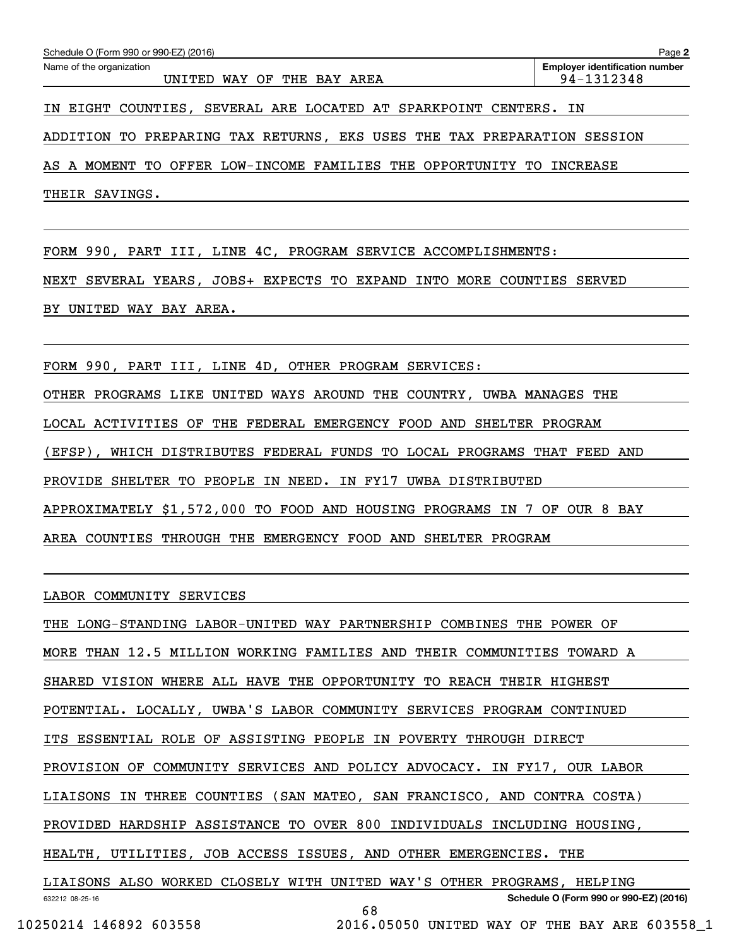| Schedule O (Form 990 or 990-EZ) (2016)                                  | Page 2                                              |
|-------------------------------------------------------------------------|-----------------------------------------------------|
| Name of the organization<br>UNITED<br>WAY OF THE BAY AREA               | <b>Employer identification number</b><br>94-1312348 |
| SEVERAL ARE LOCATED AT SPARKPOINT CENTERS. IN<br>IN EIGHT COUNTIES.     |                                                     |
| ADDITION TO PREPARING TAX RETURNS, EKS USES THE TAX PREPARATION SESSION |                                                     |
| TO OFFER LOW-INCOME FAMILIES THE OPPORTUNITY TO INCREASE<br>AS A MOMENT |                                                     |

THEIR SAVINGS.

FORM 990, PART III, LINE 4C, PROGRAM SERVICE ACCOMPLISHMENTS: NEXT SEVERAL YEARS, JOBS+ EXPECTS TO EXPAND INTO MORE COUNTIES SERVED BY UNITED WAY BAY AREA.

FORM 990, PART III, LINE 4D, OTHER PROGRAM SERVICES:

OTHER PROGRAMS LIKE UNITED WAYS AROUND THE COUNTRY, UWBA MANAGES THE

LOCAL ACTIVITIES OF THE FEDERAL EMERGENCY FOOD AND SHELTER PROGRAM

(EFSP), WHICH DISTRIBUTES FEDERAL FUNDS TO LOCAL PROGRAMS THAT FEED AND

PROVIDE SHELTER TO PEOPLE IN NEED. IN FY17 UWBA DISTRIBUTED

APPROXIMATELY \$1,572,000 TO FOOD AND HOUSING PROGRAMS IN 7 OF OUR 8 BAY

AREA COUNTIES THROUGH THE EMERGENCY FOOD AND SHELTER PROGRAM

LABOR COMMUNITY SERVICES

632212 08-25-16 **Schedule O (Form 990 or 990-EZ) (2016)** THE LONG-STANDING LABOR-UNITED WAY PARTNERSHIP COMBINES THE POWER OF MORE THAN 12.5 MILLION WORKING FAMILIES AND THEIR COMMUNITIES TOWARD A SHARED VISION WHERE ALL HAVE THE OPPORTUNITY TO REACH THEIR HIGHEST POTENTIAL. LOCALLY, UWBA'S LABOR COMMUNITY SERVICES PROGRAM CONTINUED ITS ESSENTIAL ROLE OF ASSISTING PEOPLE IN POVERTY THROUGH DIRECT PROVISION OF COMMUNITY SERVICES AND POLICY ADVOCACY. IN FY17, OUR LABOR LIAISONS IN THREE COUNTIES (SAN MATEO, SAN FRANCISCO, AND CONTRA COSTA) PROVIDED HARDSHIP ASSISTANCE TO OVER 800 INDIVIDUALS INCLUDING HOUSING, HEALTH, UTILITIES, JOB ACCESS ISSUES, AND OTHER EMERGENCIES. THE LIAISONS ALSO WORKED CLOSELY WITH UNITED WAY'S OTHER PROGRAMS, HELPING

68

10250214 146892 603558 2016.05050 UNITED WAY OF THE BAY ARE 603558\_1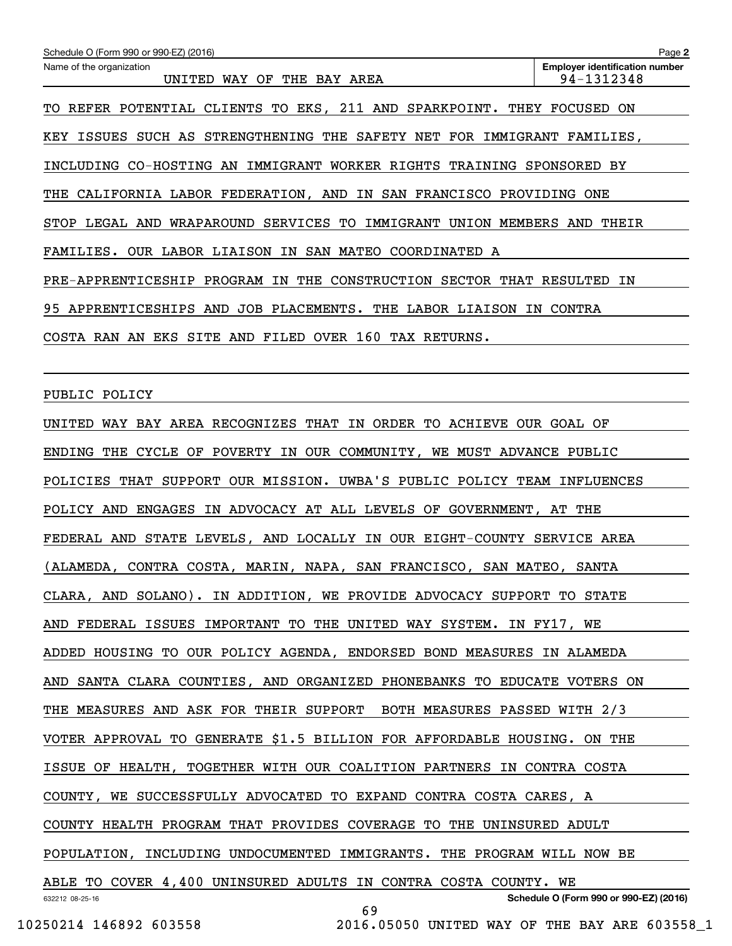| Schedule O (Form 990 or 990-EZ) (2016)                                  |                                               | Page 2                                              |
|-------------------------------------------------------------------------|-----------------------------------------------|-----------------------------------------------------|
| Name of the organization<br>UNITED WAY OF THE BAY AREA                  |                                               | <b>Employer identification number</b><br>94-1312348 |
| TO REFER POTENTIAL CLIENTS TO EKS, 211 AND SPARKPOINT. THEY FOCUSED ON  |                                               |                                                     |
| KEY ISSUES SUCH AS STRENGTHENING THE SAFETY NET FOR IMMIGRANT FAMILIES, |                                               |                                                     |
| INCLUDING CO-HOSTING AN IMMIGRANT WORKER RIGHTS TRAINING SPONSORED BY   |                                               |                                                     |
| THE CALIFORNIA LABOR FEDERATION, AND IN SAN FRANCISCO PROVIDING ONE     |                                               |                                                     |
| STOP LEGAL AND WRAPAROUND SERVICES TO IMMIGRANT UNION MEMBERS AND THEIR |                                               |                                                     |
| FAMILIES. OUR LABOR LIAISON IN SAN MATEO COORDINATED A                  |                                               |                                                     |
| PRE-APPRENTICESHIP PROGRAM IN THE CONSTRUCTION SECTOR THAT RESULTED IN  |                                               |                                                     |
| 95 APPRENTICESHIPS AND JOB PLACEMENTS. THE LABOR LIAISON IN CONTRA      |                                               |                                                     |
| COSTA RAN AN EKS SITE AND FILED OVER 160 TAX RETURNS.                   |                                               |                                                     |
|                                                                         |                                               |                                                     |
| PUBLIC POLICY                                                           |                                               |                                                     |
| UNITED WAY BAY AREA RECOGNIZES THAT IN ORDER TO ACHIEVE OUR GOAL OF     |                                               |                                                     |
| ENDING THE CYCLE OF POVERTY IN OUR COMMUNITY, WE MUST ADVANCE PUBLIC    |                                               |                                                     |
| POLICIES THAT SUPPORT OUR MISSION. UWBA'S PUBLIC POLICY TEAM INFLUENCES |                                               |                                                     |
| POLICY AND ENGAGES IN ADVOCACY AT ALL LEVELS OF GOVERNMENT, AT THE      |                                               |                                                     |
| FEDERAL AND STATE LEVELS, AND LOCALLY IN OUR EIGHT-COUNTY SERVICE AREA  |                                               |                                                     |
| (ALAMEDA, CONTRA COSTA, MARIN, NAPA, SAN FRANCISCO, SAN MATEO, SANTA    |                                               |                                                     |
| CLARA, AND SOLANO). IN ADDITION, WE PROVIDE ADVOCACY SUPPORT TO STATE   |                                               |                                                     |
| AND FEDERAL ISSUES IMPORTANT TO THE UNITED WAY SYSTEM. IN FY17, WE      |                                               |                                                     |
| ADDED HOUSING TO OUR POLICY AGENDA, ENDORSED BOND MEASURES IN ALAMEDA   |                                               |                                                     |
| AND SANTA CLARA COUNTIES, AND ORGANIZED PHONEBANKS TO EDUCATE VOTERS ON |                                               |                                                     |
| THE MEASURES AND ASK FOR THEIR SUPPORT BOTH MEASURES PASSED WITH 2/3    |                                               |                                                     |
| VOTER APPROVAL TO GENERATE \$1.5 BILLION FOR AFFORDABLE HOUSING. ON THE |                                               |                                                     |
| ISSUE OF HEALTH, TOGETHER WITH OUR COALITION PARTNERS IN CONTRA COSTA   |                                               |                                                     |
| COUNTY, WE SUCCESSFULLY ADVOCATED TO EXPAND CONTRA COSTA CARES, A       |                                               |                                                     |
| COUNTY HEALTH PROGRAM THAT PROVIDES COVERAGE TO THE UNINSURED ADULT     |                                               |                                                     |
| POPULATION, INCLUDING UNDOCUMENTED IMMIGRANTS. THE PROGRAM WILL NOW BE  |                                               |                                                     |
| ABLE TO COVER 4,400 UNINSURED ADULTS IN CONTRA COSTA COUNTY. WE         |                                               |                                                     |
| 632212 08-25-16                                                         | 69                                            | Schedule O (Form 990 or 990-EZ) (2016)              |
| 10250214 146892 603558                                                  | 2016.05050 UNITED WAY OF THE BAY ARE 603558_1 |                                                     |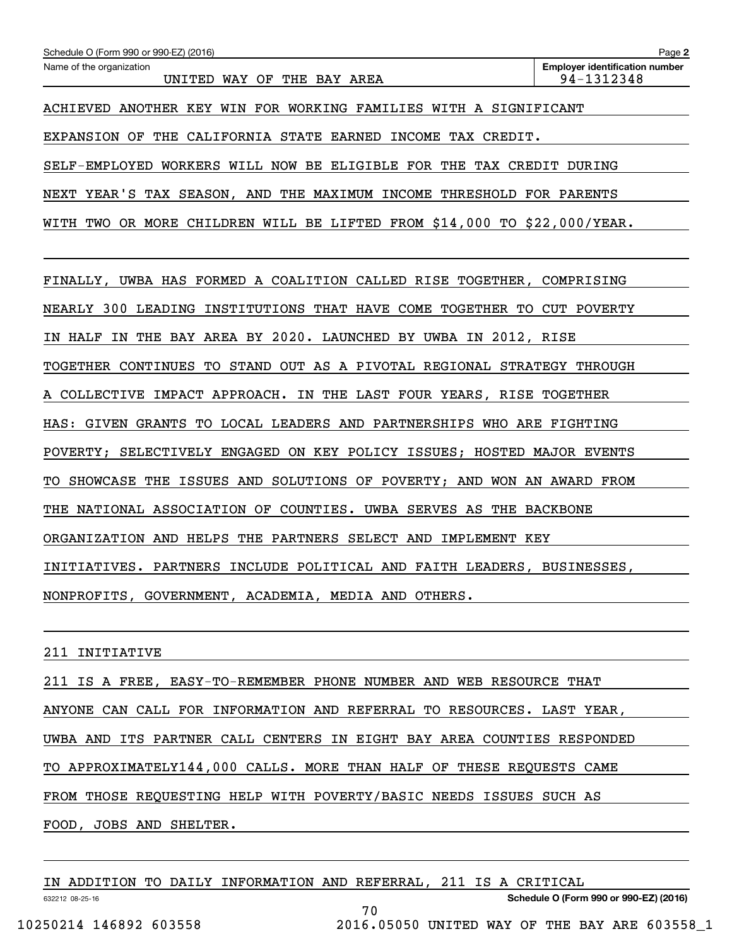| Schedule O (Form 990 or 990-EZ) (2016)                                    | Page 2                                              |  |  |  |  |  |
|---------------------------------------------------------------------------|-----------------------------------------------------|--|--|--|--|--|
| Name of the organization<br>UNITED WAY OF THE BAY AREA                    | <b>Employer identification number</b><br>94-1312348 |  |  |  |  |  |
| ACHIEVED ANOTHER KEY WIN FOR WORKING FAMILIES WITH A SIGNIFICANT          |                                                     |  |  |  |  |  |
| EXPANSION OF THE CALIFORNIA STATE EARNED INCOME TAX CREDIT.               |                                                     |  |  |  |  |  |
| SELF-EMPLOYED WORKERS WILL NOW BE ELIGIBLE FOR THE TAX CREDIT DURING      |                                                     |  |  |  |  |  |
| YEAR'S TAX SEASON, AND THE MAXIMUM INCOME THRESHOLD FOR PARENTS<br>NEXT   |                                                     |  |  |  |  |  |
| WITH TWO OR MORE CHILDREN WILL BE LIFTED FROM \$14,000 TO \$22,000/YEAR.  |                                                     |  |  |  |  |  |
| FINALLY, UWBA HAS FORMED A COALITION CALLED RISE TOGETHER, COMPRISING     |                                                     |  |  |  |  |  |
| NEARLY 300 LEADING INSTITUTIONS THAT HAVE COME TOGETHER TO CUT POVERTY    |                                                     |  |  |  |  |  |
| IN HALF IN THE BAY AREA BY 2020. LAUNCHED BY UWBA IN 2012, RISE           |                                                     |  |  |  |  |  |
| TOGETHER CONTINUES TO STAND OUT AS A PIVOTAL REGIONAL STRATEGY THROUGH    |                                                     |  |  |  |  |  |
| A COLLECTIVE IMPACT APPROACH. IN THE LAST FOUR YEARS, RISE TOGETHER       |                                                     |  |  |  |  |  |
| HAS: GIVEN GRANTS TO LOCAL LEADERS AND PARTNERSHIPS WHO ARE FIGHTING      |                                                     |  |  |  |  |  |
| POVERTY; SELECTIVELY ENGAGED ON KEY POLICY ISSUES; HOSTED MAJOR EVENTS    |                                                     |  |  |  |  |  |
| SHOWCASE THE ISSUES AND SOLUTIONS OF POVERTY; AND WON AN AWARD FROM<br>TО |                                                     |  |  |  |  |  |
| THE NATIONAL ASSOCIATION OF COUNTIES. UWBA SERVES AS THE BACKBONE         |                                                     |  |  |  |  |  |
| ORGANIZATION AND HELPS THE PARTNERS SELECT AND IMPLEMENT KEY              |                                                     |  |  |  |  |  |
| INITIATIVES. PARTNERS INCLUDE POLITICAL AND FAITH LEADERS, BUSINESSES,    |                                                     |  |  |  |  |  |
| NONPROFITS, GOVERNMENT, ACADEMIA, MEDIA AND OTHERS.                       |                                                     |  |  |  |  |  |
|                                                                           |                                                     |  |  |  |  |  |
| 211 INITIATIVE                                                            |                                                     |  |  |  |  |  |
| 211 IS A FREE, EASY-TO-REMEMBER PHONE NUMBER AND WEB RESOURCE THAT        |                                                     |  |  |  |  |  |
| ANYONE CAN CALL FOR INFORMATION AND REFERRAL TO RESOURCES. LAST YEAR,     |                                                     |  |  |  |  |  |
| UWBA AND ITS PARTNER CALL CENTERS IN EIGHT BAY AREA COUNTIES RESPONDED    |                                                     |  |  |  |  |  |
| TO APPROXIMATELY144,000 CALLS. MORE THAN HALF OF THESE REQUESTS CAME      |                                                     |  |  |  |  |  |

FROM THOSE REQUESTING HELP WITH POVERTY/BASIC NEEDS ISSUES SUCH AS

FOOD, JOBS AND SHELTER.

|--|

70

**Schedule O (Form 990 or 990-EZ) (2016)**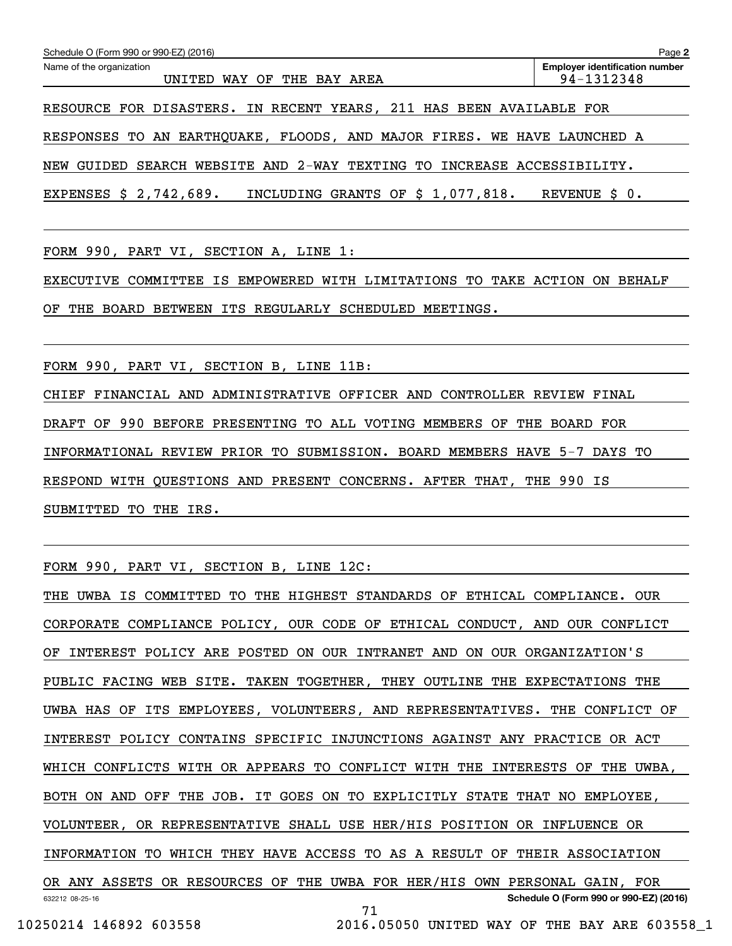| Schedule O (Form 990 or 990-EZ) (2016)                                       | Page 2                                              |  |
|------------------------------------------------------------------------------|-----------------------------------------------------|--|
| Name of the organization<br>WAY OF<br>THE BAY AREA<br>UNITED                 | <b>Employer identification number</b><br>94-1312348 |  |
| RESOURCE FOR DISASTERS. IN RECENT YEARS, 211 HAS BEEN AVAILABLE FOR          |                                                     |  |
| RESPONSES TO AN EARTHQUAKE, FLOODS, AND MAJOR FIRES.<br>WE HAVE LAUNCHED A   |                                                     |  |
| SEARCH WEBSITE AND 2-WAY TEXTING TO INCREASE ACCESSIBILITY.<br>NEW<br>GUIDED |                                                     |  |
| EXPENSES \$ 2,742,689.<br>INCLUDING GRANTS OF \$ 1,077,818.                  | $\dot{\mathsf{S}}$ 0.<br>REVENUE                    |  |

FORM 990, PART VI, SECTION A, LINE 1:

EXECUTIVE COMMITTEE IS EMPOWERED WITH LIMITATIONS TO TAKE ACTION ON BEHALF

OF THE BOARD BETWEEN ITS REGULARLY SCHEDULED MEETINGS.

FORM 990, PART VI, SECTION B, LINE 11B:

CHIEF FINANCIAL AND ADMINISTRATIVE OFFICER AND CONTROLLER REVIEW FINAL DRAFT OF 990 BEFORE PRESENTING TO ALL VOTING MEMBERS OF THE BOARD FOR INFORMATIONAL REVIEW PRIOR TO SUBMISSION. BOARD MEMBERS HAVE 5-7 DAYS TO RESPOND WITH QUESTIONS AND PRESENT CONCERNS. AFTER THAT, THE 990 IS SUBMITTED TO THE IRS.

FORM 990, PART VI, SECTION B, LINE 12C:

632212 08-25-16 **Schedule O (Form 990 or 990-EZ) (2016)** THE UWBA IS COMMITTED TO THE HIGHEST STANDARDS OF ETHICAL COMPLIANCE. OUR CORPORATE COMPLIANCE POLICY, OUR CODE OF ETHICAL CONDUCT, AND OUR CONFLICT OF INTEREST POLICY ARE POSTED ON OUR INTRANET AND ON OUR ORGANIZATION'S PUBLIC FACING WEB SITE. TAKEN TOGETHER, THEY OUTLINE THE EXPECTATIONS THE UWBA HAS OF ITS EMPLOYEES, VOLUNTEERS, AND REPRESENTATIVES. THE CONFLICT OF INTEREST POLICY CONTAINS SPECIFIC INJUNCTIONS AGAINST ANY PRACTICE OR ACT WHICH CONFLICTS WITH OR APPEARS TO CONFLICT WITH THE INTERESTS OF THE UWBA, BOTH ON AND OFF THE JOB. IT GOES ON TO EXPLICITLY STATE THAT NO EMPLOYEE, VOLUNTEER, OR REPRESENTATIVE SHALL USE HER/HIS POSITION OR INFLUENCE OR INFORMATION TO WHICH THEY HAVE ACCESS TO AS A RESULT OF THEIR ASSOCIATION OR ANY ASSETS OR RESOURCES OF THE UWBA FOR HER/HIS OWN PERSONAL GAIN, FOR 71

10250214 146892 603558 2016.05050 UNITED WAY OF THE BAY ARE 603558\_1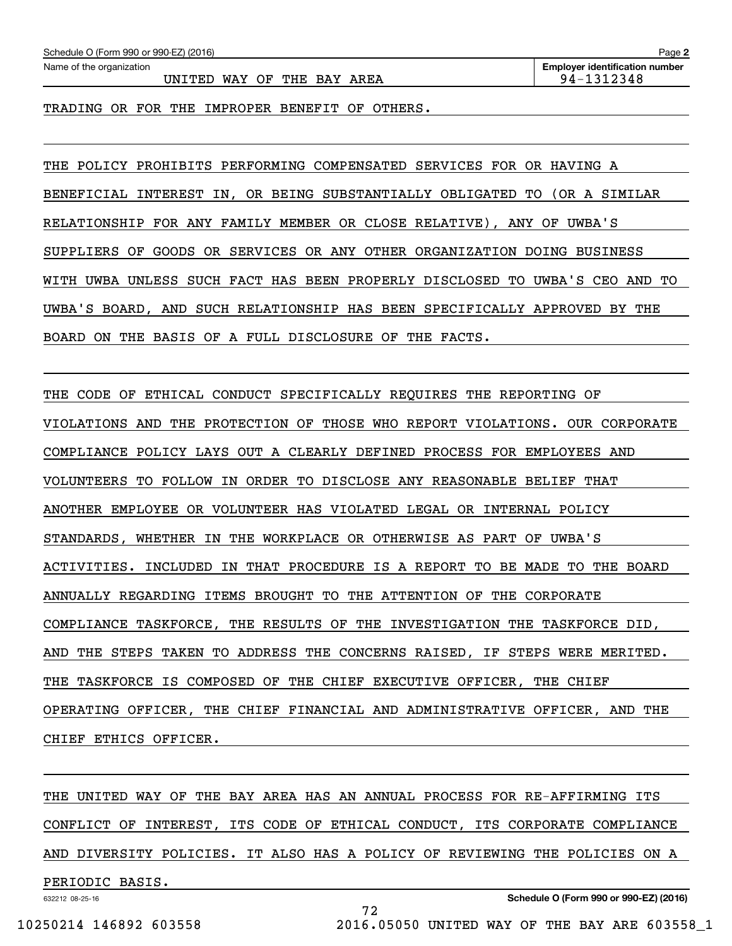UNITED WAY OF THE BAY AREA  $\vert$  94-1312348

TRADING OR FOR THE IMPROPER BENEFIT OF OTHERS.

THE POLICY PROHIBITS PERFORMING COMPENSATED SERVICES FOR OR HAVING A BENEFICIAL INTEREST IN, OR BEING SUBSTANTIALLY OBLIGATED TO (OR A SIMILAR RELATIONSHIP FOR ANY FAMILY MEMBER OR CLOSE RELATIVE), ANY OF UWBA'S SUPPLIERS OF GOODS OR SERVICES OR ANY OTHER ORGANIZATION DOING BUSINESS WITH UWBA UNLESS SUCH FACT HAS BEEN PROPERLY DISCLOSED TO UWBA'S CEO AND TO UWBA'S BOARD, AND SUCH RELATIONSHIP HAS BEEN SPECIFICALLY APPROVED BY THE BOARD ON THE BASIS OF A FULL DISCLOSURE OF THE FACTS.

THE CODE OF ETHICAL CONDUCT SPECIFICALLY REQUIRES THE REPORTING OF VIOLATIONS AND THE PROTECTION OF THOSE WHO REPORT VIOLATIONS. OUR CORPORATE COMPLIANCE POLICY LAYS OUT A CLEARLY DEFINED PROCESS FOR EMPLOYEES AND VOLUNTEERS TO FOLLOW IN ORDER TO DISCLOSE ANY REASONABLE BELIEF THAT ANOTHER EMPLOYEE OR VOLUNTEER HAS VIOLATED LEGAL OR INTERNAL POLICY STANDARDS, WHETHER IN THE WORKPLACE OR OTHERWISE AS PART OF UWBA'S ACTIVITIES. INCLUDED IN THAT PROCEDURE IS A REPORT TO BE MADE TO THE BOARD ANNUALLY REGARDING ITEMS BROUGHT TO THE ATTENTION OF THE CORPORATE COMPLIANCE TASKFORCE, THE RESULTS OF THE INVESTIGATION THE TASKFORCE DID, AND THE STEPS TAKEN TO ADDRESS THE CONCERNS RAISED, IF STEPS WERE MERITED. THE TASKFORCE IS COMPOSED OF THE CHIEF EXECUTIVE OFFICER, THE CHIEF OPERATING OFFICER, THE CHIEF FINANCIAL AND ADMINISTRATIVE OFFICER, AND THE CHIEF ETHICS OFFICER.

THE UNITED WAY OF THE BAY AREA HAS AN ANNUAL PROCESS FOR RE-AFFIRMING ITS CONFLICT OF INTEREST, ITS CODE OF ETHICAL CONDUCT, ITS CORPORATE COMPLIANCE AND DIVERSITY POLICIES. IT ALSO HAS A POLICY OF REVIEWING THE POLICIES ON A PERIODIC BASIS.

72

632212 08-25-16

**Schedule O (Form 990 or 990-EZ) (2016)**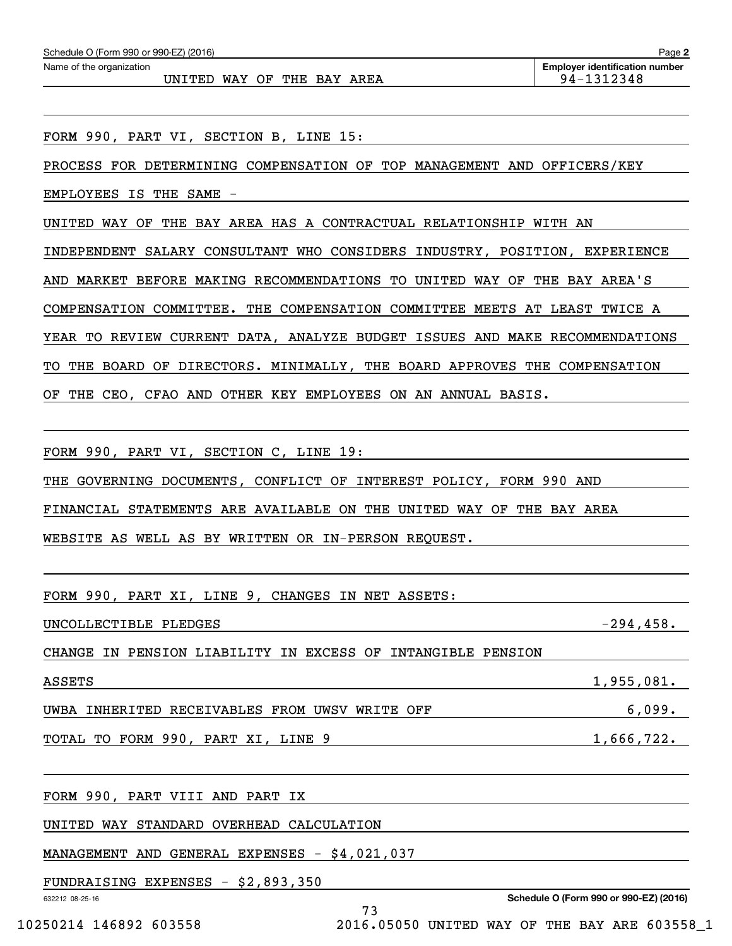UNITED WAY OF THE BAY AREA **194-1312348** 

FORM 990, PART VI, SECTION B, LINE 15:

PROCESS FOR DETERMINING COMPENSATION OF TOP MANAGEMENT AND OFFICERS/KEY

EMPLOYEES IS THE SAME -

UNITED WAY OF THE BAY AREA HAS A CONTRACTUAL RELATIONSHIP WITH AN

INDEPENDENT SALARY CONSULTANT WHO CONSIDERS INDUSTRY, POSITION, EXPERIENCE

AND MARKET BEFORE MAKING RECOMMENDATIONS TO UNITED WAY OF THE BAY AREA'S

COMPENSATION COMMITTEE. THE COMPENSATION COMMITTEE MEETS AT LEAST TWICE A

YEAR TO REVIEW CURRENT DATA, ANALYZE BUDGET ISSUES AND MAKE RECOMMENDATIONS

TO THE BOARD OF DIRECTORS. MINIMALLY, THE BOARD APPROVES THE COMPENSATION

OF THE CEO, CFAO AND OTHER KEY EMPLOYEES ON AN ANNUAL BASIS.

FORM 990, PART VI, SECTION C, LINE 19:

THE GOVERNING DOCUMENTS, CONFLICT OF INTEREST POLICY, FORM 990 AND

FINANCIAL STATEMENTS ARE AVAILABLE ON THE UNITED WAY OF THE BAY AREA

WEBSITE AS WELL AS BY WRITTEN OR IN-PERSON REQUEST.

FORM 990, PART XI, LINE 9, CHANGES IN NET ASSETS:

UNCOLLECTIBLE PLEDGES -294,458.

CHANGE IN PENSION LIABILITY IN EXCESS OF INTANGIBLE PENSION

ASSETS 1,955,081. UWBA INHERITED RECEIVABLES FROM UWSV WRITE OFF **1998** 6,099.

73

TOTAL TO FORM 990, PART XI, LINE 9  $1,666,722$ .

FORM 990, PART VIII AND PART IX

UNITED WAY STANDARD OVERHEAD CALCULATION

MANAGEMENT AND GENERAL EXPENSES - \$4,021,037

FUNDRAISING EXPENSES - \$2,893,350

632212 08-25-16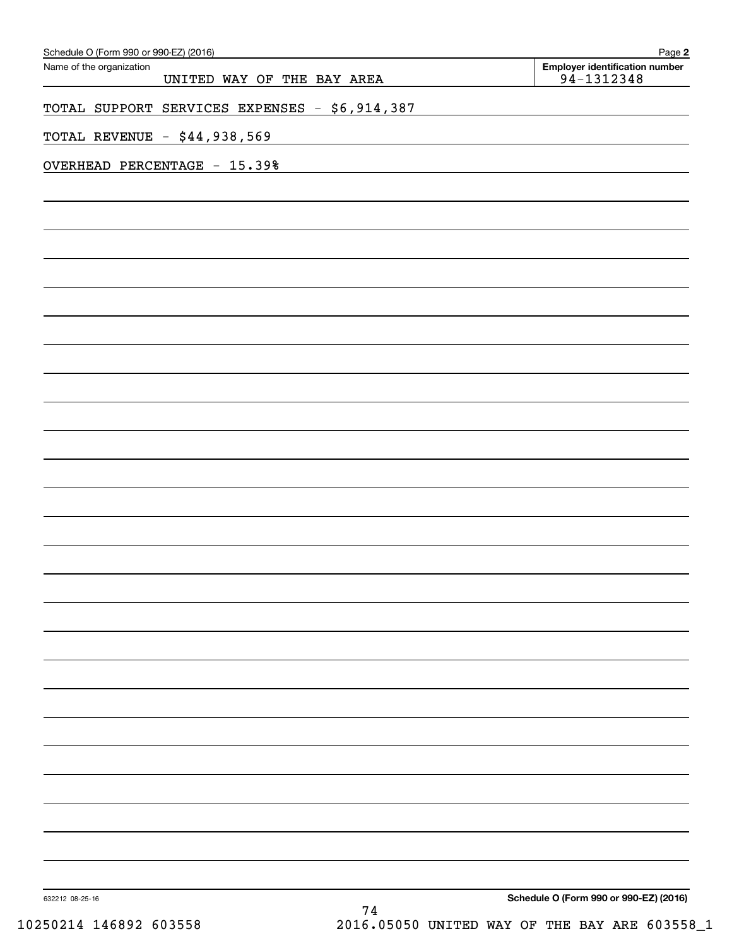| Schedule O (Form 990 or 990-EZ) (2016)                 | Page 2                                              |
|--------------------------------------------------------|-----------------------------------------------------|
| Name of the organization<br>UNITED WAY OF THE BAY AREA | <b>Employer identification number</b><br>94-1312348 |
| TOTAL SUPPORT SERVICES EXPENSES - \$6,914,387          |                                                     |
| TOTAL REVENUE - \$44,938,569                           |                                                     |
| OVERHEAD PERCENTAGE - 15.39%                           |                                                     |
|                                                        |                                                     |
|                                                        |                                                     |
|                                                        |                                                     |
|                                                        |                                                     |
|                                                        |                                                     |
|                                                        |                                                     |
|                                                        |                                                     |
|                                                        |                                                     |
|                                                        |                                                     |
|                                                        |                                                     |
|                                                        |                                                     |
|                                                        |                                                     |
|                                                        |                                                     |
|                                                        |                                                     |
|                                                        |                                                     |
|                                                        |                                                     |
|                                                        |                                                     |
|                                                        |                                                     |
|                                                        |                                                     |
|                                                        |                                                     |
|                                                        |                                                     |
|                                                        |                                                     |
|                                                        |                                                     |
|                                                        |                                                     |
|                                                        |                                                     |
| 632212 08-25-16<br>$7\,4$                              | Schedule O (Form 990 or 990-EZ) (2016)              |